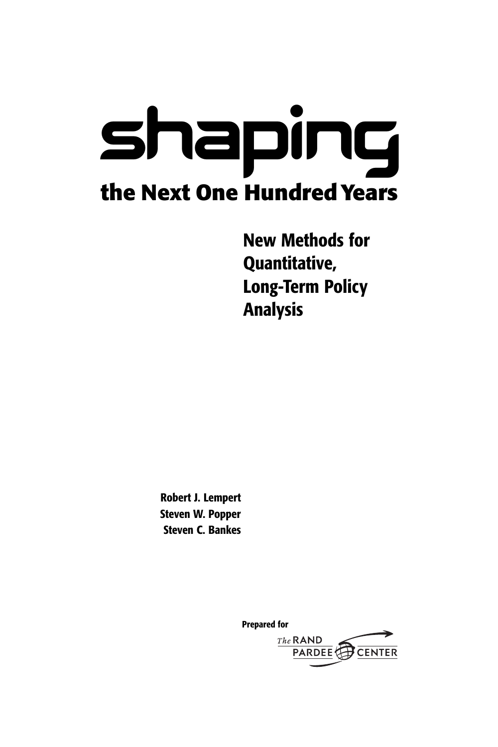# Shaping **the Next One Hundred Years**

**New Methods for Quantitative, Long-Term Policy Analysis**

**Robert J. Lempert Steven W. Popper Steven C. Bankes** 

**Prepared for**

 $The$  RAND **PARDEE**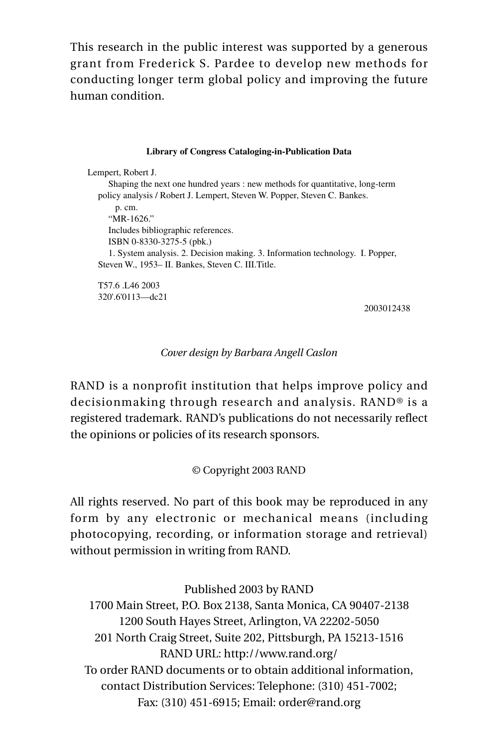This research in the public interest was supported by a generous grant from Frederick S. Pardee to develop new methods for conducting longer term global policy and improving the future human condition.

#### **Library of Congress Cataloging-in-Publication Data**

Lempert, Robert J. Shaping the next one hundred years : new methods for quantitative, long-term policy analysis / Robert J. Lempert, Steven W. Popper, Steven C. Bankes. p. cm. "MR-1626." Includes bibliographic references. ISBN 0-8330-3275-5 (pbk.) 1. System analysis. 2. Decision making. 3. Information technology. I. Popper, Steven W., 1953– II. Bankes, Steven C. III.Title. T57.6 .L46 2003

320'.6'0113—dc21

2003012438

#### *Cover design by Barbara Angell Caslon*

RAND is a nonprofit institution that helps improve policy and decisionmaking through research and analysis. RAND® is a registered trademark. RAND's publications do not necessarily reflect the opinions or policies of its research sponsors.

© Copyright 2003 RAND

All rights reserved. No part of this book may be reproduced in any form by any electronic or mechanical means (including photocopying, recording, or information storage and retrieval) without permission in writing from RAND.

Published 2003 by RAND

1700 Main Street, P.O. Box 2138, Santa Monica, CA 90407-2138 1200 South Hayes Street, Arlington, VA 22202-5050 201 North Craig Street, Suite 202, Pittsburgh, PA 15213-1516 RAND URL: http://www.rand.org/ To order RAND documents or to obtain additional information, contact Distribution Services: Telephone: (310) 451-7002; Fax: (310) 451-6915; Email: order@rand.org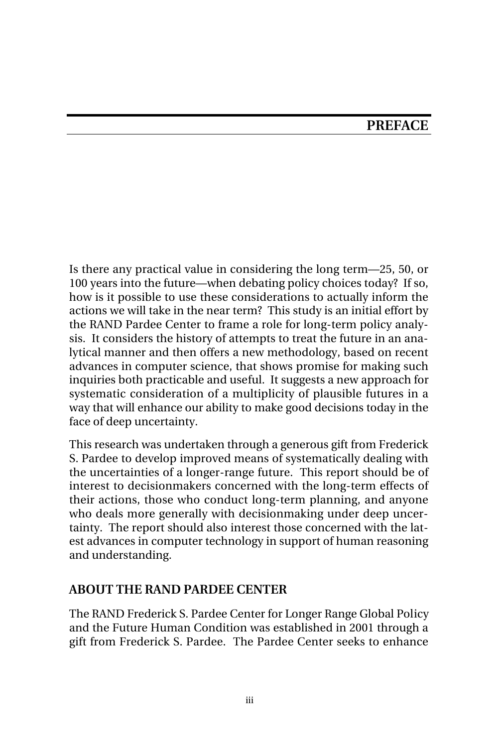## **PREFACE**

Is there any practical value in considering the long term—25, 50, or 100 years into the future—when debating policy choices today? If so, how is it possible to use these considerations to actually inform the actions we will take in the near term? This study is an initial effort by the RAND Pardee Center to frame a role for long-term policy analysis. It considers the history of attempts to treat the future in an analytical manner and then offers a new methodology, based on recent advances in computer science, that shows promise for making such inquiries both practicable and useful. It suggests a new approach for systematic consideration of a multiplicity of plausible futures in a way that will enhance our ability to make good decisions today in the face of deep uncertainty.

This research was undertaken through a generous gift from Frederick S. Pardee to develop improved means of systematically dealing with the uncertainties of a longer-range future. This report should be of interest to decisionmakers concerned with the long-term effects of their actions, those who conduct long-term planning, and anyone who deals more generally with decisionmaking under deep uncertainty. The report should also interest those concerned with the latest advances in computer technology in support of human reasoning and understanding.

## **ABOUT THE RAND PARDEE CENTER**

The RAND Frederick S. Pardee Center for Longer Range Global Policy and the Future Human Condition was established in 2001 through a gift from Frederick S. Pardee. The Pardee Center seeks to enhance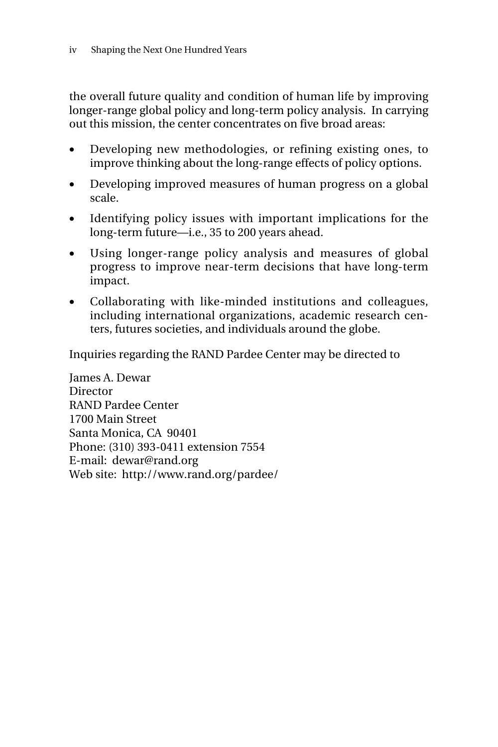the overall future quality and condition of human life by improving longer-range global policy and long-term policy analysis. In carrying out this mission, the center concentrates on five broad areas:

- Developing new methodologies, or refining existing ones, to improve thinking about the long-range effects of policy options.
- Developing improved measures of human progress on a global scale.
- Identifying policy issues with important implications for the long-term future—i.e., 35 to 200 years ahead.
- Using longer-range policy analysis and measures of global progress to improve near-term decisions that have long-term impact.
- Collaborating with like-minded institutions and colleagues, including international organizations, academic research centers, futures societies, and individuals around the globe.

Inquiries regarding the RAND Pardee Center may be directed to

James A. Dewar **Director** RAND Pardee Center 1700 Main Street Santa Monica, CA 90401 Phone: (310) 393-0411 extension 7554 E-mail: dewar@rand.org Web site: http://www.rand.org/pardee/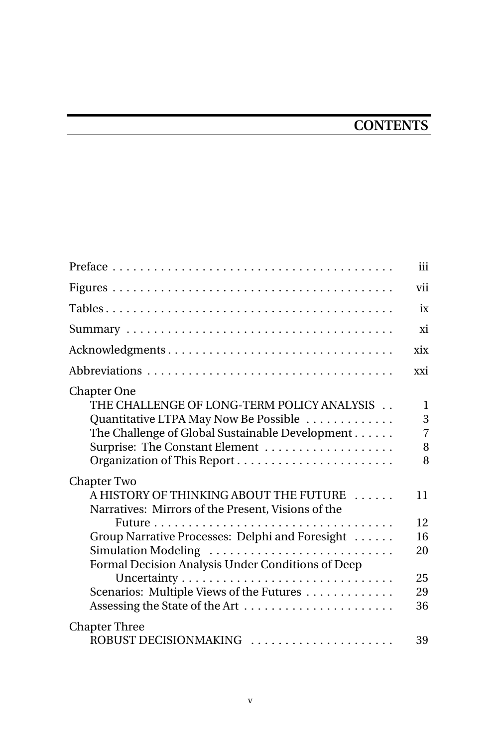# **CONTENTS**

|                                                                                                                                                                                         | iii                                |
|-----------------------------------------------------------------------------------------------------------------------------------------------------------------------------------------|------------------------------------|
|                                                                                                                                                                                         | vii                                |
|                                                                                                                                                                                         | ix                                 |
|                                                                                                                                                                                         | xi                                 |
| Acknowledgments                                                                                                                                                                         | xix                                |
|                                                                                                                                                                                         | xxi                                |
| Chapter One<br>THE CHALLENGE OF LONG-TERM POLICY ANALYSIS<br>Quantitative LTPA May Now Be Possible<br>The Challenge of Global Sustainable Development<br>Surprise: The Constant Element | 1<br>3<br>$\overline{7}$<br>8<br>8 |
| Chapter Two<br>A HISTORY OF THINKING ABOUT THE FUTURE<br>Narratives: Mirrors of the Present, Visions of the                                                                             | 11                                 |
| Group Narrative Processes: Delphi and Foresight<br>Simulation Modeling<br>Formal Decision Analysis Under Conditions of Deep                                                             | 12<br>16<br>20                     |
| Scenarios: Multiple Views of the Futures<br>Assessing the State of the Art                                                                                                              | 25<br>29<br>36                     |
| <b>Chapter Three</b><br>ROBUST DECISIONMAKING                                                                                                                                           | 39                                 |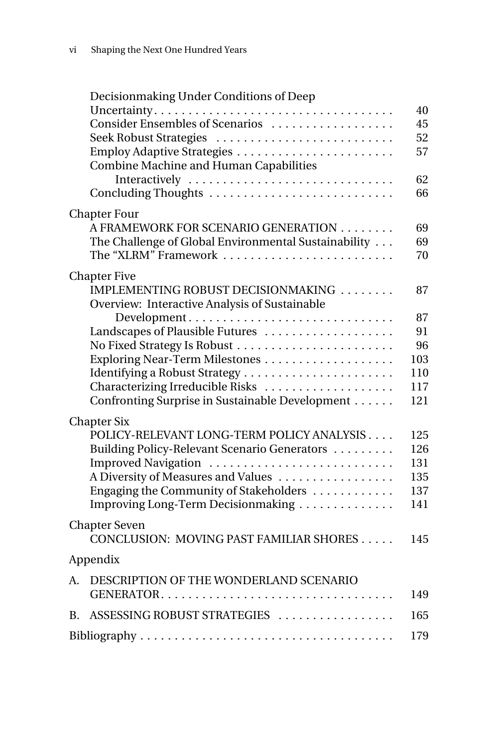| Decisionmaking Under Conditions of Deep                                                                                                                                                                                                                      | 40                                     |
|--------------------------------------------------------------------------------------------------------------------------------------------------------------------------------------------------------------------------------------------------------------|----------------------------------------|
| Consider Ensembles of Scenarios<br>Seek Robust Strategies<br>Employ Adaptive Strategies<br>Combine Machine and Human Capabilities                                                                                                                            | 45<br>52<br>57                         |
| Interactively<br>Concluding Thoughts                                                                                                                                                                                                                         | 62<br>66                               |
| <b>Chapter Four</b><br>A FRAMEWORK FOR SCENARIO GENERATION<br>The Challenge of Global Environmental Sustainability                                                                                                                                           | 69<br>69                               |
| The "XLRM" Framework                                                                                                                                                                                                                                         | 70                                     |
| <b>Chapter Five</b><br>IMPLEMENTING ROBUST DECISIONMAKING<br>Overview: Interactive Analysis of Sustainable<br>Development                                                                                                                                    | 87<br>87                               |
| Landscapes of Plausible Futures                                                                                                                                                                                                                              | 91<br>96                               |
| Characterizing Irreducible Risks                                                                                                                                                                                                                             | 103<br>110<br>117                      |
| Confronting Surprise in Sustainable Development                                                                                                                                                                                                              | 121                                    |
| <b>Chapter Six</b><br>POLICY-RELEVANT LONG-TERM POLICY ANALYSIS<br>Building Policy-Relevant Scenario Generators<br>Improved Navigation<br>A Diversity of Measures and Values<br>Engaging the Community of Stakeholders<br>Improving Long-Term Decisionmaking | 125<br>126<br>131<br>135<br>137<br>141 |
| <b>Chapter Seven</b><br>CONCLUSION: MOVING PAST FAMILIAR SHORES                                                                                                                                                                                              | 145                                    |
| Appendix                                                                                                                                                                                                                                                     |                                        |
| DESCRIPTION OF THE WONDERLAND SCENARIO<br>А.                                                                                                                                                                                                                 | 149                                    |
| ASSESSING ROBUST STRATEGIES<br>B.                                                                                                                                                                                                                            | 165                                    |
|                                                                                                                                                                                                                                                              | 179                                    |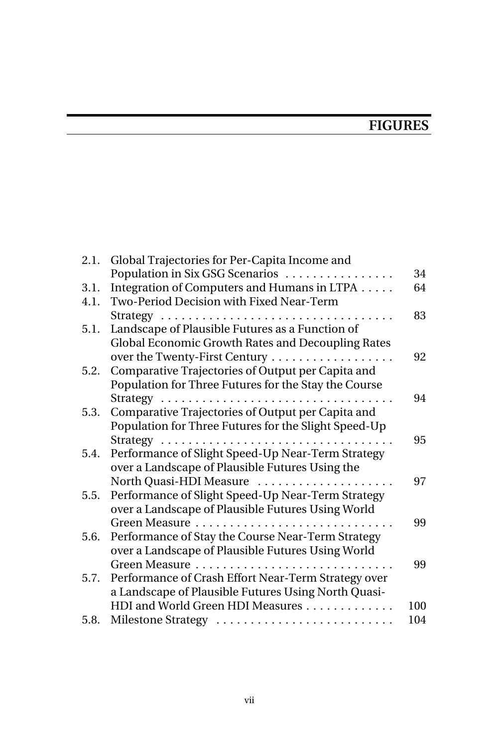# **FIGURES**

| 2.1. | Global Trajectories for Per-Capita Income and        |     |
|------|------------------------------------------------------|-----|
|      | Population in Six GSG Scenarios                      | 34  |
| 3.1. | Integration of Computers and Humans in LTPA          | 64  |
| 4.1. | Two-Period Decision with Fixed Near-Term             |     |
|      |                                                      | 83  |
| 5.1. | Landscape of Plausible Futures as a Function of      |     |
|      | Global Economic Growth Rates and Decoupling Rates    |     |
|      | over the Twenty-First Century                        | 92  |
| 5.2. | Comparative Trajectories of Output per Capita and    |     |
|      | Population for Three Futures for the Stay the Course |     |
|      |                                                      | 94  |
| 5.3. | Comparative Trajectories of Output per Capita and    |     |
|      | Population for Three Futures for the Slight Speed-Up |     |
|      |                                                      | 95  |
| 5.4. | Performance of Slight Speed-Up Near-Term Strategy    |     |
|      | over a Landscape of Plausible Futures Using the      |     |
|      | North Quasi-HDI Measure                              | 97  |
| 5.5. | Performance of Slight Speed-Up Near-Term Strategy    |     |
|      | over a Landscape of Plausible Futures Using World    |     |
|      | Green Measure                                        | 99  |
| 5.6. | Performance of Stay the Course Near-Term Strategy    |     |
|      | over a Landscape of Plausible Futures Using World    |     |
|      |                                                      | 99  |
| 5.7. | Performance of Crash Effort Near-Term Strategy over  |     |
|      | a Landscape of Plausible Futures Using North Quasi-  |     |
|      | HDI and World Green HDI Measures                     | 100 |
| 5.8. | Milestone Strategy                                   | 104 |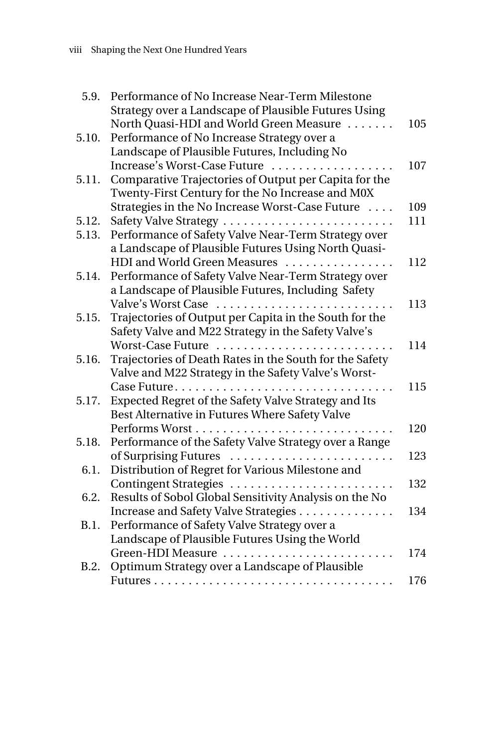| 5.9.  | Performance of No Increase Near-Term Milestone          |     |
|-------|---------------------------------------------------------|-----|
|       | Strategy over a Landscape of Plausible Futures Using    |     |
|       | North Quasi-HDI and World Green Measure                 | 105 |
| 5.10. | Performance of No Increase Strategy over a              |     |
|       | Landscape of Plausible Futures, Including No            |     |
|       | Increase's Worst-Case Future                            | 107 |
| 5.11. | Comparative Trajectories of Output per Capita for the   |     |
|       | Twenty-First Century for the No Increase and M0X        |     |
|       | Strategies in the No Increase Worst-Case Future         | 109 |
| 5.12. |                                                         | 111 |
| 5.13. | Performance of Safety Valve Near-Term Strategy over     |     |
|       | a Landscape of Plausible Futures Using North Quasi-     |     |
|       | HDI and World Green Measures                            | 112 |
| 5.14. | Performance of Safety Valve Near-Term Strategy over     |     |
|       | a Landscape of Plausible Futures, Including Safety      |     |
|       | Valve's Worst Case                                      | 113 |
| 5.15. | Trajectories of Output per Capita in the South for the  |     |
|       | Safety Valve and M22 Strategy in the Safety Valve's     |     |
|       | Worst-Case Future                                       | 114 |
| 5.16. | Trajectories of Death Rates in the South for the Safety |     |
|       | Valve and M22 Strategy in the Safety Valve's Worst-     |     |
|       | Case Future                                             | 115 |
| 5.17. | Expected Regret of the Safety Valve Strategy and Its    |     |
|       | Best Alternative in Futures Where Safety Valve          |     |
|       |                                                         | 120 |
| 5.18. | Performance of the Safety Valve Strategy over a Range   |     |
|       | of Surprising Futures                                   | 123 |
| 6.1.  | Distribution of Regret for Various Milestone and        |     |
|       | Contingent Strategies                                   | 132 |
| 6.2.  | Results of Sobol Global Sensitivity Analysis on the No  |     |
|       | Increase and Safety Valve Strategies                    | 134 |
| B.1.  | Performance of Safety Valve Strategy over a             |     |
|       | Landscape of Plausible Futures Using the World          |     |
|       | Green-HDI Measure                                       | 174 |
| B.2.  | Optimum Strategy over a Landscape of Plausible          |     |
|       |                                                         | 176 |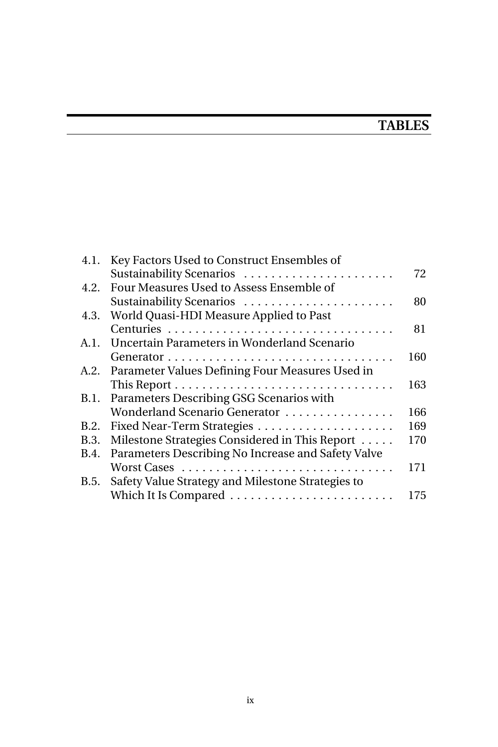# **TABLES**

|      | 4.1. Key Factors Used to Construct Ensembles of         |     |
|------|---------------------------------------------------------|-----|
|      | Sustainability Scenarios                                | 72  |
|      | 4.2. Four Measures Used to Assess Ensemble of           |     |
|      | Sustainability Scenarios                                | 80  |
| 4.3. | World Quasi-HDI Measure Applied to Past                 |     |
|      |                                                         | 81  |
|      | A.1. Uncertain Parameters in Wonderland Scenario        |     |
|      |                                                         | 160 |
|      | A.2. Parameter Values Defining Four Measures Used in    |     |
|      |                                                         | 163 |
|      | B.1. Parameters Describing GSG Scenarios with           |     |
|      | Wonderland Scenario Generator                           | 166 |
|      | B.2. Fixed Near-Term Strategies                         | 169 |
|      | B.3. Milestone Strategies Considered in This Report     | 170 |
|      | B.4. Parameters Describing No Increase and Safety Valve |     |
|      |                                                         | 171 |
|      | B.5. Safety Value Strategy and Milestone Strategies to  |     |
|      | Which It Is Compared                                    | 175 |
|      |                                                         |     |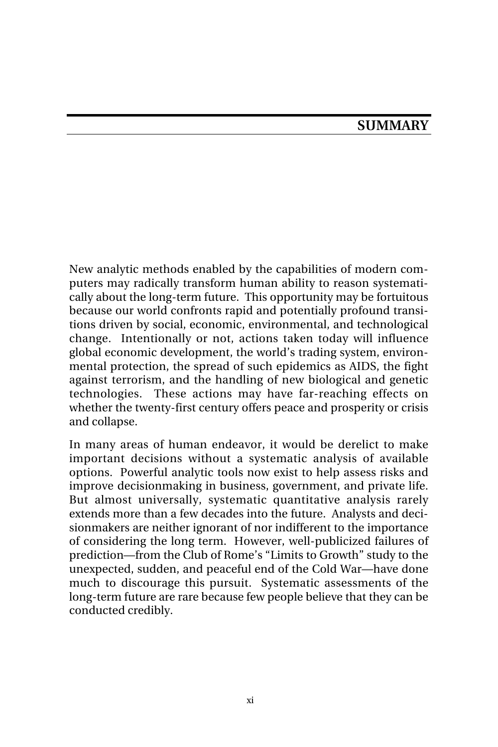## **SUMMARY**

New analytic methods enabled by the capabilities of modern computers may radically transform human ability to reason systematically about the long-term future. This opportunity may be fortuitous because our world confronts rapid and potentially profound transitions driven by social, economic, environmental, and technological change. Intentionally or not, actions taken today will influence global economic development, the world's trading system, environmental protection, the spread of such epidemics as AIDS, the fight against terrorism, and the handling of new biological and genetic technologies. These actions may have far-reaching effects on whether the twenty-first century offers peace and prosperity or crisis and collapse.

In many areas of human endeavor, it would be derelict to make important decisions without a systematic analysis of available options. Powerful analytic tools now exist to help assess risks and improve decisionmaking in business, government, and private life. But almost universally, systematic quantitative analysis rarely extends more than a few decades into the future. Analysts and decisionmakers are neither ignorant of nor indifferent to the importance of considering the long term. However, well-publicized failures of prediction—from the Club of Rome's "Limits to Growth" study to the unexpected, sudden, and peaceful end of the Cold War—have done much to discourage this pursuit. Systematic assessments of the long-term future are rare because few people believe that they can be conducted credibly.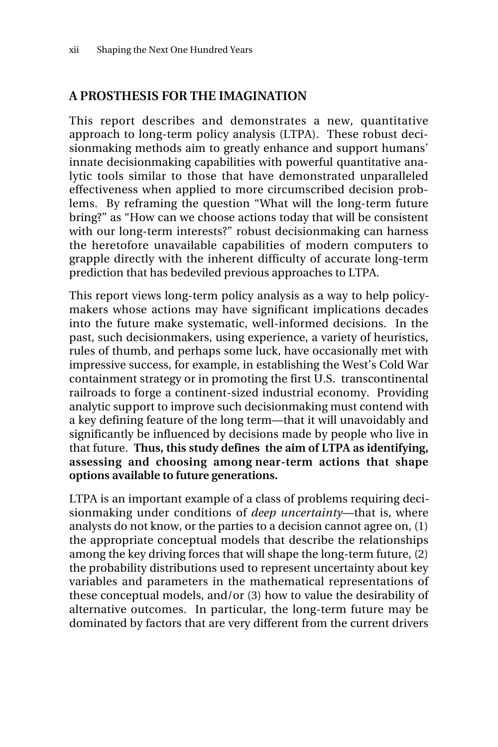## **A PROSTHESIS FOR THE IMAGINATION**

This report describes and demonstrates a new, quantitative approach to long-term policy analysis (LTPA). These robust decisionmaking methods aim to greatly enhance and support humans' innate decisionmaking capabilities with powerful quantitative analytic tools similar to those that have demonstrated unparalleled effectiveness when applied to more circumscribed decision problems. By reframing the question "What will the long-term future bring?" as "How can we choose actions today that will be consistent with our long-term interests?" robust decisionmaking can harness the heretofore unavailable capabilities of modern computers to grapple directly with the inherent difficulty of accurate long-term prediction that has bedeviled previous approaches to LTPA.

This report views long-term policy analysis as a way to help policymakers whose actions may have significant implications decades into the future make systematic, well-informed decisions. In the past, such decisionmakers, using experience, a variety of heuristics, rules of thumb, and perhaps some luck, have occasionally met with impressive success, for example, in establishing the West's Cold War containment strategy or in promoting the first U.S. transcontinental railroads to forge a continent-sized industrial economy. Providing analytic support to improve such decisionmaking must contend with a key defining feature of the long term—that it will unavoidably and significantly be influenced by decisions made by people who live in that future. **Thus, this study defines the aim of LTPA as identifying, assessing and choosing among near-term actions that shape options available to future generations.**

LTPA is an important example of a class of problems requiring decisionmaking under conditions of *deep uncertainty*—that is, where analysts do not know, or the parties to a decision cannot agree on, (1) the appropriate conceptual models that describe the relationships among the key driving forces that will shape the long-term future, (2) the probability distributions used to represent uncertainty about key variables and parameters in the mathematical representations of these conceptual models, and/or (3) how to value the desirability of alternative outcomes. In particular, the long-term future may be dominated by factors that are very different from the current drivers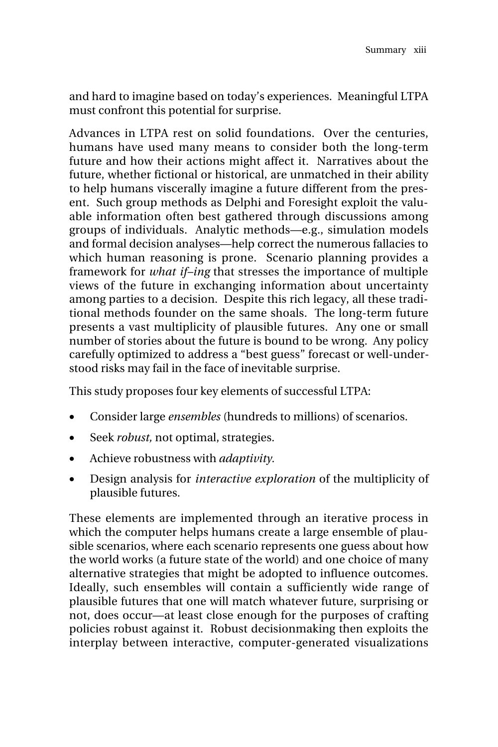and hard to imagine based on today's experiences. Meaningful LTPA must confront this potential for surprise.

Advances in LTPA rest on solid foundations. Over the centuries, humans have used many means to consider both the long-term future and how their actions might affect it. Narratives about the future, whether fictional or historical, are unmatched in their ability to help humans viscerally imagine a future different from the present. Such group methods as Delphi and Foresight exploit the valuable information often best gathered through discussions among groups of individuals. Analytic methods—e.g., simulation models and formal decision analyses—help correct the numerous fallacies to which human reasoning is prone. Scenario planning provides a framework for *what if–ing* that stresses the importance of multiple views of the future in exchanging information about uncertainty among parties to a decision. Despite this rich legacy, all these traditional methods founder on the same shoals. The long-term future presents a vast multiplicity of plausible futures. Any one or small number of stories about the future is bound to be wrong. Any policy carefully optimized to address a "best guess" forecast or well-understood risks may fail in the face of inevitable surprise.

This study proposes four key elements of successful LTPA:

- Consider large *ensembles* (hundreds to millions) of scenarios.
- Seek *robust,* not optimal, strategies.
- Achieve robustness with *adaptivity.*
- Design analysis for *interactive exploration* of the multiplicity of plausible futures.

These elements are implemented through an iterative process in which the computer helps humans create a large ensemble of plausible scenarios, where each scenario represents one guess about how the world works (a future state of the world) and one choice of many alternative strategies that might be adopted to influence outcomes. Ideally, such ensembles will contain a sufficiently wide range of plausible futures that one will match whatever future, surprising or not, does occur—at least close enough for the purposes of crafting policies robust against it. Robust decisionmaking then exploits the interplay between interactive, computer-generated visualizations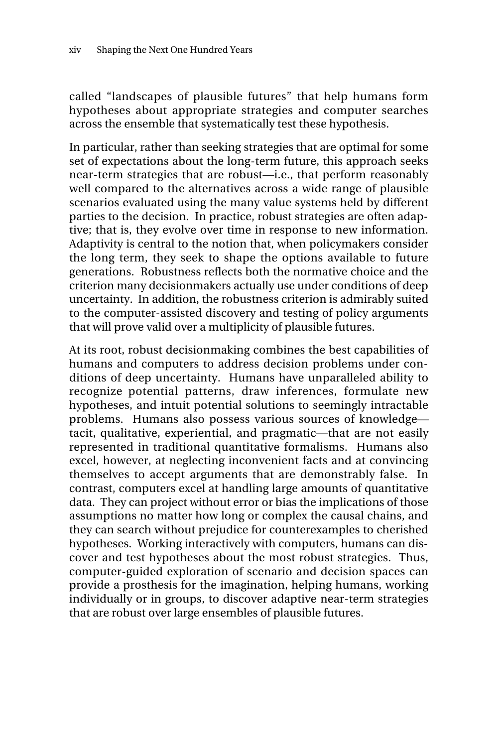called "landscapes of plausible futures" that help humans form hypotheses about appropriate strategies and computer searches across the ensemble that systematically test these hypothesis.

In particular, rather than seeking strategies that are optimal for some set of expectations about the long-term future, this approach seeks near-term strategies that are robust—i.e., that perform reasonably well compared to the alternatives across a wide range of plausible scenarios evaluated using the many value systems held by different parties to the decision. In practice, robust strategies are often adaptive; that is, they evolve over time in response to new information. Adaptivity is central to the notion that, when policymakers consider the long term, they seek to shape the options available to future generations. Robustness reflects both the normative choice and the criterion many decisionmakers actually use under conditions of deep uncertainty. In addition, the robustness criterion is admirably suited to the computer-assisted discovery and testing of policy arguments that will prove valid over a multiplicity of plausible futures.

At its root, robust decisionmaking combines the best capabilities of humans and computers to address decision problems under conditions of deep uncertainty. Humans have unparalleled ability to recognize potential patterns, draw inferences, formulate new hypotheses, and intuit potential solutions to seemingly intractable problems. Humans also possess various sources of knowledge tacit, qualitative, experiential, and pragmatic—that are not easily represented in traditional quantitative formalisms. Humans also excel, however, at neglecting inconvenient facts and at convincing themselves to accept arguments that are demonstrably false. In contrast, computers excel at handling large amounts of quantitative data. They can project without error or bias the implications of those assumptions no matter how long or complex the causal chains, and they can search without prejudice for counterexamples to cherished hypotheses. Working interactively with computers, humans can discover and test hypotheses about the most robust strategies. Thus, computer-guided exploration of scenario and decision spaces can provide a prosthesis for the imagination, helping humans, working individually or in groups, to discover adaptive near-term strategies that are robust over large ensembles of plausible futures.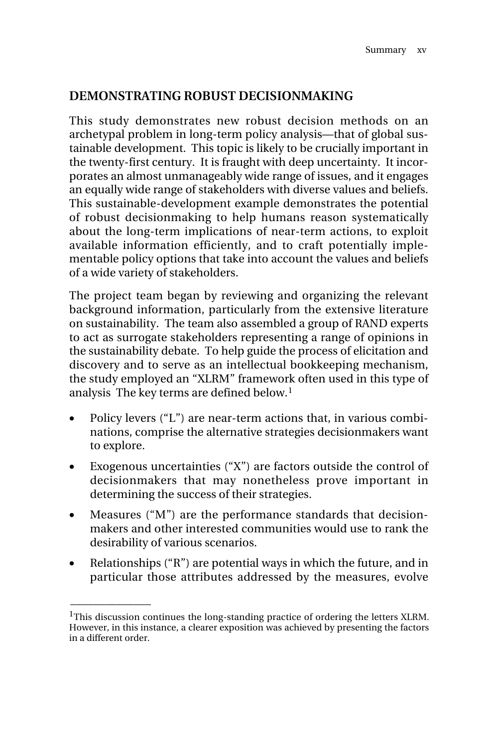## **DEMONSTRATING ROBUST DECISIONMAKING**

This study demonstrates new robust decision methods on an archetypal problem in long-term policy analysis—that of global sustainable development. This topic is likely to be crucially important in the twenty-first century. It is fraught with deep uncertainty. It incorporates an almost unmanageably wide range of issues, and it engages an equally wide range of stakeholders with diverse values and beliefs. This sustainable-development example demonstrates the potential of robust decisionmaking to help humans reason systematically about the long-term implications of near-term actions, to exploit available information efficiently, and to craft potentially implementable policy options that take into account the values and beliefs of a wide variety of stakeholders.

The project team began by reviewing and organizing the relevant background information, particularly from the extensive literature on sustainability. The team also assembled a group of RAND experts to act as surrogate stakeholders representing a range of opinions in the sustainability debate. To help guide the process of elicitation and discovery and to serve as an intellectual bookkeeping mechanism, the study employed an "XLRM" framework often used in this type of analysis The key terms are defined below.<sup>1</sup>

- Policy levers ("L") are near-term actions that, in various combinations, comprise the alternative strategies decisionmakers want to explore.
- Exogenous uncertainties ("X") are factors outside the control of decisionmakers that may nonetheless prove important in determining the success of their strategies.
- Measures ("M") are the performance standards that decisionmakers and other interested communities would use to rank the desirability of various scenarios.
- Relationships ("R") are potential ways in which the future, and in particular those attributes addressed by the measures, evolve

\_\_\_\_\_\_\_\_\_\_\_\_\_\_

<sup>&</sup>lt;sup>1</sup>This discussion continues the long-standing practice of ordering the letters XLRM. However, in this instance, a clearer exposition was achieved by presenting the factors in a different order.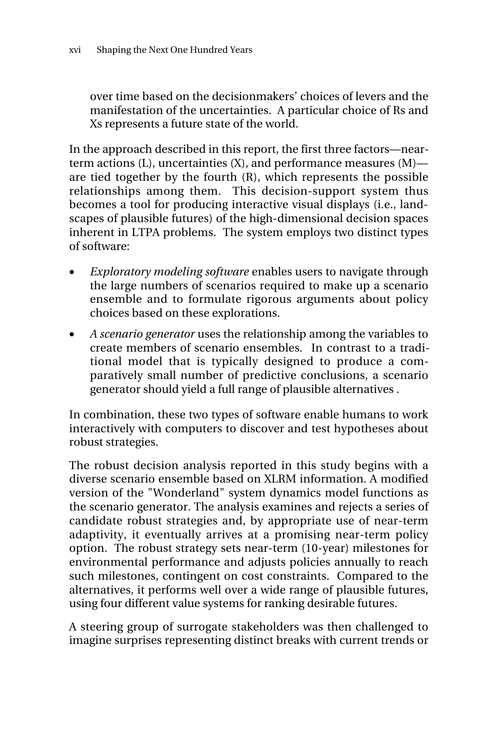over time based on the decisionmakers' choices of levers and the manifestation of the uncertainties. A particular choice of Rs and Xs represents a future state of the world.

In the approach described in this report, the first three factors—nearterm actions  $(L)$ , uncertainties  $(X)$ , and performance measures  $(M)$  are tied together by the fourth (R), which represents the possible relationships among them. This decision-support system thus becomes a tool for producing interactive visual displays (i.e., landscapes of plausible futures) of the high-dimensional decision spaces inherent in LTPA problems. The system employs two distinct types of software:

- *Exploratory modeling software* enables users to navigate through the large numbers of scenarios required to make up a scenario ensemble and to formulate rigorous arguments about policy choices based on these explorations.
- *A scenario generator* uses the relationship among the variables to create members of scenario ensembles*.* In contrast to a traditional model that is typically designed to produce a comparatively small number of predictive conclusions, a scenario generator should yield a full range of plausible alternatives .

In combination, these two types of software enable humans to work interactively with computers to discover and test hypotheses about robust strategies.

The robust decision analysis reported in this study begins with a diverse scenario ensemble based on XLRM information. A modified version of the "Wonderland" system dynamics model functions as the scenario generator. The analysis examines and rejects a series of candidate robust strategies and, by appropriate use of near-term adaptivity, it eventually arrives at a promising near-term policy option. The robust strategy sets near-term (10-year) milestones for environmental performance and adjusts policies annually to reach such milestones, contingent on cost constraints. Compared to the alternatives, it performs well over a wide range of plausible futures, using four different value systems for ranking desirable futures.

A steering group of surrogate stakeholders was then challenged to imagine surprises representing distinct breaks with current trends or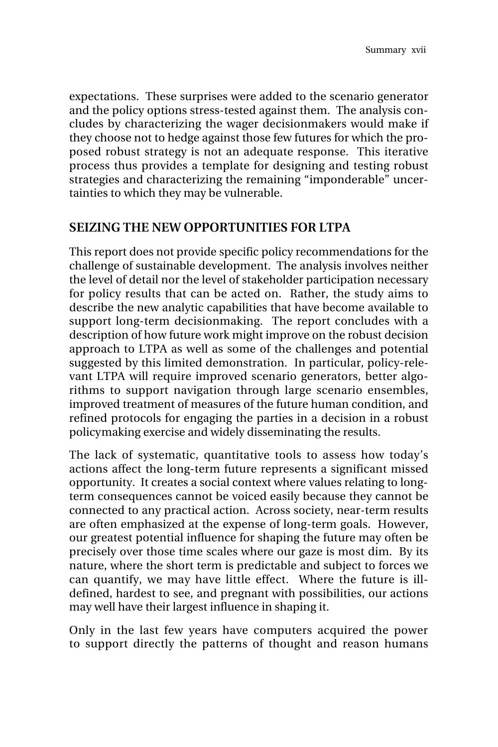expectations. These surprises were added to the scenario generator and the policy options stress-tested against them. The analysis concludes by characterizing the wager decisionmakers would make if they choose not to hedge against those few futures for which the proposed robust strategy is not an adequate response. This iterative process thus provides a template for designing and testing robust strategies and characterizing the remaining "imponderable" uncertainties to which they may be vulnerable.

#### **SEIZING THE NEW OPPORTUNITIES FOR LTPA**

This report does not provide specific policy recommendations for the challenge of sustainable development. The analysis involves neither the level of detail nor the level of stakeholder participation necessary for policy results that can be acted on. Rather, the study aims to describe the new analytic capabilities that have become available to support long-term decisionmaking. The report concludes with a description of how future work might improve on the robust decision approach to LTPA as well as some of the challenges and potential suggested by this limited demonstration. In particular, policy-relevant LTPA will require improved scenario generators, better algorithms to support navigation through large scenario ensembles, improved treatment of measures of the future human condition, and refined protocols for engaging the parties in a decision in a robust policymaking exercise and widely disseminating the results.

The lack of systematic, quantitative tools to assess how today's actions affect the long-term future represents a significant missed opportunity. It creates a social context where values relating to longterm consequences cannot be voiced easily because they cannot be connected to any practical action. Across society, near-term results are often emphasized at the expense of long-term goals. However, our greatest potential influence for shaping the future may often be precisely over those time scales where our gaze is most dim. By its nature, where the short term is predictable and subject to forces we can quantify, we may have little effect. Where the future is illdefined, hardest to see, and pregnant with possibilities, our actions may well have their largest influence in shaping it.

Only in the last few years have computers acquired the power to support directly the patterns of thought and reason humans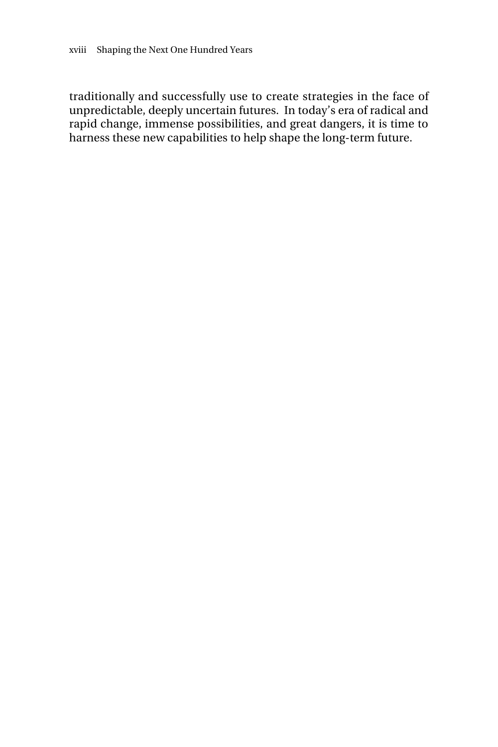traditionally and successfully use to create strategies in the face of unpredictable, deeply uncertain futures. In today's era of radical and rapid change, immense possibilities, and great dangers, it is time to harness these new capabilities to help shape the long-term future.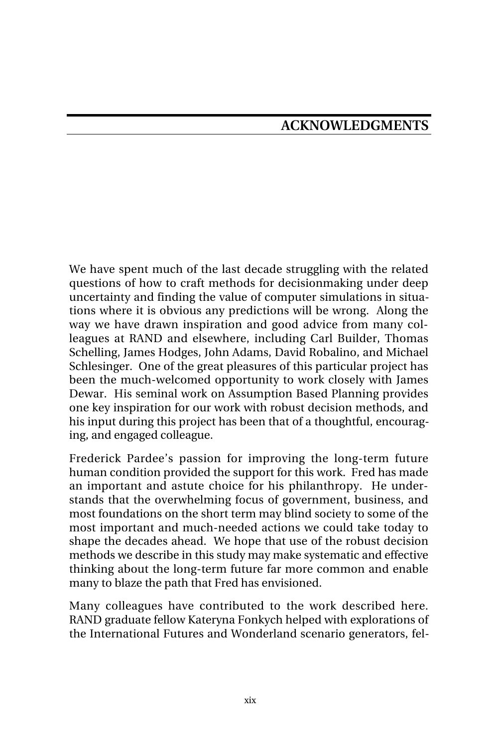# **ACKNOWLEDGMENTS**

We have spent much of the last decade struggling with the related questions of how to craft methods for decisionmaking under deep uncertainty and finding the value of computer simulations in situations where it is obvious any predictions will be wrong. Along the way we have drawn inspiration and good advice from many colleagues at RAND and elsewhere, including Carl Builder, Thomas Schelling, James Hodges, John Adams, David Robalino, and Michael Schlesinger. One of the great pleasures of this particular project has been the much-welcomed opportunity to work closely with James Dewar. His seminal work on Assumption Based Planning provides one key inspiration for our work with robust decision methods, and his input during this project has been that of a thoughtful, encouraging, and engaged colleague.

Frederick Pardee's passion for improving the long-term future human condition provided the support for this work. Fred has made an important and astute choice for his philanthropy. He understands that the overwhelming focus of government, business, and most foundations on the short term may blind society to some of the most important and much-needed actions we could take today to shape the decades ahead. We hope that use of the robust decision methods we describe in this study may make systematic and effective thinking about the long-term future far more common and enable many to blaze the path that Fred has envisioned.

Many colleagues have contributed to the work described here. RAND graduate fellow Kateryna Fonkych helped with explorations of the International Futures and Wonderland scenario generators, fel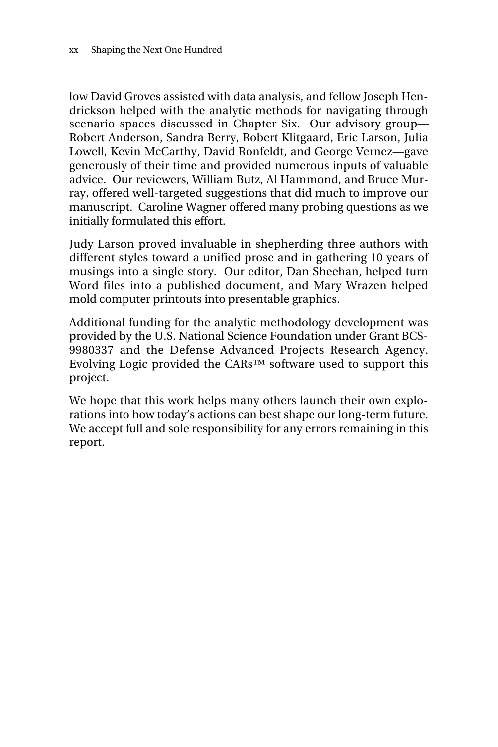low David Groves assisted with data analysis, and fellow Joseph Hendrickson helped with the analytic methods for navigating through scenario spaces discussed in Chapter Six. Our advisory group— Robert Anderson, Sandra Berry, Robert Klitgaard, Eric Larson, Julia Lowell, Kevin McCarthy, David Ronfeldt, and George Vernez—gave generously of their time and provided numerous inputs of valuable advice. Our reviewers, William Butz, Al Hammond, and Bruce Murray, offered well-targeted suggestions that did much to improve our manuscript. Caroline Wagner offered many probing questions as we initially formulated this effort.

Judy Larson proved invaluable in shepherding three authors with different styles toward a unified prose and in gathering 10 years of musings into a single story. Our editor, Dan Sheehan, helped turn Word files into a published document, and Mary Wrazen helped mold computer printouts into presentable graphics.

Additional funding for the analytic methodology development was provided by the U.S. National Science Foundation under Grant BCS-9980337 and the Defense Advanced Projects Research Agency. Evolving Logic provided the CARs™ software used to support this project.

We hope that this work helps many others launch their own explorations into how today's actions can best shape our long-term future. We accept full and sole responsibility for any errors remaining in this report.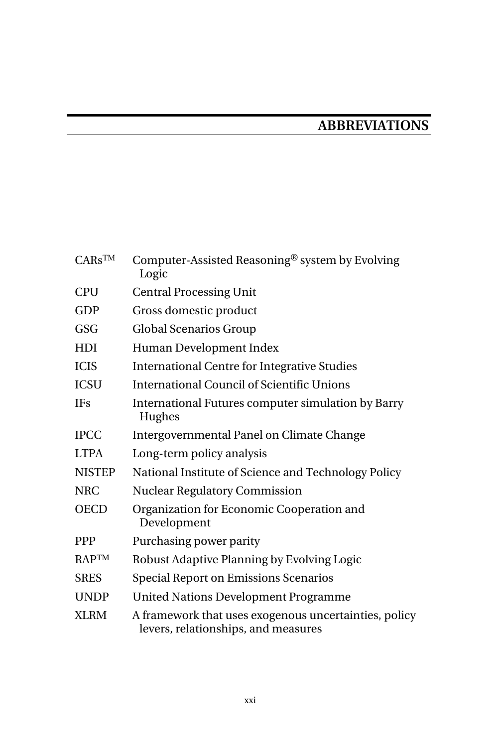# **ABBREVIATIONS**

| $CARS^{TM}$   | Computer-Assisted Reasoning <sup>®</sup> system by Evolving<br>Logic                         |
|---------------|----------------------------------------------------------------------------------------------|
| <b>CPU</b>    | <b>Central Processing Unit</b>                                                               |
| <b>GDP</b>    | Gross domestic product                                                                       |
| GSG           | <b>Global Scenarios Group</b>                                                                |
| HDI           | Human Development Index                                                                      |
| <b>ICIS</b>   | <b>International Centre for Integrative Studies</b>                                          |
| <b>ICSU</b>   | <b>International Council of Scientific Unions</b>                                            |
| <b>IFs</b>    | International Futures computer simulation by Barry<br>Hughes                                 |
| <b>IPCC</b>   | Intergovernmental Panel on Climate Change                                                    |
| <b>LTPA</b>   | Long-term policy analysis                                                                    |
| <b>NISTEP</b> | National Institute of Science and Technology Policy                                          |
| <b>NRC</b>    | <b>Nuclear Regulatory Commission</b>                                                         |
| <b>OECD</b>   | Organization for Economic Cooperation and<br>Development                                     |
| <b>PPP</b>    | Purchasing power parity                                                                      |
| <b>RAPTM</b>  | Robust Adaptive Planning by Evolving Logic                                                   |
| <b>SRES</b>   | <b>Special Report on Emissions Scenarios</b>                                                 |
| <b>UNDP</b>   | <b>United Nations Development Programme</b>                                                  |
| <b>XLRM</b>   | A framework that uses exogenous uncertainties, policy<br>levers, relationships, and measures |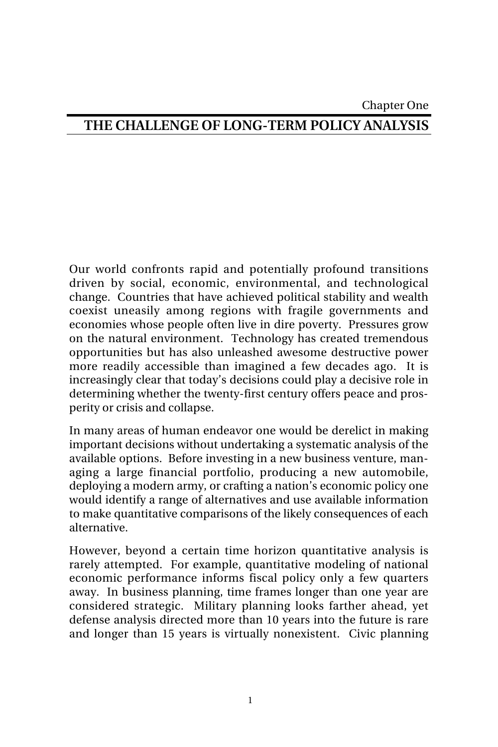#### Chapter One

## **THE CHALLENGE OF LONG-TERM POLICY ANALYSIS**

Our world confronts rapid and potentially profound transitions driven by social, economic, environmental, and technological change. Countries that have achieved political stability and wealth coexist uneasily among regions with fragile governments and economies whose people often live in dire poverty. Pressures grow on the natural environment. Technology has created tremendous opportunities but has also unleashed awesome destructive power more readily accessible than imagined a few decades ago. It is increasingly clear that today's decisions could play a decisive role in determining whether the twenty-first century offers peace and prosperity or crisis and collapse.

In many areas of human endeavor one would be derelict in making important decisions without undertaking a systematic analysis of the available options. Before investing in a new business venture, managing a large financial portfolio, producing a new automobile, deploying a modern army, or crafting a nation's economic policy one would identify a range of alternatives and use available information to make quantitative comparisons of the likely consequences of each alternative.

However, beyond a certain time horizon quantitative analysis is rarely attempted. For example, quantitative modeling of national economic performance informs fiscal policy only a few quarters away. In business planning, time frames longer than one year are considered strategic. Military planning looks farther ahead, yet defense analysis directed more than 10 years into the future is rare and longer than 15 years is virtually nonexistent. Civic planning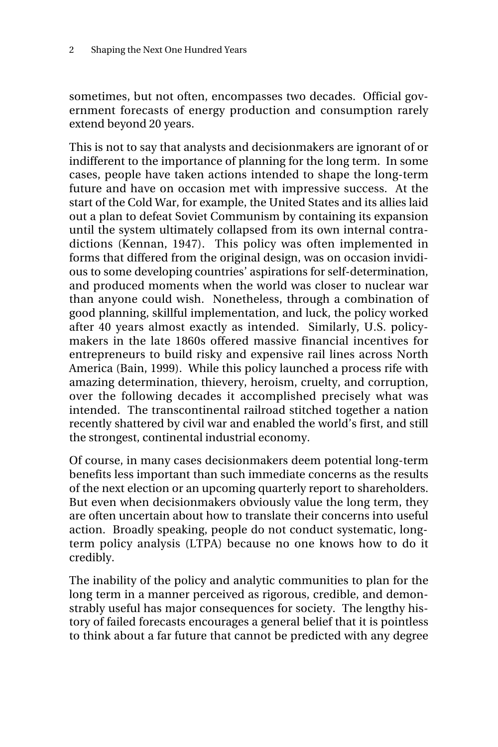sometimes, but not often, encompasses two decades. Official government forecasts of energy production and consumption rarely extend beyond 20 years.

This is not to say that analysts and decisionmakers are ignorant of or indifferent to the importance of planning for the long term. In some cases, people have taken actions intended to shape the long-term future and have on occasion met with impressive success. At the start of the Cold War, for example, the United States and its allies laid out a plan to defeat Soviet Communism by containing its expansion until the system ultimately collapsed from its own internal contradictions (Kennan, 1947). This policy was often implemented in forms that differed from the original design, was on occasion invidious to some developing countries' aspirations for self-determination, and produced moments when the world was closer to nuclear war than anyone could wish. Nonetheless, through a combination of good planning, skillful implementation, and luck, the policy worked after 40 years almost exactly as intended. Similarly, U.S. policymakers in the late 1860s offered massive financial incentives for entrepreneurs to build risky and expensive rail lines across North America (Bain, 1999). While this policy launched a process rife with amazing determination, thievery, heroism, cruelty, and corruption, over the following decades it accomplished precisely what was intended. The transcontinental railroad stitched together a nation recently shattered by civil war and enabled the world's first, and still the strongest, continental industrial economy.

Of course, in many cases decisionmakers deem potential long-term benefits less important than such immediate concerns as the results of the next election or an upcoming quarterly report to shareholders. But even when decisionmakers obviously value the long term, they are often uncertain about how to translate their concerns into useful action. Broadly speaking, people do not conduct systematic, longterm policy analysis (LTPA) because no one knows how to do it credibly.

The inability of the policy and analytic communities to plan for the long term in a manner perceived as rigorous, credible, and demonstrably useful has major consequences for society. The lengthy history of failed forecasts encourages a general belief that it is pointless to think about a far future that cannot be predicted with any degree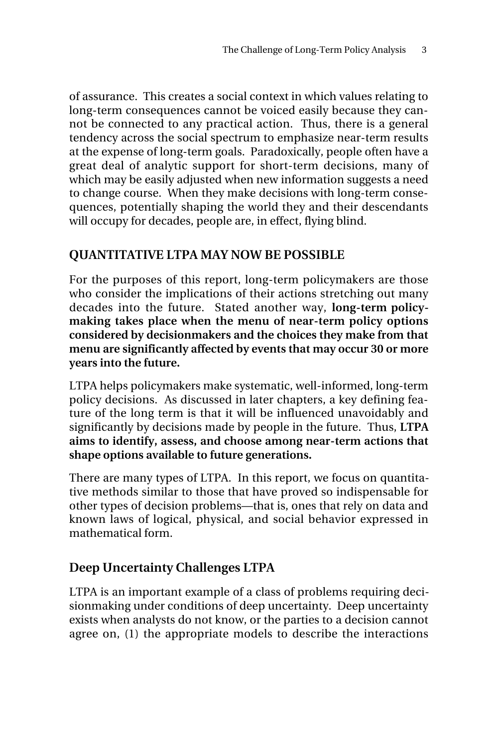of assurance. This creates a social context in which values relating to long-term consequences cannot be voiced easily because they cannot be connected to any practical action. Thus, there is a general tendency across the social spectrum to emphasize near-term results at the expense of long-term goals. Paradoxically, people often have a great deal of analytic support for short-term decisions, many of which may be easily adjusted when new information suggests a need to change course. When they make decisions with long-term consequences, potentially shaping the world they and their descendants will occupy for decades, people are, in effect, flying blind.

## **QUANTITATIVE LTPA MAY NOW BE POSSIBLE**

For the purposes of this report, long-term policymakers are those who consider the implications of their actions stretching out many decades into the future. Stated another way, **long-term policymaking takes place when the menu of near-term policy options considered by decisionmakers and the choices they make from that menu are significantly affected by events that may occur 30 or more years into the future.**

LTPA helps policymakers make systematic, well-informed, long-term policy decisions. As discussed in later chapters, a key defining feature of the long term is that it will be influenced unavoidably and significantly by decisions made by people in the future. Thus, **LTPA aims to identify, assess, and choose among near-term actions that shape options available to future generations.**

There are many types of LTPA. In this report, we focus on quantitative methods similar to those that have proved so indispensable for other types of decision problems—that is, ones that rely on data and known laws of logical, physical, and social behavior expressed in mathematical form.

## **Deep Uncertainty Challenges LTPA**

LTPA is an important example of a class of problems requiring decisionmaking under conditions of deep uncertainty. Deep uncertainty exists when analysts do not know, or the parties to a decision cannot agree on, (1) the appropriate models to describe the interactions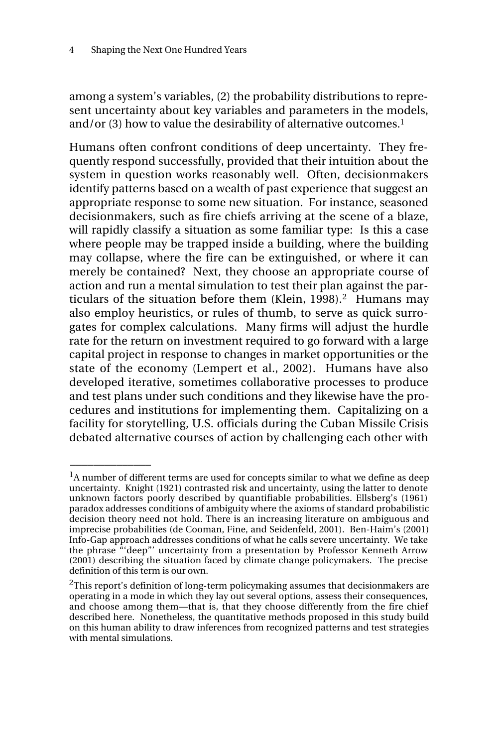$\overline{\phantom{a}}$ 

among a system's variables, (2) the probability distributions to represent uncertainty about key variables and parameters in the models, and/or (3) how to value the desirability of alternative outcomes.<sup>1</sup>

Humans often confront conditions of deep uncertainty. They frequently respond successfully, provided that their intuition about the system in question works reasonably well. Often, decisionmakers identify patterns based on a wealth of past experience that suggest an appropriate response to some new situation. For instance, seasoned decisionmakers, such as fire chiefs arriving at the scene of a blaze, will rapidly classify a situation as some familiar type: Is this a case where people may be trapped inside a building, where the building may collapse, where the fire can be extinguished, or where it can merely be contained? Next, they choose an appropriate course of action and run a mental simulation to test their plan against the particulars of the situation before them (Klein, 1998).<sup>2</sup> Humans may also employ heuristics, or rules of thumb, to serve as quick surrogates for complex calculations. Many firms will adjust the hurdle rate for the return on investment required to go forward with a large capital project in response to changes in market opportunities or the state of the economy (Lempert et al., 2002). Humans have also developed iterative, sometimes collaborative processes to produce and test plans under such conditions and they likewise have the procedures and institutions for implementing them. Capitalizing on a facility for storytelling, U.S. officials during the Cuban Missile Crisis debated alternative courses of action by challenging each other with

 $<sup>1</sup>A$  number of different terms are used for concepts similar to what we define as deep</sup> uncertainty. Knight (1921) contrasted risk and uncertainty, using the latter to denote unknown factors poorly described by quantifiable probabilities. Ellsberg's (1961) paradox addresses conditions of ambiguity where the axioms of standard probabilistic decision theory need not hold. There is an increasing literature on ambiguous and imprecise probabilities (de Cooman, Fine, and Seidenfeld, 2001). Ben-Haim's (2001) Info-Gap approach addresses conditions of what he calls severe uncertainty. We take the phrase "'deep"' uncertainty from a presentation by Professor Kenneth Arrow (2001) describing the situation faced by climate change policymakers. The precise definition of this term is our own.

 $2$ This report's definition of long-term policymaking assumes that decisionmakers are operating in a mode in which they lay out several options, assess their consequences, and choose among them—that is, that they choose differently from the fire chief described here. Nonetheless, the quantitative methods proposed in this study build on this human ability to draw inferences from recognized patterns and test strategies with mental simulations.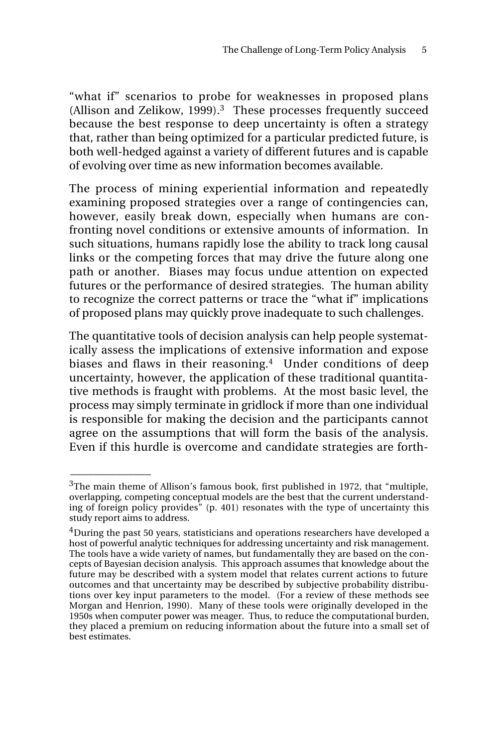"what if" scenarios to probe for weaknesses in proposed plans (Allison and Zelikow, 1999).3 These processes frequently succeed because the best response to deep uncertainty is often a strategy that, rather than being optimized for a particular predicted future, is both well-hedged against a variety of different futures and is capable of evolving over time as new information becomes available.

The process of mining experiential information and repeatedly examining proposed strategies over a range of contingencies can, however, easily break down, especially when humans are confronting novel conditions or extensive amounts of information. In such situations, humans rapidly lose the ability to track long causal links or the competing forces that may drive the future along one path or another. Biases may focus undue attention on expected futures or the performance of desired strategies. The human ability to recognize the correct patterns or trace the "what if" implications of proposed plans may quickly prove inadequate to such challenges.

The quantitative tools of decision analysis can help people systematically assess the implications of extensive information and expose biases and flaws in their reasoning.<sup>4</sup> Under conditions of deep uncertainty, however, the application of these traditional quantitative methods is fraught with problems. At the most basic level, the process may simply terminate in gridlock if more than one individual is responsible for making the decision and the participants cannot agree on the assumptions that will form the basis of the analysis. Even if this hurdle is overcome and candidate strategies are forth-

\_\_\_\_\_\_\_\_\_\_\_\_\_\_

<sup>&</sup>lt;sup>3</sup>The main theme of Allison's famous book, first published in 1972, that "multiple, overlapping, competing conceptual models are the best that the current understanding of foreign policy provides" (p. 401) resonates with the type of uncertainty this study report aims to address.

 $4$ During the past 50 years, statisticians and operations researchers have developed a host of powerful analytic techniques for addressing uncertainty and risk management. The tools have a wide variety of names, but fundamentally they are based on the concepts of Bayesian decision analysis. This approach assumes that knowledge about the future may be described with a system model that relates current actions to future outcomes and that uncertainty may be described by subjective probability distributions over key input parameters to the model. (For a review of these methods see Morgan and Henrion, 1990). Many of these tools were originally developed in the 1950s when computer power was meager. Thus, to reduce the computational burden, they placed a premium on reducing information about the future into a small set of best estimates.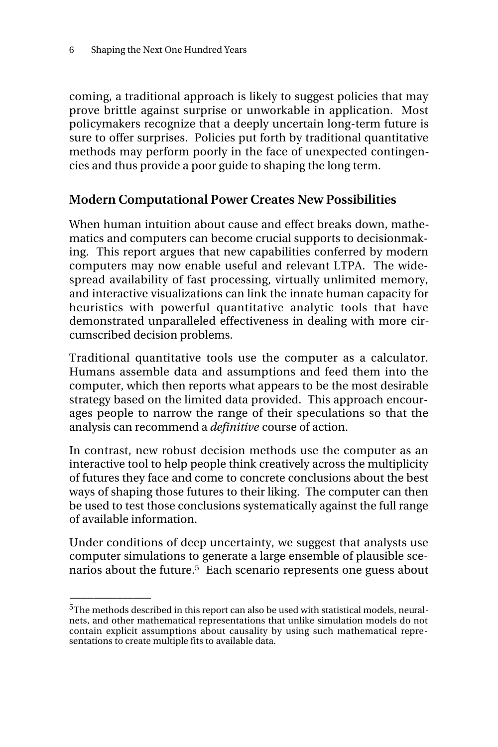coming, a traditional approach is likely to suggest policies that may prove brittle against surprise or unworkable in application. Most policymakers recognize that a deeply uncertain long-term future is sure to offer surprises. Policies put forth by traditional quantitative methods may perform poorly in the face of unexpected contingencies and thus provide a poor guide to shaping the long term.

## **Modern Computational Power Creates New Possibilities**

When human intuition about cause and effect breaks down, mathematics and computers can become crucial supports to decisionmaking. This report argues that new capabilities conferred by modern computers may now enable useful and relevant LTPA. The widespread availability of fast processing, virtually unlimited memory, and interactive visualizations can link the innate human capacity for heuristics with powerful quantitative analytic tools that have demonstrated unparalleled effectiveness in dealing with more circumscribed decision problems.

Traditional quantitative tools use the computer as a calculator. Humans assemble data and assumptions and feed them into the computer, which then reports what appears to be the most desirable strategy based on the limited data provided. This approach encourages people to narrow the range of their speculations so that the analysis can recommend a *definitive* course of action.

In contrast, new robust decision methods use the computer as an interactive tool to help people think creatively across the multiplicity of futures they face and come to concrete conclusions about the best ways of shaping those futures to their liking. The computer can then be used to test those conclusions systematically against the full range of available information.

Under conditions of deep uncertainty, we suggest that analysts use computer simulations to generate a large ensemble of plausible scenarios about the future.<sup>5</sup> Each scenario represents one guess about

\_\_\_\_\_\_\_\_\_\_\_\_\_\_

<sup>5</sup>The methods described in this report can also be used with statistical models, neuralnets, and other mathematical representations that unlike simulation models do not contain explicit assumptions about causality by using such mathematical representations to create multiple fits to available data.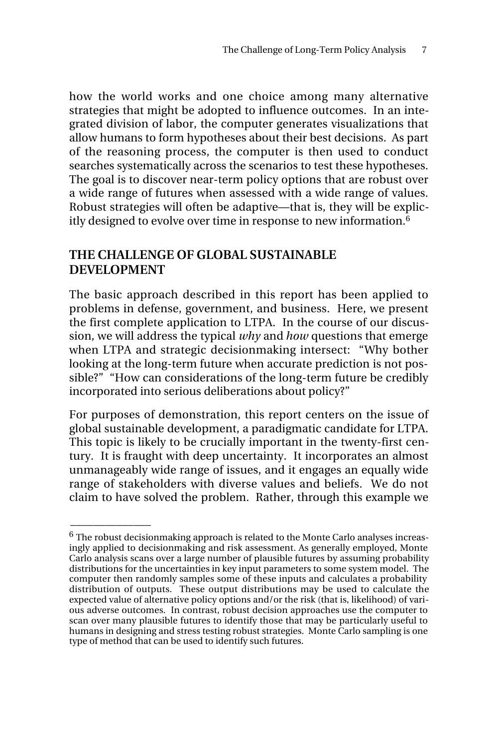how the world works and one choice among many alternative strategies that might be adopted to influence outcomes. In an integrated division of labor, the computer generates visualizations that allow humans to form hypotheses about their best decisions. As part of the reasoning process, the computer is then used to conduct searches systematically across the scenarios to test these hypotheses. The goal is to discover near-term policy options that are robust over a wide range of futures when assessed with a wide range of values. Robust strategies will often be adaptive—that is, they will be explicitly designed to evolve over time in response to new information.6

## **THE CHALLENGE OF GLOBAL SUSTAINABLE DEVELOPMENT**

\_\_\_\_\_\_\_\_\_\_\_\_\_\_

The basic approach described in this report has been applied to problems in defense, government, and business. Here, we present the first complete application to LTPA. In the course of our discussion, we will address the typical *why* and *how* questions that emerge when LTPA and strategic decisionmaking intersect: "Why bother looking at the long-term future when accurate prediction is not possible?" "How can considerations of the long-term future be credibly incorporated into serious deliberations about policy?"

For purposes of demonstration, this report centers on the issue of global sustainable development, a paradigmatic candidate for LTPA. This topic is likely to be crucially important in the twenty-first century. It is fraught with deep uncertainty. It incorporates an almost unmanageably wide range of issues, and it engages an equally wide range of stakeholders with diverse values and beliefs. We do not claim to have solved the problem. Rather, through this example we

 $6$  The robust decisionmaking approach is related to the Monte Carlo analyses increasingly applied to decisionmaking and risk assessment. As generally employed, Monte Carlo analysis scans over a large number of plausible futures by assuming probability distributions for the uncertainties in key input parameters to some system model. The computer then randomly samples some of these inputs and calculates a probability distribution of outputs. These output distributions may be used to calculate the expected value of alternative policy options and/or the risk (that is, likelihood) of various adverse outcomes. In contrast, robust decision approaches use the computer to scan over many plausible futures to identify those that may be particularly useful to humans in designing and stress testing robust strategies. Monte Carlo sampling is one type of method that can be used to identify such futures.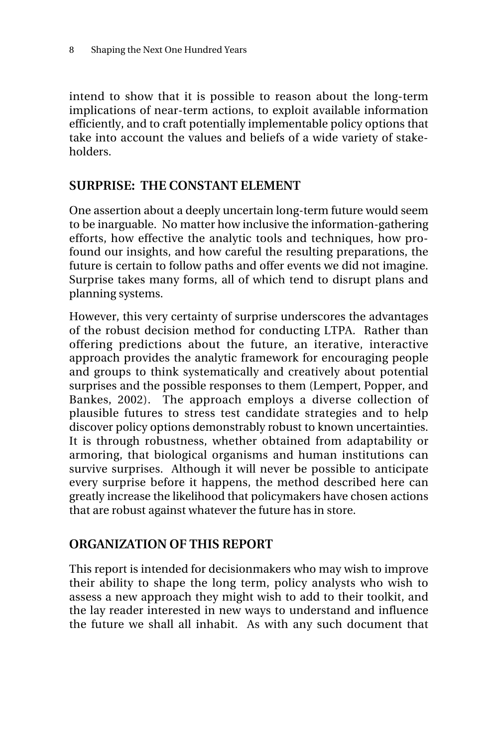intend to show that it is possible to reason about the long-term implications of near-term actions, to exploit available information efficiently, and to craft potentially implementable policy options that take into account the values and beliefs of a wide variety of stakeholders.

## **SURPRISE: THE CONSTANT ELEMENT**

One assertion about a deeply uncertain long-term future would seem to be inarguable. No matter how inclusive the information-gathering efforts, how effective the analytic tools and techniques, how profound our insights, and how careful the resulting preparations, the future is certain to follow paths and offer events we did not imagine. Surprise takes many forms, all of which tend to disrupt plans and planning systems.

However, this very certainty of surprise underscores the advantages of the robust decision method for conducting LTPA. Rather than offering predictions about the future, an iterative, interactive approach provides the analytic framework for encouraging people and groups to think systematically and creatively about potential surprises and the possible responses to them (Lempert, Popper, and Bankes, 2002). The approach employs a diverse collection of plausible futures to stress test candidate strategies and to help discover policy options demonstrably robust to known uncertainties. It is through robustness, whether obtained from adaptability or armoring, that biological organisms and human institutions can survive surprises. Although it will never be possible to anticipate every surprise before it happens, the method described here can greatly increase the likelihood that policymakers have chosen actions that are robust against whatever the future has in store.

## **ORGANIZATION OF THIS REPORT**

This report is intended for decisionmakers who may wish to improve their ability to shape the long term, policy analysts who wish to assess a new approach they might wish to add to their toolkit, and the lay reader interested in new ways to understand and influence the future we shall all inhabit. As with any such document that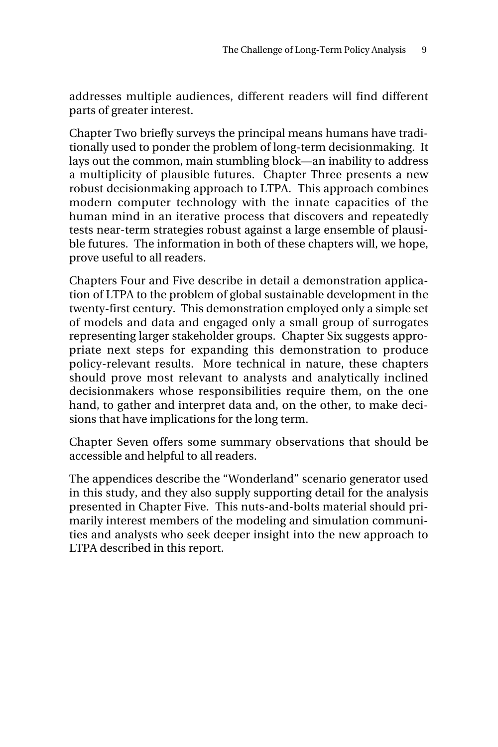addresses multiple audiences, different readers will find different parts of greater interest.

Chapter Two briefly surveys the principal means humans have traditionally used to ponder the problem of long-term decisionmaking. It lays out the common, main stumbling block—an inability to address a multiplicity of plausible futures. Chapter Three presents a new robust decisionmaking approach to LTPA. This approach combines modern computer technology with the innate capacities of the human mind in an iterative process that discovers and repeatedly tests near-term strategies robust against a large ensemble of plausible futures. The information in both of these chapters will, we hope, prove useful to all readers.

Chapters Four and Five describe in detail a demonstration application of LTPA to the problem of global sustainable development in the twenty-first century. This demonstration employed only a simple set of models and data and engaged only a small group of surrogates representing larger stakeholder groups. Chapter Six suggests appropriate next steps for expanding this demonstration to produce policy-relevant results. More technical in nature, these chapters should prove most relevant to analysts and analytically inclined decisionmakers whose responsibilities require them, on the one hand, to gather and interpret data and, on the other, to make decisions that have implications for the long term.

Chapter Seven offers some summary observations that should be accessible and helpful to all readers.

The appendices describe the "Wonderland" scenario generator used in this study, and they also supply supporting detail for the analysis presented in Chapter Five. This nuts-and-bolts material should primarily interest members of the modeling and simulation communities and analysts who seek deeper insight into the new approach to LTPA described in this report.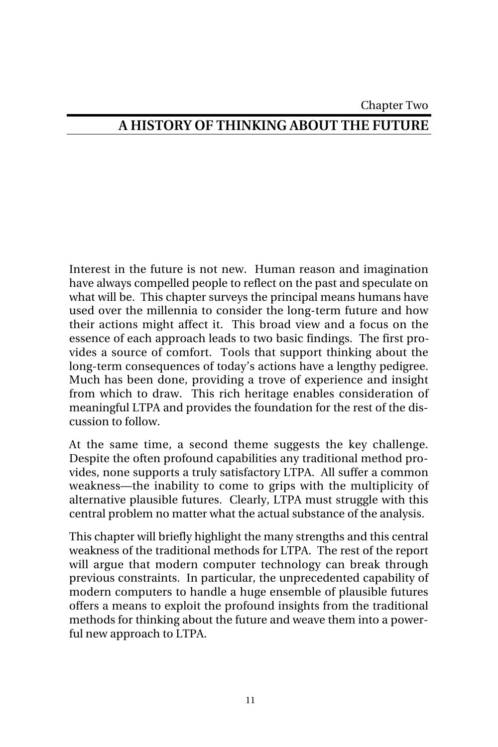## Chapter Two **A HISTORY OF THINKING ABOUT THE FUTURE**

Interest in the future is not new. Human reason and imagination have always compelled people to reflect on the past and speculate on what will be. This chapter surveys the principal means humans have used over the millennia to consider the long-term future and how their actions might affect it. This broad view and a focus on the essence of each approach leads to two basic findings. The first provides a source of comfort. Tools that support thinking about the long-term consequences of today's actions have a lengthy pedigree. Much has been done, providing a trove of experience and insight from which to draw. This rich heritage enables consideration of meaningful LTPA and provides the foundation for the rest of the discussion to follow.

At the same time, a second theme suggests the key challenge. Despite the often profound capabilities any traditional method provides, none supports a truly satisfactory LTPA. All suffer a common weakness—the inability to come to grips with the multiplicity of alternative plausible futures. Clearly, LTPA must struggle with this central problem no matter what the actual substance of the analysis.

This chapter will briefly highlight the many strengths and this central weakness of the traditional methods for LTPA. The rest of the report will argue that modern computer technology can break through previous constraints. In particular, the unprecedented capability of modern computers to handle a huge ensemble of plausible futures offers a means to exploit the profound insights from the traditional methods for thinking about the future and weave them into a powerful new approach to LTPA.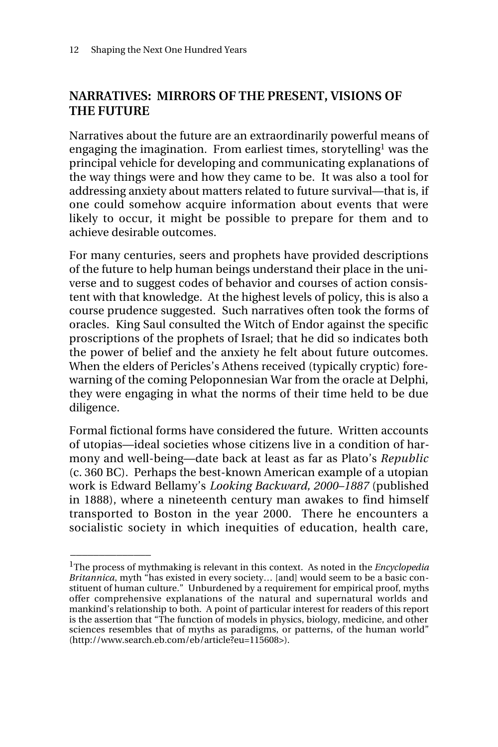$\overline{\phantom{a}}$ 

## **NARRATIVES: MIRRORS OF THE PRESENT, VISIONS OF THE FUTURE**

Narratives about the future are an extraordinarily powerful means of engaging the imagination. From earliest times, storytelling<sup>1</sup> was the principal vehicle for developing and communicating explanations of the way things were and how they came to be. It was also a tool for addressing anxiety about matters related to future survival—that is, if one could somehow acquire information about events that were likely to occur, it might be possible to prepare for them and to achieve desirable outcomes.

For many centuries, seers and prophets have provided descriptions of the future to help human beings understand their place in the universe and to suggest codes of behavior and courses of action consistent with that knowledge. At the highest levels of policy, this is also a course prudence suggested. Such narratives often took the forms of oracles. King Saul consulted the Witch of Endor against the specific proscriptions of the prophets of Israel; that he did so indicates both the power of belief and the anxiety he felt about future outcomes. When the elders of Pericles's Athens received (typically cryptic) forewarning of the coming Peloponnesian War from the oracle at Delphi, they were engaging in what the norms of their time held to be due diligence.

Formal fictional forms have considered the future. Written accounts of utopias—ideal societies whose citizens live in a condition of harmony and well-being—date back at least as far as Plato's *Republic* (c. 360 BC). Perhaps the best-known American example of a utopian work is Edward Bellamy's *Looking Backward, 2000–1887* (published in 1888), where a nineteenth century man awakes to find himself transported to Boston in the year 2000. There he encounters a socialistic society in which inequities of education, health care,

<sup>1</sup>The process of mythmaking is relevant in this context. As noted in the *Encyclopedia Britannica*, myth "has existed in every society… [and] would seem to be a basic constituent of human culture." Unburdened by a requirement for empirical proof, myths offer comprehensive explanations of the natural and supernatural worlds and mankind's relationship to both. A point of particular interest for readers of this report is the assertion that "The function of models in physics, biology, medicine, and other sciences resembles that of myths as paradigms, or patterns, of the human world" (http://www.search.eb.com/eb/article?eu=115608>).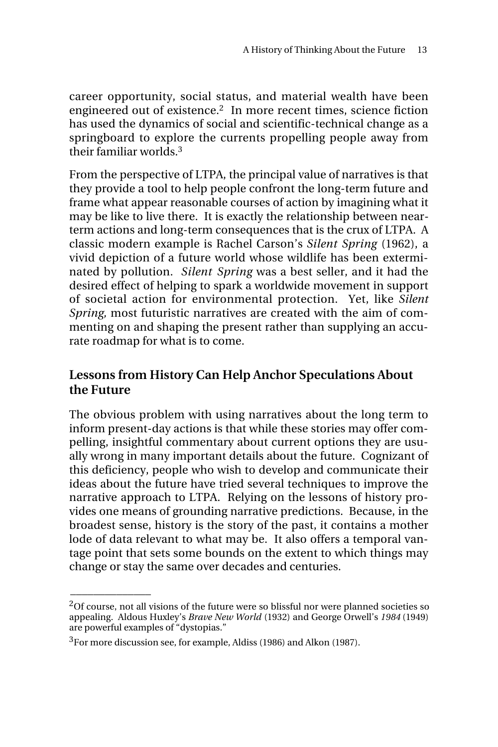career opportunity, social status, and material wealth have been engineered out of existence.2 In more recent times, science fiction has used the dynamics of social and scientific-technical change as a springboard to explore the currents propelling people away from their familiar worlds.3

From the perspective of LTPA, the principal value of narratives is that they provide a tool to help people confront the long-term future and frame what appear reasonable courses of action by imagining what it may be like to live there. It is exactly the relationship between nearterm actions and long-term consequences that is the crux of LTPA. A classic modern example is Rachel Carson's *Silent Spring* (1962), a vivid depiction of a future world whose wildlife has been exterminated by pollution. *Silent Spring* was a best seller, and it had the desired effect of helping to spark a worldwide movement in support of societal action for environmental protection. Yet, like *Silent Spring,* most futuristic narratives are created with the aim of commenting on and shaping the present rather than supplying an accurate roadmap for what is to come.

## **Lessons from History Can Help Anchor Speculations About the Future**

The obvious problem with using narratives about the long term to inform present-day actions is that while these stories may offer compelling, insightful commentary about current options they are usually wrong in many important details about the future. Cognizant of this deficiency, people who wish to develop and communicate their ideas about the future have tried several techniques to improve the narrative approach to LTPA. Relying on the lessons of history provides one means of grounding narrative predictions. Because, in the broadest sense, history is the story of the past, it contains a mother lode of data relevant to what may be. It also offers a temporal vantage point that sets some bounds on the extent to which things may change or stay the same over decades and centuries.

\_\_\_\_\_\_\_\_\_\_\_\_\_\_

 $2$ Of course, not all visions of the future were so blissful nor were planned societies so appealing. Aldous Huxley's *Brave New World* (1932) and George Orwell's *1984* (1949) are powerful examples of "dystopias."

 $3$ For more discussion see, for example, Aldiss (1986) and Alkon (1987).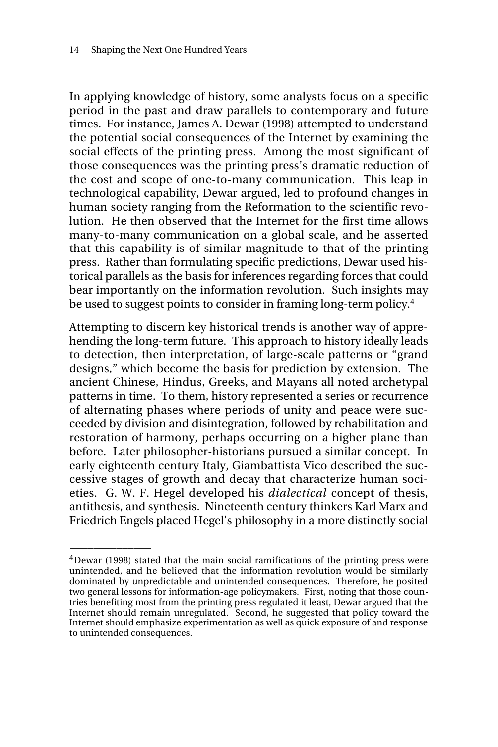$\overline{\phantom{a}}$ 

In applying knowledge of history, some analysts focus on a specific period in the past and draw parallels to contemporary and future times. For instance, James A. Dewar (1998) attempted to understand the potential social consequences of the Internet by examining the social effects of the printing press. Among the most significant of those consequences was the printing press's dramatic reduction of the cost and scope of one-to-many communication. This leap in technological capability, Dewar argued, led to profound changes in human society ranging from the Reformation to the scientific revolution. He then observed that the Internet for the first time allows many-to-many communication on a global scale, and he asserted that this capability is of similar magnitude to that of the printing press. Rather than formulating specific predictions, Dewar used historical parallels as the basis for inferences regarding forces that could bear importantly on the information revolution. Such insights may be used to suggest points to consider in framing long-term policy.4

Attempting to discern key historical trends is another way of apprehending the long-term future. This approach to history ideally leads to detection, then interpretation, of large-scale patterns or "grand designs," which become the basis for prediction by extension. The ancient Chinese, Hindus, Greeks, and Mayans all noted archetypal patterns in time. To them, history represented a series or recurrence of alternating phases where periods of unity and peace were succeeded by division and disintegration, followed by rehabilitation and restoration of harmony, perhaps occurring on a higher plane than before. Later philosopher-historians pursued a similar concept. In early eighteenth century Italy, Giambattista Vico described the successive stages of growth and decay that characterize human societies. G. W. F. Hegel developed his *dialectical* concept of thesis, antithesis, and synthesis. Nineteenth century thinkers Karl Marx and Friedrich Engels placed Hegel's philosophy in a more distinctly social

 $4$ Dewar (1998) stated that the main social ramifications of the printing press were unintended, and he believed that the information revolution would be similarly dominated by unpredictable and unintended consequences. Therefore, he posited two general lessons for information-age policymakers. First, noting that those countries benefiting most from the printing press regulated it least, Dewar argued that the Internet should remain unregulated. Second, he suggested that policy toward the Internet should emphasize experimentation as well as quick exposure of and response to unintended consequences.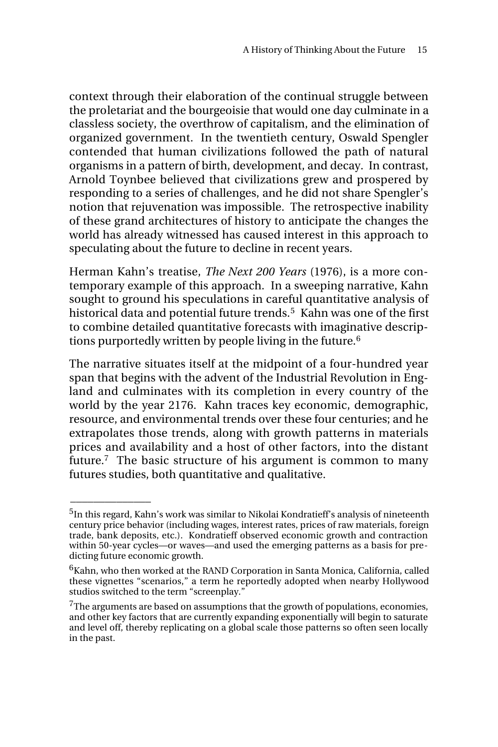context through their elaboration of the continual struggle between the proletariat and the bourgeoisie that would one day culminate in a classless society, the overthrow of capitalism, and the elimination of organized government. In the twentieth century, Oswald Spengler contended that human civilizations followed the path of natural organisms in a pattern of birth, development, and decay. In contrast, Arnold Toynbee believed that civilizations grew and prospered by responding to a series of challenges, and he did not share Spengler's notion that rejuvenation was impossible. The retrospective inability of these grand architectures of history to anticipate the changes the world has already witnessed has caused interest in this approach to speculating about the future to decline in recent years.

Herman Kahn's treatise, *The Next 200 Years* (1976), is a more contemporary example of this approach. In a sweeping narrative, Kahn sought to ground his speculations in careful quantitative analysis of historical data and potential future trends.<sup>5</sup> Kahn was one of the first to combine detailed quantitative forecasts with imaginative descriptions purportedly written by people living in the future.6

The narrative situates itself at the midpoint of a four-hundred year span that begins with the advent of the Industrial Revolution in England and culminates with its completion in every country of the world by the year 2176. Kahn traces key economic, demographic, resource, and environmental trends over these four centuries; and he extrapolates those trends, along with growth patterns in materials prices and availability and a host of other factors, into the distant future.<sup>7</sup> The basic structure of his argument is common to many futures studies, both quantitative and qualitative.

<sup>&</sup>lt;sup>5</sup>In this regard, Kahn's work was similar to Nikolai Kondratieff's analysis of nineteenth century price behavior (including wages, interest rates, prices of raw materials, foreign trade, bank deposits, etc.). Kondratieff observed economic growth and contraction within 50-year cycles—or waves—and used the emerging patterns as a basis for predicting future economic growth.

 $6$ Kahn, who then worked at the RAND Corporation in Santa Monica, California, called these vignettes "scenarios," a term he reportedly adopted when nearby Hollywood studios switched to the term "screenplay."

 $7$ The arguments are based on assumptions that the growth of populations, economies, and other key factors that are currently expanding exponentially will begin to saturate and level off, thereby replicating on a global scale those patterns so often seen locally in the past.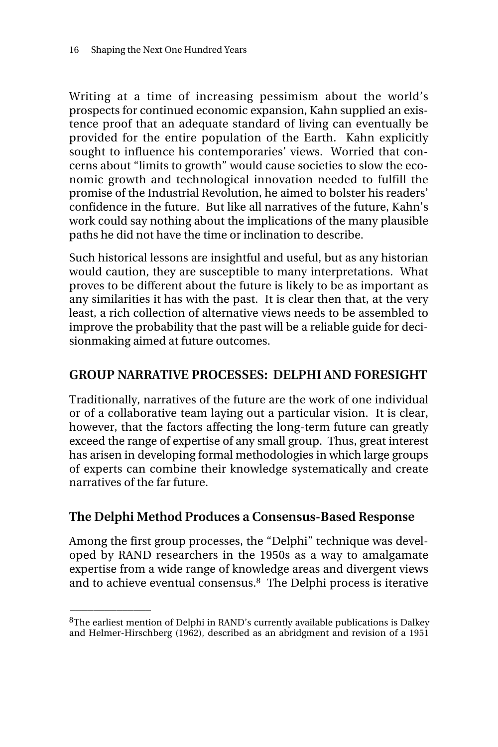Writing at a time of increasing pessimism about the world's prospects for continued economic expansion, Kahn supplied an existence proof that an adequate standard of living can eventually be provided for the entire population of the Earth. Kahn explicitly sought to influence his contemporaries' views. Worried that concerns about "limits to growth" would cause societies to slow the economic growth and technological innovation needed to fulfill the promise of the Industrial Revolution, he aimed to bolster his readers' confidence in the future. But like all narratives of the future, Kahn's work could say nothing about the implications of the many plausible paths he did not have the time or inclination to describe.

Such historical lessons are insightful and useful, but as any historian would caution, they are susceptible to many interpretations. What proves to be different about the future is likely to be as important as any similarities it has with the past. It is clear then that, at the very least, a rich collection of alternative views needs to be assembled to improve the probability that the past will be a reliable guide for decisionmaking aimed at future outcomes.

#### **GROUP NARRATIVE PROCESSES: DELPHI AND FORESIGHT**

Traditionally, narratives of the future are the work of one individual or of a collaborative team laying out a particular vision. It is clear, however, that the factors affecting the long-term future can greatly exceed the range of expertise of any small group. Thus, great interest has arisen in developing formal methodologies in which large groups of experts can combine their knowledge systematically and create narratives of the far future.

#### **The Delphi Method Produces a Consensus-Based Response**

Among the first group processes, the "Delphi" technique was developed by RAND researchers in the 1950s as a way to amalgamate expertise from a wide range of knowledge areas and divergent views and to achieve eventual consensus.8 The Delphi process is iterative

 ${}^{8}$ The earliest mention of Delphi in RAND's currently available publications is Dalkey and Helmer-Hirschberg (1962), described as an abridgment and revision of a 1951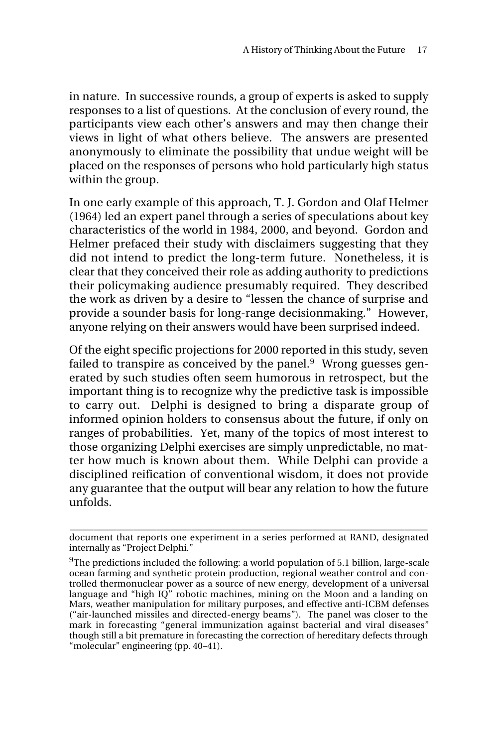in nature. In successive rounds, a group of experts is asked to supply responses to a list of questions. At the conclusion of every round, the participants view each other's answers and may then change their views in light of what others believe. The answers are presented anonymously to eliminate the possibility that undue weight will be placed on the responses of persons who hold particularly high status within the group.

In one early example of this approach, T. J. Gordon and Olaf Helmer (1964) led an expert panel through a series of speculations about key characteristics of the world in 1984, 2000, and beyond. Gordon and Helmer prefaced their study with disclaimers suggesting that they did not intend to predict the long-term future. Nonetheless, it is clear that they conceived their role as adding authority to predictions their policymaking audience presumably required. They described the work as driven by a desire to "lessen the chance of surprise and provide a sounder basis for long-range decisionmaking." However, anyone relying on their answers would have been surprised indeed.

Of the eight specific projections for 2000 reported in this study, seven failed to transpire as conceived by the panel. $9$  Wrong guesses generated by such studies often seem humorous in retrospect, but the important thing is to recognize why the predictive task is impossible to carry out. Delphi is designed to bring a disparate group of informed opinion holders to consensus about the future, if only on ranges of probabilities. Yet, many of the topics of most interest to those organizing Delphi exercises are simply unpredictable, no matter how much is known about them. While Delphi can provide a disciplined reification of conventional wisdom, it does not provide any guarantee that the output will bear any relation to how the future unfolds.

**\_\_\_\_\_\_\_\_\_\_\_\_\_\_\_\_\_\_\_\_\_\_\_\_\_\_\_\_\_\_\_\_\_\_\_\_\_\_\_\_\_\_\_\_\_\_\_\_\_\_\_\_\_\_\_\_\_\_\_\_\_\_** document that reports one experiment in a series performed at RAND, designated internally as "Project Delphi."

 $9$ The predictions included the following: a world population of 5.1 billion, large-scale ocean farming and synthetic protein production, regional weather control and controlled thermonuclear power as a source of new energy, development of a universal language and "high IQ" robotic machines, mining on the Moon and a landing on Mars, weather manipulation for military purposes, and effective anti-ICBM defenses ("air-launched missiles and directed-energy beams"). The panel was closer to the mark in forecasting "general immunization against bacterial and viral diseases" though still a bit premature in forecasting the correction of hereditary defects through "molecular" engineering (pp. 40–41).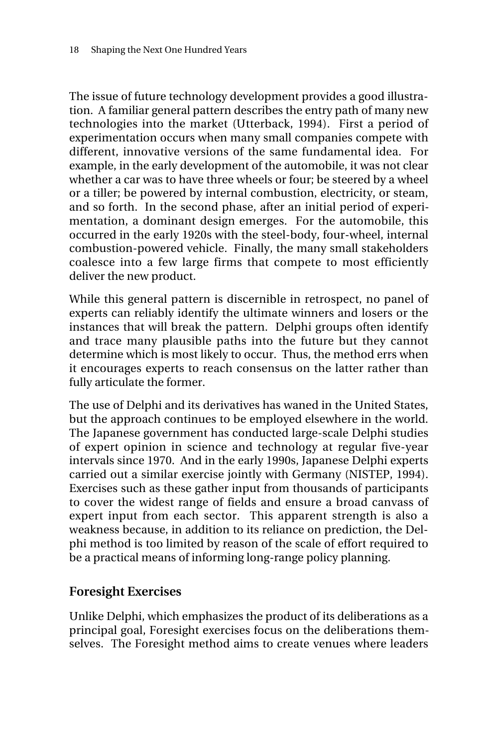The issue of future technology development provides a good illustration. A familiar general pattern describes the entry path of many new technologies into the market (Utterback, 1994). First a period of experimentation occurs when many small companies compete with different, innovative versions of the same fundamental idea. For example, in the early development of the automobile, it was not clear whether a car was to have three wheels or four; be steered by a wheel or a tiller; be powered by internal combustion, electricity, or steam, and so forth. In the second phase, after an initial period of experimentation, a dominant design emerges. For the automobile, this occurred in the early 1920s with the steel-body, four-wheel, internal combustion-powered vehicle. Finally, the many small stakeholders coalesce into a few large firms that compete to most efficiently deliver the new product.

While this general pattern is discernible in retrospect, no panel of experts can reliably identify the ultimate winners and losers or the instances that will break the pattern. Delphi groups often identify and trace many plausible paths into the future but they cannot determine which is most likely to occur. Thus, the method errs when it encourages experts to reach consensus on the latter rather than fully articulate the former.

The use of Delphi and its derivatives has waned in the United States, but the approach continues to be employed elsewhere in the world. The Japanese government has conducted large-scale Delphi studies of expert opinion in science and technology at regular five-year intervals since 1970. And in the early 1990s, Japanese Delphi experts carried out a similar exercise jointly with Germany (NISTEP, 1994). Exercises such as these gather input from thousands of participants to cover the widest range of fields and ensure a broad canvass of expert input from each sector. This apparent strength is also a weakness because, in addition to its reliance on prediction, the Delphi method is too limited by reason of the scale of effort required to be a practical means of informing long-range policy planning.

#### **Foresight Exercises**

Unlike Delphi, which emphasizes the product of its deliberations as a principal goal, Foresight exercises focus on the deliberations themselves. The Foresight method aims to create venues where leaders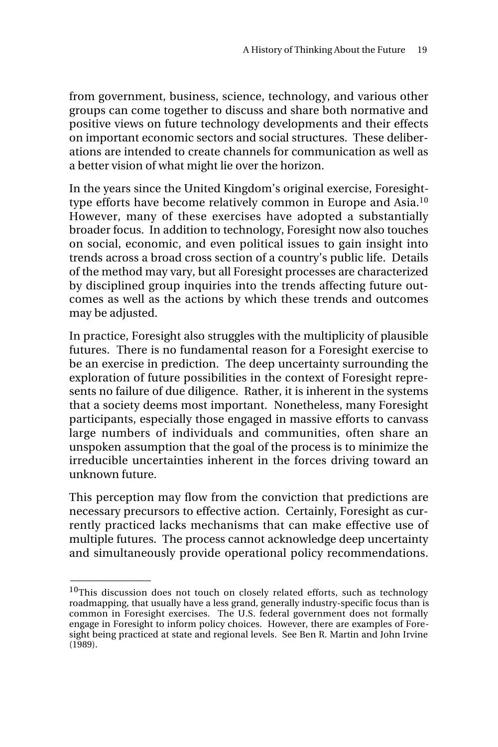from government, business, science, technology, and various other groups can come together to discuss and share both normative and positive views on future technology developments and their effects on important economic sectors and social structures. These deliberations are intended to create channels for communication as well as a better vision of what might lie over the horizon.

In the years since the United Kingdom's original exercise, Foresighttype efforts have become relatively common in Europe and Asia.10 However, many of these exercises have adopted a substantially broader focus. In addition to technology, Foresight now also touches on social, economic, and even political issues to gain insight into trends across a broad cross section of a country's public life. Details of the method may vary, but all Foresight processes are characterized by disciplined group inquiries into the trends affecting future outcomes as well as the actions by which these trends and outcomes may be adjusted.

In practice, Foresight also struggles with the multiplicity of plausible futures. There is no fundamental reason for a Foresight exercise to be an exercise in prediction. The deep uncertainty surrounding the exploration of future possibilities in the context of Foresight represents no failure of due diligence. Rather, it is inherent in the systems that a society deems most important. Nonetheless, many Foresight participants, especially those engaged in massive efforts to canvass large numbers of individuals and communities, often share an unspoken assumption that the goal of the process is to minimize the irreducible uncertainties inherent in the forces driving toward an unknown future.

This perception may flow from the conviction that predictions are necessary precursors to effective action. Certainly, Foresight as currently practiced lacks mechanisms that can make effective use of multiple futures. The process cannot acknowledge deep uncertainty and simultaneously provide operational policy recommendations.

\_\_\_\_\_\_\_\_\_\_\_\_\_\_

 $10$ This discussion does not touch on closely related efforts, such as technology roadmapping, that usually have a less grand, generally industry-specific focus than is common in Foresight exercises. The U.S. federal government does not formally engage in Foresight to inform policy choices. However, there are examples of Foresight being practiced at state and regional levels. See Ben R. Martin and John Irvine (1989).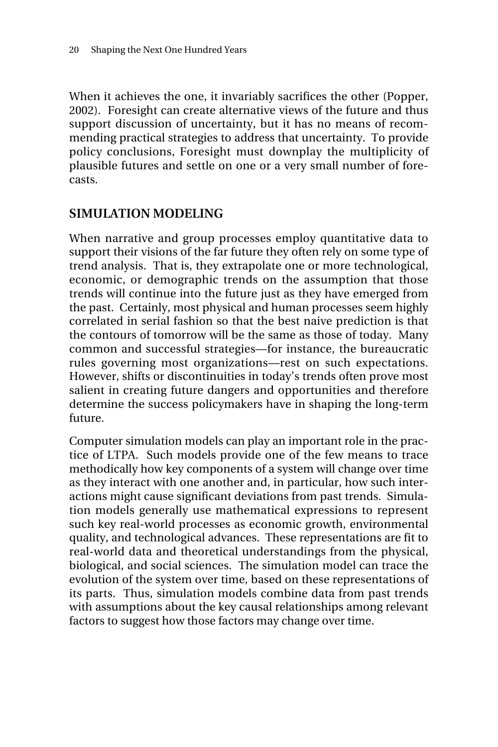When it achieves the one, it invariably sacrifices the other (Popper, 2002). Foresight can create alternative views of the future and thus support discussion of uncertainty, but it has no means of recommending practical strategies to address that uncertainty. To provide policy conclusions, Foresight must downplay the multiplicity of plausible futures and settle on one or a very small number of forecasts.

## **SIMULATION MODELING**

When narrative and group processes employ quantitative data to support their visions of the far future they often rely on some type of trend analysis. That is, they extrapolate one or more technological, economic, or demographic trends on the assumption that those trends will continue into the future just as they have emerged from the past. Certainly, most physical and human processes seem highly correlated in serial fashion so that the best naive prediction is that the contours of tomorrow will be the same as those of today. Many common and successful strategies—for instance, the bureaucratic rules governing most organizations—rest on such expectations. However, shifts or discontinuities in today's trends often prove most salient in creating future dangers and opportunities and therefore determine the success policymakers have in shaping the long-term future.

Computer simulation models can play an important role in the practice of LTPA. Such models provide one of the few means to trace methodically how key components of a system will change over time as they interact with one another and, in particular, how such interactions might cause significant deviations from past trends. Simulation models generally use mathematical expressions to represent such key real-world processes as economic growth, environmental quality, and technological advances. These representations are fit to real-world data and theoretical understandings from the physical, biological, and social sciences. The simulation model can trace the evolution of the system over time, based on these representations of its parts. Thus, simulation models combine data from past trends with assumptions about the key causal relationships among relevant factors to suggest how those factors may change over time.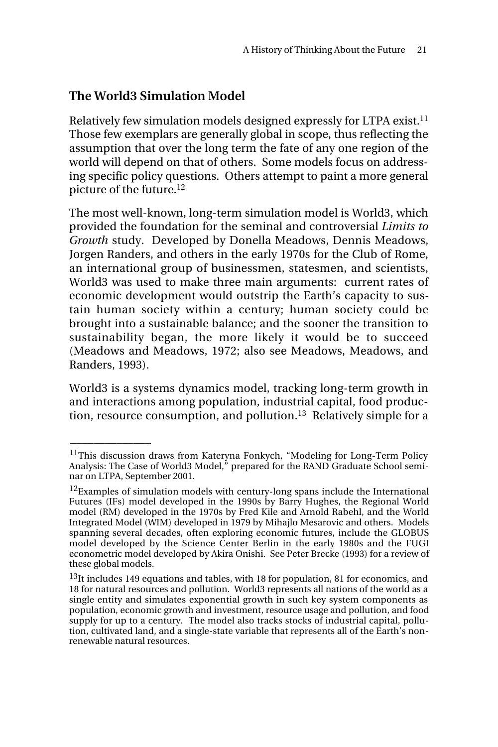## **The World3 Simulation Model**

 $\overline{\phantom{a}}$ 

Relatively few simulation models designed expressly for LTPA exist.<sup>11</sup> Those few exemplars are generally global in scope, thus reflecting the assumption that over the long term the fate of any one region of the world will depend on that of others. Some models focus on addressing specific policy questions. Others attempt to paint a more general picture of the future.12

The most well-known, long-term simulation model is World3, which provided the foundation for the seminal and controversial *Limits to Growth* study. Developed by Donella Meadows, Dennis Meadows, Jorgen Randers, and others in the early 1970s for the Club of Rome, an international group of businessmen, statesmen, and scientists, World3 was used to make three main arguments: current rates of economic development would outstrip the Earth's capacity to sustain human society within a century; human society could be brought into a sustainable balance; and the sooner the transition to sustainability began, the more likely it would be to succeed (Meadows and Meadows, 1972; also see Meadows, Meadows, and Randers, 1993).

World3 is a systems dynamics model, tracking long-term growth in and interactions among population, industrial capital, food production, resource consumption, and pollution.13 Relatively simple for a

<sup>&</sup>lt;sup>11</sup>This discussion draws from Kateryna Fonkych, "Modeling for Long-Term Policy Analysis: The Case of World3 Model," prepared for the RAND Graduate School seminar on LTPA, September 2001.

 $12$ Examples of simulation models with century-long spans include the International Futures (IFs) model developed in the 1990s by Barry Hughes, the Regional World model (RM) developed in the 1970s by Fred Kile and Arnold Rabehl, and the World Integrated Model (WIM) developed in 1979 by Mihajlo Mesarovic and others. Models spanning several decades, often exploring economic futures, include the GLOBUS model developed by the Science Center Berlin in the early 1980s and the FUGI econometric model developed by Akira Onishi. See Peter Brecke (1993) for a review of these global models.

 $13$ It includes 149 equations and tables, with 18 for population, 81 for economics, and 18 for natural resources and pollution. World3 represents all nations of the world as a single entity and simulates exponential growth in such key system components as population, economic growth and investment, resource usage and pollution, and food supply for up to a century. The model also tracks stocks of industrial capital, pollution, cultivated land, and a single-state variable that represents all of the Earth's nonrenewable natural resources.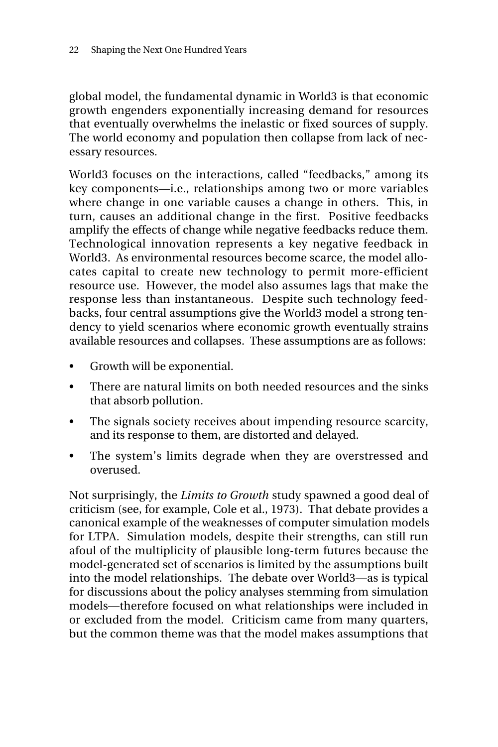global model, the fundamental dynamic in World3 is that economic growth engenders exponentially increasing demand for resources that eventually overwhelms the inelastic or fixed sources of supply. The world economy and population then collapse from lack of necessary resources.

World3 focuses on the interactions, called "feedbacks," among its key components—i.e., relationships among two or more variables where change in one variable causes a change in others. This, in turn, causes an additional change in the first. Positive feedbacks amplify the effects of change while negative feedbacks reduce them. Technological innovation represents a key negative feedback in World3. As environmental resources become scarce, the model allocates capital to create new technology to permit more-efficient resource use. However, the model also assumes lags that make the response less than instantaneous. Despite such technology feedbacks, four central assumptions give the World3 model a strong tendency to yield scenarios where economic growth eventually strains available resources and collapses. These assumptions are as follows:

- Growth will be exponential.
- There are natural limits on both needed resources and the sinks that absorb pollution.
- The signals society receives about impending resource scarcity, and its response to them, are distorted and delayed.
- The system's limits degrade when they are overstressed and overused.

Not surprisingly, the *Limits to Growth* study spawned a good deal of criticism (see, for example, Cole et al., 1973). That debate provides a canonical example of the weaknesses of computer simulation models for LTPA. Simulation models, despite their strengths, can still run afoul of the multiplicity of plausible long-term futures because the model-generated set of scenarios is limited by the assumptions built into the model relationships. The debate over World3—as is typical for discussions about the policy analyses stemming from simulation models—therefore focused on what relationships were included in or excluded from the model. Criticism came from many quarters, but the common theme was that the model makes assumptions that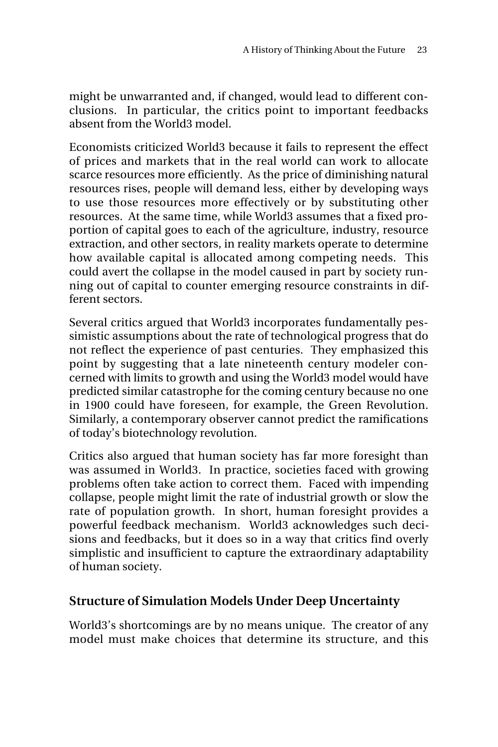might be unwarranted and, if changed, would lead to different conclusions. In particular, the critics point to important feedbacks absent from the World3 model.

Economists criticized World3 because it fails to represent the effect of prices and markets that in the real world can work to allocate scarce resources more efficiently. As the price of diminishing natural resources rises, people will demand less, either by developing ways to use those resources more effectively or by substituting other resources. At the same time, while World3 assumes that a fixed proportion of capital goes to each of the agriculture, industry, resource extraction, and other sectors, in reality markets operate to determine how available capital is allocated among competing needs. This could avert the collapse in the model caused in part by society running out of capital to counter emerging resource constraints in different sectors.

Several critics argued that World3 incorporates fundamentally pessimistic assumptions about the rate of technological progress that do not reflect the experience of past centuries. They emphasized this point by suggesting that a late nineteenth century modeler concerned with limits to growth and using the World3 model would have predicted similar catastrophe for the coming century because no one in 1900 could have foreseen, for example, the Green Revolution. Similarly, a contemporary observer cannot predict the ramifications of today's biotechnology revolution.

Critics also argued that human society has far more foresight than was assumed in World3. In practice, societies faced with growing problems often take action to correct them. Faced with impending collapse, people might limit the rate of industrial growth or slow the rate of population growth. In short, human foresight provides a powerful feedback mechanism. World3 acknowledges such decisions and feedbacks, but it does so in a way that critics find overly simplistic and insufficient to capture the extraordinary adaptability of human society.

#### **Structure of Simulation Models Under Deep Uncertainty**

World3's shortcomings are by no means unique. The creator of any model must make choices that determine its structure, and this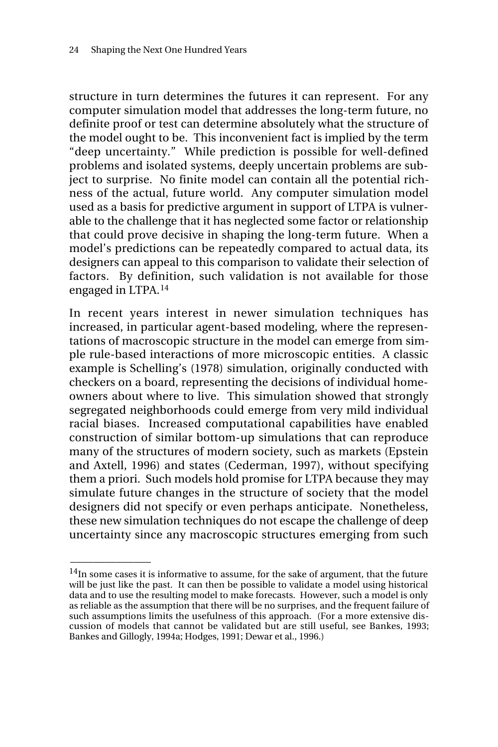structure in turn determines the futures it can represent. For any computer simulation model that addresses the long-term future, no definite proof or test can determine absolutely what the structure of the model ought to be. This inconvenient fact is implied by the term "deep uncertainty." While prediction is possible for well-defined problems and isolated systems, deeply uncertain problems are subject to surprise. No finite model can contain all the potential richness of the actual, future world. Any computer simulation model used as a basis for predictive argument in support of LTPA is vulnerable to the challenge that it has neglected some factor or relationship that could prove decisive in shaping the long-term future. When a model's predictions can be repeatedly compared to actual data, its designers can appeal to this comparison to validate their selection of factors. By definition, such validation is not available for those engaged in LTPA.14

In recent years interest in newer simulation techniques has increased, in particular agent-based modeling, where the representations of macroscopic structure in the model can emerge from simple rule-based interactions of more microscopic entities. A classic example is Schelling's (1978) simulation, originally conducted with checkers on a board, representing the decisions of individual homeowners about where to live. This simulation showed that strongly segregated neighborhoods could emerge from very mild individual racial biases. Increased computational capabilities have enabled construction of similar bottom-up simulations that can reproduce many of the structures of modern society, such as markets (Epstein and Axtell, 1996) and states (Cederman, 1997), without specifying them a priori. Such models hold promise for LTPA because they may simulate future changes in the structure of society that the model designers did not specify or even perhaps anticipate. Nonetheless, these new simulation techniques do not escape the challenge of deep uncertainty since any macroscopic structures emerging from such

 $14$ In some cases it is informative to assume, for the sake of argument, that the future will be just like the past. It can then be possible to validate a model using historical data and to use the resulting model to make forecasts. However, such a model is only as reliable as the assumption that there will be no surprises, and the frequent failure of such assumptions limits the usefulness of this approach. (For a more extensive discussion of models that cannot be validated but are still useful, see Bankes, 1993; Bankes and Gillogly, 1994a; Hodges, 1991; Dewar et al., 1996.)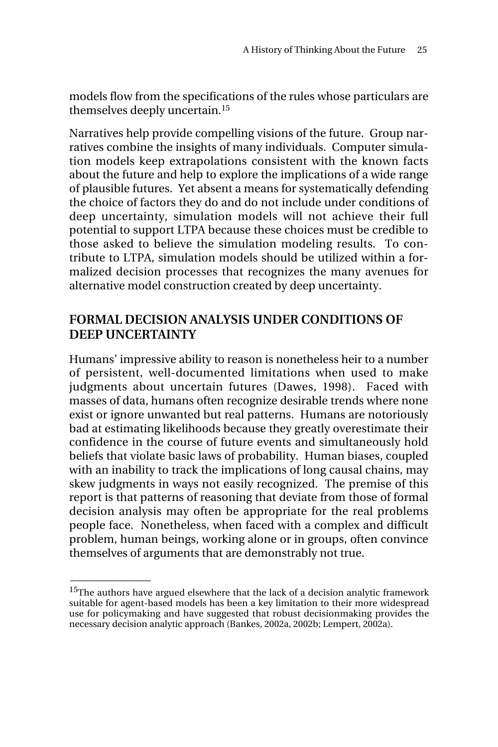models flow from the specifications of the rules whose particulars are themselves deeply uncertain.15

Narratives help provide compelling visions of the future. Group narratives combine the insights of many individuals. Computer simulation models keep extrapolations consistent with the known facts about the future and help to explore the implications of a wide range of plausible futures. Yet absent a means for systematically defending the choice of factors they do and do not include under conditions of deep uncertainty, simulation models will not achieve their full potential to support LTPA because these choices must be credible to those asked to believe the simulation modeling results. To contribute to LTPA, simulation models should be utilized within a formalized decision processes that recognizes the many avenues for alternative model construction created by deep uncertainty.

#### **FORMAL DECISION ANALYSIS UNDER CONDITIONS OF DEEP UNCERTAINTY**

Humans' impressive ability to reason is nonetheless heir to a number of persistent, well-documented limitations when used to make judgments about uncertain futures (Dawes, 1998). Faced with masses of data, humans often recognize desirable trends where none exist or ignore unwanted but real patterns. Humans are notoriously bad at estimating likelihoods because they greatly overestimate their confidence in the course of future events and simultaneously hold beliefs that violate basic laws of probability. Human biases, coupled with an inability to track the implications of long causal chains, may skew judgments in ways not easily recognized. The premise of this report is that patterns of reasoning that deviate from those of formal decision analysis may often be appropriate for the real problems people face. Nonetheless, when faced with a complex and difficult problem, human beings, working alone or in groups, often convince themselves of arguments that are demonstrably not true.

\_\_\_\_\_\_\_\_\_\_\_\_\_\_

 $15$ The authors have argued elsewhere that the lack of a decision analytic framework suitable for agent-based models has been a key limitation to their more widespread use for policymaking and have suggested that robust decisionmaking provides the necessary decision analytic approach (Bankes, 2002a, 2002b; Lempert, 2002a).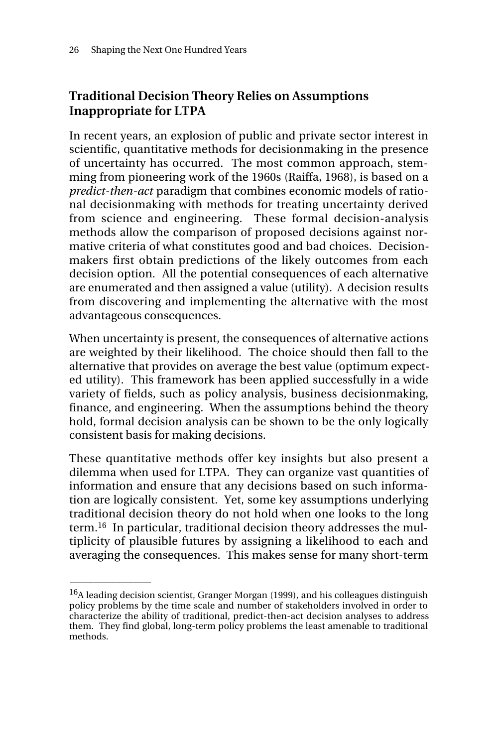# **Traditional Decision Theory Relies on Assumptions Inappropriate for LTPA**

In recent years, an explosion of public and private sector interest in scientific, quantitative methods for decisionmaking in the presence of uncertainty has occurred. The most common approach, stemming from pioneering work of the 1960s (Raiffa, 1968), is based on a *predict-then-act* paradigm that combines economic models of rational decisionmaking with methods for treating uncertainty derived from science and engineering. These formal decision-analysis methods allow the comparison of proposed decisions against normative criteria of what constitutes good and bad choices. Decisionmakers first obtain predictions of the likely outcomes from each decision option. All the potential consequences of each alternative are enumerated and then assigned a value (utility). A decision results from discovering and implementing the alternative with the most advantageous consequences.

When uncertainty is present, the consequences of alternative actions are weighted by their likelihood. The choice should then fall to the alternative that provides on average the best value (optimum expected utility). This framework has been applied successfully in a wide variety of fields, such as policy analysis, business decisionmaking, finance, and engineering. When the assumptions behind the theory hold, formal decision analysis can be shown to be the only logically consistent basis for making decisions.

These quantitative methods offer key insights but also present a dilemma when used for LTPA. They can organize vast quantities of information and ensure that any decisions based on such information are logically consistent. Yet, some key assumptions underlying traditional decision theory do not hold when one looks to the long term.16 In particular, traditional decision theory addresses the multiplicity of plausible futures by assigning a likelihood to each and averaging the consequences. This makes sense for many short-term

 $16A$  leading decision scientist, Granger Morgan (1999), and his colleagues distinguish policy problems by the time scale and number of stakeholders involved in order to characterize the ability of traditional, predict-then-act decision analyses to address them. They find global, long-term policy problems the least amenable to traditional methods.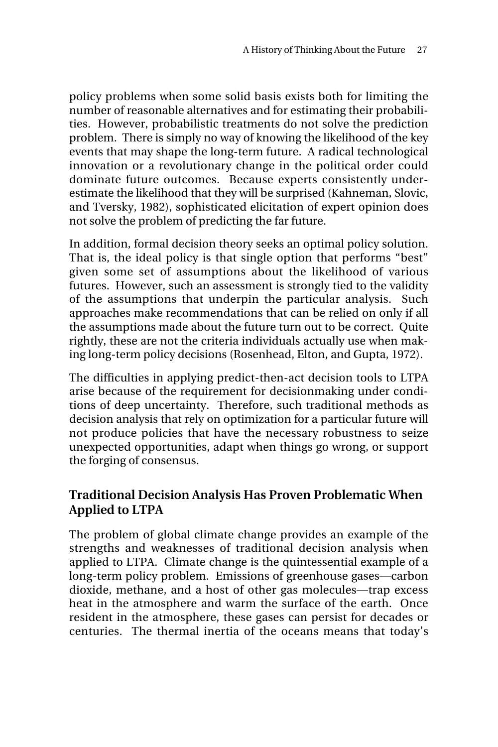policy problems when some solid basis exists both for limiting the number of reasonable alternatives and for estimating their probabilities. However, probabilistic treatments do not solve the prediction problem. There is simply no way of knowing the likelihood of the key events that may shape the long-term future. A radical technological innovation or a revolutionary change in the political order could dominate future outcomes. Because experts consistently underestimate the likelihood that they will be surprised (Kahneman, Slovic, and Tversky, 1982), sophisticated elicitation of expert opinion does not solve the problem of predicting the far future.

In addition, formal decision theory seeks an optimal policy solution. That is, the ideal policy is that single option that performs "best" given some set of assumptions about the likelihood of various futures. However, such an assessment is strongly tied to the validity of the assumptions that underpin the particular analysis. Such approaches make recommendations that can be relied on only if all the assumptions made about the future turn out to be correct. Quite rightly, these are not the criteria individuals actually use when making long-term policy decisions (Rosenhead, Elton, and Gupta, 1972).

The difficulties in applying predict-then-act decision tools to LTPA arise because of the requirement for decisionmaking under conditions of deep uncertainty. Therefore, such traditional methods as decision analysis that rely on optimization for a particular future will not produce policies that have the necessary robustness to seize unexpected opportunities, adapt when things go wrong, or support the forging of consensus.

## **Traditional Decision Analysis Has Proven Problematic When Applied to LTPA**

The problem of global climate change provides an example of the strengths and weaknesses of traditional decision analysis when applied to LTPA. Climate change is the quintessential example of a long-term policy problem. Emissions of greenhouse gases—carbon dioxide, methane, and a host of other gas molecules—trap excess heat in the atmosphere and warm the surface of the earth. Once resident in the atmosphere, these gases can persist for decades or centuries. The thermal inertia of the oceans means that today's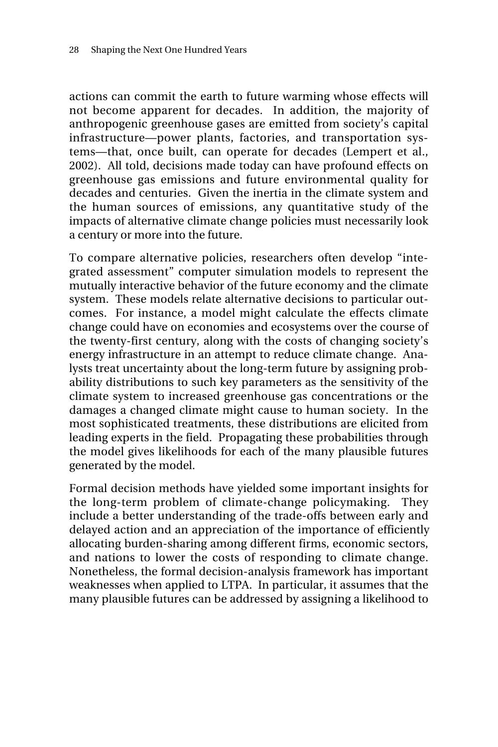actions can commit the earth to future warming whose effects will not become apparent for decades. In addition, the majority of anthropogenic greenhouse gases are emitted from society's capital infrastructure—power plants, factories, and transportation systems—that, once built, can operate for decades (Lempert et al., 2002). All told, decisions made today can have profound effects on greenhouse gas emissions and future environmental quality for decades and centuries. Given the inertia in the climate system and the human sources of emissions, any quantitative study of the impacts of alternative climate change policies must necessarily look a century or more into the future.

To compare alternative policies, researchers often develop "integrated assessment" computer simulation models to represent the mutually interactive behavior of the future economy and the climate system. These models relate alternative decisions to particular outcomes. For instance, a model might calculate the effects climate change could have on economies and ecosystems over the course of the twenty-first century, along with the costs of changing society's energy infrastructure in an attempt to reduce climate change. Analysts treat uncertainty about the long-term future by assigning probability distributions to such key parameters as the sensitivity of the climate system to increased greenhouse gas concentrations or the damages a changed climate might cause to human society. In the most sophisticated treatments, these distributions are elicited from leading experts in the field. Propagating these probabilities through the model gives likelihoods for each of the many plausible futures generated by the model.

Formal decision methods have yielded some important insights for the long-term problem of climate-change policymaking. They include a better understanding of the trade-offs between early and delayed action and an appreciation of the importance of efficiently allocating burden-sharing among different firms, economic sectors, and nations to lower the costs of responding to climate change. Nonetheless, the formal decision-analysis framework has important weaknesses when applied to LTPA. In particular, it assumes that the many plausible futures can be addressed by assigning a likelihood to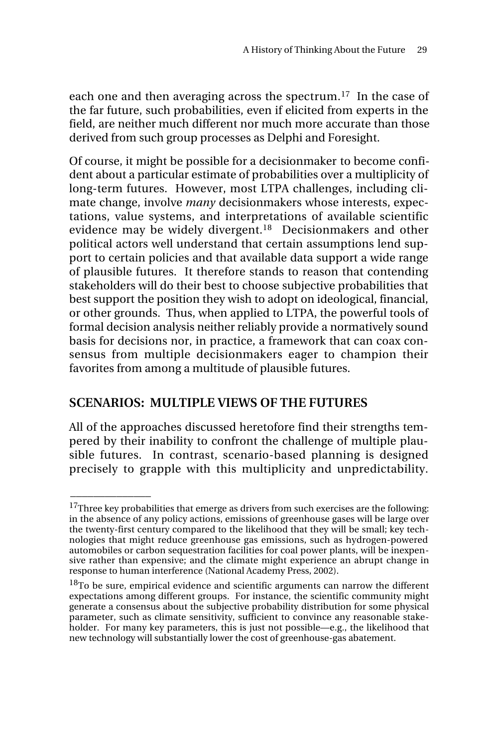each one and then averaging across the spectrum.<sup>17</sup> In the case of the far future, such probabilities, even if elicited from experts in the field, are neither much different nor much more accurate than those derived from such group processes as Delphi and Foresight.

Of course, it might be possible for a decisionmaker to become confident about a particular estimate of probabilities over a multiplicity of long-term futures. However, most LTPA challenges, including climate change, involve *many* decisionmakers whose interests, expectations, value systems, and interpretations of available scientific evidence may be widely divergent.<sup>18</sup> Decisionmakers and other political actors well understand that certain assumptions lend support to certain policies and that available data support a wide range of plausible futures. It therefore stands to reason that contending stakeholders will do their best to choose subjective probabilities that best support the position they wish to adopt on ideological, financial, or other grounds. Thus, when applied to LTPA, the powerful tools of formal decision analysis neither reliably provide a normatively sound basis for decisions nor, in practice, a framework that can coax consensus from multiple decisionmakers eager to champion their favorites from among a multitude of plausible futures.

#### **SCENARIOS: MULTIPLE VIEWS OF THE FUTURES**

 $\overline{\phantom{a}}$ 

All of the approaches discussed heretofore find their strengths tempered by their inability to confront the challenge of multiple plausible futures. In contrast, scenario-based planning is designed precisely to grapple with this multiplicity and unpredictability.

 $17$ Three key probabilities that emerge as drivers from such exercises are the following: in the absence of any policy actions, emissions of greenhouse gases will be large over the twenty-first century compared to the likelihood that they will be small; key technologies that might reduce greenhouse gas emissions, such as hydrogen-powered automobiles or carbon sequestration facilities for coal power plants, will be inexpensive rather than expensive; and the climate might experience an abrupt change in response to human interference (National Academy Press, 2002).

 $18$ To be sure, empirical evidence and scientific arguments can narrow the different expectations among different groups. For instance, the scientific community might generate a consensus about the subjective probability distribution for some physical parameter, such as climate sensitivity, sufficient to convince any reasonable stakeholder. For many key parameters, this is just not possible—e.g., the likelihood that new technology will substantially lower the cost of greenhouse-gas abatement.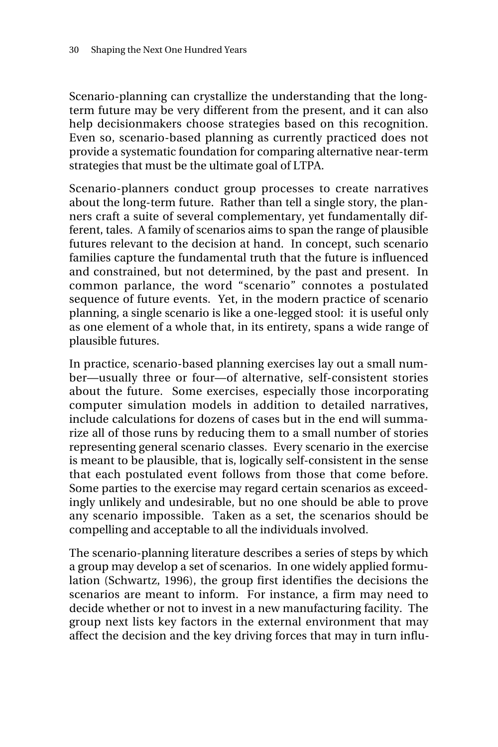Scenario-planning can crystallize the understanding that the longterm future may be very different from the present, and it can also help decisionmakers choose strategies based on this recognition. Even so, scenario-based planning as currently practiced does not provide a systematic foundation for comparing alternative near-term strategies that must be the ultimate goal of LTPA.

Scenario-planners conduct group processes to create narratives about the long-term future. Rather than tell a single story, the planners craft a suite of several complementary, yet fundamentally different, tales. A family of scenarios aims to span the range of plausible futures relevant to the decision at hand. In concept, such scenario families capture the fundamental truth that the future is influenced and constrained, but not determined, by the past and present. In common parlance, the word "scenario" connotes a postulated sequence of future events. Yet, in the modern practice of scenario planning, a single scenario is like a one-legged stool: it is useful only as one element of a whole that, in its entirety, spans a wide range of plausible futures.

In practice, scenario-based planning exercises lay out a small number—usually three or four—of alternative, self-consistent stories about the future. Some exercises, especially those incorporating computer simulation models in addition to detailed narratives, include calculations for dozens of cases but in the end will summarize all of those runs by reducing them to a small number of stories representing general scenario classes. Every scenario in the exercise is meant to be plausible, that is, logically self-consistent in the sense that each postulated event follows from those that come before. Some parties to the exercise may regard certain scenarios as exceedingly unlikely and undesirable, but no one should be able to prove any scenario impossible. Taken as a set, the scenarios should be compelling and acceptable to all the individuals involved.

The scenario-planning literature describes a series of steps by which a group may develop a set of scenarios. In one widely applied formulation (Schwartz, 1996), the group first identifies the decisions the scenarios are meant to inform. For instance, a firm may need to decide whether or not to invest in a new manufacturing facility. The group next lists key factors in the external environment that may affect the decision and the key driving forces that may in turn influ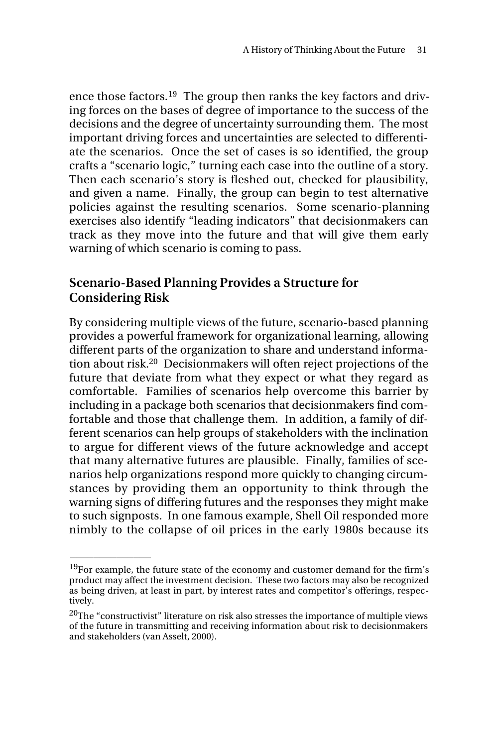ence those factors.19 The group then ranks the key factors and driving forces on the bases of degree of importance to the success of the decisions and the degree of uncertainty surrounding them. The most important driving forces and uncertainties are selected to differentiate the scenarios. Once the set of cases is so identified, the group crafts a "scenario logic," turning each case into the outline of a story. Then each scenario's story is fleshed out, checked for plausibility, and given a name. Finally, the group can begin to test alternative policies against the resulting scenarios. Some scenario-planning exercises also identify "leading indicators" that decisionmakers can track as they move into the future and that will give them early warning of which scenario is coming to pass.

## **Scenario-Based Planning Provides a Structure for Considering Risk**

By considering multiple views of the future, scenario-based planning provides a powerful framework for organizational learning, allowing different parts of the organization to share and understand information about risk.20 Decisionmakers will often reject projections of the future that deviate from what they expect or what they regard as comfortable. Families of scenarios help overcome this barrier by including in a package both scenarios that decisionmakers find comfortable and those that challenge them. In addition, a family of different scenarios can help groups of stakeholders with the inclination to argue for different views of the future acknowledge and accept that many alternative futures are plausible. Finally, families of scenarios help organizations respond more quickly to changing circumstances by providing them an opportunity to think through the warning signs of differing futures and the responses they might make to such signposts. In one famous example, Shell Oil responded more nimbly to the collapse of oil prices in the early 1980s because its

\_\_\_\_\_\_\_\_\_\_\_\_\_\_

 $19$ For example, the future state of the economy and customer demand for the firm's product may affect the investment decision. These two factors may also be recognized as being driven, at least in part, by interest rates and competitor's offerings, respectively.

 $20$ The "constructivist" literature on risk also stresses the importance of multiple views of the future in transmitting and receiving information about risk to decisionmakers and stakeholders (van Asselt, 2000).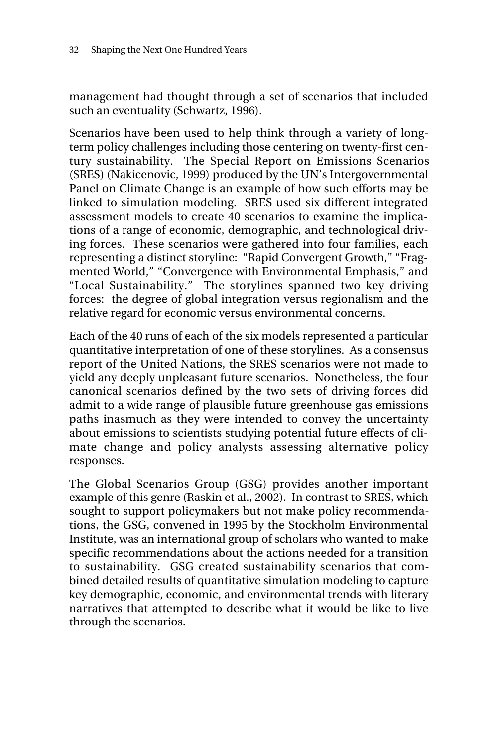management had thought through a set of scenarios that included such an eventuality (Schwartz, 1996).

Scenarios have been used to help think through a variety of longterm policy challenges including those centering on twenty-first century sustainability. The Special Report on Emissions Scenarios (SRES) (Nakicenovic, 1999) produced by the UN's Intergovernmental Panel on Climate Change is an example of how such efforts may be linked to simulation modeling. SRES used six different integrated assessment models to create 40 scenarios to examine the implications of a range of economic, demographic, and technological driving forces. These scenarios were gathered into four families, each representing a distinct storyline: "Rapid Convergent Growth," "Fragmented World," "Convergence with Environmental Emphasis," and "Local Sustainability." The storylines spanned two key driving forces: the degree of global integration versus regionalism and the relative regard for economic versus environmental concerns.

Each of the 40 runs of each of the six models represented a particular quantitative interpretation of one of these storylines. As a consensus report of the United Nations, the SRES scenarios were not made to yield any deeply unpleasant future scenarios. Nonetheless, the four canonical scenarios defined by the two sets of driving forces did admit to a wide range of plausible future greenhouse gas emissions paths inasmuch as they were intended to convey the uncertainty about emissions to scientists studying potential future effects of climate change and policy analysts assessing alternative policy responses.

The Global Scenarios Group (GSG) provides another important example of this genre (Raskin et al., 2002). In contrast to SRES, which sought to support policymakers but not make policy recommendations, the GSG, convened in 1995 by the Stockholm Environmental Institute, was an international group of scholars who wanted to make specific recommendations about the actions needed for a transition to sustainability. GSG created sustainability scenarios that combined detailed results of quantitative simulation modeling to capture key demographic, economic, and environmental trends with literary narratives that attempted to describe what it would be like to live through the scenarios.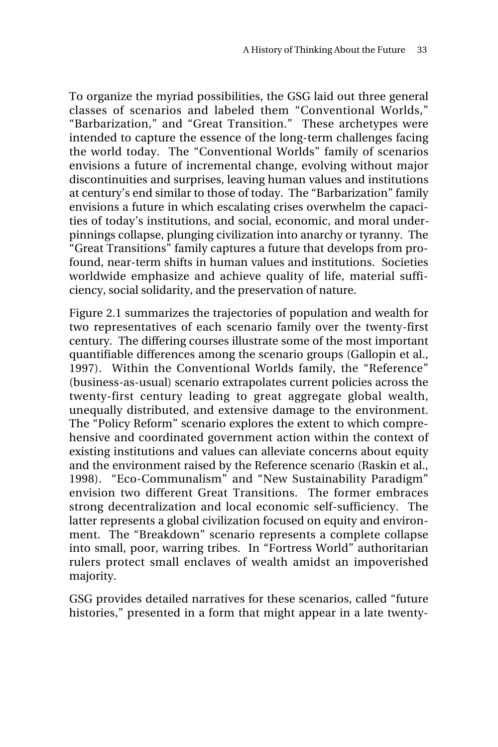To organize the myriad possibilities, the GSG laid out three general classes of scenarios and labeled them "Conventional Worlds," "Barbarization," and "Great Transition." These archetypes were intended to capture the essence of the long-term challenges facing the world today. The "Conventional Worlds" family of scenarios envisions a future of incremental change, evolving without major discontinuities and surprises, leaving human values and institutions at century's end similar to those of today. The "Barbarization" family envisions a future in which escalating crises overwhelm the capacities of today's institutions, and social, economic, and moral underpinnings collapse, plunging civilization into anarchy or tyranny. The "Great Transitions" family captures a future that develops from profound, near-term shifts in human values and institutions. Societies worldwide emphasize and achieve quality of life, material sufficiency, social solidarity, and the preservation of nature.

Figure 2.1 summarizes the trajectories of population and wealth for two representatives of each scenario family over the twenty-first century. The differing courses illustrate some of the most important quantifiable differences among the scenario groups (Gallopin et al., 1997). Within the Conventional Worlds family, the "Reference" (business-as-usual) scenario extrapolates current policies across the twenty-first century leading to great aggregate global wealth, unequally distributed, and extensive damage to the environment. The "Policy Reform" scenario explores the extent to which comprehensive and coordinated government action within the context of existing institutions and values can alleviate concerns about equity and the environment raised by the Reference scenario (Raskin et al., 1998). "Eco-Communalism" and "New Sustainability Paradigm" envision two different Great Transitions. The former embraces strong decentralization and local economic self-sufficiency. The latter represents a global civilization focused on equity and environment. The "Breakdown" scenario represents a complete collapse into small, poor, warring tribes. In "Fortress World" authoritarian rulers protect small enclaves of wealth amidst an impoverished majority.

GSG provides detailed narratives for these scenarios, called "future histories," presented in a form that might appear in a late twenty-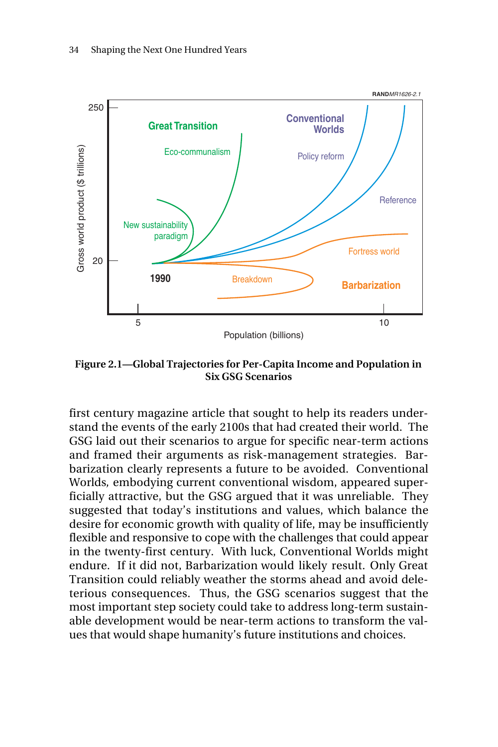

**Figure 2.1—Global Trajectories for Per-Capita Income and Population in Six GSG Scenarios**

first century magazine article that sought to help its readers understand the events of the early 2100s that had created their world. The GSG laid out their scenarios to argue for specific near-term actions and framed their arguments as risk-management strategies. Barbarization clearly represents a future to be avoided. Conventional Worlds*,* embodying current conventional wisdom, appeared superficially attractive, but the GSG argued that it was unreliable. They suggested that today's institutions and values, which balance the desire for economic growth with quality of life, may be insufficiently flexible and responsive to cope with the challenges that could appear in the twenty-first century. With luck, Conventional Worlds might endure. If it did not, Barbarization would likely result. Only Great Transition could reliably weather the storms ahead and avoid deleterious consequences. Thus, the GSG scenarios suggest that the most important step society could take to address long-term sustainable development would be near-term actions to transform the values that would shape humanity's future institutions and choices.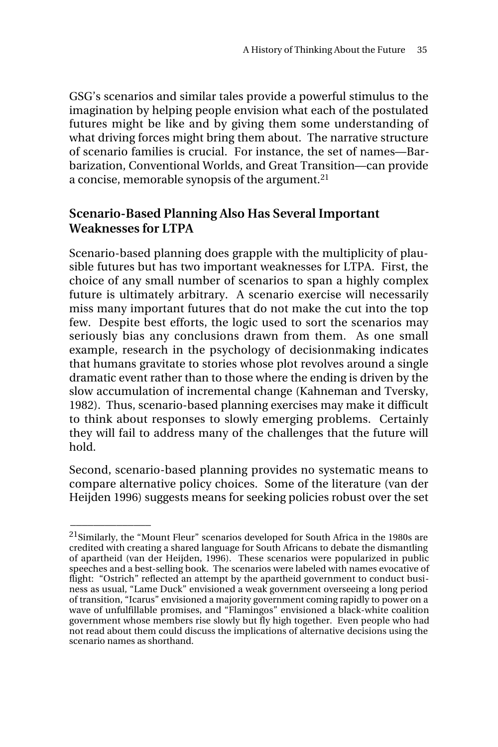GSG's scenarios and similar tales provide a powerful stimulus to the imagination by helping people envision what each of the postulated futures might be like and by giving them some understanding of what driving forces might bring them about. The narrative structure of scenario families is crucial. For instance, the set of names—Barbarization, Conventional Worlds, and Great Transition—can provide a concise, memorable synopsis of the argument.<sup>21</sup>

## **Scenario-Based Planning Also Has Several Important Weaknesses for LTPA**

Scenario-based planning does grapple with the multiplicity of plausible futures but has two important weaknesses for LTPA. First, the choice of any small number of scenarios to span a highly complex future is ultimately arbitrary. A scenario exercise will necessarily miss many important futures that do not make the cut into the top few. Despite best efforts, the logic used to sort the scenarios may seriously bias any conclusions drawn from them. As one small example, research in the psychology of decisionmaking indicates that humans gravitate to stories whose plot revolves around a single dramatic event rather than to those where the ending is driven by the slow accumulation of incremental change (Kahneman and Tversky, 1982). Thus, scenario-based planning exercises may make it difficult to think about responses to slowly emerging problems. Certainly they will fail to address many of the challenges that the future will hold.

Second, scenario-based planning provides no systematic means to compare alternative policy choices. Some of the literature (van der Heijden 1996) suggests means for seeking policies robust over the set

\_\_\_\_\_\_\_\_\_\_\_\_\_\_

 $^{21}$ Similarly, the "Mount Fleur" scenarios developed for South Africa in the 1980s are credited with creating a shared language for South Africans to debate the dismantling of apartheid (van der Heijden, 1996). These scenarios were popularized in public speeches and a best-selling book. The scenarios were labeled with names evocative of flight: "Ostrich" reflected an attempt by the apartheid government to conduct business as usual, "Lame Duck" envisioned a weak government overseeing a long period of transition, "Icarus" envisioned a majority government coming rapidly to power on a wave of unfulfillable promises, and "Flamingos" envisioned a black-white coalition government whose members rise slowly but fly high together. Even people who had not read about them could discuss the implications of alternative decisions using the scenario names as shorthand.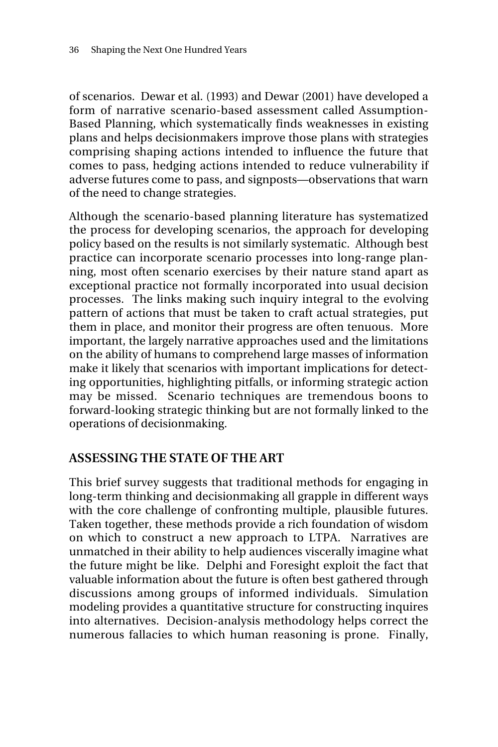of scenarios. Dewar et al. (1993) and Dewar (2001) have developed a form of narrative scenario-based assessment called Assumption-Based Planning, which systematically finds weaknesses in existing plans and helps decisionmakers improve those plans with strategies comprising shaping actions intended to influence the future that comes to pass, hedging actions intended to reduce vulnerability if adverse futures come to pass, and signposts—observations that warn of the need to change strategies.

Although the scenario-based planning literature has systematized the process for developing scenarios, the approach for developing policy based on the results is not similarly systematic. Although best practice can incorporate scenario processes into long-range planning, most often scenario exercises by their nature stand apart as exceptional practice not formally incorporated into usual decision processes. The links making such inquiry integral to the evolving pattern of actions that must be taken to craft actual strategies, put them in place, and monitor their progress are often tenuous. More important, the largely narrative approaches used and the limitations on the ability of humans to comprehend large masses of information make it likely that scenarios with important implications for detecting opportunities, highlighting pitfalls, or informing strategic action may be missed. Scenario techniques are tremendous boons to forward-looking strategic thinking but are not formally linked to the operations of decisionmaking.

#### **ASSESSING THE STATE OF THE ART**

This brief survey suggests that traditional methods for engaging in long-term thinking and decisionmaking all grapple in different ways with the core challenge of confronting multiple, plausible futures. Taken together, these methods provide a rich foundation of wisdom on which to construct a new approach to LTPA. Narratives are unmatched in their ability to help audiences viscerally imagine what the future might be like. Delphi and Foresight exploit the fact that valuable information about the future is often best gathered through discussions among groups of informed individuals. Simulation modeling provides a quantitative structure for constructing inquires into alternatives. Decision-analysis methodology helps correct the numerous fallacies to which human reasoning is prone. Finally,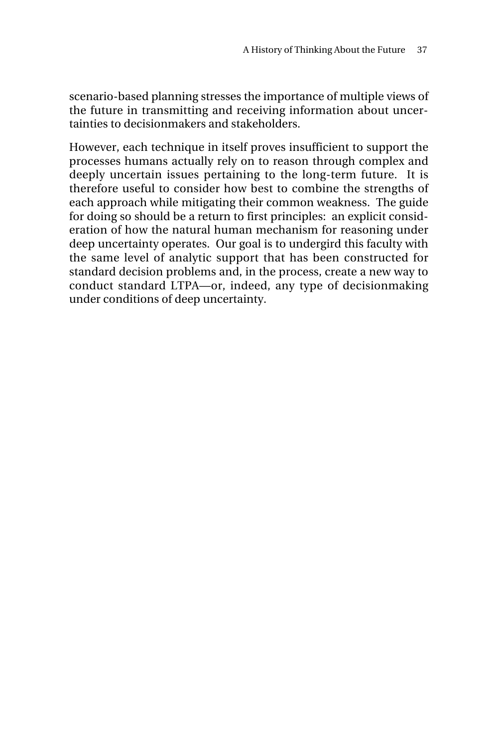scenario-based planning stresses the importance of multiple views of the future in transmitting and receiving information about uncertainties to decisionmakers and stakeholders.

However, each technique in itself proves insufficient to support the processes humans actually rely on to reason through complex and deeply uncertain issues pertaining to the long-term future. It is therefore useful to consider how best to combine the strengths of each approach while mitigating their common weakness. The guide for doing so should be a return to first principles: an explicit consideration of how the natural human mechanism for reasoning under deep uncertainty operates. Our goal is to undergird this faculty with the same level of analytic support that has been constructed for standard decision problems and, in the process, create a new way to conduct standard LTPA—or, indeed, any type of decisionmaking under conditions of deep uncertainty.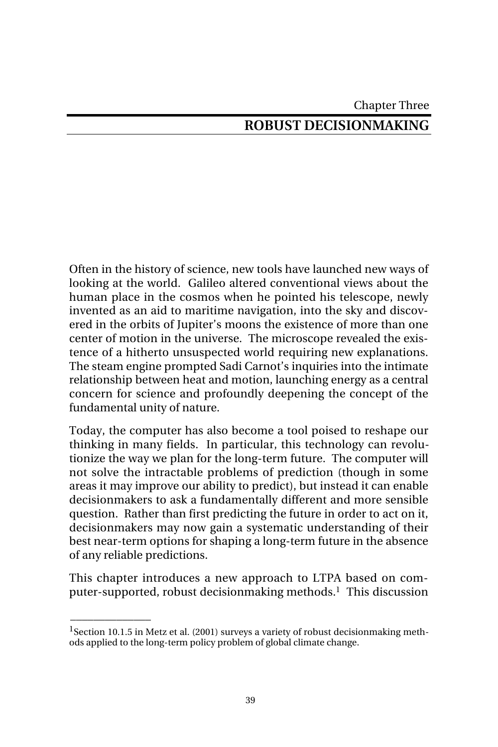# Chapter Three **ROBUST DECISIONMAKING**

Often in the history of science, new tools have launched new ways of looking at the world. Galileo altered conventional views about the human place in the cosmos when he pointed his telescope, newly invented as an aid to maritime navigation, into the sky and discovered in the orbits of Jupiter's moons the existence of more than one center of motion in the universe. The microscope revealed the existence of a hitherto unsuspected world requiring new explanations. The steam engine prompted Sadi Carnot's inquiries into the intimate relationship between heat and motion, launching energy as a central concern for science and profoundly deepening the concept of the fundamental unity of nature.

Today, the computer has also become a tool poised to reshape our thinking in many fields. In particular, this technology can revolutionize the way we plan for the long-term future. The computer will not solve the intractable problems of prediction (though in some areas it may improve our ability to predict), but instead it can enable decisionmakers to ask a fundamentally different and more sensible question. Rather than first predicting the future in order to act on it, decisionmakers may now gain a systematic understanding of their best near-term options for shaping a long-term future in the absence of any reliable predictions.

This chapter introduces a new approach to LTPA based on computer-supported, robust decisionmaking methods.1 This discussion

<sup>&</sup>lt;sup>1</sup>Section 10.1.5 in Metz et al. (2001) surveys a variety of robust decisionmaking methods applied to the long-term policy problem of global climate change.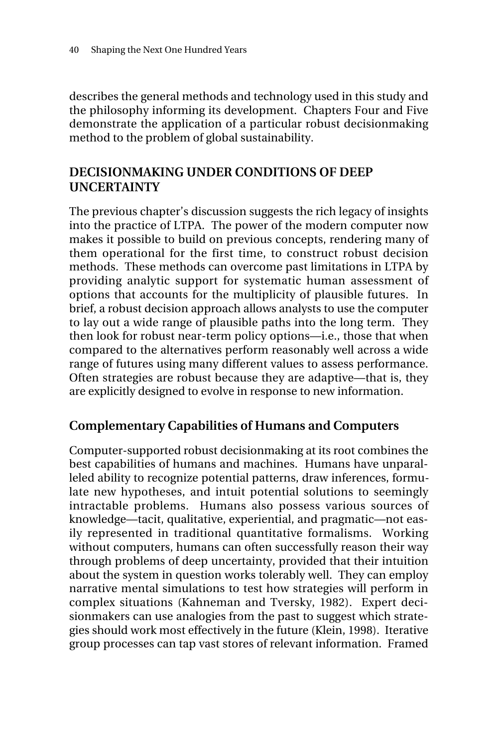describes the general methods and technology used in this study and the philosophy informing its development. Chapters Four and Five demonstrate the application of a particular robust decisionmaking method to the problem of global sustainability.

# **DECISIONMAKING UNDER CONDITIONS OF DEEP UNCERTAINTY**

The previous chapter's discussion suggests the rich legacy of insights into the practice of LTPA. The power of the modern computer now makes it possible to build on previous concepts, rendering many of them operational for the first time, to construct robust decision methods. These methods can overcome past limitations in LTPA by providing analytic support for systematic human assessment of options that accounts for the multiplicity of plausible futures. In brief, a robust decision approach allows analysts to use the computer to lay out a wide range of plausible paths into the long term. They then look for robust near-term policy options—i.e., those that when compared to the alternatives perform reasonably well across a wide range of futures using many different values to assess performance. Often strategies are robust because they are adaptive—that is, they are explicitly designed to evolve in response to new information.

## **Complementary Capabilities of Humans and Computers**

Computer-supported robust decisionmaking at its root combines the best capabilities of humans and machines. Humans have unparalleled ability to recognize potential patterns, draw inferences, formulate new hypotheses, and intuit potential solutions to seemingly intractable problems. Humans also possess various sources of knowledge—tacit, qualitative, experiential, and pragmatic—not easily represented in traditional quantitative formalisms. Working without computers, humans can often successfully reason their way through problems of deep uncertainty, provided that their intuition about the system in question works tolerably well. They can employ narrative mental simulations to test how strategies will perform in complex situations (Kahneman and Tversky, 1982). Expert decisionmakers can use analogies from the past to suggest which strategies should work most effectively in the future (Klein, 1998). Iterative group processes can tap vast stores of relevant information. Framed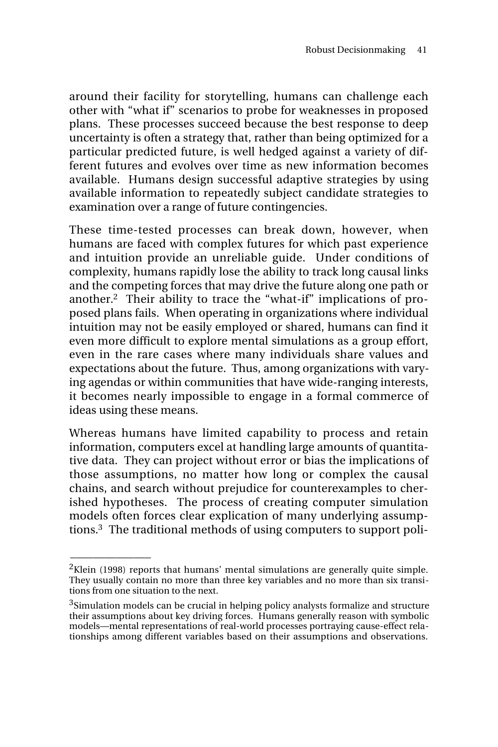around their facility for storytelling, humans can challenge each other with "what if" scenarios to probe for weaknesses in proposed plans. These processes succeed because the best response to deep uncertainty is often a strategy that, rather than being optimized for a particular predicted future, is well hedged against a variety of different futures and evolves over time as new information becomes available. Humans design successful adaptive strategies by using available information to repeatedly subject candidate strategies to examination over a range of future contingencies.

These time-tested processes can break down, however, when humans are faced with complex futures for which past experience and intuition provide an unreliable guide. Under conditions of complexity, humans rapidly lose the ability to track long causal links and the competing forces that may drive the future along one path or another.2 Their ability to trace the "what-if" implications of proposed plans fails. When operating in organizations where individual intuition may not be easily employed or shared, humans can find it even more difficult to explore mental simulations as a group effort, even in the rare cases where many individuals share values and expectations about the future. Thus, among organizations with varying agendas or within communities that have wide-ranging interests, it becomes nearly impossible to engage in a formal commerce of ideas using these means.

Whereas humans have limited capability to process and retain information, computers excel at handling large amounts of quantitative data. They can project without error or bias the implications of those assumptions, no matter how long or complex the causal chains, and search without prejudice for counterexamples to cherished hypotheses. The process of creating computer simulation models often forces clear explication of many underlying assumptions.3 The traditional methods of using computers to support poli-

\_\_\_\_\_\_\_\_\_\_\_\_\_\_

 $2$ Klein (1998) reports that humans' mental simulations are generally quite simple. They usually contain no more than three key variables and no more than six transitions from one situation to the next.

<sup>&</sup>lt;sup>3</sup>Simulation models can be crucial in helping policy analysts formalize and structure their assumptions about key driving forces. Humans generally reason with symbolic models—mental representations of real-world processes portraying cause-effect relationships among different variables based on their assumptions and observations.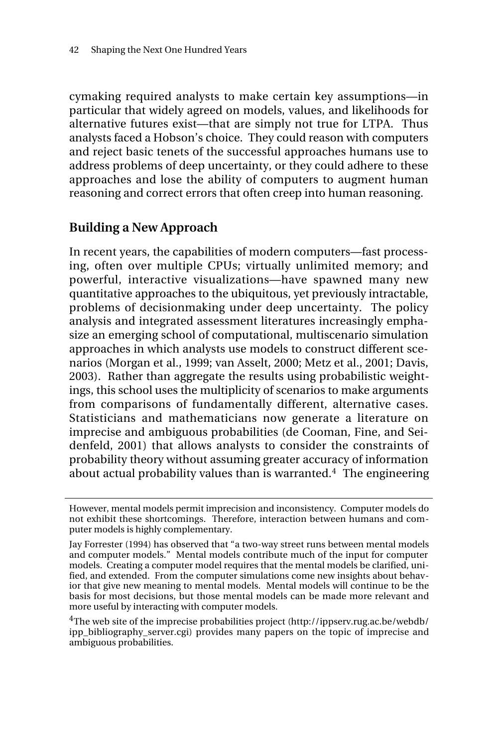cymaking required analysts to make certain key assumptions—in particular that widely agreed on models, values, and likelihoods for alternative futures exist—that are simply not true for LTPA. Thus analysts faced a Hobson's choice. They could reason with computers and reject basic tenets of the successful approaches humans use to address problems of deep uncertainty, or they could adhere to these approaches and lose the ability of computers to augment human reasoning and correct errors that often creep into human reasoning.

## **Building a New Approach**

In recent years, the capabilities of modern computers—fast processing, often over multiple CPUs; virtually unlimited memory; and powerful, interactive visualizations—have spawned many new quantitative approaches to the ubiquitous, yet previously intractable, problems of decisionmaking under deep uncertainty. The policy analysis and integrated assessment literatures increasingly emphasize an emerging school of computational, multiscenario simulation approaches in which analysts use models to construct different scenarios (Morgan et al., 1999; van Asselt, 2000; Metz et al., 2001; Davis, 2003). Rather than aggregate the results using probabilistic weightings, this school uses the multiplicity of scenarios to make arguments from comparisons of fundamentally different, alternative cases. Statisticians and mathematicians now generate a literature on imprecise and ambiguous probabilities (de Cooman, Fine, and Seidenfeld, 2001) that allows analysts to consider the constraints of probability theory without assuming greater accuracy of information about actual probability values than is warranted. $4$  The engineering

However, mental models permit imprecision and inconsistency. Computer models do not exhibit these shortcomings. Therefore, interaction between humans and computer models is highly complementary.

Jay Forrester (1994) has observed that "a two-way street runs between mental models and computer models." Mental models contribute much of the input for computer models. Creating a computer model requires that the mental models be clarified, unified, and extended. From the computer simulations come new insights about behavior that give new meaning to mental models. Mental models will continue to be the basis for most decisions, but those mental models can be made more relevant and more useful by interacting with computer models.

<sup>4</sup>The web site of the imprecise probabilities project (http://ippserv.rug.ac.be/webdb/ ipp\_bibliography\_server.cgi) provides many papers on the topic of imprecise and ambiguous probabilities.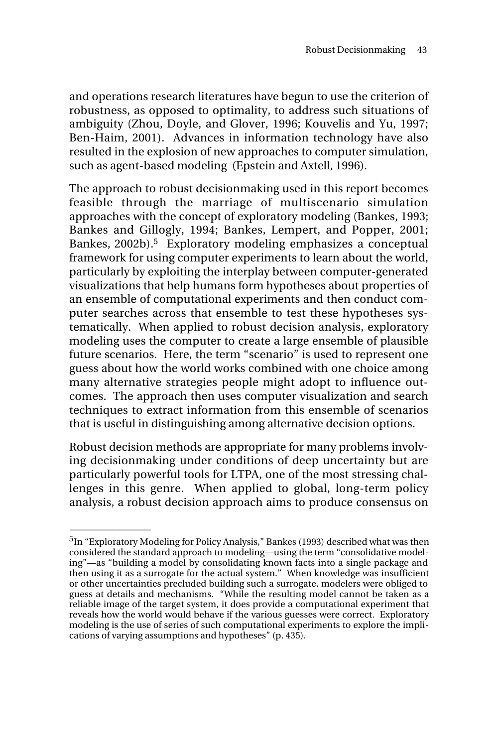and operations research literatures have begun to use the criterion of robustness, as opposed to optimality, to address such situations of ambiguity (Zhou, Doyle, and Glover, 1996; Kouvelis and Yu, 1997; Ben-Haim, 2001). Advances in information technology have also resulted in the explosion of new approaches to computer simulation, such as agent-based modeling (Epstein and Axtell, 1996).

The approach to robust decisionmaking used in this report becomes feasible through the marriage of multiscenario simulation approaches with the concept of exploratory modeling (Bankes, 1993; Bankes and Gillogly, 1994; Bankes, Lempert, and Popper, 2001; Bankes, 2002b).<sup>5</sup> Exploratory modeling emphasizes a conceptual framework for using computer experiments to learn about the world, particularly by exploiting the interplay between computer-generated visualizations that help humans form hypotheses about properties of an ensemble of computational experiments and then conduct computer searches across that ensemble to test these hypotheses systematically. When applied to robust decision analysis, exploratory modeling uses the computer to create a large ensemble of plausible future scenarios. Here, the term "scenario" is used to represent one guess about how the world works combined with one choice among many alternative strategies people might adopt to influence outcomes. The approach then uses computer visualization and search techniques to extract information from this ensemble of scenarios that is useful in distinguishing among alternative decision options.

Robust decision methods are appropriate for many problems involving decisionmaking under conditions of deep uncertainty but are particularly powerful tools for LTPA, one of the most stressing challenges in this genre. When applied to global, long-term policy analysis, a robust decision approach aims to produce consensus on

<sup>&</sup>lt;sup>5</sup>In "Exploratory Modeling for Policy Analysis," Bankes (1993) described what was then considered the standard approach to modeling—using the term "consolidative modeling"—as "building a model by consolidating known facts into a single package and then using it as a surrogate for the actual system." When knowledge was insufficient or other uncertainties precluded building such a surrogate, modelers were obliged to guess at details and mechanisms. "While the resulting model cannot be taken as a reliable image of the target system, it does provide a computational experiment that reveals how the world would behave if the various guesses were correct. Exploratory modeling is the use of series of such computational experiments to explore the implications of varying assumptions and hypotheses" (p. 435).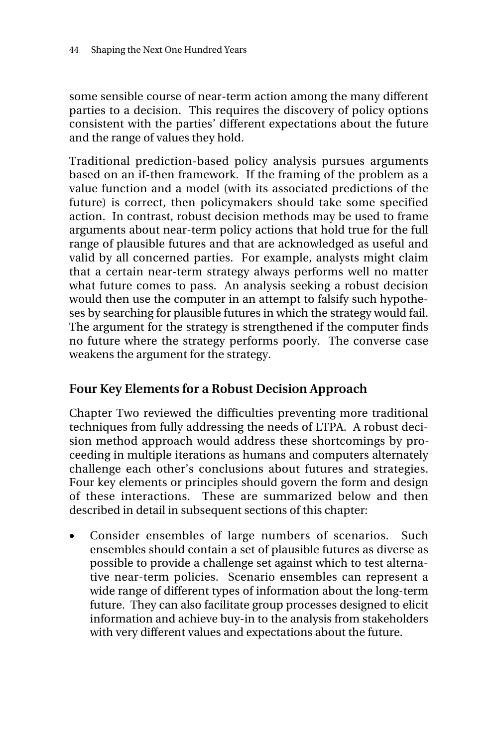some sensible course of near-term action among the many different parties to a decision. This requires the discovery of policy options consistent with the parties' different expectations about the future and the range of values they hold.

Traditional prediction-based policy analysis pursues arguments based on an if-then framework. If the framing of the problem as a value function and a model (with its associated predictions of the future) is correct, then policymakers should take some specified action. In contrast, robust decision methods may be used to frame arguments about near-term policy actions that hold true for the full range of plausible futures and that are acknowledged as useful and valid by all concerned parties. For example, analysts might claim that a certain near-term strategy always performs well no matter what future comes to pass. An analysis seeking a robust decision would then use the computer in an attempt to falsify such hypotheses by searching for plausible futures in which the strategy would fail. The argument for the strategy is strengthened if the computer finds no future where the strategy performs poorly. The converse case weakens the argument for the strategy.

## **Four Key Elements for a Robust Decision Approach**

Chapter Two reviewed the difficulties preventing more traditional techniques from fully addressing the needs of LTPA. A robust decision method approach would address these shortcomings by proceeding in multiple iterations as humans and computers alternately challenge each other's conclusions about futures and strategies. Four key elements or principles should govern the form and design of these interactions. These are summarized below and then described in detail in subsequent sections of this chapter:

• Consider ensembles of large numbers of scenarios. Such ensembles should contain a set of plausible futures as diverse as possible to provide a challenge set against which to test alternative near-term policies. Scenario ensembles can represent a wide range of different types of information about the long-term future. They can also facilitate group processes designed to elicit information and achieve buy-in to the analysis from stakeholders with very different values and expectations about the future.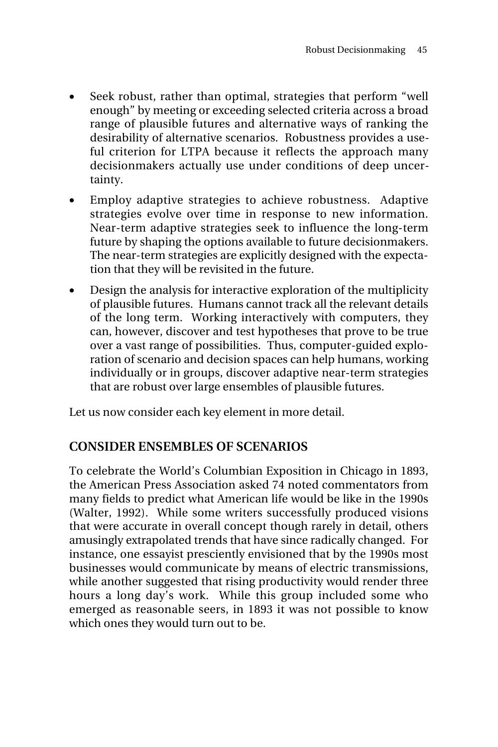- Seek robust, rather than optimal, strategies that perform "well enough" by meeting or exceeding selected criteria across a broad range of plausible futures and alternative ways of ranking the desirability of alternative scenarios. Robustness provides a useful criterion for LTPA because it reflects the approach many decisionmakers actually use under conditions of deep uncertainty.
- Employ adaptive strategies to achieve robustness. Adaptive strategies evolve over time in response to new information. Near-term adaptive strategies seek to influence the long-term future by shaping the options available to future decisionmakers. The near-term strategies are explicitly designed with the expectation that they will be revisited in the future.
- Design the analysis for interactive exploration of the multiplicity of plausible futures. Humans cannot track all the relevant details of the long term. Working interactively with computers, they can, however, discover and test hypotheses that prove to be true over a vast range of possibilities. Thus, computer-guided exploration of scenario and decision spaces can help humans, working individually or in groups, discover adaptive near-term strategies that are robust over large ensembles of plausible futures.

Let us now consider each key element in more detail.

#### **CONSIDER ENSEMBLES OF SCENARIOS**

To celebrate the World's Columbian Exposition in Chicago in 1893, the American Press Association asked 74 noted commentators from many fields to predict what American life would be like in the 1990s (Walter, 1992). While some writers successfully produced visions that were accurate in overall concept though rarely in detail, others amusingly extrapolated trends that have since radically changed. For instance, one essayist presciently envisioned that by the 1990s most businesses would communicate by means of electric transmissions, while another suggested that rising productivity would render three hours a long day's work. While this group included some who emerged as reasonable seers, in 1893 it was not possible to know which ones they would turn out to be.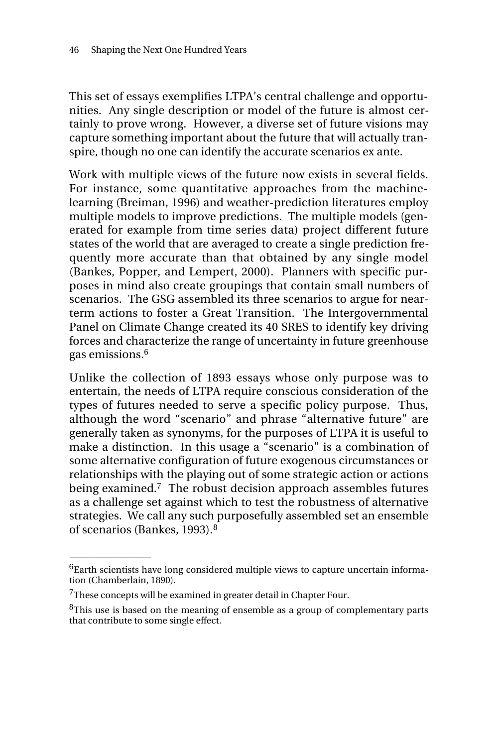This set of essays exemplifies LTPA's central challenge and opportunities. Any single description or model of the future is almost certainly to prove wrong. However, a diverse set of future visions may capture something important about the future that will actually transpire, though no one can identify the accurate scenarios ex ante.

Work with multiple views of the future now exists in several fields. For instance, some quantitative approaches from the machinelearning (Breiman, 1996) and weather-prediction literatures employ multiple models to improve predictions. The multiple models (generated for example from time series data) project different future states of the world that are averaged to create a single prediction frequently more accurate than that obtained by any single model (Bankes, Popper, and Lempert, 2000). Planners with specific purposes in mind also create groupings that contain small numbers of scenarios. The GSG assembled its three scenarios to argue for nearterm actions to foster a Great Transition. The Intergovernmental Panel on Climate Change created its 40 SRES to identify key driving forces and characterize the range of uncertainty in future greenhouse gas emissions.6

Unlike the collection of 1893 essays whose only purpose was to entertain, the needs of LTPA require conscious consideration of the types of futures needed to serve a specific policy purpose. Thus, although the word "scenario" and phrase "alternative future" are generally taken as synonyms, for the purposes of LTPA it is useful to make a distinction. In this usage a "scenario" is a combination of some alternative configuration of future exogenous circumstances or relationships with the playing out of some strategic action or actions being examined.<sup>7</sup> The robust decision approach assembles futures as a challenge set against which to test the robustness of alternative strategies. We call any such purposefully assembled set an ensemble of scenarios (Bankes, 1993).8

 $6$ Earth scientists have long considered multiple views to capture uncertain information (Chamberlain, 1890).

<sup>7</sup>These concepts will be examined in greater detail in Chapter Four.

 ${}^{8}$ This use is based on the meaning of ensemble as a group of complementary parts that contribute to some single effect.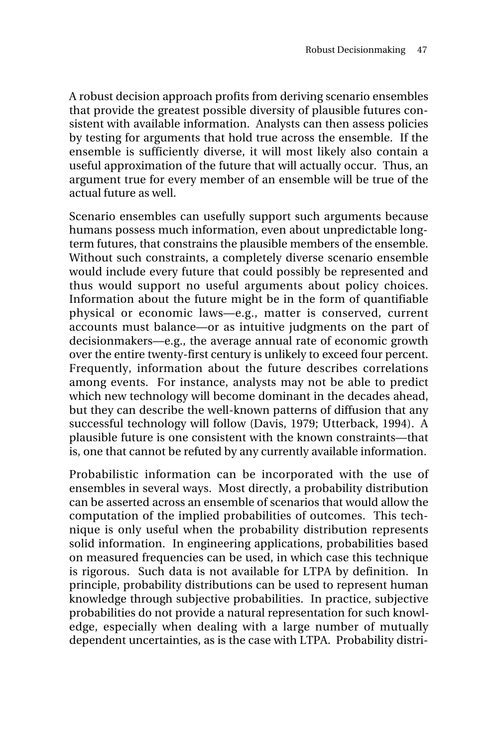A robust decision approach profits from deriving scenario ensembles that provide the greatest possible diversity of plausible futures consistent with available information. Analysts can then assess policies by testing for arguments that hold true across the ensemble. If the ensemble is sufficiently diverse, it will most likely also contain a useful approximation of the future that will actually occur. Thus, an argument true for every member of an ensemble will be true of the actual future as well.

Scenario ensembles can usefully support such arguments because humans possess much information, even about unpredictable longterm futures, that constrains the plausible members of the ensemble. Without such constraints, a completely diverse scenario ensemble would include every future that could possibly be represented and thus would support no useful arguments about policy choices. Information about the future might be in the form of quantifiable physical or economic laws—e.g., matter is conserved, current accounts must balance—or as intuitive judgments on the part of decisionmakers—e.g., the average annual rate of economic growth over the entire twenty-first century is unlikely to exceed four percent. Frequently, information about the future describes correlations among events. For instance, analysts may not be able to predict which new technology will become dominant in the decades ahead, but they can describe the well-known patterns of diffusion that any successful technology will follow (Davis, 1979; Utterback, 1994). A plausible future is one consistent with the known constraints—that is, one that cannot be refuted by any currently available information.

Probabilistic information can be incorporated with the use of ensembles in several ways. Most directly, a probability distribution can be asserted across an ensemble of scenarios that would allow the computation of the implied probabilities of outcomes. This technique is only useful when the probability distribution represents solid information. In engineering applications, probabilities based on measured frequencies can be used, in which case this technique is rigorous. Such data is not available for LTPA by definition. In principle, probability distributions can be used to represent human knowledge through subjective probabilities. In practice, subjective probabilities do not provide a natural representation for such knowledge, especially when dealing with a large number of mutually dependent uncertainties, as is the case with LTPA. Probability distri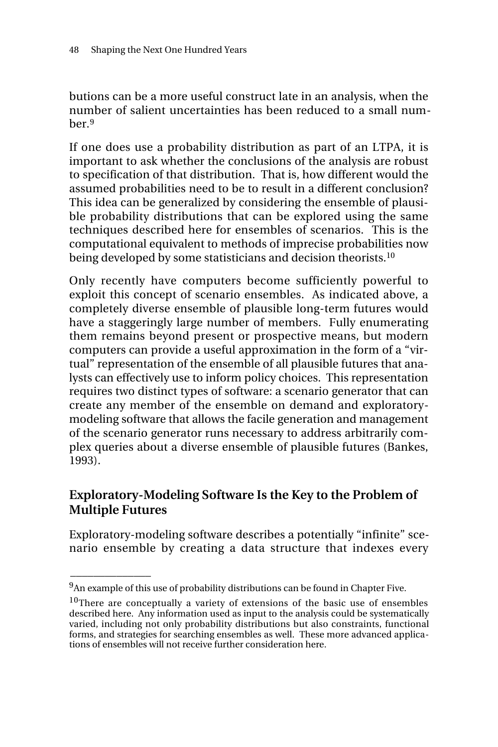butions can be a more useful construct late in an analysis, when the number of salient uncertainties has been reduced to a small numher<sup>9</sup>

If one does use a probability distribution as part of an LTPA, it is important to ask whether the conclusions of the analysis are robust to specification of that distribution. That is, how different would the assumed probabilities need to be to result in a different conclusion? This idea can be generalized by considering the ensemble of plausible probability distributions that can be explored using the same techniques described here for ensembles of scenarios. This is the computational equivalent to methods of imprecise probabilities now being developed by some statisticians and decision theorists.<sup>10</sup>

Only recently have computers become sufficiently powerful to exploit this concept of scenario ensembles. As indicated above, a completely diverse ensemble of plausible long-term futures would have a staggeringly large number of members. Fully enumerating them remains beyond present or prospective means, but modern computers can provide a useful approximation in the form of a "virtual" representation of the ensemble of all plausible futures that analysts can effectively use to inform policy choices. This representation requires two distinct types of software: a scenario generator that can create any member of the ensemble on demand and exploratorymodeling software that allows the facile generation and management of the scenario generator runs necessary to address arbitrarily complex queries about a diverse ensemble of plausible futures (Bankes, 1993).

# **Exploratory-Modeling Software Is the Key to the Problem of Multiple Futures**

Exploratory-modeling software describes a potentially "infinite" scenario ensemble by creating a data structure that indexes every

<sup>&</sup>lt;sup>9</sup>An example of this use of probability distributions can be found in Chapter Five.

 $10$ There are conceptually a variety of extensions of the basic use of ensembles described here. Any information used as input to the analysis could be systematically varied, including not only probability distributions but also constraints, functional forms, and strategies for searching ensembles as well. These more advanced applications of ensembles will not receive further consideration here.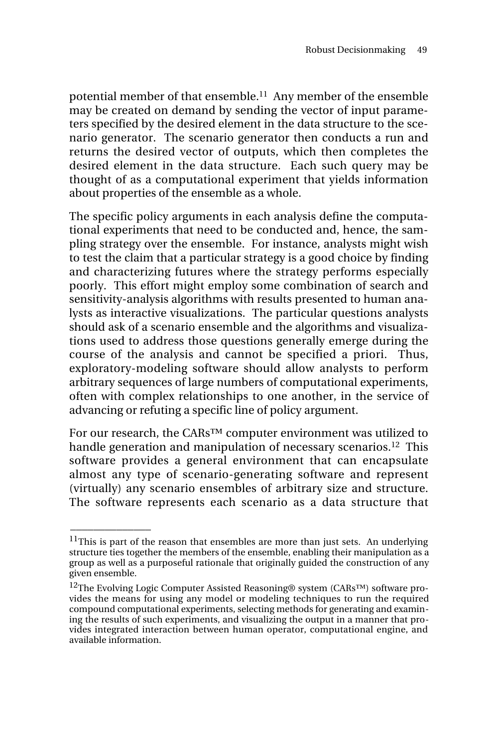potential member of that ensemble.<sup>11</sup> Any member of the ensemble may be created on demand by sending the vector of input parameters specified by the desired element in the data structure to the scenario generator. The scenario generator then conducts a run and returns the desired vector of outputs, which then completes the desired element in the data structure. Each such query may be thought of as a computational experiment that yields information about properties of the ensemble as a whole.

The specific policy arguments in each analysis define the computational experiments that need to be conducted and, hence, the sampling strategy over the ensemble. For instance, analysts might wish to test the claim that a particular strategy is a good choice by finding and characterizing futures where the strategy performs especially poorly. This effort might employ some combination of search and sensitivity-analysis algorithms with results presented to human analysts as interactive visualizations. The particular questions analysts should ask of a scenario ensemble and the algorithms and visualizations used to address those questions generally emerge during the course of the analysis and cannot be specified a priori. Thus, exploratory-modeling software should allow analysts to perform arbitrary sequences of large numbers of computational experiments, often with complex relationships to one another, in the service of advancing or refuting a specific line of policy argument.

For our research, the CARs™ computer environment was utilized to handle generation and manipulation of necessary scenarios.<sup>12</sup> This software provides a general environment that can encapsulate almost any type of scenario-generating software and represent (virtually) any scenario ensembles of arbitrary size and structure. The software represents each scenario as a data structure that

\_\_\_\_\_\_\_\_\_\_\_\_\_\_

 $11$ This is part of the reason that ensembles are more than just sets. An underlying structure ties together the members of the ensemble, enabling their manipulation as a group as well as a purposeful rationale that originally guided the construction of any given ensemble.

<sup>&</sup>lt;sup>12</sup>The Evolving Logic Computer Assisted Reasoning® system (CARs<sup>™)</sup> software provides the means for using any model or modeling techniques to run the required compound computational experiments, selecting methods for generating and examining the results of such experiments, and visualizing the output in a manner that provides integrated interaction between human operator, computational engine, and available information.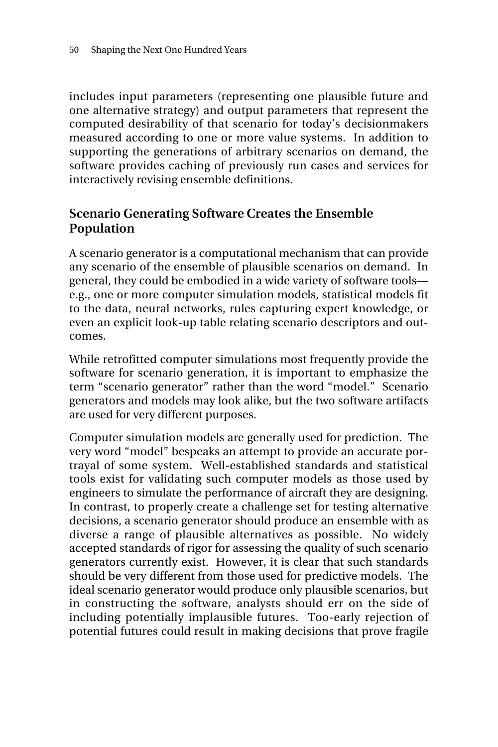includes input parameters (representing one plausible future and one alternative strategy) and output parameters that represent the computed desirability of that scenario for today's decisionmakers measured according to one or more value systems. In addition to supporting the generations of arbitrary scenarios on demand, the software provides caching of previously run cases and services for interactively revising ensemble definitions.

# **Scenario Generating Software Creates the Ensemble Population**

A scenario generator is a computational mechanism that can provide any scenario of the ensemble of plausible scenarios on demand. In general, they could be embodied in a wide variety of software tools e.g., one or more computer simulation models, statistical models fit to the data, neural networks, rules capturing expert knowledge, or even an explicit look-up table relating scenario descriptors and outcomes.

While retrofitted computer simulations most frequently provide the software for scenario generation, it is important to emphasize the term "scenario generator" rather than the word "model." Scenario generators and models may look alike, but the two software artifacts are used for very different purposes.

Computer simulation models are generally used for prediction. The very word "model" bespeaks an attempt to provide an accurate portrayal of some system. Well-established standards and statistical tools exist for validating such computer models as those used by engineers to simulate the performance of aircraft they are designing. In contrast, to properly create a challenge set for testing alternative decisions, a scenario generator should produce an ensemble with as diverse a range of plausible alternatives as possible. No widely accepted standards of rigor for assessing the quality of such scenario generators currently exist. However, it is clear that such standards should be very different from those used for predictive models. The ideal scenario generator would produce only plausible scenarios, but in constructing the software, analysts should err on the side of including potentially implausible futures. Too-early rejection of potential futures could result in making decisions that prove fragile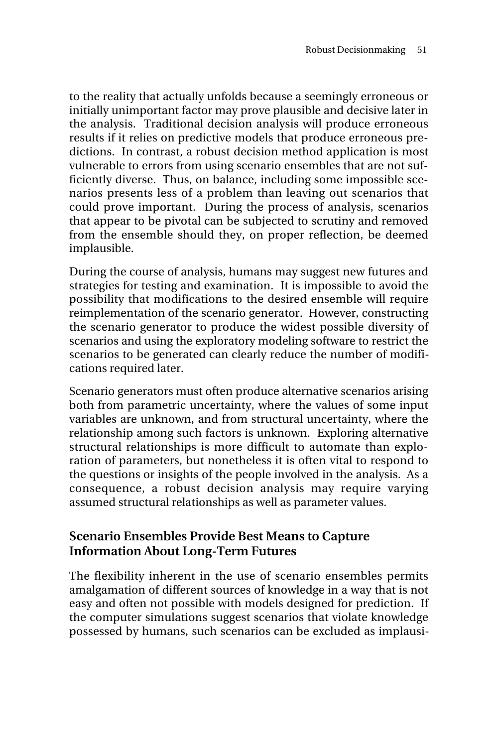to the reality that actually unfolds because a seemingly erroneous or initially unimportant factor may prove plausible and decisive later in the analysis. Traditional decision analysis will produce erroneous results if it relies on predictive models that produce erroneous predictions. In contrast, a robust decision method application is most vulnerable to errors from using scenario ensembles that are not sufficiently diverse. Thus, on balance, including some impossible scenarios presents less of a problem than leaving out scenarios that could prove important. During the process of analysis, scenarios that appear to be pivotal can be subjected to scrutiny and removed from the ensemble should they, on proper reflection, be deemed implausible.

During the course of analysis, humans may suggest new futures and strategies for testing and examination. It is impossible to avoid the possibility that modifications to the desired ensemble will require reimplementation of the scenario generator. However, constructing the scenario generator to produce the widest possible diversity of scenarios and using the exploratory modeling software to restrict the scenarios to be generated can clearly reduce the number of modifications required later.

Scenario generators must often produce alternative scenarios arising both from parametric uncertainty, where the values of some input variables are unknown, and from structural uncertainty, where the relationship among such factors is unknown. Exploring alternative structural relationships is more difficult to automate than exploration of parameters, but nonetheless it is often vital to respond to the questions or insights of the people involved in the analysis. As a consequence, a robust decision analysis may require varying assumed structural relationships as well as parameter values.

# **Scenario Ensembles Provide Best Means to Capture Information About Long-Term Futures**

The flexibility inherent in the use of scenario ensembles permits amalgamation of different sources of knowledge in a way that is not easy and often not possible with models designed for prediction. If the computer simulations suggest scenarios that violate knowledge possessed by humans, such scenarios can be excluded as implausi-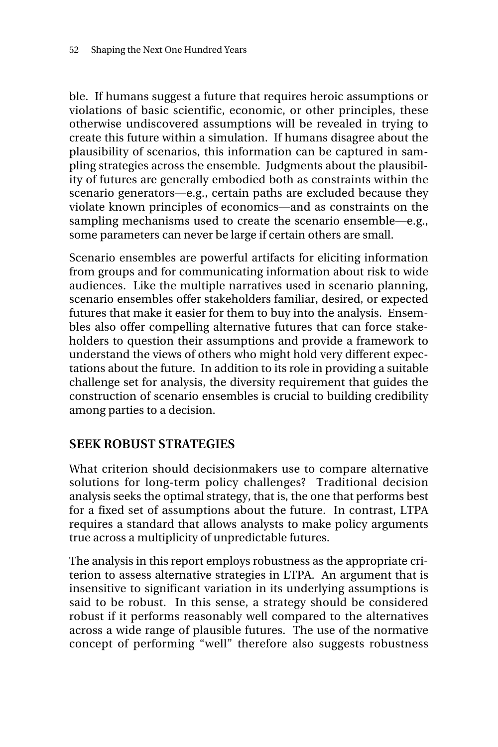ble. If humans suggest a future that requires heroic assumptions or violations of basic scientific, economic, or other principles, these otherwise undiscovered assumptions will be revealed in trying to create this future within a simulation. If humans disagree about the plausibility of scenarios, this information can be captured in sampling strategies across the ensemble. Judgments about the plausibility of futures are generally embodied both as constraints within the scenario generators—e.g., certain paths are excluded because they violate known principles of economics—and as constraints on the sampling mechanisms used to create the scenario ensemble—e.g., some parameters can never be large if certain others are small.

Scenario ensembles are powerful artifacts for eliciting information from groups and for communicating information about risk to wide audiences. Like the multiple narratives used in scenario planning, scenario ensembles offer stakeholders familiar, desired, or expected futures that make it easier for them to buy into the analysis. Ensembles also offer compelling alternative futures that can force stakeholders to question their assumptions and provide a framework to understand the views of others who might hold very different expectations about the future. In addition to its role in providing a suitable challenge set for analysis, the diversity requirement that guides the construction of scenario ensembles is crucial to building credibility among parties to a decision.

# **SEEK ROBUST STRATEGIES**

What criterion should decisionmakers use to compare alternative solutions for long-term policy challenges? Traditional decision analysis seeks the optimal strategy, that is, the one that performs best for a fixed set of assumptions about the future. In contrast, LTPA requires a standard that allows analysts to make policy arguments true across a multiplicity of unpredictable futures.

The analysis in this report employs robustness as the appropriate criterion to assess alternative strategies in LTPA. An argument that is insensitive to significant variation in its underlying assumptions is said to be robust. In this sense, a strategy should be considered robust if it performs reasonably well compared to the alternatives across a wide range of plausible futures. The use of the normative concept of performing "well" therefore also suggests robustness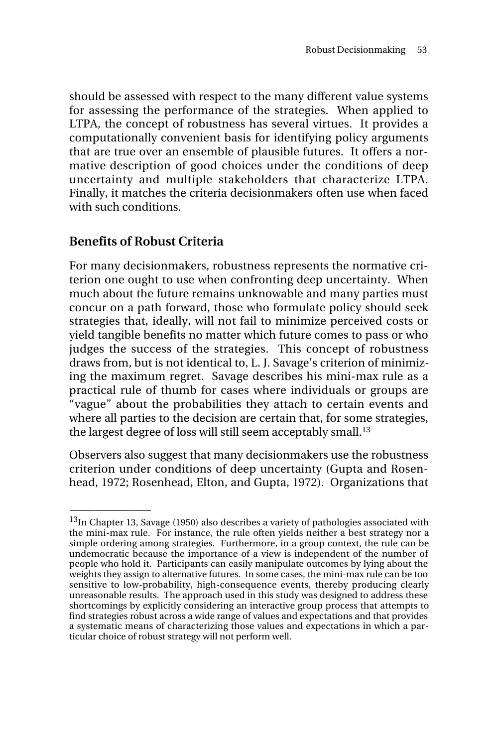should be assessed with respect to the many different value systems for assessing the performance of the strategies. When applied to LTPA, the concept of robustness has several virtues. It provides a computationally convenient basis for identifying policy arguments that are true over an ensemble of plausible futures. It offers a normative description of good choices under the conditions of deep uncertainty and multiple stakeholders that characterize LTPA. Finally, it matches the criteria decisionmakers often use when faced with such conditions.

# **Benefits of Robust Criteria**

 $\overline{\phantom{a}}$ 

For many decisionmakers, robustness represents the normative criterion one ought to use when confronting deep uncertainty. When much about the future remains unknowable and many parties must concur on a path forward, those who formulate policy should seek strategies that, ideally, will not fail to minimize perceived costs or yield tangible benefits no matter which future comes to pass or who judges the success of the strategies. This concept of robustness draws from, but is not identical to, L. J. Savage's criterion of minimizing the maximum regret. Savage describes his mini-max rule as a practical rule of thumb for cases where individuals or groups are "vague" about the probabilities they attach to certain events and where all parties to the decision are certain that, for some strategies, the largest degree of loss will still seem acceptably small.<sup>13</sup>

Observers also suggest that many decisionmakers use the robustness criterion under conditions of deep uncertainty (Gupta and Rosenhead, 1972; Rosenhead, Elton, and Gupta, 1972). Organizations that

 $13$ In Chapter 13, Savage (1950) also describes a variety of pathologies associated with the mini-max rule. For instance, the rule often yields neither a best strategy nor a simple ordering among strategies. Furthermore, in a group context, the rule can be undemocratic because the importance of a view is independent of the number of people who hold it. Participants can easily manipulate outcomes by lying about the weights they assign to alternative futures. In some cases, the mini-max rule can be too sensitive to low-probability, high-consequence events, thereby producing clearly unreasonable results. The approach used in this study was designed to address these shortcomings by explicitly considering an interactive group process that attempts to find strategies robust across a wide range of values and expectations and that provides a systematic means of characterizing those values and expectations in which a particular choice of robust strategy will not perform well.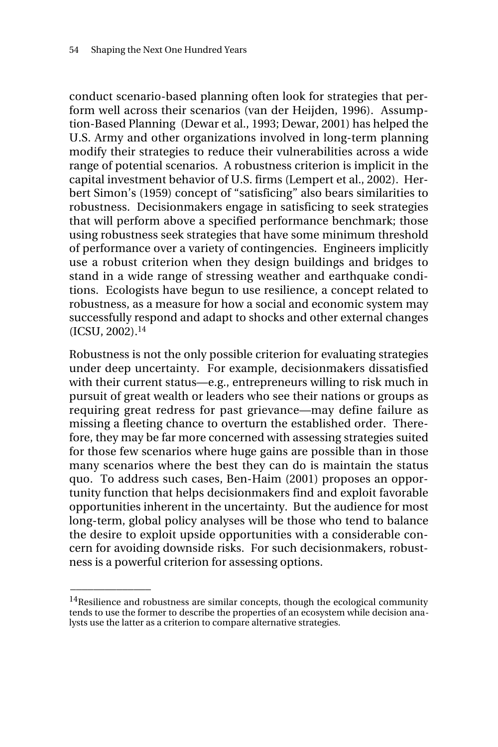conduct scenario-based planning often look for strategies that perform well across their scenarios (van der Heijden, 1996). Assumption-Based Planning (Dewar et al., 1993; Dewar, 2001) has helped the U.S. Army and other organizations involved in long-term planning modify their strategies to reduce their vulnerabilities across a wide range of potential scenarios. A robustness criterion is implicit in the capital investment behavior of U.S. firms (Lempert et al., 2002). Herbert Simon's (1959) concept of "satisficing" also bears similarities to robustness. Decisionmakers engage in satisficing to seek strategies that will perform above a specified performance benchmark; those using robustness seek strategies that have some minimum threshold of performance over a variety of contingencies. Engineers implicitly use a robust criterion when they design buildings and bridges to stand in a wide range of stressing weather and earthquake conditions. Ecologists have begun to use resilience, a concept related to robustness, as a measure for how a social and economic system may successfully respond and adapt to shocks and other external changes (ICSU, 2002).14

Robustness is not the only possible criterion for evaluating strategies under deep uncertainty. For example, decisionmakers dissatisfied with their current status—e.g., entrepreneurs willing to risk much in pursuit of great wealth or leaders who see their nations or groups as requiring great redress for past grievance—may define failure as missing a fleeting chance to overturn the established order. Therefore, they may be far more concerned with assessing strategies suited for those few scenarios where huge gains are possible than in those many scenarios where the best they can do is maintain the status quo. To address such cases, Ben-Haim (2001) proposes an opportunity function that helps decisionmakers find and exploit favorable opportunities inherent in the uncertainty. But the audience for most long-term, global policy analyses will be those who tend to balance the desire to exploit upside opportunities with a considerable concern for avoiding downside risks. For such decisionmakers, robustness is a powerful criterion for assessing options.

 $\overline{\phantom{a}}$ 

 $14$ Resilience and robustness are similar concepts, though the ecological community tends to use the former to describe the properties of an ecosystem while decision analysts use the latter as a criterion to compare alternative strategies.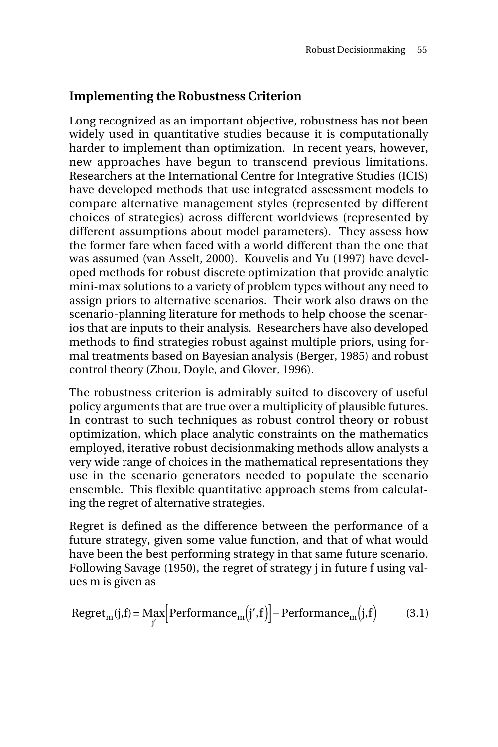# **Implementing the Robustness Criterion**

Long recognized as an important objective, robustness has not been widely used in quantitative studies because it is computationally harder to implement than optimization. In recent years, however, new approaches have begun to transcend previous limitations. Researchers at the International Centre for Integrative Studies (ICIS) have developed methods that use integrated assessment models to compare alternative management styles (represented by different choices of strategies) across different worldviews (represented by different assumptions about model parameters). They assess how the former fare when faced with a world different than the one that was assumed (van Asselt, 2000). Kouvelis and Yu (1997) have developed methods for robust discrete optimization that provide analytic mini-max solutions to a variety of problem types without any need to assign priors to alternative scenarios. Their work also draws on the scenario-planning literature for methods to help choose the scenarios that are inputs to their analysis. Researchers have also developed methods to find strategies robust against multiple priors, using formal treatments based on Bayesian analysis (Berger, 1985) and robust control theory (Zhou, Doyle, and Glover, 1996).

The robustness criterion is admirably suited to discovery of useful policy arguments that are true over a multiplicity of plausible futures. In contrast to such techniques as robust control theory or robust optimization, which place analytic constraints on the mathematics employed, iterative robust decisionmaking methods allow analysts a very wide range of choices in the mathematical representations they use in the scenario generators needed to populate the scenario ensemble. This flexible quantitative approach stems from calculating the regret of alternative strategies.

Regret is defined as the difference between the performance of a future strategy, given some value function, and that of what would have been the best performing strategy in that same future scenario. Following Savage (1950), the regret of strategy j in future f using values m is given as

$$
Regretm(j,f) = Max[Performancem(j',f)] - Performancem(j,f)
$$
 (3.1)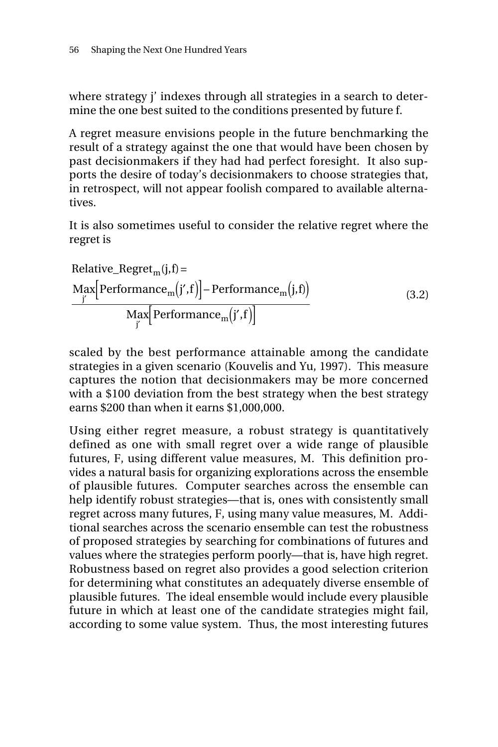where strategy j' indexes through all strategies in a search to determine the one best suited to the conditions presented by future f.

A regret measure envisions people in the future benchmarking the result of a strategy against the one that would have been chosen by past decisionmakers if they had had perfect foresight. It also supports the desire of today's decisionmakers to choose strategies that, in retrospect, will not appear foolish compared to available alternatives.

It is also sometimes useful to consider the relative regret where the regret is

Relative\_Regret<sub>m</sub>(j,f)=  
\n
$$
\frac{\text{Max}\left[\text{Performance}_{m}(j',f)\right]-\text{Performance}_{m}(j,f)}{\text{Max}\left[\text{Performance}_{m}(j',f)\right]}
$$
\n(3.2)

scaled by the best performance attainable among the candidate strategies in a given scenario (Kouvelis and Yu, 1997). This measure captures the notion that decisionmakers may be more concerned with a \$100 deviation from the best strategy when the best strategy earns \$200 than when it earns \$1,000,000.

Using either regret measure, a robust strategy is quantitatively defined as one with small regret over a wide range of plausible futures, F, using different value measures, M. This definition provides a natural basis for organizing explorations across the ensemble of plausible futures. Computer searches across the ensemble can help identify robust strategies—that is, ones with consistently small regret across many futures, F, using many value measures, M. Additional searches across the scenario ensemble can test the robustness of proposed strategies by searching for combinations of futures and values where the strategies perform poorly—that is, have high regret. Robustness based on regret also provides a good selection criterion for determining what constitutes an adequately diverse ensemble of plausible futures. The ideal ensemble would include every plausible future in which at least one of the candidate strategies might fail, according to some value system. Thus, the most interesting futures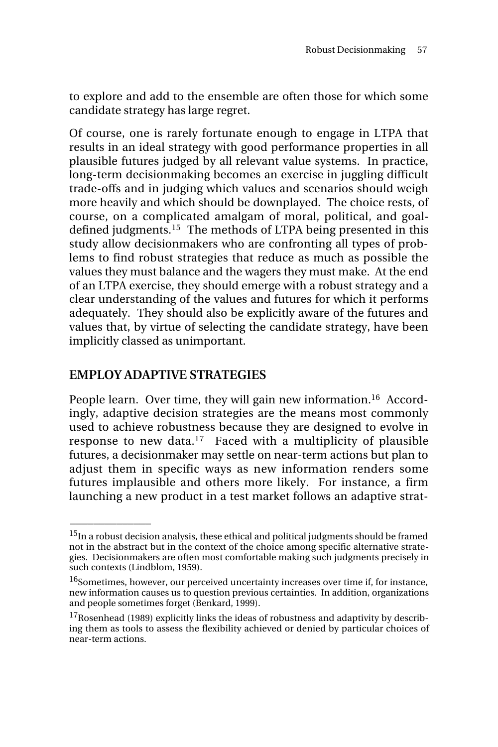to explore and add to the ensemble are often those for which some candidate strategy has large regret.

Of course, one is rarely fortunate enough to engage in LTPA that results in an ideal strategy with good performance properties in all plausible futures judged by all relevant value systems. In practice, long-term decisionmaking becomes an exercise in juggling difficult trade-offs and in judging which values and scenarios should weigh more heavily and which should be downplayed. The choice rests, of course, on a complicated amalgam of moral, political, and goaldefined judgments.15 The methods of LTPA being presented in this study allow decisionmakers who are confronting all types of problems to find robust strategies that reduce as much as possible the values they must balance and the wagers they must make. At the end of an LTPA exercise, they should emerge with a robust strategy and a clear understanding of the values and futures for which it performs adequately. They should also be explicitly aware of the futures and values that, by virtue of selecting the candidate strategy, have been implicitly classed as unimportant.

### **EMPLOY ADAPTIVE STRATEGIES**

 $\overline{\phantom{a}}$ 

People learn. Over time, they will gain new information.<sup>16</sup> Accordingly, adaptive decision strategies are the means most commonly used to achieve robustness because they are designed to evolve in response to new data.<sup>17</sup> Faced with a multiplicity of plausible futures, a decisionmaker may settle on near-term actions but plan to adjust them in specific ways as new information renders some futures implausible and others more likely. For instance, a firm launching a new product in a test market follows an adaptive strat-

 $15$ In a robust decision analysis, these ethical and political judgments should be framed not in the abstract but in the context of the choice among specific alternative strategies. Decisionmakers are often most comfortable making such judgments precisely in such contexts (Lindblom, 1959).

 $16$ Sometimes, however, our perceived uncertainty increases over time if, for instance, new information causes us to question previous certainties. In addition, organizations and people sometimes forget (Benkard, 1999).

 $17$ Rosenhead (1989) explicitly links the ideas of robustness and adaptivity by describing them as tools to assess the flexibility achieved or denied by particular choices of near-term actions.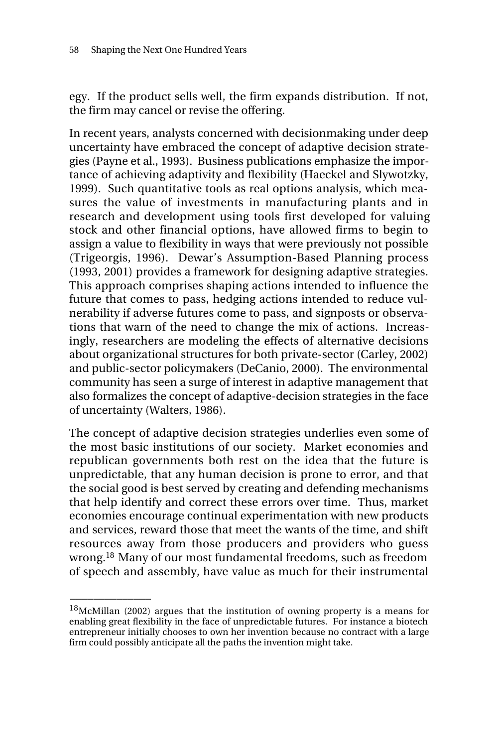egy. If the product sells well, the firm expands distribution. If not, the firm may cancel or revise the offering.

In recent years, analysts concerned with decisionmaking under deep uncertainty have embraced the concept of adaptive decision strategies (Payne et al., 1993). Business publications emphasize the importance of achieving adaptivity and flexibility (Haeckel and Slywotzky, 1999). Such quantitative tools as real options analysis, which measures the value of investments in manufacturing plants and in research and development using tools first developed for valuing stock and other financial options, have allowed firms to begin to assign a value to flexibility in ways that were previously not possible (Trigeorgis, 1996). Dewar's Assumption-Based Planning process (1993, 2001) provides a framework for designing adaptive strategies. This approach comprises shaping actions intended to influence the future that comes to pass, hedging actions intended to reduce vulnerability if adverse futures come to pass, and signposts or observations that warn of the need to change the mix of actions. Increasingly, researchers are modeling the effects of alternative decisions about organizational structures for both private-sector (Carley, 2002) and public-sector policymakers (DeCanio, 2000). The environmental community has seen a surge of interest in adaptive management that also formalizes the concept of adaptive-decision strategies in the face of uncertainty (Walters, 1986).

The concept of adaptive decision strategies underlies even some of the most basic institutions of our society. Market economies and republican governments both rest on the idea that the future is unpredictable, that any human decision is prone to error, and that the social good is best served by creating and defending mechanisms that help identify and correct these errors over time. Thus, market economies encourage continual experimentation with new products and services, reward those that meet the wants of the time, and shift resources away from those producers and providers who guess wrong.18 Many of our most fundamental freedoms, such as freedom of speech and assembly, have value as much for their instrumental

 $\overline{\phantom{a}}$ 

 $18$ McMillan (2002) argues that the institution of owning property is a means for enabling great flexibility in the face of unpredictable futures. For instance a biotech entrepreneur initially chooses to own her invention because no contract with a large firm could possibly anticipate all the paths the invention might take.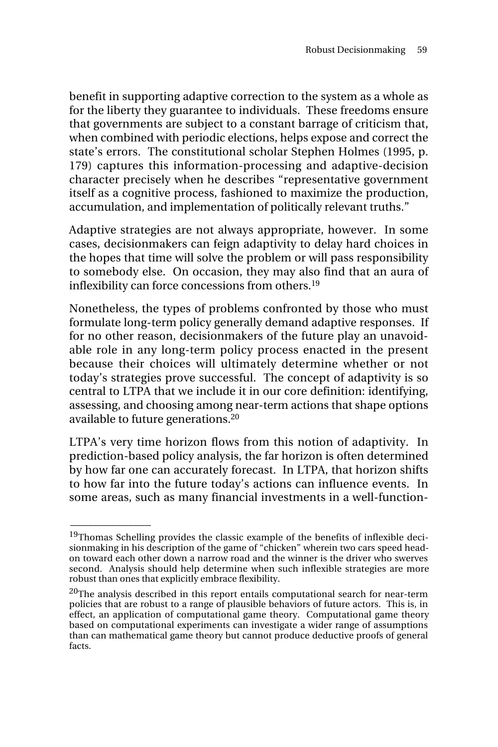benefit in supporting adaptive correction to the system as a whole as for the liberty they guarantee to individuals. These freedoms ensure that governments are subject to a constant barrage of criticism that, when combined with periodic elections, helps expose and correct the state's errors. The constitutional scholar Stephen Holmes (1995, p. 179) captures this information-processing and adaptive-decision character precisely when he describes "representative government itself as a cognitive process, fashioned to maximize the production, accumulation, and implementation of politically relevant truths."

Adaptive strategies are not always appropriate, however. In some cases, decisionmakers can feign adaptivity to delay hard choices in the hopes that time will solve the problem or will pass responsibility to somebody else. On occasion, they may also find that an aura of inflexibility can force concessions from others.19

Nonetheless, the types of problems confronted by those who must formulate long-term policy generally demand adaptive responses. If for no other reason, decisionmakers of the future play an unavoidable role in any long-term policy process enacted in the present because their choices will ultimately determine whether or not today's strategies prove successful. The concept of adaptivity is so central to LTPA that we include it in our core definition: identifying, assessing, and choosing among near-term actions that shape options available to future generations.20

LTPA's very time horizon flows from this notion of adaptivity. In prediction-based policy analysis, the far horizon is often determined by how far one can accurately forecast. In LTPA, that horizon shifts to how far into the future today's actions can influence events. In some areas, such as many financial investments in a well-function-

\_\_\_\_\_\_\_\_\_\_\_\_\_\_

<sup>&</sup>lt;sup>19</sup>Thomas Schelling provides the classic example of the benefits of inflexible decisionmaking in his description of the game of "chicken" wherein two cars speed headon toward each other down a narrow road and the winner is the driver who swerves second. Analysis should help determine when such inflexible strategies are more robust than ones that explicitly embrace flexibility.

 $^{20}$ The analysis described in this report entails computational search for near-term policies that are robust to a range of plausible behaviors of future actors. This is, in effect, an application of computational game theory. Computational game theory based on computational experiments can investigate a wider range of assumptions than can mathematical game theory but cannot produce deductive proofs of general facts.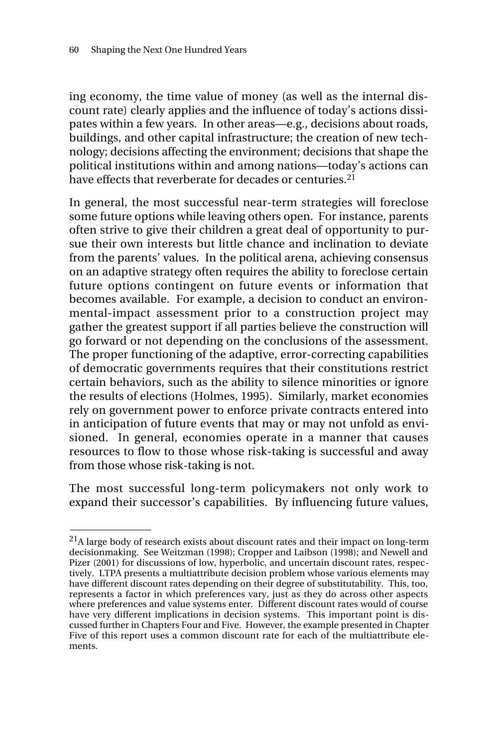$\overline{\phantom{a}}$ 

ing economy, the time value of money (as well as the internal discount rate) clearly applies and the influence of today's actions dissipates within a few years. In other areas—e.g., decisions about roads, buildings, and other capital infrastructure; the creation of new technology; decisions affecting the environment; decisions that shape the political institutions within and among nations—today's actions can have effects that reverberate for decades or centuries.<sup>21</sup>

In general, the most successful near-term strategies will foreclose some future options while leaving others open. For instance, parents often strive to give their children a great deal of opportunity to pursue their own interests but little chance and inclination to deviate from the parents' values. In the political arena, achieving consensus on an adaptive strategy often requires the ability to foreclose certain future options contingent on future events or information that becomes available. For example, a decision to conduct an environmental-impact assessment prior to a construction project may gather the greatest support if all parties believe the construction will go forward or not depending on the conclusions of the assessment. The proper functioning of the adaptive, error-correcting capabilities of democratic governments requires that their constitutions restrict certain behaviors, such as the ability to silence minorities or ignore the results of elections (Holmes, 1995). Similarly, market economies rely on government power to enforce private contracts entered into in anticipation of future events that may or may not unfold as envisioned. In general, economies operate in a manner that causes resources to flow to those whose risk-taking is successful and away from those whose risk-taking is not.

The most successful long-term policymakers not only work to expand their successor's capabilities. By influencing future values,

 $^{21}$ A large body of research exists about discount rates and their impact on long-term decisionmaking. See Weitzman (1998); Cropper and Laibson (1998); and Newell and Pizer (2001) for discussions of low, hyperbolic, and uncertain discount rates, respectively. LTPA presents a multiattribute decision problem whose various elements may have different discount rates depending on their degree of substitutability. This, too, represents a factor in which preferences vary, just as they do across other aspects where preferences and value systems enter. Different discount rates would of course have very different implications in decision systems. This important point is discussed further in Chapters Four and Five. However, the example presented in Chapter Five of this report uses a common discount rate for each of the multiattribute elements.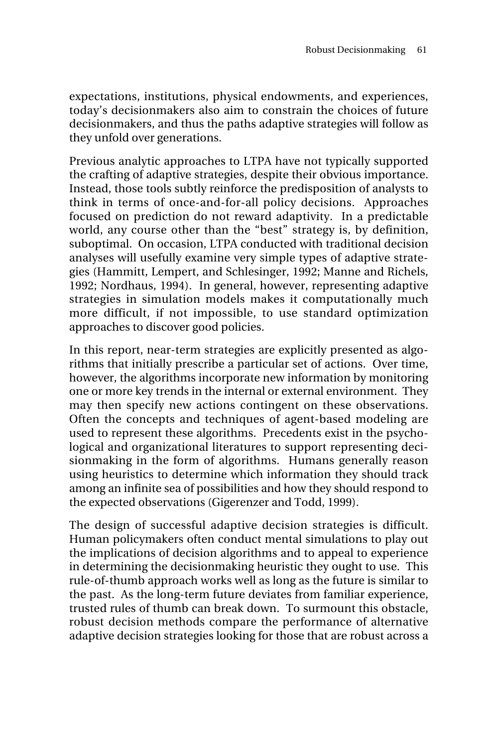expectations, institutions, physical endowments, and experiences, today's decisionmakers also aim to constrain the choices of future decisionmakers, and thus the paths adaptive strategies will follow as they unfold over generations.

Previous analytic approaches to LTPA have not typically supported the crafting of adaptive strategies, despite their obvious importance. Instead, those tools subtly reinforce the predisposition of analysts to think in terms of once-and-for-all policy decisions. Approaches focused on prediction do not reward adaptivity. In a predictable world, any course other than the "best" strategy is, by definition, suboptimal. On occasion, LTPA conducted with traditional decision analyses will usefully examine very simple types of adaptive strategies (Hammitt, Lempert, and Schlesinger, 1992; Manne and Richels, 1992; Nordhaus, 1994). In general, however, representing adaptive strategies in simulation models makes it computationally much more difficult, if not impossible, to use standard optimization approaches to discover good policies.

In this report, near-term strategies are explicitly presented as algorithms that initially prescribe a particular set of actions. Over time, however, the algorithms incorporate new information by monitoring one or more key trends in the internal or external environment. They may then specify new actions contingent on these observations. Often the concepts and techniques of agent-based modeling are used to represent these algorithms. Precedents exist in the psychological and organizational literatures to support representing decisionmaking in the form of algorithms. Humans generally reason using heuristics to determine which information they should track among an infinite sea of possibilities and how they should respond to the expected observations (Gigerenzer and Todd, 1999).

The design of successful adaptive decision strategies is difficult. Human policymakers often conduct mental simulations to play out the implications of decision algorithms and to appeal to experience in determining the decisionmaking heuristic they ought to use. This rule-of-thumb approach works well as long as the future is similar to the past. As the long-term future deviates from familiar experience, trusted rules of thumb can break down. To surmount this obstacle, robust decision methods compare the performance of alternative adaptive decision strategies looking for those that are robust across a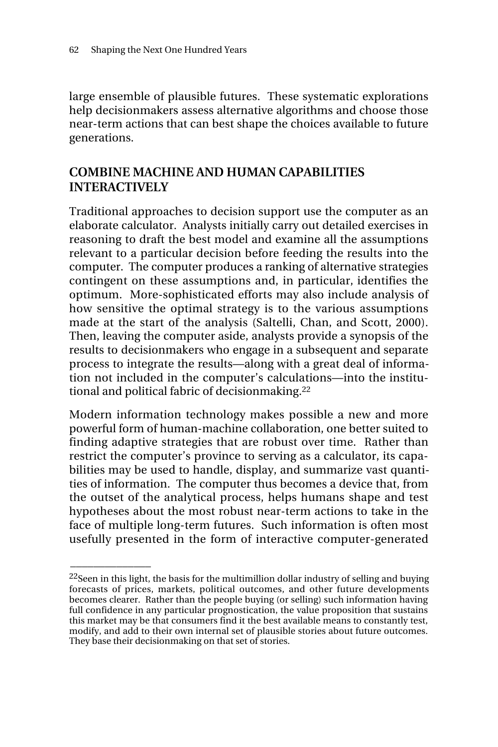large ensemble of plausible futures. These systematic explorations help decisionmakers assess alternative algorithms and choose those near-term actions that can best shape the choices available to future generations.

# **COMBINE MACHINE AND HUMAN CAPABILITIES INTERACTIVELY**

Traditional approaches to decision support use the computer as an elaborate calculator. Analysts initially carry out detailed exercises in reasoning to draft the best model and examine all the assumptions relevant to a particular decision before feeding the results into the computer. The computer produces a ranking of alternative strategies contingent on these assumptions and, in particular, identifies the optimum. More-sophisticated efforts may also include analysis of how sensitive the optimal strategy is to the various assumptions made at the start of the analysis (Saltelli, Chan, and Scott, 2000). Then, leaving the computer aside, analysts provide a synopsis of the results to decisionmakers who engage in a subsequent and separate process to integrate the results—along with a great deal of information not included in the computer's calculations—into the institutional and political fabric of decisionmaking.<sup>22</sup>

Modern information technology makes possible a new and more powerful form of human-machine collaboration, one better suited to finding adaptive strategies that are robust over time. Rather than restrict the computer's province to serving as a calculator, its capabilities may be used to handle, display, and summarize vast quantities of information. The computer thus becomes a device that, from the outset of the analytical process, helps humans shape and test hypotheses about the most robust near-term actions to take in the face of multiple long-term futures. Such information is often most usefully presented in the form of interactive computer-generated

\_\_\_\_\_\_\_\_\_\_\_\_\_\_

 $22$ Seen in this light, the basis for the multimillion dollar industry of selling and buying forecasts of prices, markets, political outcomes, and other future developments becomes clearer. Rather than the people buying (or selling) such information having full confidence in any particular prognostication, the value proposition that sustains this market may be that consumers find it the best available means to constantly test, modify, and add to their own internal set of plausible stories about future outcomes. They base their decisionmaking on that set of stories.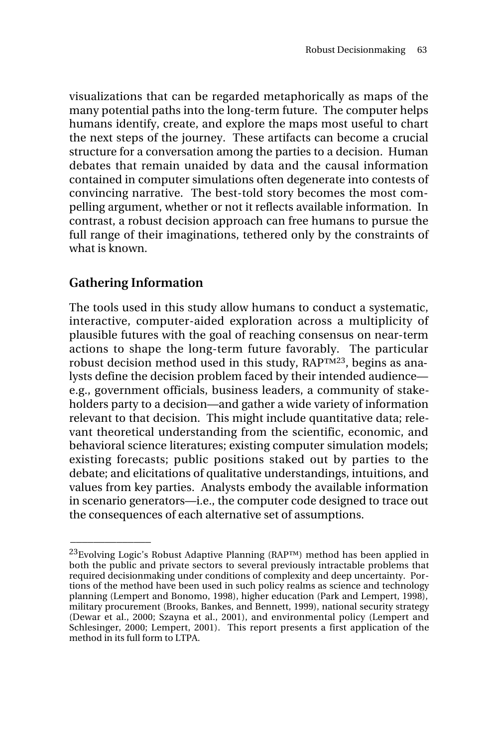visualizations that can be regarded metaphorically as maps of the many potential paths into the long-term future. The computer helps humans identify, create, and explore the maps most useful to chart the next steps of the journey. These artifacts can become a crucial structure for a conversation among the parties to a decision. Human debates that remain unaided by data and the causal information contained in computer simulations often degenerate into contests of convincing narrative. The best-told story becomes the most compelling argument, whether or not it reflects available information. In contrast, a robust decision approach can free humans to pursue the full range of their imaginations, tethered only by the constraints of what is known.

# **Gathering Information**

\_\_\_\_\_\_\_\_\_\_\_\_\_\_

The tools used in this study allow humans to conduct a systematic, interactive, computer-aided exploration across a multiplicity of plausible futures with the goal of reaching consensus on near-term actions to shape the long-term future favorably. The particular robust decision method used in this study,  $\mathbb{R}$ AP<sup>TM23</sup>, begins as analysts define the decision problem faced by their intended audience e.g., government officials, business leaders, a community of stakeholders party to a decision—and gather a wide variety of information relevant to that decision. This might include quantitative data; relevant theoretical understanding from the scientific, economic, and behavioral science literatures; existing computer simulation models; existing forecasts; public positions staked out by parties to the debate; and elicitations of qualitative understandings, intuitions, and values from key parties. Analysts embody the available information in scenario generators—i.e., the computer code designed to trace out the consequences of each alternative set of assumptions.

 $^{23}$ Evolving Logic's Robust Adaptive Planning (RAP<sup>TM</sup>) method has been applied in both the public and private sectors to several previously intractable problems that required decisionmaking under conditions of complexity and deep uncertainty. Portions of the method have been used in such policy realms as science and technology planning (Lempert and Bonomo, 1998), higher education (Park and Lempert, 1998), military procurement (Brooks, Bankes, and Bennett, 1999), national security strategy (Dewar et al., 2000; Szayna et al., 2001), and environmental policy (Lempert and Schlesinger, 2000; Lempert, 2001). This report presents a first application of the method in its full form to LTPA.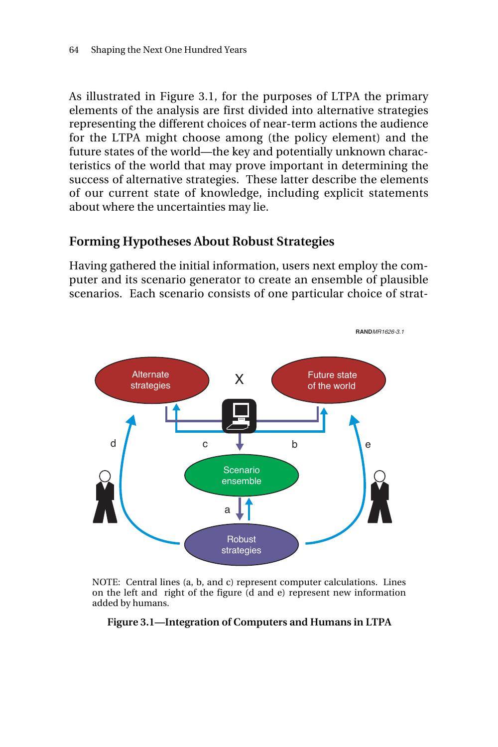As illustrated in Figure 3.1, for the purposes of LTPA the primary elements of the analysis are first divided into alternative strategies representing the different choices of near-term actions the audience for the LTPA might choose among (the policy element) and the future states of the world—the key and potentially unknown characteristics of the world that may prove important in determining the success of alternative strategies. These latter describe the elements of our current state of knowledge, including explicit statements about where the uncertainties may lie.

# **Forming Hypotheses About Robust Strategies**

Having gathered the initial information, users next employ the computer and its scenario generator to create an ensemble of plausible scenarios. Each scenario consists of one particular choice of strat-



NOTE: Central lines (a, b, and c) represent computer calculations. Lines on the left and right of the figure (d and e) represent new information added by humans.

**Figure 3.1—Integration of Computers and Humans in LTPA**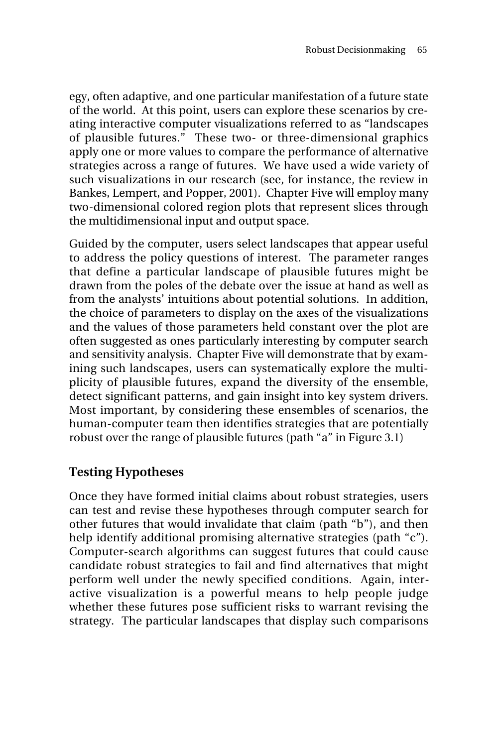egy, often adaptive, and one particular manifestation of a future state of the world. At this point, users can explore these scenarios by creating interactive computer visualizations referred to as "landscapes of plausible futures." These two- or three-dimensional graphics apply one or more values to compare the performance of alternative strategies across a range of futures. We have used a wide variety of such visualizations in our research (see, for instance, the review in Bankes, Lempert, and Popper, 2001). Chapter Five will employ many two-dimensional colored region plots that represent slices through the multidimensional input and output space.

Guided by the computer, users select landscapes that appear useful to address the policy questions of interest. The parameter ranges that define a particular landscape of plausible futures might be drawn from the poles of the debate over the issue at hand as well as from the analysts' intuitions about potential solutions. In addition, the choice of parameters to display on the axes of the visualizations and the values of those parameters held constant over the plot are often suggested as ones particularly interesting by computer search and sensitivity analysis. Chapter Five will demonstrate that by examining such landscapes, users can systematically explore the multiplicity of plausible futures, expand the diversity of the ensemble, detect significant patterns, and gain insight into key system drivers. Most important, by considering these ensembles of scenarios, the human-computer team then identifies strategies that are potentially robust over the range of plausible futures (path "a" in Figure 3.1)

### **Testing Hypotheses**

Once they have formed initial claims about robust strategies, users can test and revise these hypotheses through computer search for other futures that would invalidate that claim (path "b"), and then help identify additional promising alternative strategies (path "c"). Computer-search algorithms can suggest futures that could cause candidate robust strategies to fail and find alternatives that might perform well under the newly specified conditions. Again, interactive visualization is a powerful means to help people judge whether these futures pose sufficient risks to warrant revising the strategy. The particular landscapes that display such comparisons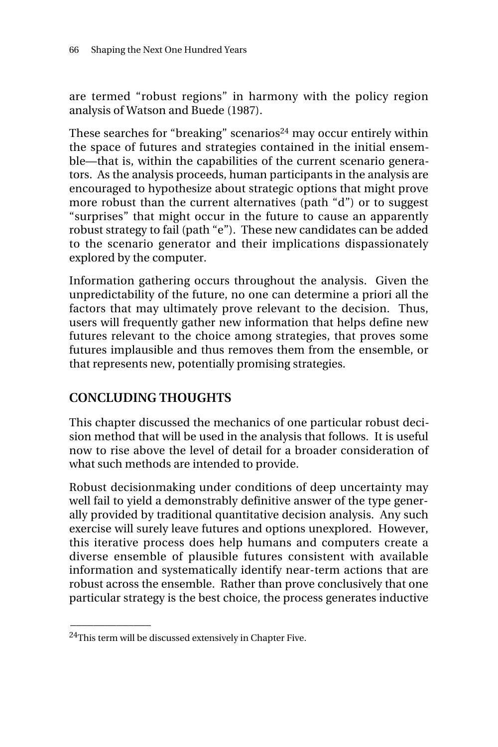are termed "robust regions" in harmony with the policy region analysis of Watson and Buede (1987).

These searches for "breaking" scenarios<sup>24</sup> may occur entirely within the space of futures and strategies contained in the initial ensemble—that is, within the capabilities of the current scenario generators. As the analysis proceeds, human participants in the analysis are encouraged to hypothesize about strategic options that might prove more robust than the current alternatives (path "d") or to suggest "surprises" that might occur in the future to cause an apparently robust strategy to fail (path "e"). These new candidates can be added to the scenario generator and their implications dispassionately explored by the computer.

Information gathering occurs throughout the analysis. Given the unpredictability of the future, no one can determine a priori all the factors that may ultimately prove relevant to the decision. Thus, users will frequently gather new information that helps define new futures relevant to the choice among strategies, that proves some futures implausible and thus removes them from the ensemble, or that represents new, potentially promising strategies.

# **CONCLUDING THOUGHTS**

This chapter discussed the mechanics of one particular robust decision method that will be used in the analysis that follows. It is useful now to rise above the level of detail for a broader consideration of what such methods are intended to provide.

Robust decisionmaking under conditions of deep uncertainty may well fail to yield a demonstrably definitive answer of the type generally provided by traditional quantitative decision analysis. Any such exercise will surely leave futures and options unexplored. However, this iterative process does help humans and computers create a diverse ensemble of plausible futures consistent with available information and systematically identify near-term actions that are robust across the ensemble. Rather than prove conclusively that one particular strategy is the best choice, the process generates inductive

\_\_\_\_\_\_\_\_\_\_\_\_\_\_

 $24$ This term will be discussed extensively in Chapter Five.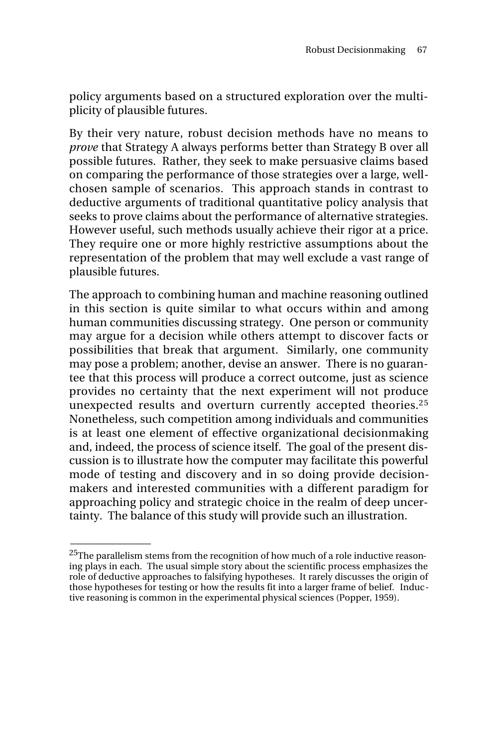policy arguments based on a structured exploration over the multiplicity of plausible futures.

By their very nature, robust decision methods have no means to *prove* that Strategy A always performs better than Strategy B over all possible futures. Rather, they seek to make persuasive claims based on comparing the performance of those strategies over a large, wellchosen sample of scenarios. This approach stands in contrast to deductive arguments of traditional quantitative policy analysis that seeks to prove claims about the performance of alternative strategies. However useful, such methods usually achieve their rigor at a price. They require one or more highly restrictive assumptions about the representation of the problem that may well exclude a vast range of plausible futures.

The approach to combining human and machine reasoning outlined in this section is quite similar to what occurs within and among human communities discussing strategy. One person or community may argue for a decision while others attempt to discover facts or possibilities that break that argument. Similarly, one community may pose a problem; another, devise an answer. There is no guarantee that this process will produce a correct outcome, just as science provides no certainty that the next experiment will not produce unexpected results and overturn currently accepted theories.<sup>25</sup> Nonetheless, such competition among individuals and communities is at least one element of effective organizational decisionmaking and, indeed, the process of science itself. The goal of the present discussion is to illustrate how the computer may facilitate this powerful mode of testing and discovery and in so doing provide decisionmakers and interested communities with a different paradigm for approaching policy and strategic choice in the realm of deep uncertainty. The balance of this study will provide such an illustration.

 $\overline{\phantom{a}}$ 

<sup>&</sup>lt;sup>25</sup>The parallelism stems from the recognition of how much of a role inductive reasoning plays in each. The usual simple story about the scientific process emphasizes the role of deductive approaches to falsifying hypotheses. It rarely discusses the origin of those hypotheses for testing or how the results fit into a larger frame of belief. Inductive reasoning is common in the experimental physical sciences (Popper, 1959).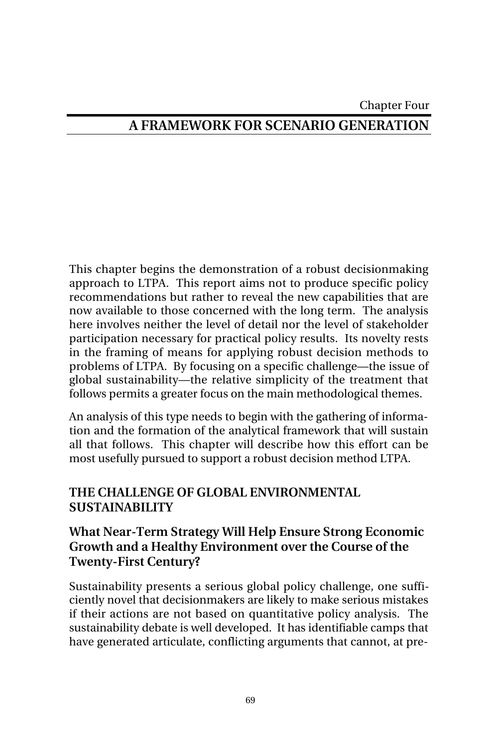# Chapter Four **A FRAMEWORK FOR SCENARIO GENERATION**

This chapter begins the demonstration of a robust decisionmaking approach to LTPA. This report aims not to produce specific policy recommendations but rather to reveal the new capabilities that are now available to those concerned with the long term. The analysis here involves neither the level of detail nor the level of stakeholder participation necessary for practical policy results. Its novelty rests in the framing of means for applying robust decision methods to problems of LTPA. By focusing on a specific challenge—the issue of global sustainability—the relative simplicity of the treatment that follows permits a greater focus on the main methodological themes.

An analysis of this type needs to begin with the gathering of information and the formation of the analytical framework that will sustain all that follows. This chapter will describe how this effort can be most usefully pursued to support a robust decision method LTPA.

# **THE CHALLENGE OF GLOBAL ENVIRONMENTAL SUSTAINABILITY**

# **What Near-Term Strategy Will Help Ensure Strong Economic Growth and a Healthy Environment over the Course of the Twenty-First Century?**

Sustainability presents a serious global policy challenge, one sufficiently novel that decisionmakers are likely to make serious mistakes if their actions are not based on quantitative policy analysis. The sustainability debate is well developed. It has identifiable camps that have generated articulate, conflicting arguments that cannot, at pre-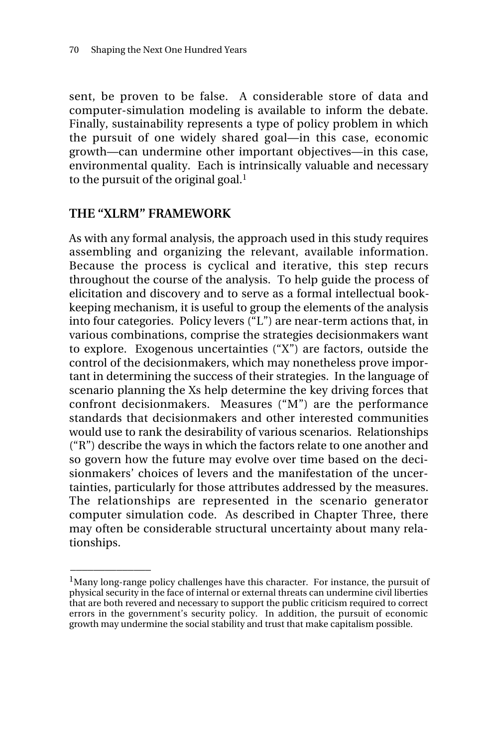sent, be proven to be false. A considerable store of data and computer-simulation modeling is available to inform the debate. Finally, sustainability represents a type of policy problem in which the pursuit of one widely shared goal—in this case, economic growth—can undermine other important objectives—in this case, environmental quality. Each is intrinsically valuable and necessary to the pursuit of the original goal. $<sup>1</sup>$ </sup>

#### **THE "XLRM" FRAMEWORK**

\_\_\_\_\_\_\_\_\_\_\_\_\_\_

As with any formal analysis, the approach used in this study requires assembling and organizing the relevant, available information. Because the process is cyclical and iterative, this step recurs throughout the course of the analysis. To help guide the process of elicitation and discovery and to serve as a formal intellectual bookkeeping mechanism, it is useful to group the elements of the analysis into four categories. Policy levers ("L") are near-term actions that, in various combinations, comprise the strategies decisionmakers want to explore. Exogenous uncertainties ("X") are factors, outside the control of the decisionmakers, which may nonetheless prove important in determining the success of their strategies. In the language of scenario planning the Xs help determine the key driving forces that confront decisionmakers. Measures ("M") are the performance standards that decisionmakers and other interested communities would use to rank the desirability of various scenarios. Relationships ("R") describe the ways in which the factors relate to one another and so govern how the future may evolve over time based on the decisionmakers' choices of levers and the manifestation of the uncertainties, particularly for those attributes addressed by the measures. The relationships are represented in the scenario generator computer simulation code. As described in Chapter Three, there may often be considerable structural uncertainty about many relationships.

 $<sup>1</sup>$ Many long-range policy challenges have this character. For instance, the pursuit of</sup> physical security in the face of internal or external threats can undermine civil liberties that are both revered and necessary to support the public criticism required to correct errors in the government's security policy. In addition, the pursuit of economic growth may undermine the social stability and trust that make capitalism possible.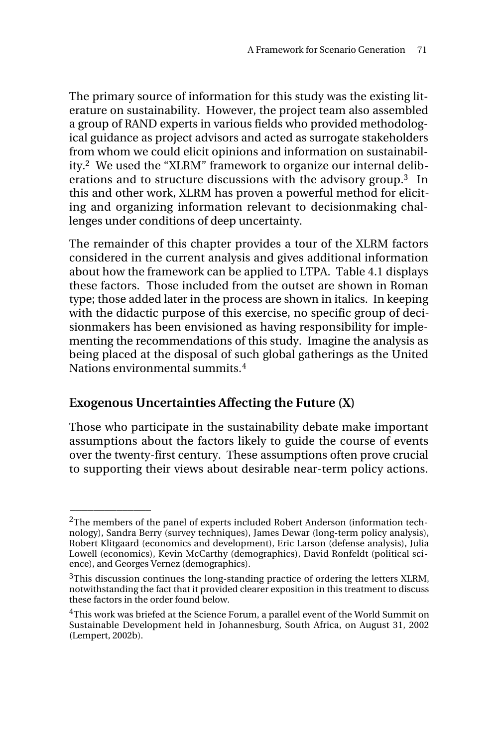The primary source of information for this study was the existing literature on sustainability. However, the project team also assembled a group of RAND experts in various fields who provided methodological guidance as project advisors and acted as surrogate stakeholders from whom we could elicit opinions and information on sustainability.2 We used the "XLRM" framework to organize our internal deliberations and to structure discussions with the advisory group.3 In this and other work, XLRM has proven a powerful method for eliciting and organizing information relevant to decisionmaking challenges under conditions of deep uncertainty.

The remainder of this chapter provides a tour of the XLRM factors considered in the current analysis and gives additional information about how the framework can be applied to LTPA. Table 4.1 displays these factors. Those included from the outset are shown in Roman type; those added later in the process are shown in italics. In keeping with the didactic purpose of this exercise, no specific group of decisionmakers has been envisioned as having responsibility for implementing the recommendations of this study. Imagine the analysis as being placed at the disposal of such global gatherings as the United Nations environmental summits.4

# **Exogenous Uncertainties Affecting the Future (X)**

 $\overline{\phantom{a}}$ 

Those who participate in the sustainability debate make important assumptions about the factors likely to guide the course of events over the twenty-first century. These assumptions often prove crucial to supporting their views about desirable near-term policy actions.

<sup>&</sup>lt;sup>2</sup>The members of the panel of experts included Robert Anderson (information technology), Sandra Berry (survey techniques), James Dewar (long-term policy analysis), Robert Klitgaard (economics and development), Eric Larson (defense analysis), Julia Lowell (economics), Kevin McCarthy (demographics), David Ronfeldt (political science), and Georges Vernez (demographics).

<sup>&</sup>lt;sup>3</sup>This discussion continues the long-standing practice of ordering the letters XLRM, notwithstanding the fact that it provided clearer exposition in this treatment to discuss these factors in the order found below.

<sup>&</sup>lt;sup>4</sup>This work was briefed at the Science Forum, a parallel event of the World Summit on Sustainable Development held in Johannesburg, South Africa, on August 31, 2002 (Lempert, 2002b).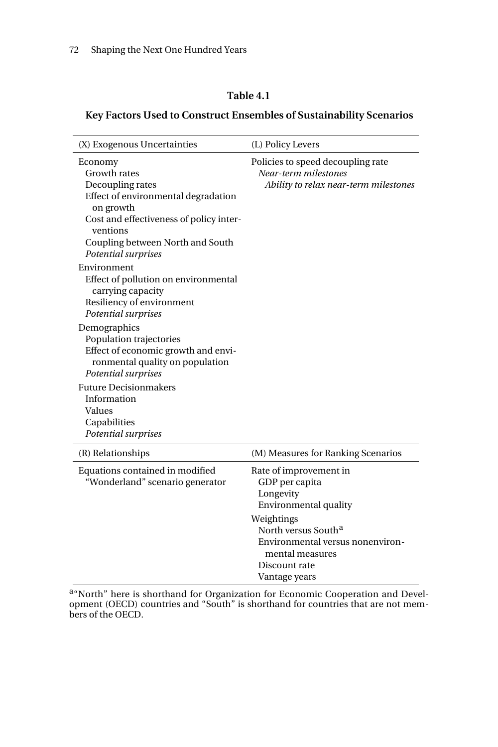#### **Table 4.1**

#### **Key Factors Used to Construct Ensembles of Sustainability Scenarios**

| (X) Exogenous Uncertainties                                                                                                                                                                                              | (L) Policy Levers                                                                                                                      |
|--------------------------------------------------------------------------------------------------------------------------------------------------------------------------------------------------------------------------|----------------------------------------------------------------------------------------------------------------------------------------|
| Economy<br><b>Growth rates</b><br>Decoupling rates<br>Effect of environmental degradation<br>on growth<br>Cost and effectiveness of policy inter-<br>ventions<br>Coupling between North and South<br>Potential surprises | Policies to speed decoupling rate<br>Near-term milestones<br>Ability to relax near-term milestones                                     |
| Environment<br>Effect of pollution on environmental<br>carrying capacity<br>Resiliency of environment<br>Potential surprises                                                                                             |                                                                                                                                        |
| Demographics<br>Population trajectories<br>Effect of economic growth and envi-<br>ronmental quality on population<br>Potential surprises                                                                                 |                                                                                                                                        |
| <b>Future Decisionmakers</b><br>Information<br>Values<br>Capabilities<br>Potential surprises                                                                                                                             |                                                                                                                                        |
| (R) Relationships                                                                                                                                                                                                        | (M) Measures for Ranking Scenarios                                                                                                     |
| Equations contained in modified<br>"Wonderland" scenario generator                                                                                                                                                       | Rate of improvement in<br>GDP per capita<br>Longevity<br>Environmental quality                                                         |
|                                                                                                                                                                                                                          | Weightings<br>North versus South <sup>a</sup><br>Environmental versus nonenviron-<br>mental measures<br>Discount rate<br>Vantage years |

a"North" here is shorthand for Organization for Economic Cooperation and Development (OECD) countries and "South" is shorthand for countries that are not members of the OECD.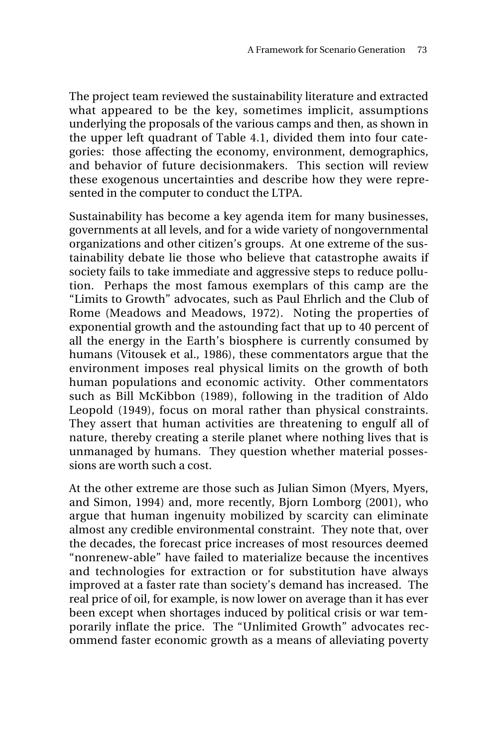The project team reviewed the sustainability literature and extracted what appeared to be the key, sometimes implicit, assumptions underlying the proposals of the various camps and then, as shown in the upper left quadrant of Table 4.1, divided them into four categories: those affecting the economy, environment, demographics, and behavior of future decisionmakers. This section will review these exogenous uncertainties and describe how they were represented in the computer to conduct the LTPA.

Sustainability has become a key agenda item for many businesses, governments at all levels, and for a wide variety of nongovernmental organizations and other citizen's groups. At one extreme of the sustainability debate lie those who believe that catastrophe awaits if society fails to take immediate and aggressive steps to reduce pollution. Perhaps the most famous exemplars of this camp are the "Limits to Growth" advocates, such as Paul Ehrlich and the Club of Rome (Meadows and Meadows, 1972). Noting the properties of exponential growth and the astounding fact that up to 40 percent of all the energy in the Earth's biosphere is currently consumed by humans (Vitousek et al., 1986), these commentators argue that the environment imposes real physical limits on the growth of both human populations and economic activity. Other commentators such as Bill McKibbon (1989), following in the tradition of Aldo Leopold (1949), focus on moral rather than physical constraints. They assert that human activities are threatening to engulf all of nature, thereby creating a sterile planet where nothing lives that is unmanaged by humans. They question whether material possessions are worth such a cost.

At the other extreme are those such as Julian Simon (Myers, Myers, and Simon, 1994) and, more recently, Bjorn Lomborg (2001), who argue that human ingenuity mobilized by scarcity can eliminate almost any credible environmental constraint. They note that, over the decades, the forecast price increases of most resources deemed "nonrenew-able" have failed to materialize because the incentives and technologies for extraction or for substitution have always improved at a faster rate than society's demand has increased. The real price of oil, for example, is now lower on average than it has ever been except when shortages induced by political crisis or war temporarily inflate the price. The "Unlimited Growth" advocates recommend faster economic growth as a means of alleviating poverty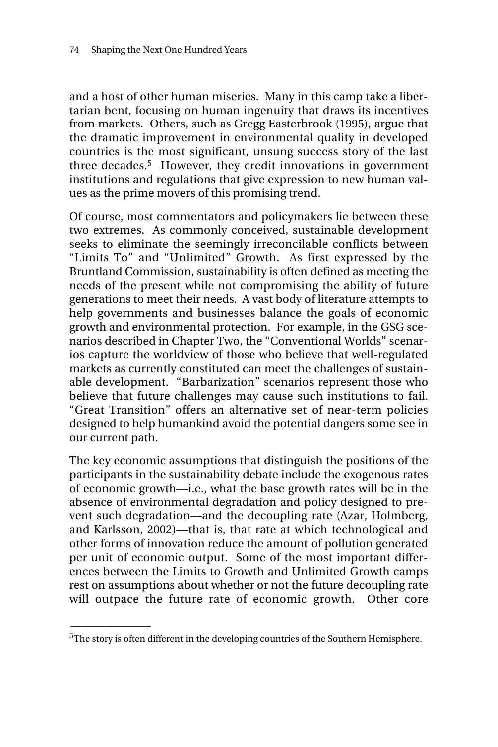and a host of other human miseries. Many in this camp take a libertarian bent, focusing on human ingenuity that draws its incentives from markets. Others, such as Gregg Easterbrook (1995), argue that the dramatic improvement in environmental quality in developed countries is the most significant, unsung success story of the last three decades.5 However, they credit innovations in government institutions and regulations that give expression to new human values as the prime movers of this promising trend.

Of course, most commentators and policymakers lie between these two extremes. As commonly conceived, sustainable development seeks to eliminate the seemingly irreconcilable conflicts between "Limits To" and "Unlimited" Growth. As first expressed by the Bruntland Commission, sustainability is often defined as meeting the needs of the present while not compromising the ability of future generations to meet their needs. A vast body of literature attempts to help governments and businesses balance the goals of economic growth and environmental protection. For example, in the GSG scenarios described in Chapter Two, the "Conventional Worlds" scenarios capture the worldview of those who believe that well-regulated markets as currently constituted can meet the challenges of sustainable development. "Barbarization" scenarios represent those who believe that future challenges may cause such institutions to fail. "Great Transition" offers an alternative set of near-term policies designed to help humankind avoid the potential dangers some see in our current path.

The key economic assumptions that distinguish the positions of the participants in the sustainability debate include the exogenous rates of economic growth—i.e., what the base growth rates will be in the absence of environmental degradation and policy designed to prevent such degradation—and the decoupling rate (Azar, Holmberg, and Karlsson, 2002)—that is, that rate at which technological and other forms of innovation reduce the amount of pollution generated per unit of economic output. Some of the most important differences between the Limits to Growth and Unlimited Growth camps rest on assumptions about whether or not the future decoupling rate will outpace the future rate of economic growth. Other core

 $\overline{\phantom{a}}$ 

<sup>&</sup>lt;sup>5</sup>The story is often different in the developing countries of the Southern Hemisphere.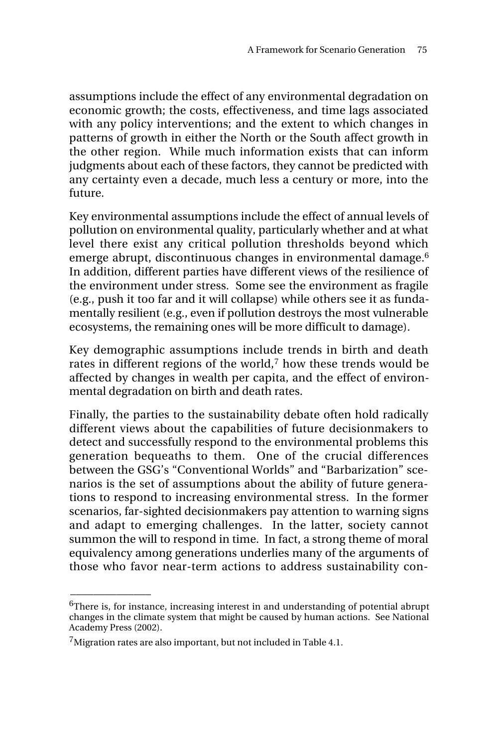assumptions include the effect of any environmental degradation on economic growth; the costs, effectiveness, and time lags associated with any policy interventions; and the extent to which changes in patterns of growth in either the North or the South affect growth in the other region. While much information exists that can inform judgments about each of these factors, they cannot be predicted with any certainty even a decade, much less a century or more, into the future.

Key environmental assumptions include the effect of annual levels of pollution on environmental quality, particularly whether and at what level there exist any critical pollution thresholds beyond which emerge abrupt, discontinuous changes in environmental damage.<sup>6</sup> In addition, different parties have different views of the resilience of the environment under stress. Some see the environment as fragile (e.g., push it too far and it will collapse) while others see it as fundamentally resilient (e.g., even if pollution destroys the most vulnerable ecosystems, the remaining ones will be more difficult to damage).

Key demographic assumptions include trends in birth and death rates in different regions of the world,<sup>7</sup> how these trends would be affected by changes in wealth per capita, and the effect of environmental degradation on birth and death rates.

Finally, the parties to the sustainability debate often hold radically different views about the capabilities of future decisionmakers to detect and successfully respond to the environmental problems this generation bequeaths to them. One of the crucial differences between the GSG's "Conventional Worlds" and "Barbarization" scenarios is the set of assumptions about the ability of future generations to respond to increasing environmental stress. In the former scenarios, far-sighted decisionmakers pay attention to warning signs and adapt to emerging challenges. In the latter, society cannot summon the will to respond in time. In fact, a strong theme of moral equivalency among generations underlies many of the arguments of those who favor near-term actions to address sustainability con-

\_\_\_\_\_\_\_\_\_\_\_\_\_\_

 $6$ There is, for instance, increasing interest in and understanding of potential abrupt changes in the climate system that might be caused by human actions. See National Academy Press (2002).

 $7$ Migration rates are also important, but not included in Table 4.1.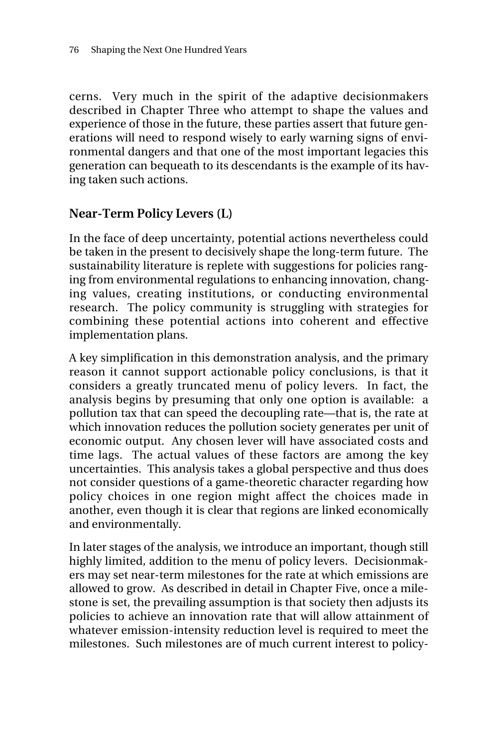cerns. Very much in the spirit of the adaptive decisionmakers described in Chapter Three who attempt to shape the values and experience of those in the future, these parties assert that future generations will need to respond wisely to early warning signs of environmental dangers and that one of the most important legacies this generation can bequeath to its descendants is the example of its having taken such actions.

# **Near-Term Policy Levers (L)**

In the face of deep uncertainty, potential actions nevertheless could be taken in the present to decisively shape the long-term future. The sustainability literature is replete with suggestions for policies ranging from environmental regulations to enhancing innovation, changing values, creating institutions, or conducting environmental research. The policy community is struggling with strategies for combining these potential actions into coherent and effective implementation plans.

A key simplification in this demonstration analysis, and the primary reason it cannot support actionable policy conclusions, is that it considers a greatly truncated menu of policy levers. In fact, the analysis begins by presuming that only one option is available: a pollution tax that can speed the decoupling rate—that is, the rate at which innovation reduces the pollution society generates per unit of economic output. Any chosen lever will have associated costs and time lags. The actual values of these factors are among the key uncertainties. This analysis takes a global perspective and thus does not consider questions of a game-theoretic character regarding how policy choices in one region might affect the choices made in another, even though it is clear that regions are linked economically and environmentally.

In later stages of the analysis, we introduce an important, though still highly limited, addition to the menu of policy levers. Decisionmakers may set near-term milestones for the rate at which emissions are allowed to grow. As described in detail in Chapter Five, once a milestone is set, the prevailing assumption is that society then adjusts its policies to achieve an innovation rate that will allow attainment of whatever emission-intensity reduction level is required to meet the milestones. Such milestones are of much current interest to policy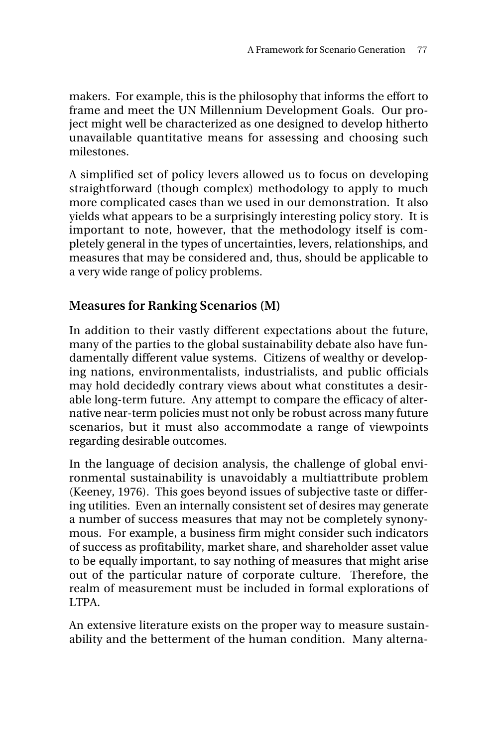makers. For example, this is the philosophy that informs the effort to frame and meet the UN Millennium Development Goals. Our project might well be characterized as one designed to develop hitherto unavailable quantitative means for assessing and choosing such milestones.

A simplified set of policy levers allowed us to focus on developing straightforward (though complex) methodology to apply to much more complicated cases than we used in our demonstration. It also yields what appears to be a surprisingly interesting policy story. It is important to note, however, that the methodology itself is completely general in the types of uncertainties, levers, relationships, and measures that may be considered and, thus, should be applicable to a very wide range of policy problems.

# **Measures for Ranking Scenarios (M)**

In addition to their vastly different expectations about the future, many of the parties to the global sustainability debate also have fundamentally different value systems. Citizens of wealthy or developing nations, environmentalists, industrialists, and public officials may hold decidedly contrary views about what constitutes a desirable long-term future. Any attempt to compare the efficacy of alternative near-term policies must not only be robust across many future scenarios, but it must also accommodate a range of viewpoints regarding desirable outcomes.

In the language of decision analysis, the challenge of global environmental sustainability is unavoidably a multiattribute problem (Keeney, 1976). This goes beyond issues of subjective taste or differing utilities. Even an internally consistent set of desires may generate a number of success measures that may not be completely synonymous. For example, a business firm might consider such indicators of success as profitability, market share, and shareholder asset value to be equally important, to say nothing of measures that might arise out of the particular nature of corporate culture. Therefore, the realm of measurement must be included in formal explorations of LTPA.

An extensive literature exists on the proper way to measure sustainability and the betterment of the human condition. Many alterna-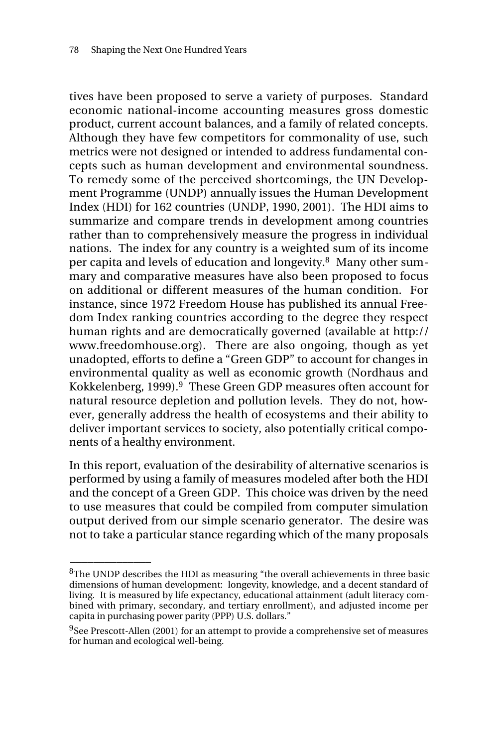tives have been proposed to serve a variety of purposes. Standard economic national-income accounting measures gross domestic product, current account balances, and a family of related concepts. Although they have few competitors for commonality of use, such metrics were not designed or intended to address fundamental concepts such as human development and environmental soundness. To remedy some of the perceived shortcomings, the UN Development Programme (UNDP) annually issues the Human Development Index (HDI) for 162 countries (UNDP, 1990, 2001). The HDI aims to summarize and compare trends in development among countries rather than to comprehensively measure the progress in individual nations. The index for any country is a weighted sum of its income per capita and levels of education and longevity.8 Many other summary and comparative measures have also been proposed to focus on additional or different measures of the human condition. For instance, since 1972 Freedom House has published its annual Freedom Index ranking countries according to the degree they respect human rights and are democratically governed (available at http:// www.freedomhouse.org). There are also ongoing, though as yet unadopted, efforts to define a "Green GDP" to account for changes in environmental quality as well as economic growth (Nordhaus and Kokkelenberg, 1999).9 These Green GDP measures often account for natural resource depletion and pollution levels. They do not, however, generally address the health of ecosystems and their ability to deliver important services to society, also potentially critical components of a healthy environment.

In this report, evaluation of the desirability of alternative scenarios is performed by using a family of measures modeled after both the HDI and the concept of a Green GDP. This choice was driven by the need to use measures that could be compiled from computer simulation output derived from our simple scenario generator. The desire was not to take a particular stance regarding which of the many proposals

 $\overline{\phantom{a}}$ 

 ${}^{8}$ The UNDP describes the HDI as measuring "the overall achievements in three basic dimensions of human development: longevity, knowledge, and a decent standard of living. It is measured by life expectancy, educational attainment (adult literacy combined with primary, secondary, and tertiary enrollment), and adjusted income per capita in purchasing power parity (PPP) U.S. dollars."

 $9$ See Prescott-Allen (2001) for an attempt to provide a comprehensive set of measures for human and ecological well-being.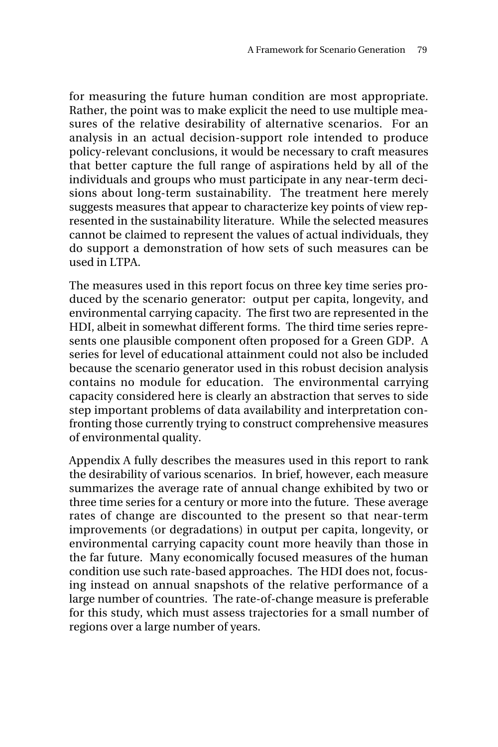for measuring the future human condition are most appropriate. Rather, the point was to make explicit the need to use multiple measures of the relative desirability of alternative scenarios. For an analysis in an actual decision-support role intended to produce policy-relevant conclusions, it would be necessary to craft measures that better capture the full range of aspirations held by all of the individuals and groups who must participate in any near-term decisions about long-term sustainability. The treatment here merely suggests measures that appear to characterize key points of view represented in the sustainability literature. While the selected measures cannot be claimed to represent the values of actual individuals, they do support a demonstration of how sets of such measures can be used in LTPA.

The measures used in this report focus on three key time series produced by the scenario generator: output per capita, longevity, and environmental carrying capacity. The first two are represented in the HDI, albeit in somewhat different forms. The third time series represents one plausible component often proposed for a Green GDP. A series for level of educational attainment could not also be included because the scenario generator used in this robust decision analysis contains no module for education. The environmental carrying capacity considered here is clearly an abstraction that serves to side step important problems of data availability and interpretation confronting those currently trying to construct comprehensive measures of environmental quality.

Appendix A fully describes the measures used in this report to rank the desirability of various scenarios. In brief, however, each measure summarizes the average rate of annual change exhibited by two or three time series for a century or more into the future. These average rates of change are discounted to the present so that near-term improvements (or degradations) in output per capita, longevity, or environmental carrying capacity count more heavily than those in the far future. Many economically focused measures of the human condition use such rate-based approaches. The HDI does not, focusing instead on annual snapshots of the relative performance of a large number of countries. The rate-of-change measure is preferable for this study, which must assess trajectories for a small number of regions over a large number of years.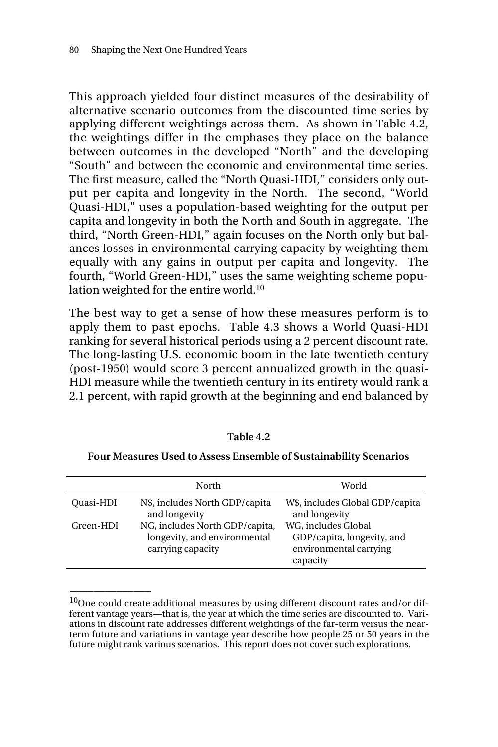This approach yielded four distinct measures of the desirability of alternative scenario outcomes from the discounted time series by applying different weightings across them. As shown in Table 4.2, the weightings differ in the emphases they place on the balance between outcomes in the developed "North" and the developing "South" and between the economic and environmental time series. The first measure, called the "North Quasi-HDI*,*" considers only output per capita and longevity in the North. The second, "World Quasi-HDI," uses a population-based weighting for the output per capita and longevity in both the North and South in aggregate. The third, "North Green-HDI," again focuses on the North only but balances losses in environmental carrying capacity by weighting them equally with any gains in output per capita and longevity. The fourth, "World Green-HDI," uses the same weighting scheme population weighted for the entire world.10

The best way to get a sense of how these measures perform is to apply them to past epochs. Table 4.3 shows a World Quasi-HDI ranking for several historical periods using a 2 percent discount rate. The long-lasting U.S. economic boom in the late twentieth century (post-1950) would score 3 percent annualized growth in the quasi-HDI measure while the twentieth century in its entirety would rank a 2.1 percent, with rapid growth at the beginning and end balanced by

| Table 4.2 |
|-----------|
|-----------|

**Four Measures Used to Assess Ensemble of Sustainability Scenarios**

|           | North                                                                               | World                                                                                   |
|-----------|-------------------------------------------------------------------------------------|-----------------------------------------------------------------------------------------|
| Ouasi-HDI | N\$, includes North GDP/capita<br>and longevity                                     | W\$, includes Global GDP/capita<br>and longevity                                        |
| Green-HDI | NG, includes North GDP/capita,<br>longevity, and environmental<br>carrying capacity | WG, includes Global<br>GDP/capita, longevity, and<br>environmental carrying<br>capacity |

 $10$ One could create additional measures by using different discount rates and/or different vantage years—that is, the year at which the time series are discounted to. Variations in discount rate addresses different weightings of the far-term versus the nearterm future and variations in vantage year describe how people 25 or 50 years in the future might rank various scenarios. This report does not cover such explorations.

\_\_\_\_\_\_\_\_\_\_\_\_\_\_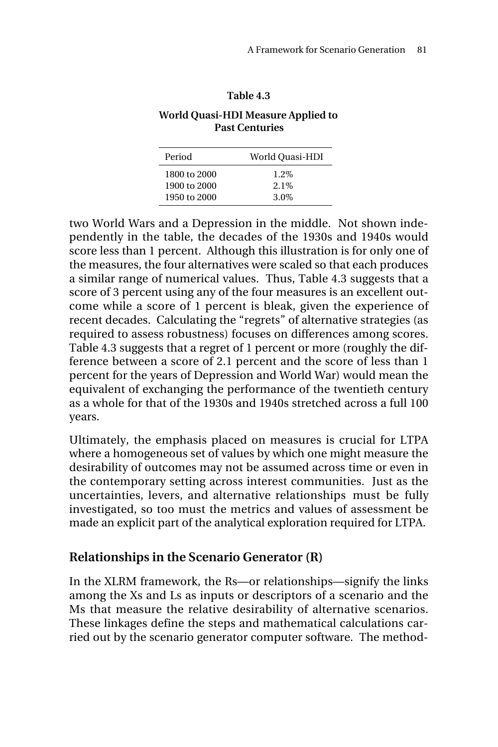#### **Table 4.3**

#### **World Quasi-HDI Measure Applied to Past Centuries**

| Period                       | World Ouasi-HDI    |
|------------------------------|--------------------|
| 1800 to 2000<br>1900 to 2000 | $1.2\%$<br>$2.1\%$ |
| 1950 to 2000                 | 3.0%               |

two World Wars and a Depression in the middle. Not shown independently in the table, the decades of the 1930s and 1940s would score less than 1 percent. Although this illustration is for only one of the measures, the four alternatives were scaled so that each produces a similar range of numerical values. Thus, Table 4.3 suggests that a score of 3 percent using any of the four measures is an excellent outcome while a score of 1 percent is bleak, given the experience of recent decades. Calculating the "regrets" of alternative strategies (as required to assess robustness) focuses on differences among scores. Table 4.3 suggests that a regret of 1 percent or more (roughly the difference between a score of 2.1 percent and the score of less than 1 percent for the years of Depression and World War) would mean the equivalent of exchanging the performance of the twentieth century as a whole for that of the 1930s and 1940s stretched across a full 100 years.

Ultimately, the emphasis placed on measures is crucial for LTPA where a homogeneous set of values by which one might measure the desirability of outcomes may not be assumed across time or even in the contemporary setting across interest communities. Just as the uncertainties, levers, and alternative relationships must be fully investigated, so too must the metrics and values of assessment be made an explicit part of the analytical exploration required for LTPA.

#### **Relationships in the Scenario Generator (R)**

In the XLRM framework, the Rs—or relationships—signify the links among the Xs and Ls as inputs or descriptors of a scenario and the Ms that measure the relative desirability of alternative scenarios. These linkages define the steps and mathematical calculations carried out by the scenario generator computer software. The method-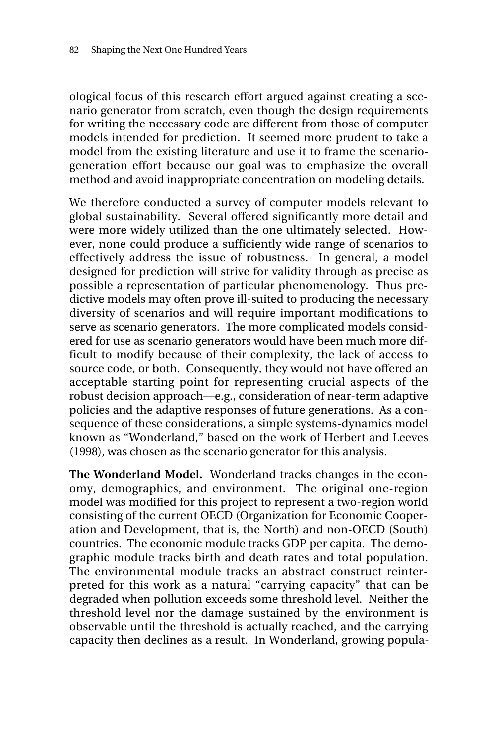ological focus of this research effort argued against creating a scenario generator from scratch, even though the design requirements for writing the necessary code are different from those of computer models intended for prediction. It seemed more prudent to take a model from the existing literature and use it to frame the scenariogeneration effort because our goal was to emphasize the overall method and avoid inappropriate concentration on modeling details.

We therefore conducted a survey of computer models relevant to global sustainability. Several offered significantly more detail and were more widely utilized than the one ultimately selected. However, none could produce a sufficiently wide range of scenarios to effectively address the issue of robustness. In general, a model designed for prediction will strive for validity through as precise as possible a representation of particular phenomenology. Thus predictive models may often prove ill-suited to producing the necessary diversity of scenarios and will require important modifications to serve as scenario generators. The more complicated models considered for use as scenario generators would have been much more difficult to modify because of their complexity, the lack of access to source code, or both. Consequently, they would not have offered an acceptable starting point for representing crucial aspects of the robust decision approach—e.g., consideration of near-term adaptive policies and the adaptive responses of future generations. As a consequence of these considerations, a simple systems-dynamics model known as "Wonderland," based on the work of Herbert and Leeves (1998), was chosen as the scenario generator for this analysis.

**The Wonderland Model.** Wonderland tracks changes in the economy, demographics, and environment. The original one-region model was modified for this project to represent a two-region world consisting of the current OECD (Organization for Economic Cooperation and Development, that is, the North) and non-OECD (South) countries. The economic module tracks GDP per capita. The demographic module tracks birth and death rates and total population. The environmental module tracks an abstract construct reinterpreted for this work as a natural "carrying capacity" that can be degraded when pollution exceeds some threshold level. Neither the threshold level nor the damage sustained by the environment is observable until the threshold is actually reached, and the carrying capacity then declines as a result. In Wonderland, growing popula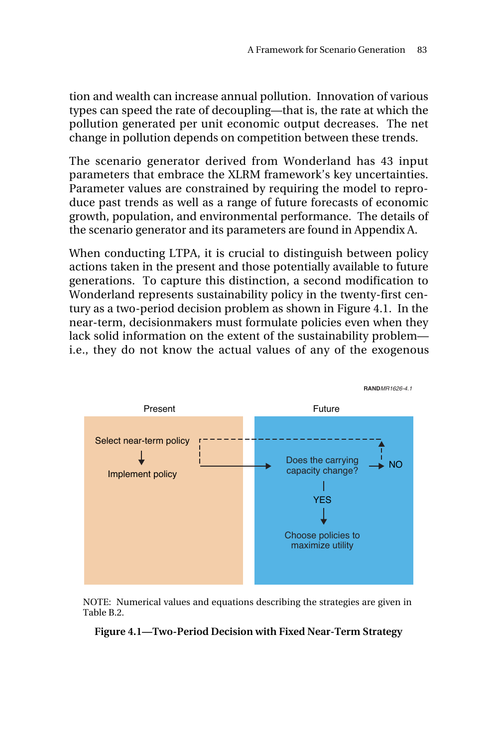tion and wealth can increase annual pollution. Innovation of various types can speed the rate of decoupling—that is, the rate at which the pollution generated per unit economic output decreases. The net change in pollution depends on competition between these trends.

The scenario generator derived from Wonderland has 43 input parameters that embrace the XLRM framework's key uncertainties. Parameter values are constrained by requiring the model to reproduce past trends as well as a range of future forecasts of economic growth, population, and environmental performance. The details of the scenario generator and its parameters are found in Appendix A.

When conducting LTPA, it is crucial to distinguish between policy actions taken in the present and those potentially available to future generations. To capture this distinction, a second modification to Wonderland represents sustainability policy in the twenty-first century as a two-period decision problem as shown in Figure 4.1. In the near-term, decisionmakers must formulate policies even when they lack solid information on the extent of the sustainability problem i.e., they do not know the actual values of any of the exogenous



NOTE: Numerical values and equations describing the strategies are given in Table B.2.

**Figure 4.1—Two-Period Decision with Fixed Near-Term Strategy**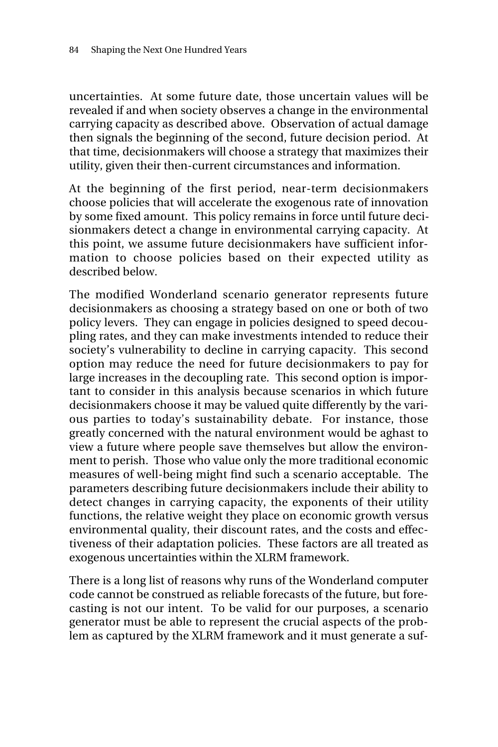uncertainties. At some future date, those uncertain values will be revealed if and when society observes a change in the environmental carrying capacity as described above. Observation of actual damage then signals the beginning of the second, future decision period. At that time, decisionmakers will choose a strategy that maximizes their utility, given their then-current circumstances and information.

At the beginning of the first period, near-term decisionmakers choose policies that will accelerate the exogenous rate of innovation by some fixed amount. This policy remains in force until future decisionmakers detect a change in environmental carrying capacity. At this point, we assume future decisionmakers have sufficient information to choose policies based on their expected utility as described below.

The modified Wonderland scenario generator represents future decisionmakers as choosing a strategy based on one or both of two policy levers. They can engage in policies designed to speed decoupling rates, and they can make investments intended to reduce their society's vulnerability to decline in carrying capacity. This second option may reduce the need for future decisionmakers to pay for large increases in the decoupling rate. This second option is important to consider in this analysis because scenarios in which future decisionmakers choose it may be valued quite differently by the various parties to today's sustainability debate. For instance, those greatly concerned with the natural environment would be aghast to view a future where people save themselves but allow the environment to perish. Those who value only the more traditional economic measures of well-being might find such a scenario acceptable. The parameters describing future decisionmakers include their ability to detect changes in carrying capacity, the exponents of their utility functions, the relative weight they place on economic growth versus environmental quality, their discount rates, and the costs and effectiveness of their adaptation policies. These factors are all treated as exogenous uncertainties within the XLRM framework.

There is a long list of reasons why runs of the Wonderland computer code cannot be construed as reliable forecasts of the future, but forecasting is not our intent. To be valid for our purposes, a scenario generator must be able to represent the crucial aspects of the problem as captured by the XLRM framework and it must generate a suf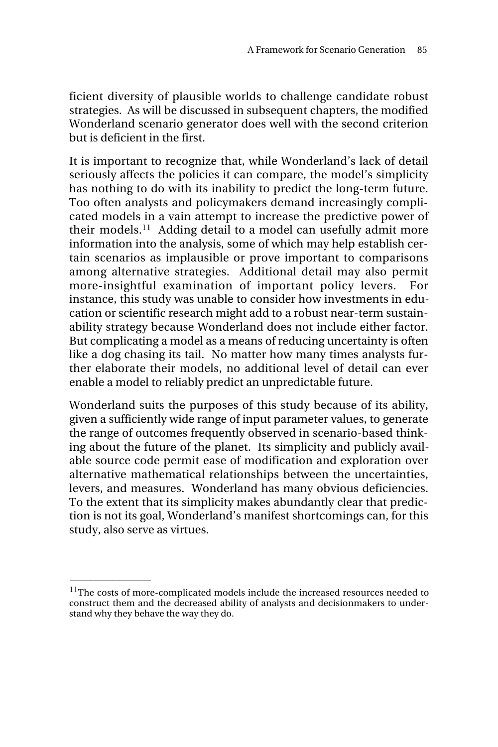ficient diversity of plausible worlds to challenge candidate robust strategies. As will be discussed in subsequent chapters, the modified Wonderland scenario generator does well with the second criterion but is deficient in the first.

It is important to recognize that, while Wonderland's lack of detail seriously affects the policies it can compare, the model's simplicity has nothing to do with its inability to predict the long-term future. Too often analysts and policymakers demand increasingly complicated models in a vain attempt to increase the predictive power of their models.11 Adding detail to a model can usefully admit more information into the analysis, some of which may help establish certain scenarios as implausible or prove important to comparisons among alternative strategies. Additional detail may also permit more-insightful examination of important policy levers. For instance, this study was unable to consider how investments in education or scientific research might add to a robust near-term sustainability strategy because Wonderland does not include either factor. But complicating a model as a means of reducing uncertainty is often like a dog chasing its tail. No matter how many times analysts further elaborate their models, no additional level of detail can ever enable a model to reliably predict an unpredictable future.

Wonderland suits the purposes of this study because of its ability, given a sufficiently wide range of input parameter values, to generate the range of outcomes frequently observed in scenario-based thinking about the future of the planet. Its simplicity and publicly available source code permit ease of modification and exploration over alternative mathematical relationships between the uncertainties, levers, and measures. Wonderland has many obvious deficiencies. To the extent that its simplicity makes abundantly clear that prediction is not its goal, Wonderland's manifest shortcomings can, for this study, also serve as virtues.

\_\_\_\_\_\_\_\_\_\_\_\_\_\_

 $11$ The costs of more-complicated models include the increased resources needed to construct them and the decreased ability of analysts and decisionmakers to understand why they behave the way they do.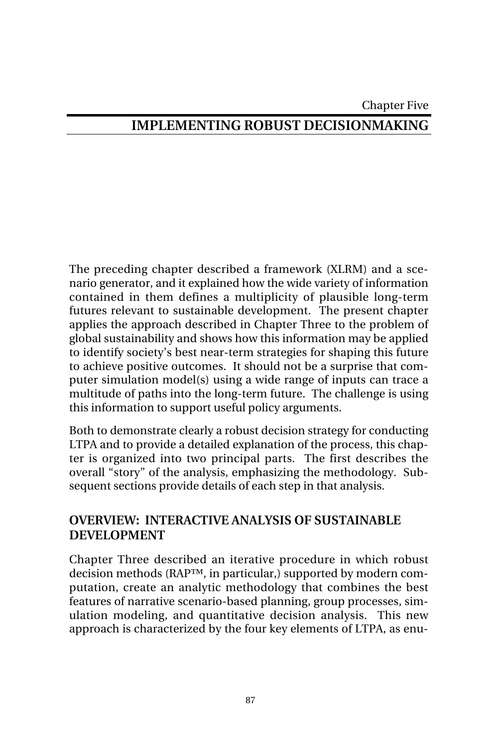### Chapter Five

# **IMPLEMENTING ROBUST DECISIONMAKING**

The preceding chapter described a framework (XLRM) and a scenario generator, and it explained how the wide variety of information contained in them defines a multiplicity of plausible long-term futures relevant to sustainable development. The present chapter applies the approach described in Chapter Three to the problem of global sustainability and shows how this information may be applied to identify society's best near-term strategies for shaping this future to achieve positive outcomes. It should not be a surprise that computer simulation model(s) using a wide range of inputs can trace a multitude of paths into the long-term future. The challenge is using this information to support useful policy arguments.

Both to demonstrate clearly a robust decision strategy for conducting LTPA and to provide a detailed explanation of the process, this chapter is organized into two principal parts. The first describes the overall "story" of the analysis, emphasizing the methodology. Subsequent sections provide details of each step in that analysis.

### **OVERVIEW: INTERACTIVE ANALYSIS OF SUSTAINABLE DEVELOPMENT**

Chapter Three described an iterative procedure in which robust decision methods (RAP™, in particular,) supported by modern computation, create an analytic methodology that combines the best features of narrative scenario-based planning, group processes, simulation modeling, and quantitative decision analysis. This new approach is characterized by the four key elements of LTPA, as enu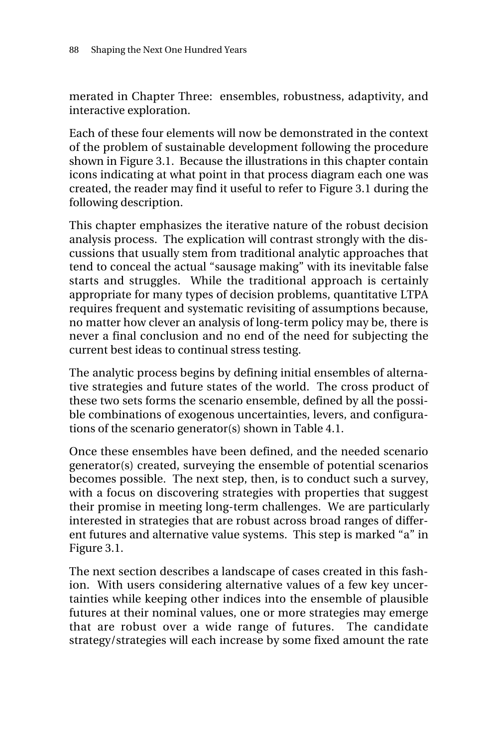merated in Chapter Three: ensembles, robustness, adaptivity, and interactive exploration.

Each of these four elements will now be demonstrated in the context of the problem of sustainable development following the procedure shown in Figure 3.1. Because the illustrations in this chapter contain icons indicating at what point in that process diagram each one was created, the reader may find it useful to refer to Figure 3.1 during the following description.

This chapter emphasizes the iterative nature of the robust decision analysis process. The explication will contrast strongly with the discussions that usually stem from traditional analytic approaches that tend to conceal the actual "sausage making" with its inevitable false starts and struggles. While the traditional approach is certainly appropriate for many types of decision problems, quantitative LTPA requires frequent and systematic revisiting of assumptions because, no matter how clever an analysis of long-term policy may be, there is never a final conclusion and no end of the need for subjecting the current best ideas to continual stress testing.

The analytic process begins by defining initial ensembles of alternative strategies and future states of the world. The cross product of these two sets forms the scenario ensemble, defined by all the possible combinations of exogenous uncertainties, levers, and configurations of the scenario generator(s) shown in Table 4.1.

Once these ensembles have been defined, and the needed scenario generator(s) created, surveying the ensemble of potential scenarios becomes possible. The next step, then, is to conduct such a survey, with a focus on discovering strategies with properties that suggest their promise in meeting long-term challenges. We are particularly interested in strategies that are robust across broad ranges of different futures and alternative value systems. This step is marked "a" in Figure 3.1.

The next section describes a landscape of cases created in this fashion. With users considering alternative values of a few key uncertainties while keeping other indices into the ensemble of plausible futures at their nominal values, one or more strategies may emerge that are robust over a wide range of futures. The candidate strategy/strategies will each increase by some fixed amount the rate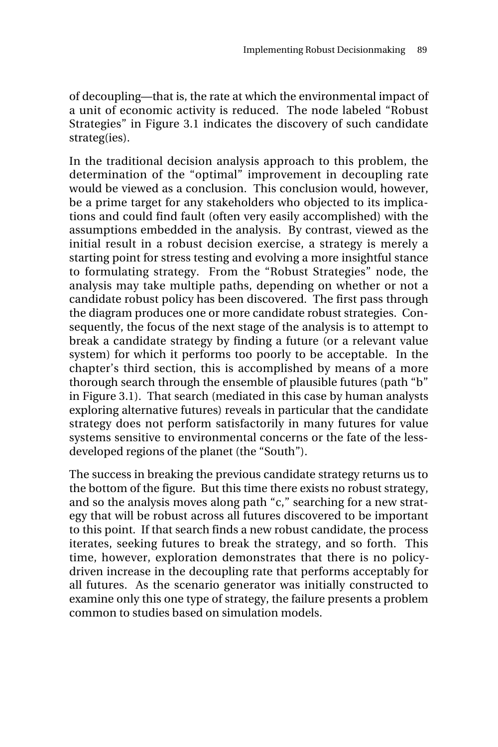of decoupling—that is, the rate at which the environmental impact of a unit of economic activity is reduced. The node labeled "Robust Strategies" in Figure 3.1 indicates the discovery of such candidate strateg(ies).

In the traditional decision analysis approach to this problem, the determination of the "optimal" improvement in decoupling rate would be viewed as a conclusion. This conclusion would, however, be a prime target for any stakeholders who objected to its implications and could find fault (often very easily accomplished) with the assumptions embedded in the analysis. By contrast, viewed as the initial result in a robust decision exercise, a strategy is merely a starting point for stress testing and evolving a more insightful stance to formulating strategy. From the "Robust Strategies" node, the analysis may take multiple paths, depending on whether or not a candidate robust policy has been discovered. The first pass through the diagram produces one or more candidate robust strategies. Consequently, the focus of the next stage of the analysis is to attempt to break a candidate strategy by finding a future (or a relevant value system) for which it performs too poorly to be acceptable. In the chapter's third section, this is accomplished by means of a more thorough search through the ensemble of plausible futures (path "b" in Figure 3.1). That search (mediated in this case by human analysts exploring alternative futures) reveals in particular that the candidate strategy does not perform satisfactorily in many futures for value systems sensitive to environmental concerns or the fate of the lessdeveloped regions of the planet (the "South").

The success in breaking the previous candidate strategy returns us to the bottom of the figure. But this time there exists no robust strategy, and so the analysis moves along path "c," searching for a new strategy that will be robust across all futures discovered to be important to this point. If that search finds a new robust candidate, the process iterates, seeking futures to break the strategy, and so forth. This time, however, exploration demonstrates that there is no policydriven increase in the decoupling rate that performs acceptably for all futures. As the scenario generator was initially constructed to examine only this one type of strategy, the failure presents a problem common to studies based on simulation models.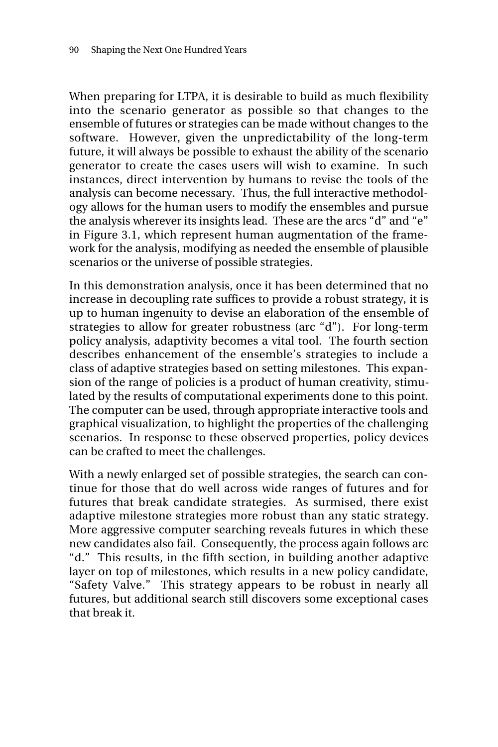When preparing for LTPA, it is desirable to build as much flexibility into the scenario generator as possible so that changes to the ensemble of futures or strategies can be made without changes to the software. However, given the unpredictability of the long-term future, it will always be possible to exhaust the ability of the scenario generator to create the cases users will wish to examine. In such instances, direct intervention by humans to revise the tools of the analysis can become necessary. Thus, the full interactive methodology allows for the human users to modify the ensembles and pursue the analysis wherever its insights lead. These are the arcs "d" and "e" in Figure 3.1, which represent human augmentation of the framework for the analysis, modifying as needed the ensemble of plausible scenarios or the universe of possible strategies.

In this demonstration analysis, once it has been determined that no increase in decoupling rate suffices to provide a robust strategy, it is up to human ingenuity to devise an elaboration of the ensemble of strategies to allow for greater robustness (arc "d"). For long-term policy analysis, adaptivity becomes a vital tool. The fourth section describes enhancement of the ensemble's strategies to include a class of adaptive strategies based on setting milestones. This expansion of the range of policies is a product of human creativity, stimulated by the results of computational experiments done to this point. The computer can be used, through appropriate interactive tools and graphical visualization, to highlight the properties of the challenging scenarios. In response to these observed properties, policy devices can be crafted to meet the challenges.

With a newly enlarged set of possible strategies, the search can continue for those that do well across wide ranges of futures and for futures that break candidate strategies. As surmised, there exist adaptive milestone strategies more robust than any static strategy. More aggressive computer searching reveals futures in which these new candidates also fail. Consequently, the process again follows arc "d." This results, in the fifth section, in building another adaptive layer on top of milestones, which results in a new policy candidate, "Safety Valve." This strategy appears to be robust in nearly all futures, but additional search still discovers some exceptional cases that break it.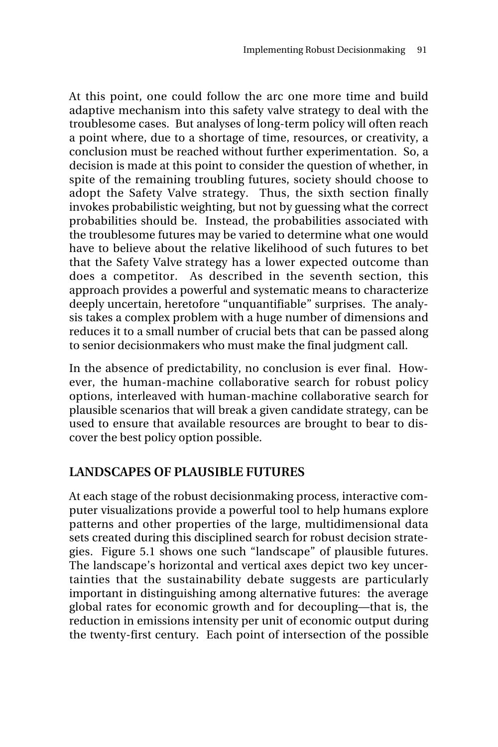At this point, one could follow the arc one more time and build adaptive mechanism into this safety valve strategy to deal with the troublesome cases. But analyses of long-term policy will often reach a point where, due to a shortage of time, resources, or creativity, a conclusion must be reached without further experimentation. So, a decision is made at this point to consider the question of whether, in spite of the remaining troubling futures, society should choose to adopt the Safety Valve strategy. Thus, the sixth section finally invokes probabilistic weighting, but not by guessing what the correct probabilities should be. Instead, the probabilities associated with the troublesome futures may be varied to determine what one would have to believe about the relative likelihood of such futures to bet that the Safety Valve strategy has a lower expected outcome than does a competitor. As described in the seventh section, this approach provides a powerful and systematic means to characterize deeply uncertain, heretofore "unquantifiable" surprises. The analysis takes a complex problem with a huge number of dimensions and reduces it to a small number of crucial bets that can be passed along to senior decisionmakers who must make the final judgment call.

In the absence of predictability, no conclusion is ever final. However, the human-machine collaborative search for robust policy options, interleaved with human-machine collaborative search for plausible scenarios that will break a given candidate strategy, can be used to ensure that available resources are brought to bear to discover the best policy option possible.

# **LANDSCAPES OF PLAUSIBLE FUTURES**

At each stage of the robust decisionmaking process, interactive computer visualizations provide a powerful tool to help humans explore patterns and other properties of the large, multidimensional data sets created during this disciplined search for robust decision strategies. Figure 5.1 shows one such "landscape" of plausible futures. The landscape's horizontal and vertical axes depict two key uncertainties that the sustainability debate suggests are particularly important in distinguishing among alternative futures: the average global rates for economic growth and for decoupling—that is, the reduction in emissions intensity per unit of economic output during the twenty-first century. Each point of intersection of the possible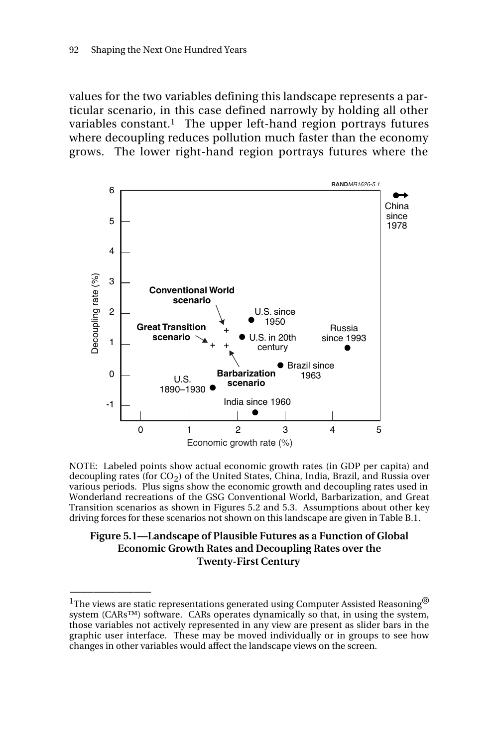values for the two variables defining this landscape represents a particular scenario, in this case defined narrowly by holding all other variables constant.<sup>1</sup> The upper left-hand region portrays futures where decoupling reduces pollution much faster than the economy grows. The lower right-hand region portrays futures where the



NOTE: Labeled points show actual economic growth rates (in GDP per capita) and decoupling rates (for  $CO<sub>2</sub>$ ) of the United States, China, India, Brazil, and Russia over various periods. Plus signs show the economic growth and decoupling rates used in Wonderland recreations of the GSG Conventional World, Barbarization, and Great Transition scenarios as shown in Figures 5.2 and 5.3. Assumptions about other key driving forces for these scenarios not shown on this landscape are given in Table B.1.

### **Figure 5.1—Landscape of Plausible Futures as a Function of Global Economic Growth Rates and Decoupling Rates over the Twenty-First Century**

<sup>&</sup>lt;sup>1</sup>The views are static representations generated using Computer Assisted Reasoning<sup>®</sup> system (CARs™) software. CARs operates dynamically so that, in using the system, those variables not actively represented in any view are present as slider bars in the graphic user interface. These may be moved individually or in groups to see how changes in other variables would affect the landscape views on the screen.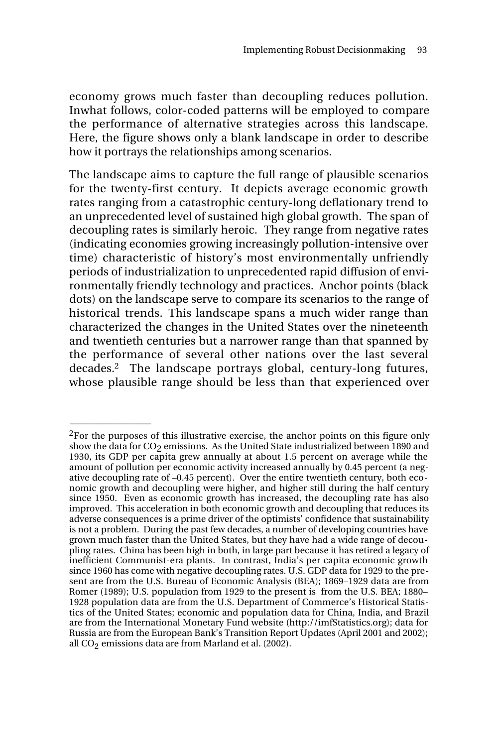economy grows much faster than decoupling reduces pollution. Inwhat follows, color-coded patterns will be employed to compare the performance of alternative strategies across this landscape. Here, the figure shows only a blank landscape in order to describe how it portrays the relationships among scenarios.

The landscape aims to capture the full range of plausible scenarios for the twenty-first century. It depicts average economic growth rates ranging from a catastrophic century-long deflationary trend to an unprecedented level of sustained high global growth. The span of decoupling rates is similarly heroic. They range from negative rates (indicating economies growing increasingly pollution-intensive over time) characteristic of history's most environmentally unfriendly periods of industrialization to unprecedented rapid diffusion of environmentally friendly technology and practices. Anchor points (black dots) on the landscape serve to compare its scenarios to the range of historical trends. This landscape spans a much wider range than characterized the changes in the United States over the nineteenth and twentieth centuries but a narrower range than that spanned by the performance of several other nations over the last several decades.2 The landscape portrays global, century-long futures, whose plausible range should be less than that experienced over

 $2$ For the purposes of this illustrative exercise, the anchor points on this figure only show the data for  $CO<sub>2</sub>$  emissions. As the United State industrialized between 1890 and 1930, its GDP per capita grew annually at about 1.5 percent on average while the amount of pollution per economic activity increased annually by 0.45 percent (a negative decoupling rate of –0.45 percent). Over the entire twentieth century, both economic growth and decoupling were higher, and higher still during the half century since 1950. Even as economic growth has increased, the decoupling rate has also improved. This acceleration in both economic growth and decoupling that reduces its adverse consequences is a prime driver of the optimists' confidence that sustainability is not a problem. During the past few decades, a number of developing countries have grown much faster than the United States, but they have had a wide range of decoupling rates. China has been high in both, in large part because it has retired a legacy of inefficient Communist-era plants. In contrast, India's per capita economic growth since 1960 has come with negative decoupling rates. U.S. GDP data for 1929 to the present are from the U.S. Bureau of Economic Analysis (BEA); 1869–1929 data are from Romer (1989); U.S. population from 1929 to the present is from the U.S. BEA; 1880– 1928 population data are from the U.S. Department of Commerce's Historical Statistics of the United States; economic and population data for China, India, and Brazil are from the International Monetary Fund website (http://imfStatistics.org); data for Russia are from the European Bank's Transition Report Updates (April 2001 and 2002); all CO2 emissions data are from Marland et al. (2002).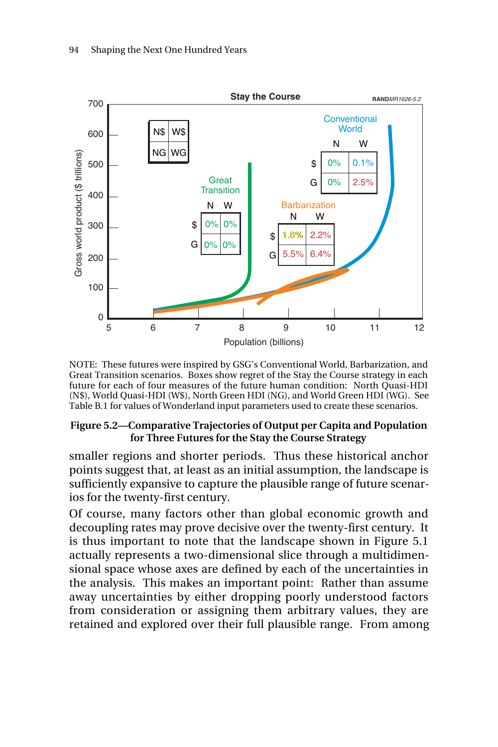

NOTE: These futures were inspired by GSG's Conventional World, Barbarization, and Great Transition scenarios. Boxes show regret of the Stay the Course strategy in each future for each of four measures of the future human condition: North Quasi-HDI (N\$), World Quasi-HDI (W\$), North Green HDI (NG), and World Green HDI (WG). See Table B.1 for values of Wonderland input parameters used to create these scenarios.

### **Figure 5.2—Comparative Trajectories of Output per Capita and Population for Three Futures for the Stay the Course Strategy**

smaller regions and shorter periods. Thus these historical anchor points suggest that, at least as an initial assumption, the landscape is sufficiently expansive to capture the plausible range of future scenarios for the twenty-first century.

Of course, many factors other than global economic growth and decoupling rates may prove decisive over the twenty-first century. It is thus important to note that the landscape shown in Figure 5.1 actually represents a two-dimensional slice through a multidimensional space whose axes are defined by each of the uncertainties in the analysis. This makes an important point: Rather than assume away uncertainties by either dropping poorly understood factors from consideration or assigning them arbitrary values, they are retained and explored over their full plausible range. From among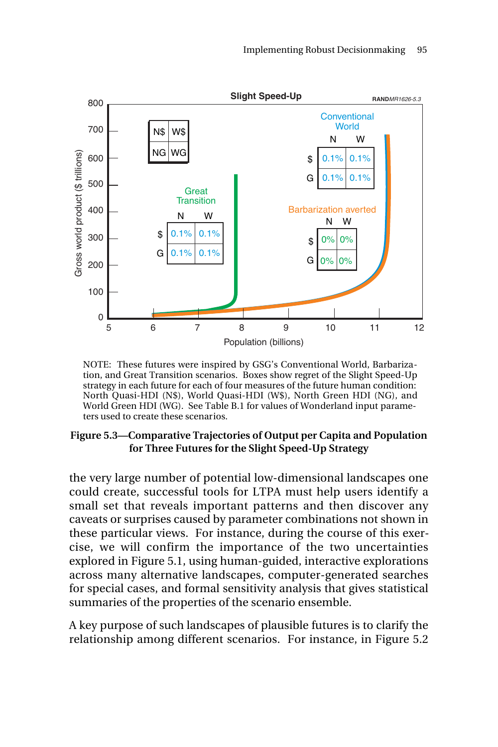

NOTE: These futures were inspired by GSG's Conventional World, Barbarization, and Great Transition scenarios. Boxes show regret of the Slight Speed-Up strategy in each future for each of four measures of the future human condition: North Quasi-HDI (N\$), World Quasi-HDI (W\$), North Green HDI (NG), and World Green HDI (WG). See Table B.1 for values of Wonderland input parameters used to create these scenarios.

### **Figure 5.3—Comparative Trajectories of Output per Capita and Population for Three Futures for the Slight Speed-Up Strategy**

the very large number of potential low-dimensional landscapes one could create, successful tools for LTPA must help users identify a small set that reveals important patterns and then discover any caveats or surprises caused by parameter combinations not shown in these particular views. For instance, during the course of this exercise, we will confirm the importance of the two uncertainties explored in Figure 5.1, using human-guided, interactive explorations across many alternative landscapes, computer-generated searches for special cases, and formal sensitivity analysis that gives statistical summaries of the properties of the scenario ensemble.

A key purpose of such landscapes of plausible futures is to clarify the relationship among different scenarios. For instance, in Figure 5.2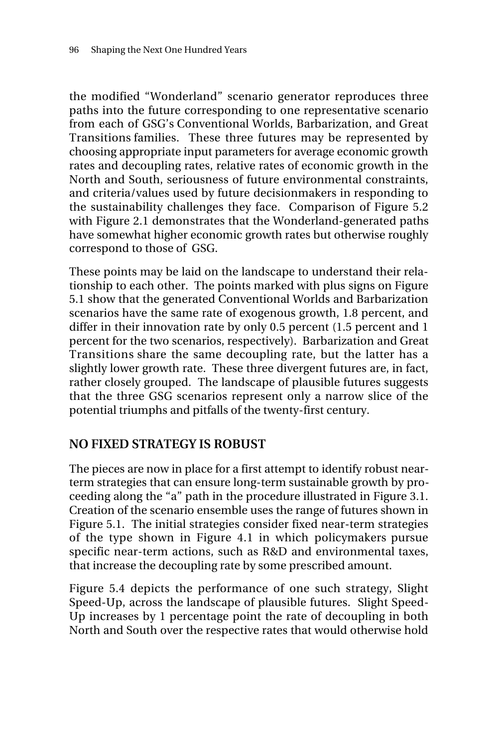the modified "Wonderland" scenario generator reproduces three paths into the future corresponding to one representative scenario from each of GSG's Conventional Worlds, Barbarization, and Great Transitions families. These three futures may be represented by choosing appropriate input parameters for average economic growth rates and decoupling rates, relative rates of economic growth in the North and South, seriousness of future environmental constraints, and criteria/values used by future decisionmakers in responding to the sustainability challenges they face. Comparison of Figure 5.2 with Figure 2.1 demonstrates that the Wonderland-generated paths have somewhat higher economic growth rates but otherwise roughly correspond to those of GSG.

These points may be laid on the landscape to understand their relationship to each other. The points marked with plus signs on Figure 5.1 show that the generated Conventional Worlds and Barbarization scenarios have the same rate of exogenous growth, 1.8 percent, and differ in their innovation rate by only 0.5 percent (1.5 percent and 1 percent for the two scenarios, respectively). Barbarization and Great Transitions share the same decoupling rate, but the latter has a slightly lower growth rate. These three divergent futures are, in fact, rather closely grouped. The landscape of plausible futures suggests that the three GSG scenarios represent only a narrow slice of the potential triumphs and pitfalls of the twenty-first century.

# **NO FIXED STRATEGY IS ROBUST**

The pieces are now in place for a first attempt to identify robust nearterm strategies that can ensure long-term sustainable growth by proceeding along the "a" path in the procedure illustrated in Figure 3.1. Creation of the scenario ensemble uses the range of futures shown in Figure 5.1. The initial strategies consider fixed near-term strategies of the type shown in Figure 4.1 in which policymakers pursue specific near-term actions, such as R&D and environmental taxes, that increase the decoupling rate by some prescribed amount.

Figure 5.4 depicts the performance of one such strategy, Slight Speed-Up, across the landscape of plausible futures. Slight Speed-Up increases by 1 percentage point the rate of decoupling in both North and South over the respective rates that would otherwise hold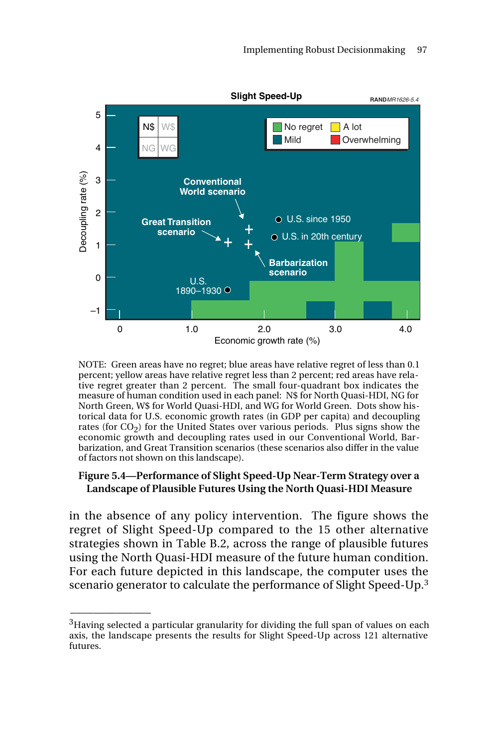

NOTE: Green areas have no regret; blue areas have relative regret of less than 0.1 percent; yellow areas have relative regret less than 2 percent; red areas have relative regret greater than 2 percent. The small four-quadrant box indicates the measure of human condition used in each panel: N\$ for North Quasi-HDI, NG for North Green, W\$ for World Quasi-HDI, and WG for World Green. Dots show historical data for U.S. economic growth rates (in GDP per capita) and decoupling rates (for  $CO<sub>2</sub>$ ) for the United States over various periods. Plus signs show the economic growth and decoupling rates used in our Conventional World, Barbarization, and Great Transition scenarios (these scenarios also differ in the value of factors not shown on this landscape).

#### **Figure 5.4—Performance of Slight Speed-Up Near-Term Strategy over a Landscape of Plausible Futures Using the North Quasi-HDI Measure**

in the absence of any policy intervention. The figure shows the regret of Slight Speed-Up compared to the 15 other alternative strategies shown in Table B.2, across the range of plausible futures using the North Quasi-HDI measure of the future human condition. For each future depicted in this landscape, the computer uses the scenario generator to calculate the performance of Slight Speed-Up.<sup>3</sup>

<sup>&</sup>lt;sup>3</sup>Having selected a particular granularity for dividing the full span of values on each axis, the landscape presents the results for Slight Speed-Up across 121 alternative futures.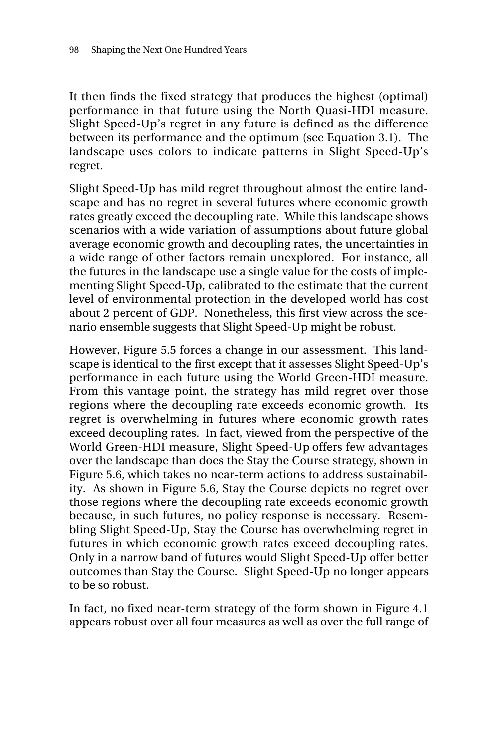It then finds the fixed strategy that produces the highest (optimal) performance in that future using the North Quasi-HDI measure. Slight Speed-Up's regret in any future is defined as the difference between its performance and the optimum (see Equation 3.1). The landscape uses colors to indicate patterns in Slight Speed-Up's regret.

Slight Speed-Up has mild regret throughout almost the entire landscape and has no regret in several futures where economic growth rates greatly exceed the decoupling rate. While this landscape shows scenarios with a wide variation of assumptions about future global average economic growth and decoupling rates, the uncertainties in a wide range of other factors remain unexplored. For instance, all the futures in the landscape use a single value for the costs of implementing Slight Speed-Up, calibrated to the estimate that the current level of environmental protection in the developed world has cost about 2 percent of GDP. Nonetheless, this first view across the scenario ensemble suggests that Slight Speed-Up might be robust.

However, Figure 5.5 forces a change in our assessment. This landscape is identical to the first except that it assesses Slight Speed-Up's performance in each future using the World Green-HDI measure. From this vantage point, the strategy has mild regret over those regions where the decoupling rate exceeds economic growth. Its regret is overwhelming in futures where economic growth rates exceed decoupling rates. In fact, viewed from the perspective of the World Green-HDI measure, Slight Speed-Up offers few advantages over the landscape than does the Stay the Course strategy, shown in Figure 5.6, which takes no near-term actions to address sustainability. As shown in Figure 5.6, Stay the Course depicts no regret over those regions where the decoupling rate exceeds economic growth because, in such futures, no policy response is necessary. Resembling Slight Speed-Up, Stay the Course has overwhelming regret in futures in which economic growth rates exceed decoupling rates. Only in a narrow band of futures would Slight Speed-Up offer better outcomes than Stay the Course. Slight Speed-Up no longer appears to be so robust.

In fact, no fixed near-term strategy of the form shown in Figure 4.1 appears robust over all four measures as well as over the full range of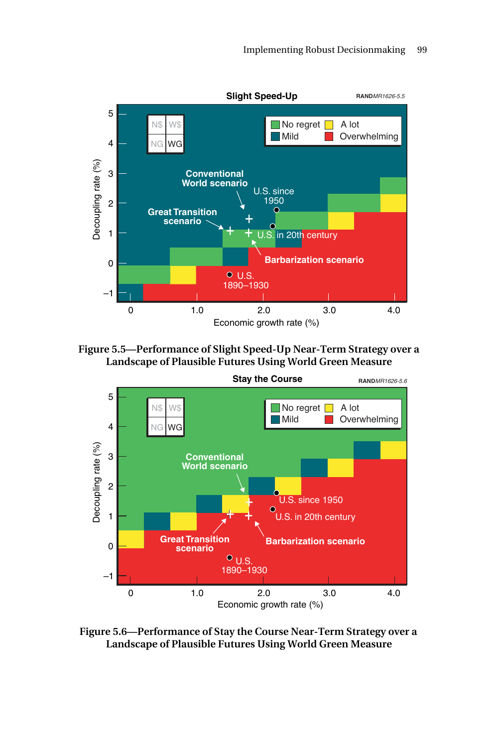

**Figure 5.5—Performance of Slight Speed-Up Near-Term Strategy over a Landscape of Plausible Futures Using World Green Measure**



**Figure 5.6—Performance of Stay the Course Near-Term Strategy over a Landscape of Plausible Futures Using World Green Measure**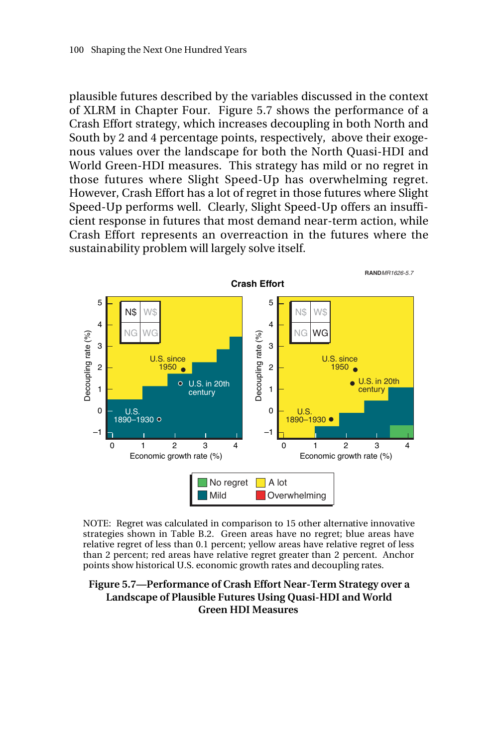plausible futures described by the variables discussed in the context of XLRM in Chapter Four. Figure 5.7 shows the performance of a Crash Effort strategy, which increases decoupling in both North and South by 2 and 4 percentage points, respectively, above their exogenous values over the landscape for both the North Quasi-HDI and World Green-HDI measures. This strategy has mild or no regret in those futures where Slight Speed-Up has overwhelming regret. However, Crash Effort has a lot of regret in those futures where Slight Speed-Up performs well. Clearly, Slight Speed-Up offers an insufficient response in futures that most demand near-term action, while Crash Effort represents an overreaction in the futures where the sustainability problem will largely solve itself.



NOTE: Regret was calculated in comparison to 15 other alternative innovative strategies shown in Table B.2. Green areas have no regret; blue areas have relative regret of less than 0.1 percent; yellow areas have relative regret of less than 2 percent; red areas have relative regret greater than 2 percent. Anchor points show historical U.S. economic growth rates and decoupling rates.

#### **Figure 5.7—Performance of Crash Effort Near-Term Strategy over a Landscape of Plausible Futures Using Quasi-HDI and World Green HDI Measures**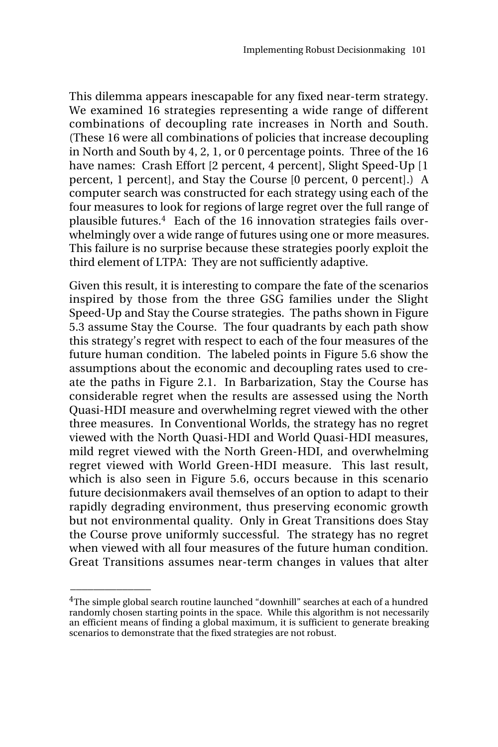This dilemma appears inescapable for any fixed near-term strategy. We examined 16 strategies representing a wide range of different combinations of decoupling rate increases in North and South. (These 16 were all combinations of policies that increase decoupling in North and South by 4, 2, 1, or 0 percentage points. Three of the 16 have names: Crash Effort [2 percent, 4 percent], Slight Speed-Up [1] percent, 1 percent], and Stay the Course [0 percent, 0 percent].) A computer search was constructed for each strategy using each of the four measures to look for regions of large regret over the full range of plausible futures.4 Each of the 16 innovation strategies fails overwhelmingly over a wide range of futures using one or more measures. This failure is no surprise because these strategies poorly exploit the third element of LTPA: They are not sufficiently adaptive.

Given this result, it is interesting to compare the fate of the scenarios inspired by those from the three GSG families under the Slight Speed-Up and Stay the Course strategies. The paths shown in Figure 5.3 assume Stay the Course. The four quadrants by each path show this strategy's regret with respect to each of the four measures of the future human condition. The labeled points in Figure 5.6 show the assumptions about the economic and decoupling rates used to create the paths in Figure 2.1. In Barbarization, Stay the Course has considerable regret when the results are assessed using the North Quasi-HDI measure and overwhelming regret viewed with the other three measures. In Conventional Worlds, the strategy has no regret viewed with the North Quasi-HDI and World Quasi-HDI measures, mild regret viewed with the North Green-HDI, and overwhelming regret viewed with World Green-HDI measure. This last result, which is also seen in Figure 5.6, occurs because in this scenario future decisionmakers avail themselves of an option to adapt to their rapidly degrading environment, thus preserving economic growth but not environmental quality. Only in Great Transitions does Stay the Course prove uniformly successful. The strategy has no regret when viewed with all four measures of the future human condition. Great Transitions assumes near-term changes in values that alter

<sup>&</sup>lt;sup>4</sup>The simple global search routine launched "downhill" searches at each of a hundred randomly chosen starting points in the space. While this algorithm is not necessarily an efficient means of finding a global maximum, it is sufficient to generate breaking scenarios to demonstrate that the fixed strategies are not robust.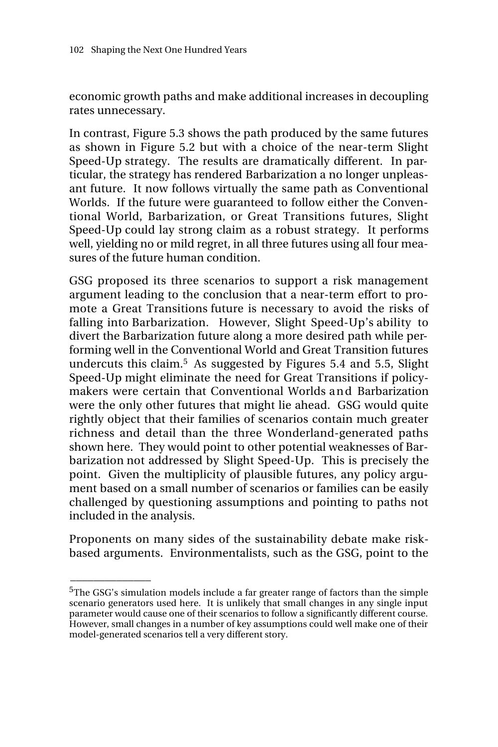economic growth paths and make additional increases in decoupling rates unnecessary.

In contrast, Figure 5.3 shows the path produced by the same futures as shown in Figure 5.2 but with a choice of the near-term Slight Speed-Up strategy. The results are dramatically different. In particular, the strategy has rendered Barbarization a no longer unpleasant future. It now follows virtually the same path as Conventional Worlds. If the future were guaranteed to follow either the Conventional World, Barbarization, or Great Transitions futures, Slight Speed-Up could lay strong claim as a robust strategy. It performs well, yielding no or mild regret, in all three futures using all four measures of the future human condition.

GSG proposed its three scenarios to support a risk management argument leading to the conclusion that a near-term effort to promote a Great Transitions future is necessary to avoid the risks of falling into Barbarization. However, Slight Speed-Up's ability to divert the Barbarization future along a more desired path while performing well in the Conventional World and Great Transition futures undercuts this claim.5 As suggested by Figures 5.4 and 5.5, Slight Speed-Up might eliminate the need for Great Transitions if policymakers were certain that Conventional Worlds and Barbarization were the only other futures that might lie ahead. GSG would quite rightly object that their families of scenarios contain much greater richness and detail than the three Wonderland-generated paths shown here. They would point to other potential weaknesses of Barbarization not addressed by Slight Speed-Up. This is precisely the point. Given the multiplicity of plausible futures, any policy argument based on a small number of scenarios or families can be easily challenged by questioning assumptions and pointing to paths not included in the analysis.

Proponents on many sides of the sustainability debate make riskbased arguments. Environmentalists, such as the GSG, point to the

\_\_\_\_\_\_\_\_\_\_\_\_\_\_

<sup>&</sup>lt;sup>5</sup>The GSG's simulation models include a far greater range of factors than the simple scenario generators used here. It is unlikely that small changes in any single input parameter would cause one of their scenarios to follow a significantly different course. However, small changes in a number of key assumptions could well make one of their model-generated scenarios tell a very different story.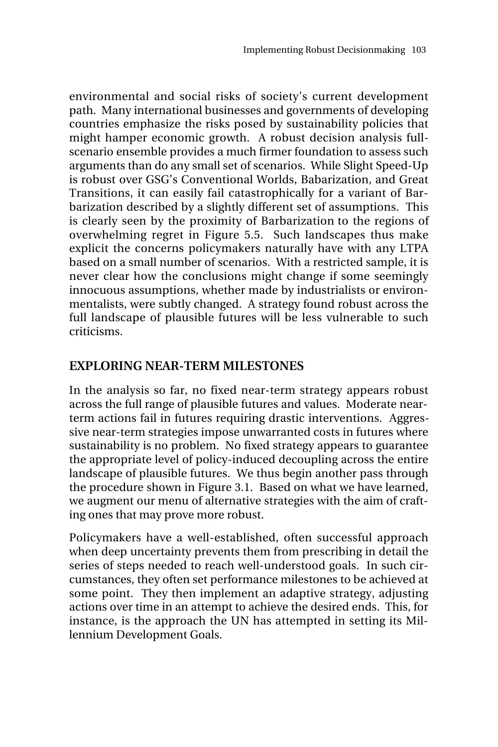environmental and social risks of society's current development path. Many international businesses and governments of developing countries emphasize the risks posed by sustainability policies that might hamper economic growth. A robust decision analysis fullscenario ensemble provides a much firmer foundation to assess such arguments than do any small set of scenarios. While Slight Speed-Up is robust over GSG's Conventional Worlds, Babarization, and Great Transitions, it can easily fail catastrophically for a variant of Barbarization described by a slightly different set of assumptions. This is clearly seen by the proximity of Barbarization to the regions of overwhelming regret in Figure 5.5. Such landscapes thus make explicit the concerns policymakers naturally have with any LTPA based on a small number of scenarios. With a restricted sample, it is never clear how the conclusions might change if some seemingly innocuous assumptions, whether made by industrialists or environmentalists, were subtly changed. A strategy found robust across the full landscape of plausible futures will be less vulnerable to such criticisms.

### **EXPLORING NEAR-TERM MILESTONES**

In the analysis so far, no fixed near-term strategy appears robust across the full range of plausible futures and values. Moderate nearterm actions fail in futures requiring drastic interventions. Aggressive near-term strategies impose unwarranted costs in futures where sustainability is no problem. No fixed strategy appears to guarantee the appropriate level of policy-induced decoupling across the entire landscape of plausible futures. We thus begin another pass through the procedure shown in Figure 3.1. Based on what we have learned, we augment our menu of alternative strategies with the aim of crafting ones that may prove more robust.

Policymakers have a well-established, often successful approach when deep uncertainty prevents them from prescribing in detail the series of steps needed to reach well-understood goals. In such circumstances, they often set performance milestones to be achieved at some point. They then implement an adaptive strategy, adjusting actions over time in an attempt to achieve the desired ends. This, for instance, is the approach the UN has attempted in setting its Millennium Development Goals.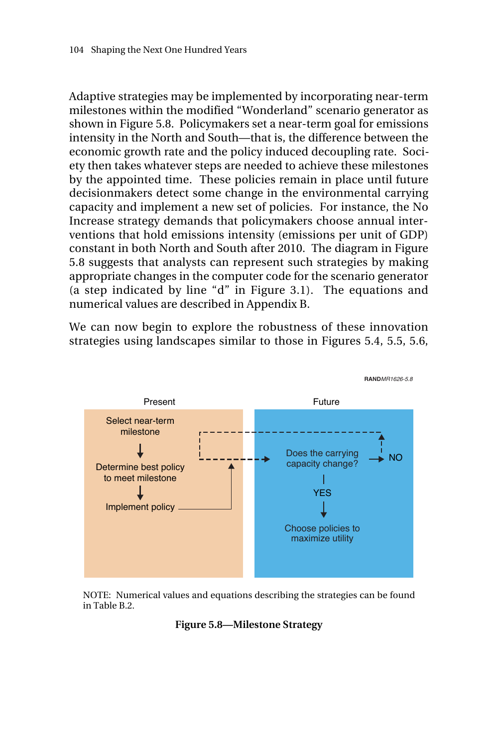Adaptive strategies may be implemented by incorporating near-term milestones within the modified "Wonderland" scenario generator as shown in Figure 5.8. Policymakers set a near-term goal for emissions intensity in the North and South—that is, the difference between the economic growth rate and the policy induced decoupling rate. Society then takes whatever steps are needed to achieve these milestones by the appointed time. These policies remain in place until future decisionmakers detect some change in the environmental carrying capacity and implement a new set of policies. For instance, the No Increase strategy demands that policymakers choose annual interventions that hold emissions intensity (emissions per unit of GDP) constant in both North and South after 2010. The diagram in Figure 5.8 suggests that analysts can represent such strategies by making appropriate changes in the computer code for the scenario generator (a step indicated by line "d" in Figure 3.1). The equations and numerical values are described in Appendix B.

We can now begin to explore the robustness of these innovation strategies using landscapes similar to those in Figures 5.4, 5.5, 5.6,



NOTE: Numerical values and equations describing the strategies can be found in Table B.2.

**Figure 5.8—Milestone Strategy**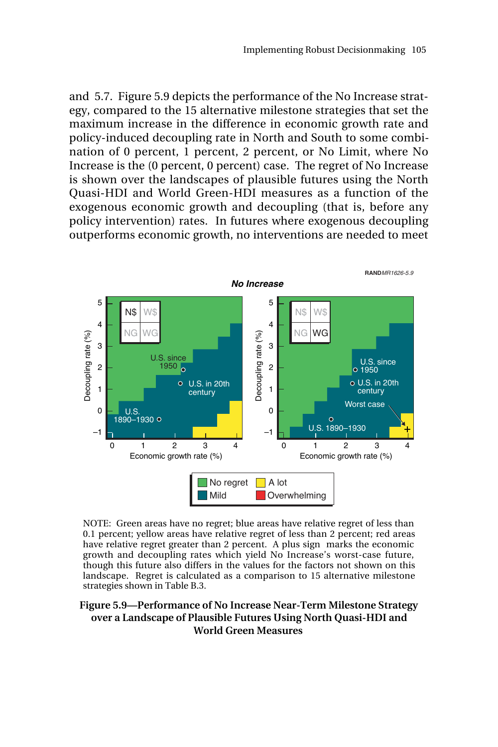and 5.7. Figure 5.9 depicts the performance of the No Increase strategy, compared to the 15 alternative milestone strategies that set the maximum increase in the difference in economic growth rate and policy-induced decoupling rate in North and South to some combination of 0 percent, 1 percent, 2 percent, or No Limit, where No Increase is the (0 percent, 0 percent) case. The regret of No Increase is shown over the landscapes of plausible futures using the North Quasi-HDI and World Green-HDI measures as a function of the exogenous economic growth and decoupling (that is, before any policy intervention) rates. In futures where exogenous decoupling outperforms economic growth, no interventions are needed to meet



NOTE: Green areas have no regret; blue areas have relative regret of less than 0.1 percent; yellow areas have relative regret of less than 2 percent; red areas have relative regret greater than 2 percent. A plus sign marks the economic growth and decoupling rates which yield No Increase's worst-case future, though this future also differs in the values for the factors not shown on this landscape. Regret is calculated as a comparison to 15 alternative milestone strategies shown in Table B.3.

#### **Figure 5.9—Performance of No Increase Near-Term Milestone Strategy over a Landscape of Plausible Futures Using North Quasi-HDI and World Green Measures**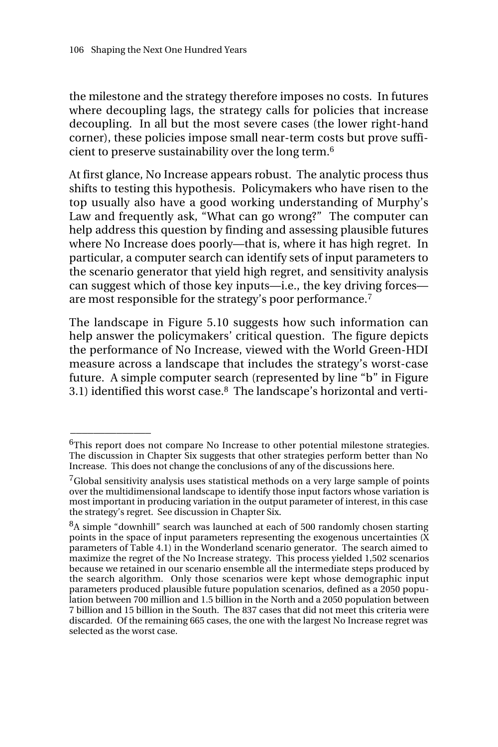$\overline{\phantom{a}}$ 

the milestone and the strategy therefore imposes no costs. In futures where decoupling lags, the strategy calls for policies that increase decoupling. In all but the most severe cases (the lower right-hand corner), these policies impose small near-term costs but prove sufficient to preserve sustainability over the long term.6

At first glance, No Increase appears robust. The analytic process thus shifts to testing this hypothesis. Policymakers who have risen to the top usually also have a good working understanding of Murphy's Law and frequently ask, "What can go wrong?" The computer can help address this question by finding and assessing plausible futures where No Increase does poorly—that is, where it has high regret. In particular, a computer search can identify sets of input parameters to the scenario generator that yield high regret, and sensitivity analysis can suggest which of those key inputs—i.e., the key driving forces are most responsible for the strategy's poor performance.7

The landscape in Figure 5.10 suggests how such information can help answer the policymakers' critical question. The figure depicts the performance of No Increase, viewed with the World Green-HDI measure across a landscape that includes the strategy's worst-case future. A simple computer search (represented by line "b" in Figure 3.1) identified this worst case.8 The landscape's horizontal and verti-

 $6$ This report does not compare No Increase to other potential milestone strategies. The discussion in Chapter Six suggests that other strategies perform better than No Increase. This does not change the conclusions of any of the discussions here.

 $7$ Global sensitivity analysis uses statistical methods on a very large sample of points over the multidimensional landscape to identify those input factors whose variation is most important in producing variation in the output parameter of interest, in this case the strategy's regret. See discussion in Chapter Six.

 ${}^{8}$ A simple "downhill" search was launched at each of 500 randomly chosen starting points in the space of input parameters representing the exogenous uncertainties (X parameters of Table 4.1) in the Wonderland scenario generator. The search aimed to maximize the regret of the No Increase strategy. This process yielded 1,502 scenarios because we retained in our scenario ensemble all the intermediate steps produced by the search algorithm. Only those scenarios were kept whose demographic input parameters produced plausible future population scenarios, defined as a 2050 population between 700 million and 1.5 billion in the North and a 2050 population between 7 billion and 15 billion in the South. The 837 cases that did not meet this criteria were discarded. Of the remaining 665 cases, the one with the largest No Increase regret was selected as the worst case.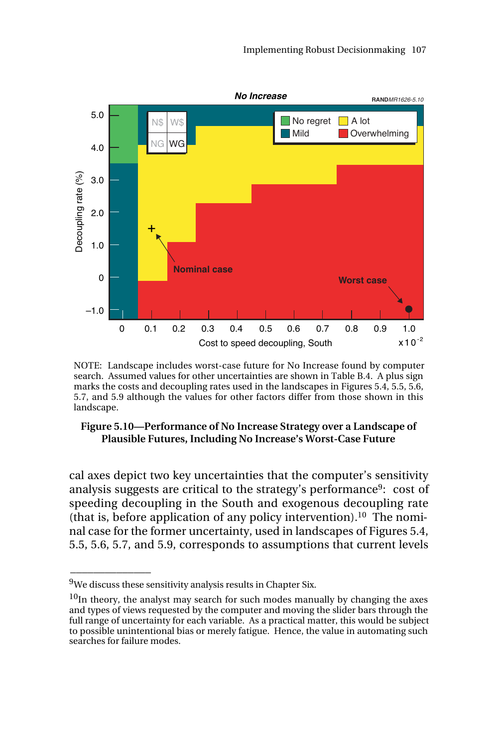

NOTE: Landscape includes worst-case future for No Increase found by computer search. Assumed values for other uncertainties are shown in Table B.4. A plus sign marks the costs and decoupling rates used in the landscapes in Figures 5.4, 5.5, 5.6, 5.7, and 5.9 although the values for other factors differ from those shown in this landscape.

#### **Figure 5.10—Performance of No Increase Strategy over a Landscape of Plausible Futures, Including No Increase's Worst-Case Future**

cal axes depict two key uncertainties that the computer's sensitivity analysis suggests are critical to the strategy's performance<sup>9</sup>: cost of speeding decoupling in the South and exogenous decoupling rate (that is, before application of any policy intervention).<sup>10</sup> The nominal case for the former uncertainty, used in landscapes of Figures 5.4, 5.5, 5.6, 5.7, and 5.9, corresponds to assumptions that current levels

<sup>9</sup>We discuss these sensitivity analysis results in Chapter Six.

 $10$ In theory, the analyst may search for such modes manually by changing the axes and types of views requested by the computer and moving the slider bars through the full range of uncertainty for each variable. As a practical matter, this would be subject to possible unintentional bias or merely fatigue. Hence, the value in automating such searches for failure modes.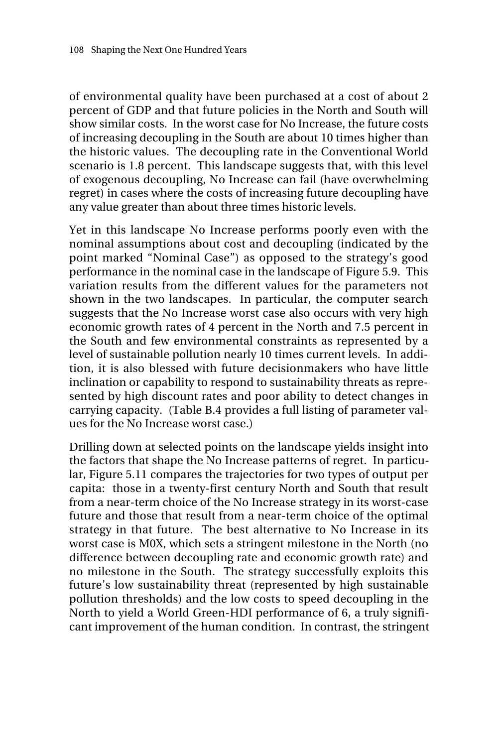of environmental quality have been purchased at a cost of about 2 percent of GDP and that future policies in the North and South will show similar costs. In the worst case for No Increase, the future costs of increasing decoupling in the South are about 10 times higher than the historic values. The decoupling rate in the Conventional World scenario is 1.8 percent. This landscape suggests that, with this level of exogenous decoupling, No Increase can fail (have overwhelming regret) in cases where the costs of increasing future decoupling have any value greater than about three times historic levels.

Yet in this landscape No Increase performs poorly even with the nominal assumptions about cost and decoupling (indicated by the point marked "Nominal Case") as opposed to the strategy's good performance in the nominal case in the landscape of Figure 5.9. This variation results from the different values for the parameters not shown in the two landscapes. In particular, the computer search suggests that the No Increase worst case also occurs with very high economic growth rates of 4 percent in the North and 7.5 percent in the South and few environmental constraints as represented by a level of sustainable pollution nearly 10 times current levels. In addition, it is also blessed with future decisionmakers who have little inclination or capability to respond to sustainability threats as represented by high discount rates and poor ability to detect changes in carrying capacity. (Table B.4 provides a full listing of parameter values for the No Increase worst case.)

Drilling down at selected points on the landscape yields insight into the factors that shape the No Increase patterns of regret. In particular, Figure 5.11 compares the trajectories for two types of output per capita: those in a twenty-first century North and South that result from a near-term choice of the No Increase strategy in its worst-case future and those that result from a near-term choice of the optimal strategy in that future. The best alternative to No Increase in its worst case is M0X, which sets a stringent milestone in the North (no difference between decoupling rate and economic growth rate) and no milestone in the South. The strategy successfully exploits this future's low sustainability threat (represented by high sustainable pollution thresholds) and the low costs to speed decoupling in the North to yield a World Green-HDI performance of 6, a truly significant improvement of the human condition. In contrast, the stringent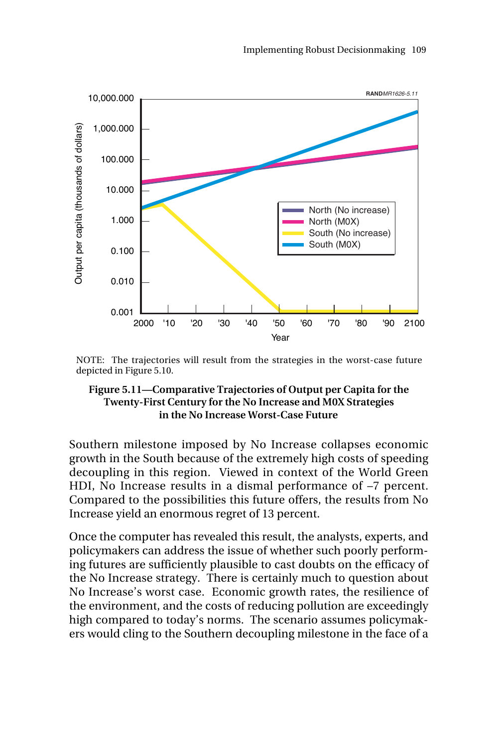

NOTE: The trajectories will result from the strategies in the worst-case future depicted in Figure 5.10.

### **Figure 5.11—Comparative Trajectories of Output per Capita for the Twenty-First Century for the No Increase and M0X Strategies in the No Increase Worst-Case Future**

Southern milestone imposed by No Increase collapses economic growth in the South because of the extremely high costs of speeding decoupling in this region. Viewed in context of the World Green HDI, No Increase results in a dismal performance of  $-7$  percent. Compared to the possibilities this future offers, the results from No Increase yield an enormous regret of 13 percent.

Once the computer has revealed this result, the analysts, experts, and policymakers can address the issue of whether such poorly performing futures are sufficiently plausible to cast doubts on the efficacy of the No Increase strategy. There is certainly much to question about No Increase's worst case. Economic growth rates, the resilience of the environment, and the costs of reducing pollution are exceedingly high compared to today's norms. The scenario assumes policymakers would cling to the Southern decoupling milestone in the face of a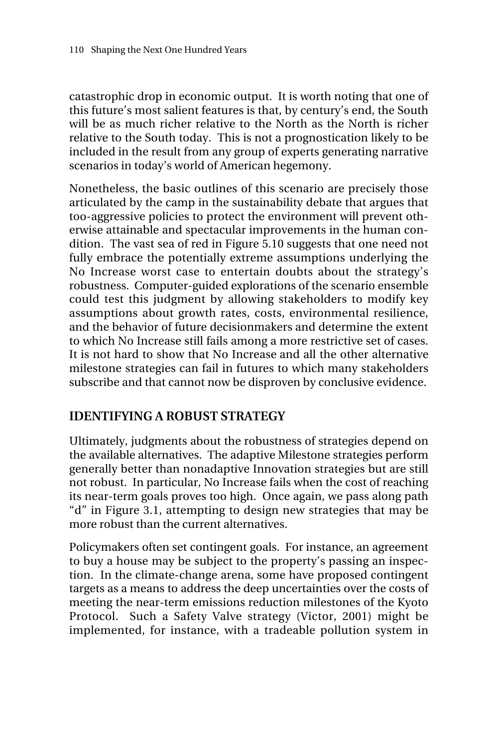catastrophic drop in economic output. It is worth noting that one of this future's most salient features is that, by century's end, the South will be as much richer relative to the North as the North is richer relative to the South today. This is not a prognostication likely to be included in the result from any group of experts generating narrative scenarios in today's world of American hegemony.

Nonetheless, the basic outlines of this scenario are precisely those articulated by the camp in the sustainability debate that argues that too-aggressive policies to protect the environment will prevent otherwise attainable and spectacular improvements in the human condition. The vast sea of red in Figure 5.10 suggests that one need not fully embrace the potentially extreme assumptions underlying the No Increase worst case to entertain doubts about the strategy's robustness. Computer-guided explorations of the scenario ensemble could test this judgment by allowing stakeholders to modify key assumptions about growth rates, costs, environmental resilience, and the behavior of future decisionmakers and determine the extent to which No Increase still fails among a more restrictive set of cases. It is not hard to show that No Increase and all the other alternative milestone strategies can fail in futures to which many stakeholders subscribe and that cannot now be disproven by conclusive evidence.

# **IDENTIFYING A ROBUST STRATEGY**

Ultimately, judgments about the robustness of strategies depend on the available alternatives. The adaptive Milestone strategies perform generally better than nonadaptive Innovation strategies but are still not robust. In particular, No Increase fails when the cost of reaching its near-term goals proves too high. Once again, we pass along path "d" in Figure 3.1, attempting to design new strategies that may be more robust than the current alternatives.

Policymakers often set contingent goals. For instance, an agreement to buy a house may be subject to the property's passing an inspection. In the climate-change arena, some have proposed contingent targets as a means to address the deep uncertainties over the costs of meeting the near-term emissions reduction milestones of the Kyoto Protocol. Such a Safety Valve strategy (Victor, 2001) might be implemented, for instance, with a tradeable pollution system in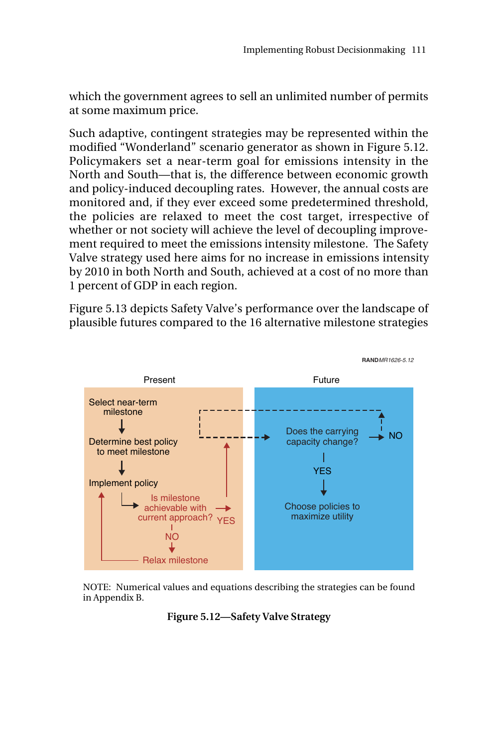which the government agrees to sell an unlimited number of permits at some maximum price.

Such adaptive, contingent strategies may be represented within the modified "Wonderland" scenario generator as shown in Figure 5.12. Policymakers set a near-term goal for emissions intensity in the North and South—that is, the difference between economic growth and policy-induced decoupling rates. However, the annual costs are monitored and, if they ever exceed some predetermined threshold, the policies are relaxed to meet the cost target, irrespective of whether or not society will achieve the level of decoupling improvement required to meet the emissions intensity milestone. The Safety Valve strategy used here aims for no increase in emissions intensity by 2010 in both North and South, achieved at a cost of no more than 1 percent of GDP in each region.

Figure 5.13 depicts Safety Valve's performance over the landscape of plausible futures compared to the 16 alternative milestone strategies



NOTE: Numerical values and equations describing the strategies can be found in Appendix B.

**Figure 5.12—Safety Valve Strategy**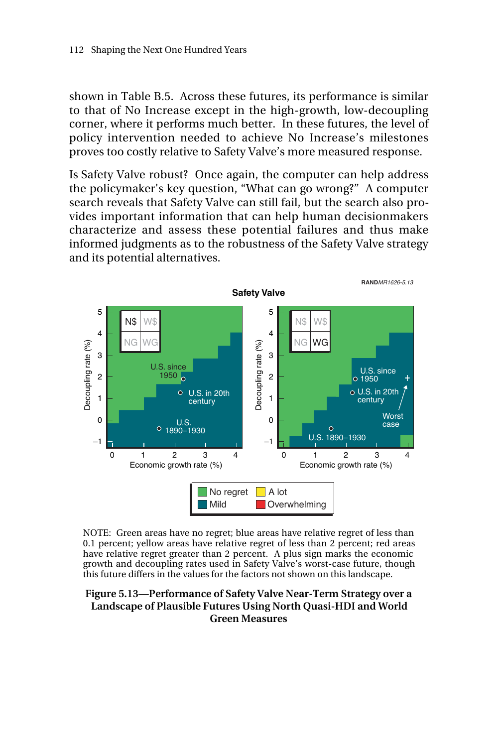shown in Table B.5. Across these futures, its performance is similar to that of No Increase except in the high-growth, low-decoupling corner, where it performs much better. In these futures, the level of policy intervention needed to achieve No Increase's milestones proves too costly relative to Safety Valve's more measured response.

Is Safety Valve robust? Once again, the computer can help address the policymaker's key question, "What can go wrong?" A computer search reveals that Safety Valve can still fail, but the search also provides important information that can help human decisionmakers characterize and assess these potential failures and thus make informed judgments as to the robustness of the Safety Valve strategy and its potential alternatives.



NOTE: Green areas have no regret; blue areas have relative regret of less than 0.1 percent; yellow areas have relative regret of less than 2 percent; red areas have relative regret greater than 2 percent. A plus sign marks the economic growth and decoupling rates used in Safety Valve's worst-case future, though this future differs in the values for the factors not shown on this landscape.

#### **Figure 5.13—Performance of Safety Valve Near-Term Strategy over a Landscape of Plausible Futures Using North Quasi-HDI and World Green Measures**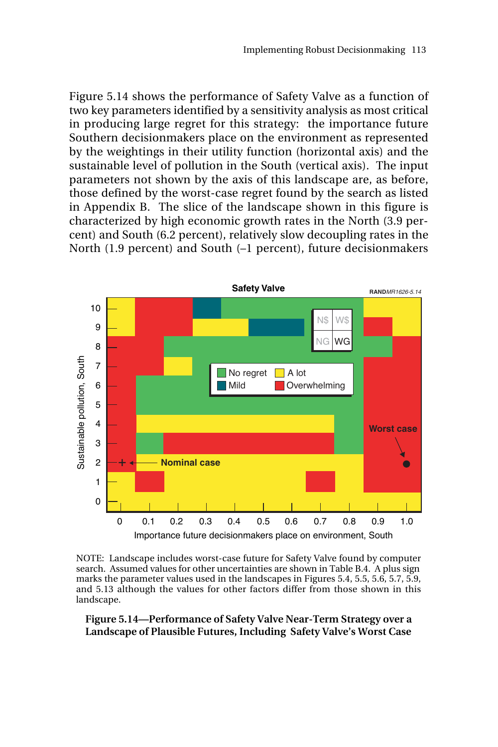Figure 5.14 shows the performance of Safety Valve as a function of two key parameters identified by a sensitivity analysis as most critical in producing large regret for this strategy: the importance future Southern decisionmakers place on the environment as represented by the weightings in their utility function (horizontal axis) and the sustainable level of pollution in the South (vertical axis). The input parameters not shown by the axis of this landscape are, as before, those defined by the worst-case regret found by the search as listed in Appendix B. The slice of the landscape shown in this figure is characterized by high economic growth rates in the North (3.9 percent) and South (6.2 percent), relatively slow decoupling rates in the North (1.9 percent) and South (–1 percent), future decisionmakers



NOTE: Landscape includes worst-case future for Safety Valve found by computer search. Assumed values for other uncertainties are shown in Table B.4. A plus sign marks the parameter values used in the landscapes in Figures 5.4, 5.5, 5.6, 5.7, 5.9, and 5.13 although the values for other factors differ from those shown in this landscape.

**Figure 5.14—Performance of Safety Valve Near-Term Strategy over a Landscape of Plausible Futures, Including Safety Valve's Worst Case**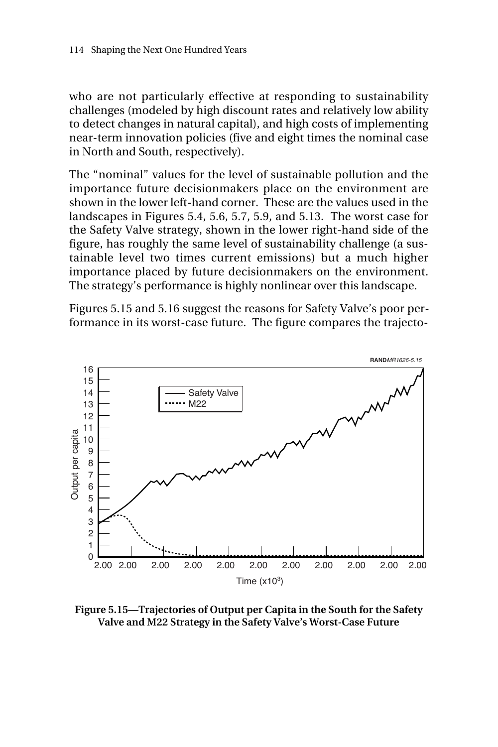who are not particularly effective at responding to sustainability challenges (modeled by high discount rates and relatively low ability to detect changes in natural capital), and high costs of implementing near-term innovation policies (five and eight times the nominal case in North and South, respectively).

The "nominal" values for the level of sustainable pollution and the importance future decisionmakers place on the environment are shown in the lower left-hand corner. These are the values used in the landscapes in Figures 5.4, 5.6, 5.7, 5.9, and 5.13. The worst case for the Safety Valve strategy, shown in the lower right-hand side of the figure, has roughly the same level of sustainability challenge (a sustainable level two times current emissions) but a much higher importance placed by future decisionmakers on the environment. The strategy's performance is highly nonlinear over this landscape.

Figures 5.15 and 5.16 suggest the reasons for Safety Valve's poor performance in its worst-case future. The figure compares the trajecto-



**Figure 5.15—Trajectories of Output per Capita in the South for the Safety Valve and M22 Strategy in the Safety Valve's Worst-Case Future**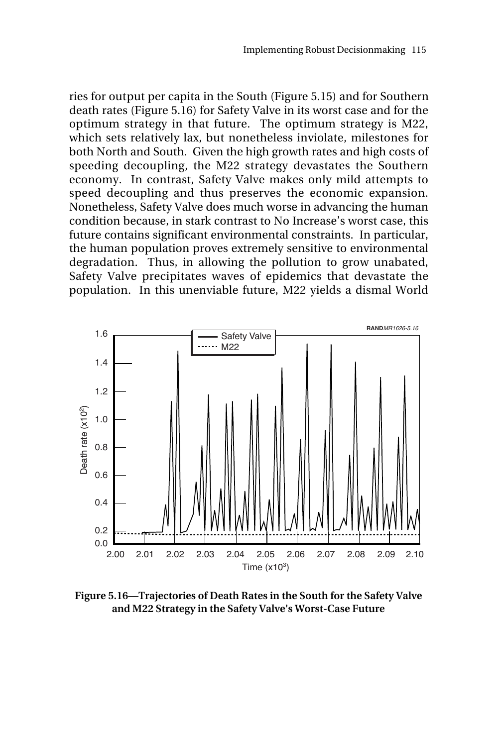ries for output per capita in the South (Figure 5.15) and for Southern death rates (Figure 5.16) for Safety Valve in its worst case and for the optimum strategy in that future. The optimum strategy is M22, which sets relatively lax, but nonetheless inviolate, milestones for both North and South. Given the high growth rates and high costs of speeding decoupling, the M22 strategy devastates the Southern economy. In contrast, Safety Valve makes only mild attempts to speed decoupling and thus preserves the economic expansion. Nonetheless, Safety Valve does much worse in advancing the human condition because, in stark contrast to No Increase's worst case, this future contains significant environmental constraints. In particular, the human population proves extremely sensitive to environmental degradation. Thus, in allowing the pollution to grow unabated, Safety Valve precipitates waves of epidemics that devastate the population. In this unenviable future, M22 yields a dismal World



**Figure 5.16—Trajectories of Death Rates in the South for the Safety Valve and M22 Strategy in the Safety Valve's Worst-Case Future**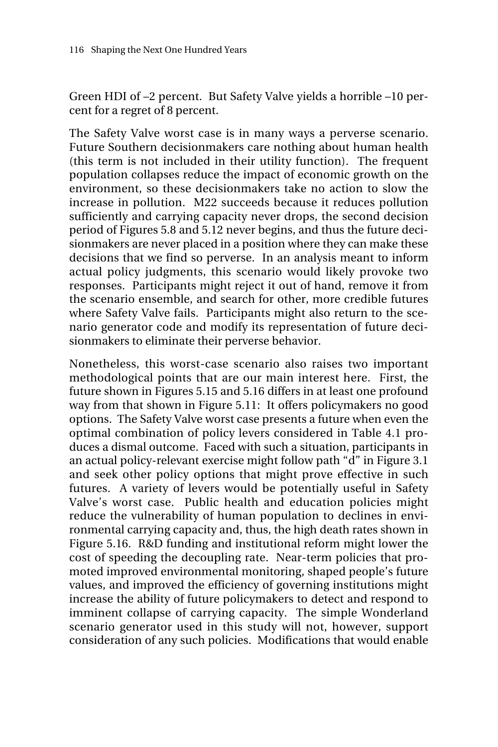Green HDI of –2 percent. But Safety Valve yields a horrible –10 percent for a regret of 8 percent.

The Safety Valve worst case is in many ways a perverse scenario. Future Southern decisionmakers care nothing about human health (this term is not included in their utility function). The frequent population collapses reduce the impact of economic growth on the environment, so these decisionmakers take no action to slow the increase in pollution. M22 succeeds because it reduces pollution sufficiently and carrying capacity never drops, the second decision period of Figures 5.8 and 5.12 never begins, and thus the future decisionmakers are never placed in a position where they can make these decisions that we find so perverse. In an analysis meant to inform actual policy judgments, this scenario would likely provoke two responses. Participants might reject it out of hand, remove it from the scenario ensemble, and search for other, more credible futures where Safety Valve fails. Participants might also return to the scenario generator code and modify its representation of future decisionmakers to eliminate their perverse behavior.

Nonetheless, this worst-case scenario also raises two important methodological points that are our main interest here. First, the future shown in Figures 5.15 and 5.16 differs in at least one profound way from that shown in Figure 5.11: It offers policymakers no good options. The Safety Valve worst case presents a future when even the optimal combination of policy levers considered in Table 4.1 produces a dismal outcome. Faced with such a situation, participants in an actual policy-relevant exercise might follow path "d" in Figure 3.1 and seek other policy options that might prove effective in such futures. A variety of levers would be potentially useful in Safety Valve's worst case. Public health and education policies might reduce the vulnerability of human population to declines in environmental carrying capacity and, thus, the high death rates shown in Figure 5.16. R&D funding and institutional reform might lower the cost of speeding the decoupling rate. Near-term policies that promoted improved environmental monitoring, shaped people's future values, and improved the efficiency of governing institutions might increase the ability of future policymakers to detect and respond to imminent collapse of carrying capacity. The simple Wonderland scenario generator used in this study will not, however, support consideration of any such policies. Modifications that would enable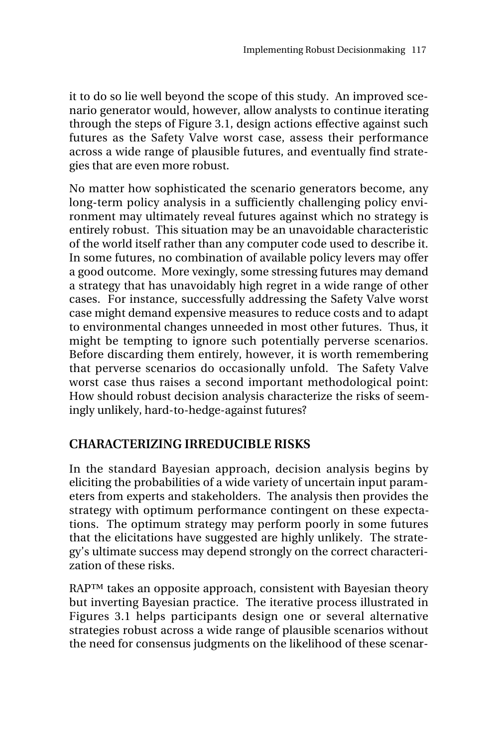it to do so lie well beyond the scope of this study. An improved scenario generator would, however, allow analysts to continue iterating through the steps of Figure 3.1, design actions effective against such futures as the Safety Valve worst case, assess their performance across a wide range of plausible futures, and eventually find strategies that are even more robust.

No matter how sophisticated the scenario generators become, any long-term policy analysis in a sufficiently challenging policy environment may ultimately reveal futures against which no strategy is entirely robust. This situation may be an unavoidable characteristic of the world itself rather than any computer code used to describe it. In some futures, no combination of available policy levers may offer a good outcome. More vexingly, some stressing futures may demand a strategy that has unavoidably high regret in a wide range of other cases. For instance, successfully addressing the Safety Valve worst case might demand expensive measures to reduce costs and to adapt to environmental changes unneeded in most other futures. Thus, it might be tempting to ignore such potentially perverse scenarios. Before discarding them entirely, however, it is worth remembering that perverse scenarios do occasionally unfold. The Safety Valve worst case thus raises a second important methodological point: How should robust decision analysis characterize the risks of seemingly unlikely, hard-to-hedge-against futures?

# **CHARACTERIZING IRREDUCIBLE RISKS**

In the standard Bayesian approach, decision analysis begins by eliciting the probabilities of a wide variety of uncertain input parameters from experts and stakeholders. The analysis then provides the strategy with optimum performance contingent on these expectations. The optimum strategy may perform poorly in some futures that the elicitations have suggested are highly unlikely. The strategy's ultimate success may depend strongly on the correct characterization of these risks.

RAP<sup>™</sup> takes an opposite approach, consistent with Bayesian theory but inverting Bayesian practice. The iterative process illustrated in Figures 3.1 helps participants design one or several alternative strategies robust across a wide range of plausible scenarios without the need for consensus judgments on the likelihood of these scenar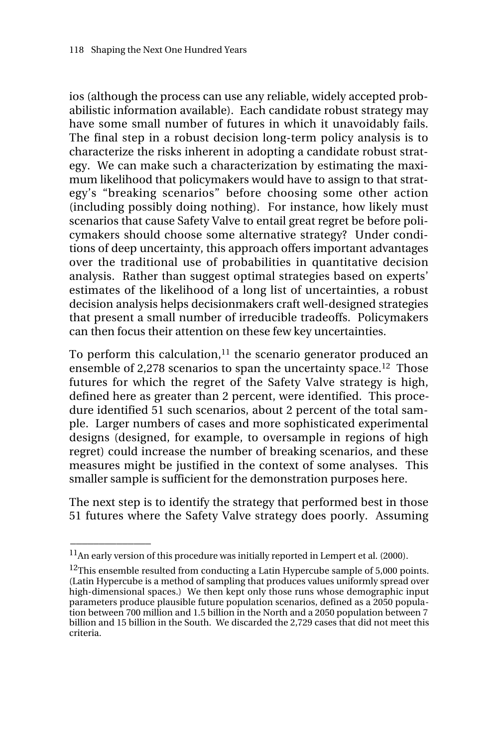ios (although the process can use any reliable, widely accepted probabilistic information available). Each candidate robust strategy may have some small number of futures in which it unavoidably fails. The final step in a robust decision long-term policy analysis is to characterize the risks inherent in adopting a candidate robust strategy. We can make such a characterization by estimating the maximum likelihood that policymakers would have to assign to that strategy's "breaking scenarios" before choosing some other action (including possibly doing nothing). For instance, how likely must scenarios that cause Safety Valve to entail great regret be before policymakers should choose some alternative strategy? Under conditions of deep uncertainty, this approach offers important advantages over the traditional use of probabilities in quantitative decision analysis. Rather than suggest optimal strategies based on experts' estimates of the likelihood of a long list of uncertainties, a robust decision analysis helps decisionmakers craft well-designed strategies that present a small number of irreducible tradeoffs. Policymakers can then focus their attention on these few key uncertainties.

To perform this calculation, $11$  the scenario generator produced an ensemble of 2,278 scenarios to span the uncertainty space.<sup>12</sup> Those futures for which the regret of the Safety Valve strategy is high, defined here as greater than 2 percent, were identified. This procedure identified 51 such scenarios, about 2 percent of the total sample. Larger numbers of cases and more sophisticated experimental designs (designed, for example, to oversample in regions of high regret) could increase the number of breaking scenarios, and these measures might be justified in the context of some analyses. This smaller sample is sufficient for the demonstration purposes here.

The next step is to identify the strategy that performed best in those 51 futures where the Safety Valve strategy does poorly. Assuming

 $11$ An early version of this procedure was initially reported in Lempert et al. (2000).

 $12$ This ensemble resulted from conducting a Latin Hypercube sample of 5,000 points. (Latin Hypercube is a method of sampling that produces values uniformly spread over high-dimensional spaces.) We then kept only those runs whose demographic input parameters produce plausible future population scenarios, defined as a 2050 population between 700 million and 1.5 billion in the North and a 2050 population between 7 billion and 15 billion in the South. We discarded the 2,729 cases that did not meet this criteria.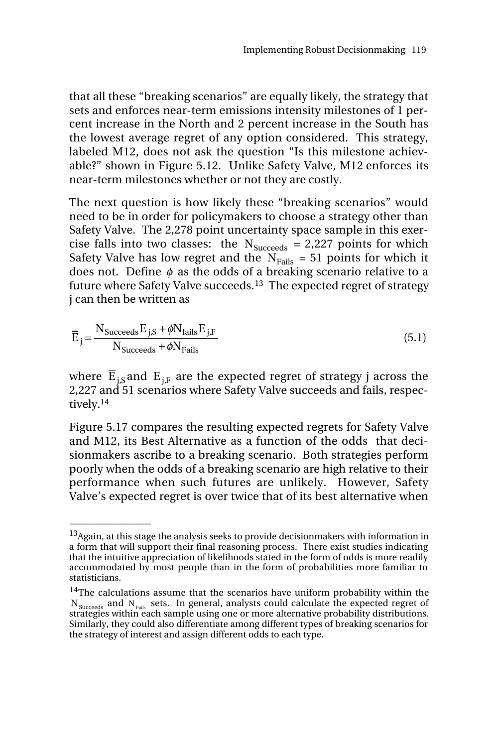that all these "breaking scenarios" are equally likely, the strategy that sets and enforces near-term emissions intensity milestones of 1 percent increase in the North and 2 percent increase in the South has the lowest average regret of any option considered. This strategy, labeled M12, does not ask the question "Is this milestone achievable?" shown in Figure 5.12. Unlike Safety Valve, M12 enforces its near-term milestones whether or not they are costly.

The next question is how likely these "breaking scenarios" would need to be in order for policymakers to choose a strategy other than Safety Valve. The 2,278 point uncertainty space sample in this exercise falls into two classes: the  $N_{\text{Success}} = 2,227$  points for which Safety Valve has low regret and the  $N_{Fails} = 51$  points for which it does not. Define  $\phi$  as the odds of a breaking scenario relative to a future where Safety Valve succeeds.<sup>13</sup> The expected regret of strategy j can then be written as

$$
\overline{E}_{j} = \frac{N_{\text{Success}}\overline{E}_{j,S} + \phi N_{\text{fails}}E_{j,F}}{N_{\text{Success}} + \phi N_{\text{Fails}}}
$$
\n(5.1)

where  $\overline{E}_{iS}$  and  $E_{iF}$  are the expected regret of strategy j across the 2,227 and 51 scenarios where Safety Valve succeeds and fails, respectively.14

Figure 5.17 compares the resulting expected regrets for Safety Valve and M12, its Best Alternative as a function of the odds that decisionmakers ascribe to a breaking scenario. Both strategies perform poorly when the odds of a breaking scenario are high relative to their performance when such futures are unlikely. However, Safety Valve's expected regret is over twice that of its best alternative when

 $13$ Again, at this stage the analysis seeks to provide decision makers with information in a form that will support their final reasoning process. There exist studies indicating that the intuitive appreciation of likelihoods stated in the form of odds is more readily accommodated by most people than in the form of probabilities more familiar to statisticians.

<sup>&</sup>lt;sup>14</sup>The calculations assume that the scenarios have uniform probability within the  $N_{\text{Success}}$  and  $N_{\text{Fails}}$  sets. In general, analysts could calculate the expected regret of strategies within each sample using one or more alternative probability distributions. Similarly, they could also differentiate among different types of breaking scenarios for the strategy of interest and assign different odds to each type.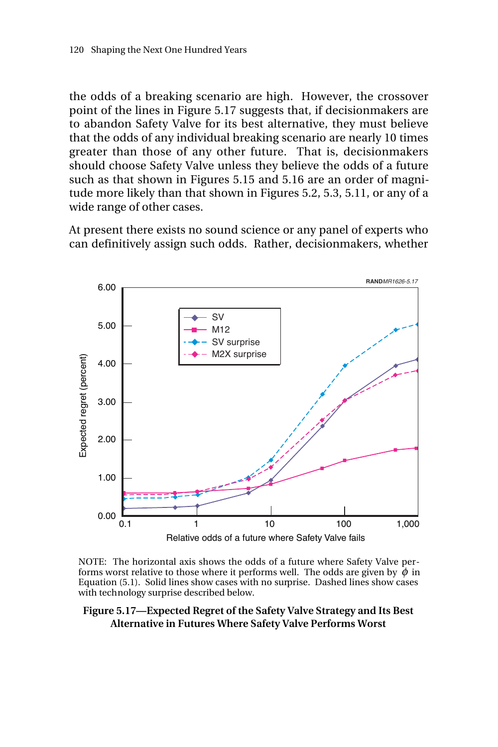the odds of a breaking scenario are high. However, the crossover point of the lines in Figure 5.17 suggests that, if decisionmakers are to abandon Safety Valve for its best alternative, they must believe that the odds of any individual breaking scenario are nearly 10 times greater than those of any other future. That is, decisionmakers should choose Safety Valve unless they believe the odds of a future such as that shown in Figures 5.15 and 5.16 are an order of magnitude more likely than that shown in Figures 5.2, 5.3, 5.11, or any of a wide range of other cases.

At present there exists no sound science or any panel of experts who can definitively assign such odds. Rather, decisionmakers, whether



NOTE: The horizontal axis shows the odds of a future where Safety Valve performs worst relative to those where it performs well. The odds are given by  $\phi$  in Equation (5.1). Solid lines show cases with no surprise. Dashed lines show cases with technology surprise described below.

**Figure 5.17—Expected Regret of the Safety Valve Strategy and Its Best Alternative in Futures Where Safety Valve Performs Worst**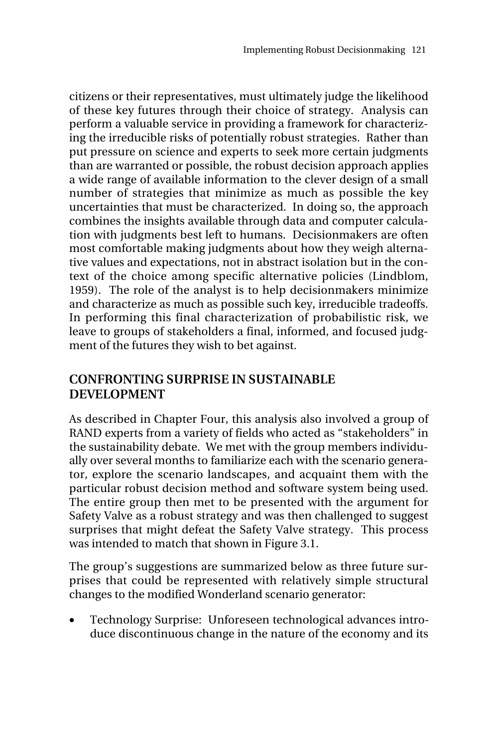citizens or their representatives, must ultimately judge the likelihood of these key futures through their choice of strategy. Analysis can perform a valuable service in providing a framework for characterizing the irreducible risks of potentially robust strategies. Rather than put pressure on science and experts to seek more certain judgments than are warranted or possible, the robust decision approach applies a wide range of available information to the clever design of a small number of strategies that minimize as much as possible the key uncertainties that must be characterized. In doing so, the approach combines the insights available through data and computer calculation with judgments best left to humans. Decisionmakers are often most comfortable making judgments about how they weigh alternative values and expectations, not in abstract isolation but in the context of the choice among specific alternative policies (Lindblom, 1959). The role of the analyst is to help decisionmakers minimize and characterize as much as possible such key, irreducible tradeoffs. In performing this final characterization of probabilistic risk, we leave to groups of stakeholders a final, informed, and focused judgment of the futures they wish to bet against.

# **CONFRONTING SURPRISE IN SUSTAINABLE DEVELOPMENT**

As described in Chapter Four, this analysis also involved a group of RAND experts from a variety of fields who acted as "stakeholders" in the sustainability debate. We met with the group members individually over several months to familiarize each with the scenario generator, explore the scenario landscapes, and acquaint them with the particular robust decision method and software system being used. The entire group then met to be presented with the argument for Safety Valve as a robust strategy and was then challenged to suggest surprises that might defeat the Safety Valve strategy. This process was intended to match that shown in Figure 3.1.

The group's suggestions are summarized below as three future surprises that could be represented with relatively simple structural changes to the modified Wonderland scenario generator:

• Technology Surprise: Unforeseen technological advances introduce discontinuous change in the nature of the economy and its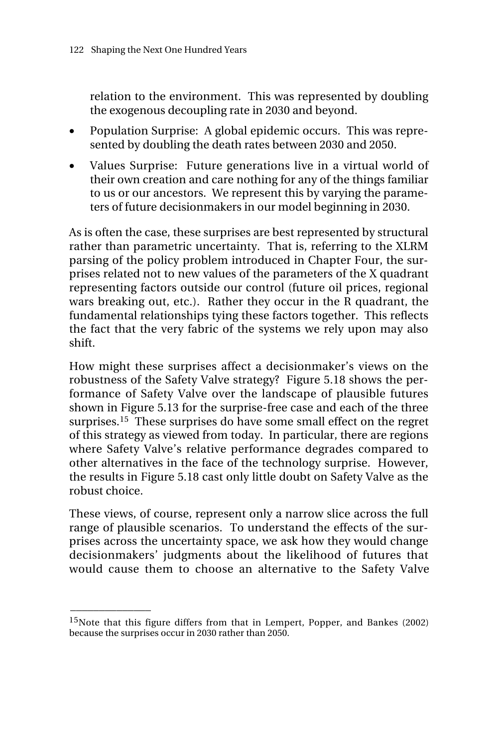relation to the environment. This was represented by doubling the exogenous decoupling rate in 2030 and beyond.

- Population Surprise: A global epidemic occurs. This was represented by doubling the death rates between 2030 and 2050.
- Values Surprise: Future generations live in a virtual world of their own creation and care nothing for any of the things familiar to us or our ancestors. We represent this by varying the parameters of future decisionmakers in our model beginning in 2030.

As is often the case, these surprises are best represented by structural rather than parametric uncertainty. That is, referring to the XLRM parsing of the policy problem introduced in Chapter Four, the surprises related not to new values of the parameters of the X quadrant representing factors outside our control (future oil prices, regional wars breaking out, etc.). Rather they occur in the R quadrant, the fundamental relationships tying these factors together. This reflects the fact that the very fabric of the systems we rely upon may also shift.

How might these surprises affect a decisionmaker's views on the robustness of the Safety Valve strategy? Figure 5.18 shows the performance of Safety Valve over the landscape of plausible futures shown in Figure 5.13 for the surprise-free case and each of the three surprises.<sup>15</sup> These surprises do have some small effect on the regret of this strategy as viewed from today. In particular, there are regions where Safety Valve's relative performance degrades compared to other alternatives in the face of the technology surprise. However, the results in Figure 5.18 cast only little doubt on Safety Valve as the robust choice.

These views, of course, represent only a narrow slice across the full range of plausible scenarios. To understand the effects of the surprises across the uncertainty space, we ask how they would change decisionmakers' judgments about the likelihood of futures that would cause them to choose an alternative to the Safety Valve

 $15$ Note that this figure differs from that in Lempert, Popper, and Bankes (2002) because the surprises occur in 2030 rather than 2050.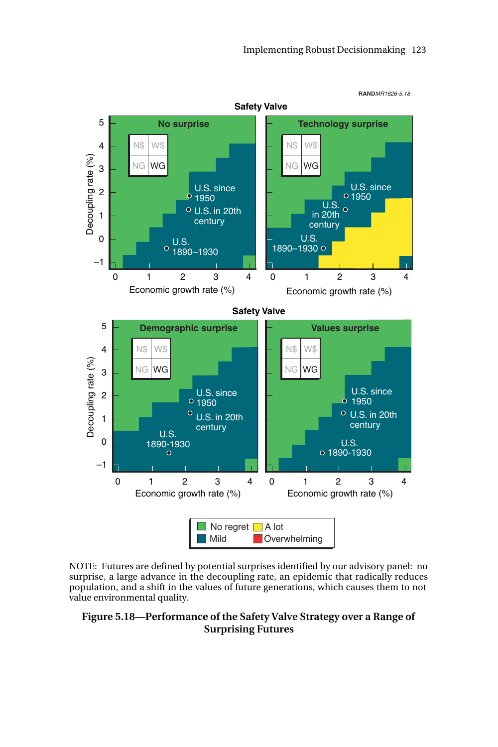

NOTE: Futures are defined by potential surprises identified by our advisory panel: no surprise, a large advance in the decoupling rate, an epidemic that radically reduces population, and a shift in the values of future generations, which causes them to not value environmental quality.

#### **Figure 5.18—Performance of the Safety Valve Strategy over a Range of Surprising Futures**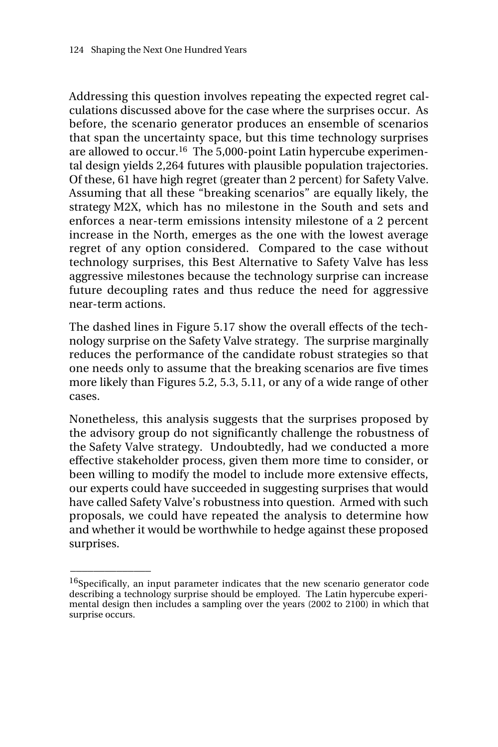Addressing this question involves repeating the expected regret calculations discussed above for the case where the surprises occur. As before, the scenario generator produces an ensemble of scenarios that span the uncertainty space, but this time technology surprises are allowed to occur.<sup>16</sup> The 5,000-point Latin hypercube experimental design yields 2,264 futures with plausible population trajectories. Of these, 61 have high regret (greater than 2 percent) for Safety Valve. Assuming that all these "breaking scenarios" are equally likely, the strategy M2X, which has no milestone in the South and sets and enforces a near-term emissions intensity milestone of a 2 percent increase in the North, emerges as the one with the lowest average regret of any option considered. Compared to the case without technology surprises, this Best Alternative to Safety Valve has less aggressive milestones because the technology surprise can increase future decoupling rates and thus reduce the need for aggressive near-term actions.

The dashed lines in Figure 5.17 show the overall effects of the technology surprise on the Safety Valve strategy. The surprise marginally reduces the performance of the candidate robust strategies so that one needs only to assume that the breaking scenarios are five times more likely than Figures 5.2, 5.3, 5.11, or any of a wide range of other cases.

Nonetheless, this analysis suggests that the surprises proposed by the advisory group do not significantly challenge the robustness of the Safety Valve strategy. Undoubtedly, had we conducted a more effective stakeholder process, given them more time to consider, or been willing to modify the model to include more extensive effects, our experts could have succeeded in suggesting surprises that would have called Safety Valve's robustness into question. Armed with such proposals, we could have repeated the analysis to determine how and whether it would be worthwhile to hedge against these proposed surprises.

 $\overline{\phantom{a}}$ 

<sup>&</sup>lt;sup>16</sup>Specifically, an input parameter indicates that the new scenario generator code describing a technology surprise should be employed. The Latin hypercube experimental design then includes a sampling over the years (2002 to 2100) in which that surprise occurs.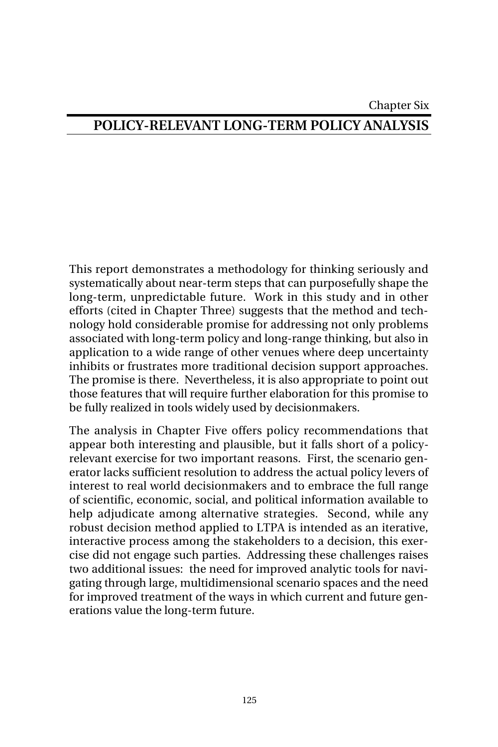#### Chapter Six

# **POLICY-RELEVANT LONG-TERM POLICY ANALYSIS**

This report demonstrates a methodology for thinking seriously and systematically about near-term steps that can purposefully shape the long-term, unpredictable future. Work in this study and in other efforts (cited in Chapter Three) suggests that the method and technology hold considerable promise for addressing not only problems associated with long-term policy and long-range thinking, but also in application to a wide range of other venues where deep uncertainty inhibits or frustrates more traditional decision support approaches. The promise is there. Nevertheless, it is also appropriate to point out those features that will require further elaboration for this promise to be fully realized in tools widely used by decisionmakers.

The analysis in Chapter Five offers policy recommendations that appear both interesting and plausible, but it falls short of a policyrelevant exercise for two important reasons. First, the scenario generator lacks sufficient resolution to address the actual policy levers of interest to real world decisionmakers and to embrace the full range of scientific, economic, social, and political information available to help adjudicate among alternative strategies. Second, while any robust decision method applied to LTPA is intended as an iterative, interactive process among the stakeholders to a decision, this exercise did not engage such parties. Addressing these challenges raises two additional issues: the need for improved analytic tools for navigating through large, multidimensional scenario spaces and the need for improved treatment of the ways in which current and future generations value the long-term future.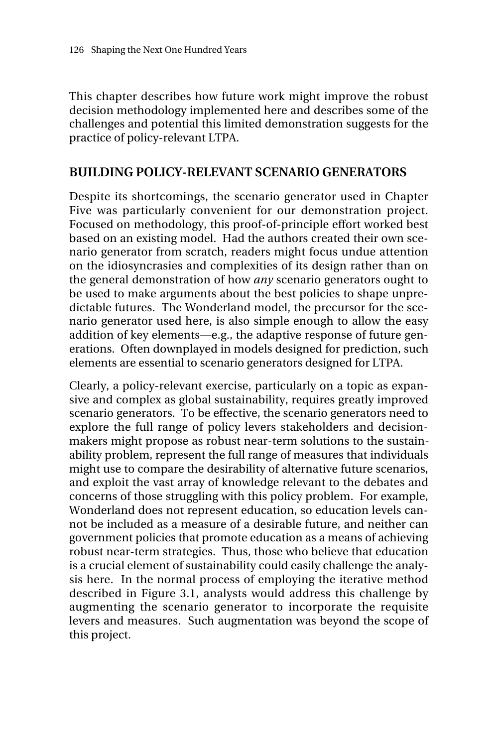This chapter describes how future work might improve the robust decision methodology implemented here and describes some of the challenges and potential this limited demonstration suggests for the practice of policy-relevant LTPA.

### **BUILDING POLICY-RELEVANT SCENARIO GENERATORS**

Despite its shortcomings, the scenario generator used in Chapter Five was particularly convenient for our demonstration project. Focused on methodology, this proof-of-principle effort worked best based on an existing model. Had the authors created their own scenario generator from scratch, readers might focus undue attention on the idiosyncrasies and complexities of its design rather than on the general demonstration of how *any* scenario generators ought to be used to make arguments about the best policies to shape unpredictable futures. The Wonderland model, the precursor for the scenario generator used here, is also simple enough to allow the easy addition of key elements—e.g., the adaptive response of future generations. Often downplayed in models designed for prediction, such elements are essential to scenario generators designed for LTPA.

Clearly, a policy-relevant exercise, particularly on a topic as expansive and complex as global sustainability, requires greatly improved scenario generators. To be effective, the scenario generators need to explore the full range of policy levers stakeholders and decisionmakers might propose as robust near-term solutions to the sustainability problem, represent the full range of measures that individuals might use to compare the desirability of alternative future scenarios, and exploit the vast array of knowledge relevant to the debates and concerns of those struggling with this policy problem. For example, Wonderland does not represent education, so education levels cannot be included as a measure of a desirable future, and neither can government policies that promote education as a means of achieving robust near-term strategies. Thus, those who believe that education is a crucial element of sustainability could easily challenge the analysis here. In the normal process of employing the iterative method described in Figure 3.1, analysts would address this challenge by augmenting the scenario generator to incorporate the requisite levers and measures. Such augmentation was beyond the scope of this project.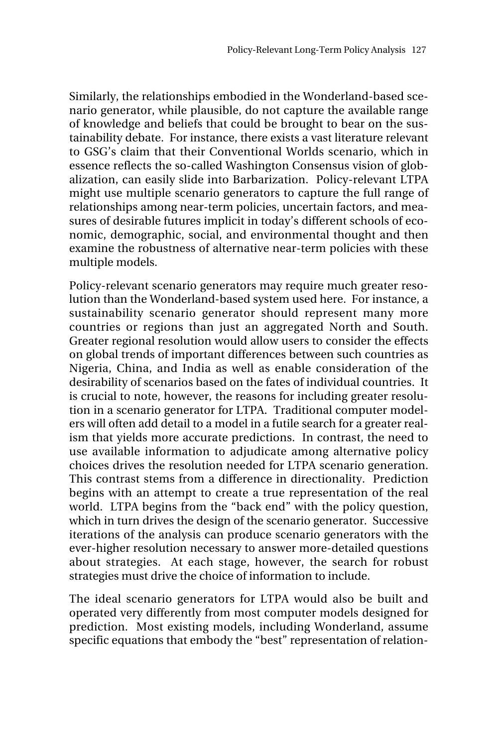Similarly, the relationships embodied in the Wonderland-based scenario generator, while plausible, do not capture the available range of knowledge and beliefs that could be brought to bear on the sustainability debate. For instance, there exists a vast literature relevant to GSG's claim that their Conventional Worlds scenario, which in essence reflects the so-called Washington Consensus vision of globalization, can easily slide into Barbarization. Policy-relevant LTPA might use multiple scenario generators to capture the full range of relationships among near-term policies, uncertain factors, and measures of desirable futures implicit in today's different schools of economic, demographic, social, and environmental thought and then examine the robustness of alternative near-term policies with these multiple models.

Policy-relevant scenario generators may require much greater resolution than the Wonderland-based system used here. For instance, a sustainability scenario generator should represent many more countries or regions than just an aggregated North and South. Greater regional resolution would allow users to consider the effects on global trends of important differences between such countries as Nigeria, China, and India as well as enable consideration of the desirability of scenarios based on the fates of individual countries. It is crucial to note, however, the reasons for including greater resolution in a scenario generator for LTPA. Traditional computer modelers will often add detail to a model in a futile search for a greater realism that yields more accurate predictions. In contrast, the need to use available information to adjudicate among alternative policy choices drives the resolution needed for LTPA scenario generation. This contrast stems from a difference in directionality. Prediction begins with an attempt to create a true representation of the real world. LTPA begins from the "back end" with the policy question, which in turn drives the design of the scenario generator. Successive iterations of the analysis can produce scenario generators with the ever-higher resolution necessary to answer more-detailed questions about strategies. At each stage, however, the search for robust strategies must drive the choice of information to include.

The ideal scenario generators for LTPA would also be built and operated very differently from most computer models designed for prediction. Most existing models, including Wonderland, assume specific equations that embody the "best" representation of relation-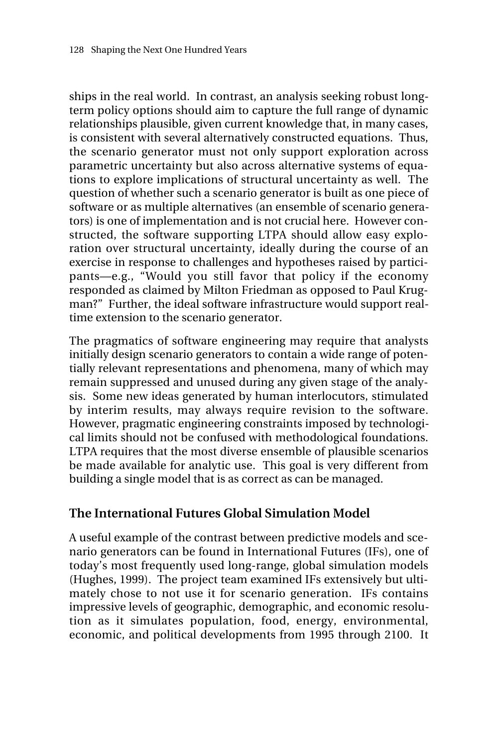ships in the real world. In contrast, an analysis seeking robust longterm policy options should aim to capture the full range of dynamic relationships plausible, given current knowledge that, in many cases, is consistent with several alternatively constructed equations. Thus, the scenario generator must not only support exploration across parametric uncertainty but also across alternative systems of equations to explore implications of structural uncertainty as well. The question of whether such a scenario generator is built as one piece of software or as multiple alternatives (an ensemble of scenario generators) is one of implementation and is not crucial here. However constructed, the software supporting LTPA should allow easy exploration over structural uncertainty, ideally during the course of an exercise in response to challenges and hypotheses raised by participants—e.g., "Would you still favor that policy if the economy responded as claimed by Milton Friedman as opposed to Paul Krugman?" Further, the ideal software infrastructure would support realtime extension to the scenario generator.

The pragmatics of software engineering may require that analysts initially design scenario generators to contain a wide range of potentially relevant representations and phenomena, many of which may remain suppressed and unused during any given stage of the analysis. Some new ideas generated by human interlocutors, stimulated by interim results, may always require revision to the software. However, pragmatic engineering constraints imposed by technological limits should not be confused with methodological foundations. LTPA requires that the most diverse ensemble of plausible scenarios be made available for analytic use. This goal is very different from building a single model that is as correct as can be managed.

## **The International Futures Global Simulation Model**

A useful example of the contrast between predictive models and scenario generators can be found in International Futures (IFs), one of today's most frequently used long-range, global simulation models (Hughes, 1999). The project team examined IFs extensively but ultimately chose to not use it for scenario generation. IFs contains impressive levels of geographic, demographic, and economic resolution as it simulates population, food, energy, environmental, economic, and political developments from 1995 through 2100. It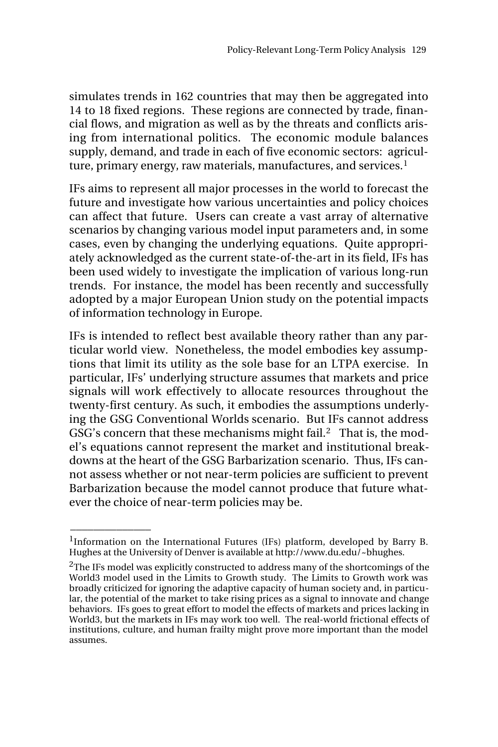simulates trends in 162 countries that may then be aggregated into 14 to 18 fixed regions. These regions are connected by trade, financial flows, and migration as well as by the threats and conflicts arising from international politics. The economic module balances supply, demand, and trade in each of five economic sectors: agriculture, primary energy, raw materials, manufactures, and services.<sup>1</sup>

IFs aims to represent all major processes in the world to forecast the future and investigate how various uncertainties and policy choices can affect that future. Users can create a vast array of alternative scenarios by changing various model input parameters and, in some cases, even by changing the underlying equations. Quite appropriately acknowledged as the current state-of-the-art in its field, IFs has been used widely to investigate the implication of various long-run trends. For instance, the model has been recently and successfully adopted by a major European Union study on the potential impacts of information technology in Europe.

IFs is intended to reflect best available theory rather than any particular world view. Nonetheless, the model embodies key assumptions that limit its utility as the sole base for an LTPA exercise. In particular, IFs' underlying structure assumes that markets and price signals will work effectively to allocate resources throughout the twenty-first century. As such, it embodies the assumptions underlying the GSG Conventional Worlds scenario. But IFs cannot address  $GSG's$  concern that these mechanisms might fail.<sup>2</sup> That is, the model's equations cannot represent the market and institutional breakdowns at the heart of the GSG Barbarization scenario. Thus, IFs cannot assess whether or not near-term policies are sufficient to prevent Barbarization because the model cannot produce that future whatever the choice of near-term policies may be.

 $\overline{\phantom{a}}$ 

<sup>1</sup>Information on the International Futures (IFs) platform, developed by Barry B. Hughes at the University of Denver is available at http://www.du.edu/~bhughes.

 $2$ The IFs model was explicitly constructed to address many of the shortcomings of the World3 model used in the Limits to Growth study. The Limits to Growth work was broadly criticized for ignoring the adaptive capacity of human society and, in particular, the potential of the market to take rising prices as a signal to innovate and change behaviors. IFs goes to great effort to model the effects of markets and prices lacking in World3, but the markets in IFs may work too well. The real-world frictional effects of institutions, culture, and human frailty might prove more important than the model assumes.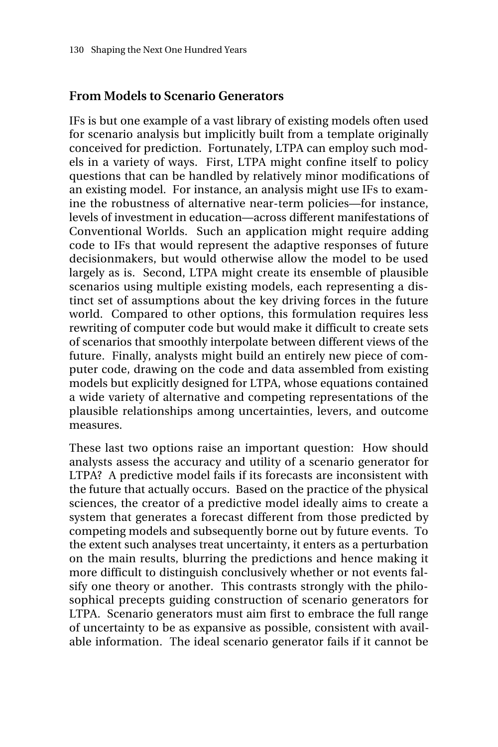### **From Models to Scenario Generators**

IFs is but one example of a vast library of existing models often used for scenario analysis but implicitly built from a template originally conceived for prediction. Fortunately, LTPA can employ such models in a variety of ways. First, LTPA might confine itself to policy questions that can be handled by relatively minor modifications of an existing model. For instance, an analysis might use IFs to examine the robustness of alternative near-term policies—for instance, levels of investment in education—across different manifestations of Conventional Worlds. Such an application might require adding code to IFs that would represent the adaptive responses of future decisionmakers, but would otherwise allow the model to be used largely as is. Second, LTPA might create its ensemble of plausible scenarios using multiple existing models, each representing a distinct set of assumptions about the key driving forces in the future world. Compared to other options, this formulation requires less rewriting of computer code but would make it difficult to create sets of scenarios that smoothly interpolate between different views of the future. Finally, analysts might build an entirely new piece of computer code, drawing on the code and data assembled from existing models but explicitly designed for LTPA, whose equations contained a wide variety of alternative and competing representations of the plausible relationships among uncertainties, levers, and outcome measures.

These last two options raise an important question: How should analysts assess the accuracy and utility of a scenario generator for LTPA? A predictive model fails if its forecasts are inconsistent with the future that actually occurs. Based on the practice of the physical sciences, the creator of a predictive model ideally aims to create a system that generates a forecast different from those predicted by competing models and subsequently borne out by future events. To the extent such analyses treat uncertainty, it enters as a perturbation on the main results, blurring the predictions and hence making it more difficult to distinguish conclusively whether or not events falsify one theory or another. This contrasts strongly with the philosophical precepts guiding construction of scenario generators for LTPA. Scenario generators must aim first to embrace the full range of uncertainty to be as expansive as possible, consistent with available information. The ideal scenario generator fails if it cannot be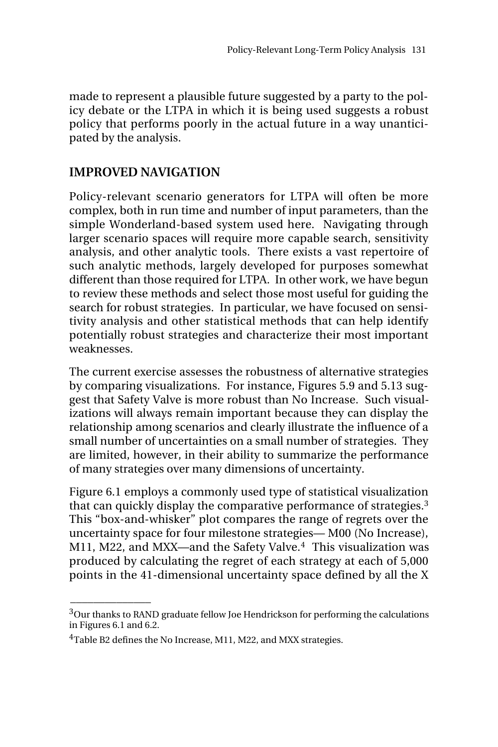made to represent a plausible future suggested by a party to the policy debate or the LTPA in which it is being used suggests a robust policy that performs poorly in the actual future in a way unanticipated by the analysis.

## **IMPROVED NAVIGATION**

Policy-relevant scenario generators for LTPA will often be more complex, both in run time and number of input parameters, than the simple Wonderland-based system used here. Navigating through larger scenario spaces will require more capable search, sensitivity analysis, and other analytic tools. There exists a vast repertoire of such analytic methods, largely developed for purposes somewhat different than those required for LTPA. In other work, we have begun to review these methods and select those most useful for guiding the search for robust strategies. In particular, we have focused on sensitivity analysis and other statistical methods that can help identify potentially robust strategies and characterize their most important weaknesses.

The current exercise assesses the robustness of alternative strategies by comparing visualizations. For instance, Figures 5.9 and 5.13 suggest that Safety Valve is more robust than No Increase. Such visualizations will always remain important because they can display the relationship among scenarios and clearly illustrate the influence of a small number of uncertainties on a small number of strategies. They are limited, however, in their ability to summarize the performance of many strategies over many dimensions of uncertainty.

Figure 6.1 employs a commonly used type of statistical visualization that can quickly display the comparative performance of strategies.3 This "box-and-whisker" plot compares the range of regrets over the uncertainty space for four milestone strategies— M00 (No Increase), M11, M22, and MXX—and the Safety Valve.<sup>4</sup> This visualization was produced by calculating the regret of each strategy at each of 5,000 points in the 41-dimensional uncertainty space defined by all the X

\_\_\_\_\_\_\_\_\_\_\_\_\_\_

<sup>&</sup>lt;sup>3</sup>Our thanks to RAND graduate fellow Joe Hendrickson for performing the calculations in Figures 6.1 and 6.2.

<sup>&</sup>lt;sup>4</sup>Table B2 defines the No Increase, M11, M22, and MXX strategies.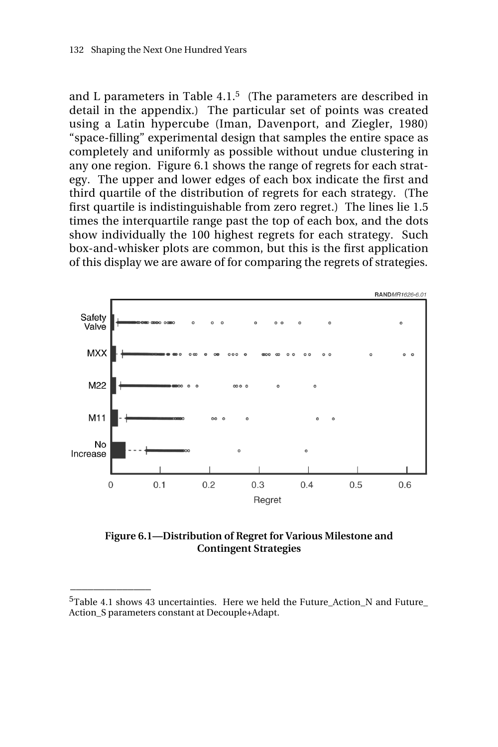and L parameters in Table 4.1.5 (The parameters are described in detail in the appendix.) The particular set of points was created using a Latin hypercube (Iman, Davenport, and Ziegler, 1980) "space-filling" experimental design that samples the entire space as completely and uniformly as possible without undue clustering in any one region. Figure 6.1 shows the range of regrets for each strategy. The upper and lower edges of each box indicate the first and third quartile of the distribution of regrets for each strategy. (The first quartile is indistinguishable from zero regret.) The lines lie 1.5 times the interquartile range past the top of each box, and the dots show individually the 100 highest regrets for each strategy. Such box-and-whisker plots are common, but this is the first application of this display we are aware of for comparing the regrets of strategies.



**Figure 6.1—Distribution of Regret for Various Milestone and Contingent Strategies**

 $\overline{\phantom{a}}$ 

<sup>5</sup>Table 4.1 shows 43 uncertainties. Here we held the Future\_Action\_N and Future\_ Action\_S parameters constant at Decouple+Adapt.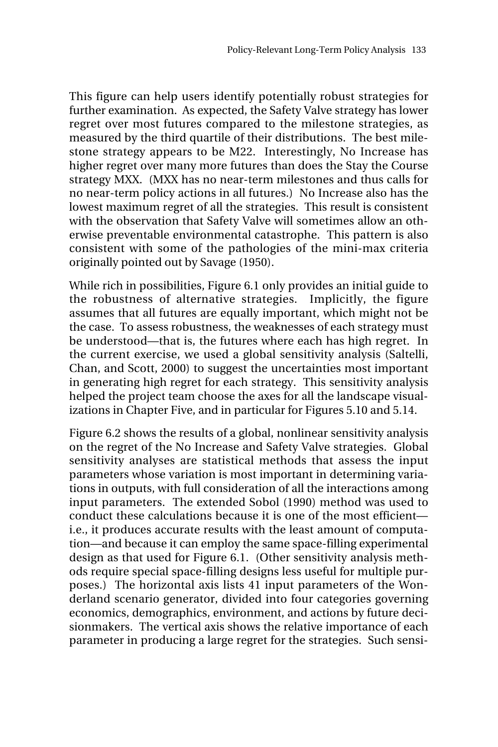This figure can help users identify potentially robust strategies for further examination. As expected, the Safety Valve strategy has lower regret over most futures compared to the milestone strategies, as measured by the third quartile of their distributions. The best milestone strategy appears to be M22. Interestingly, No Increase has higher regret over many more futures than does the Stay the Course strategy MXX. (MXX has no near-term milestones and thus calls for no near-term policy actions in all futures.) No Increase also has the lowest maximum regret of all the strategies. This result is consistent with the observation that Safety Valve will sometimes allow an otherwise preventable environmental catastrophe. This pattern is also consistent with some of the pathologies of the mini-max criteria originally pointed out by Savage (1950).

While rich in possibilities, Figure 6.1 only provides an initial guide to the robustness of alternative strategies. Implicitly, the figure assumes that all futures are equally important, which might not be the case. To assess robustness, the weaknesses of each strategy must be understood—that is, the futures where each has high regret. In the current exercise, we used a global sensitivity analysis (Saltelli, Chan, and Scott, 2000) to suggest the uncertainties most important in generating high regret for each strategy. This sensitivity analysis helped the project team choose the axes for all the landscape visualizations in Chapter Five, and in particular for Figures 5.10 and 5.14.

Figure 6.2 shows the results of a global, nonlinear sensitivity analysis on the regret of the No Increase and Safety Valve strategies. Global sensitivity analyses are statistical methods that assess the input parameters whose variation is most important in determining variations in outputs, with full consideration of all the interactions among input parameters. The extended Sobol (1990) method was used to conduct these calculations because it is one of the most efficient i.e., it produces accurate results with the least amount of computation—and because it can employ the same space-filling experimental design as that used for Figure 6.1. (Other sensitivity analysis methods require special space-filling designs less useful for multiple purposes.) The horizontal axis lists 41 input parameters of the Wonderland scenario generator, divided into four categories governing economics, demographics, environment, and actions by future decisionmakers. The vertical axis shows the relative importance of each parameter in producing a large regret for the strategies. Such sensi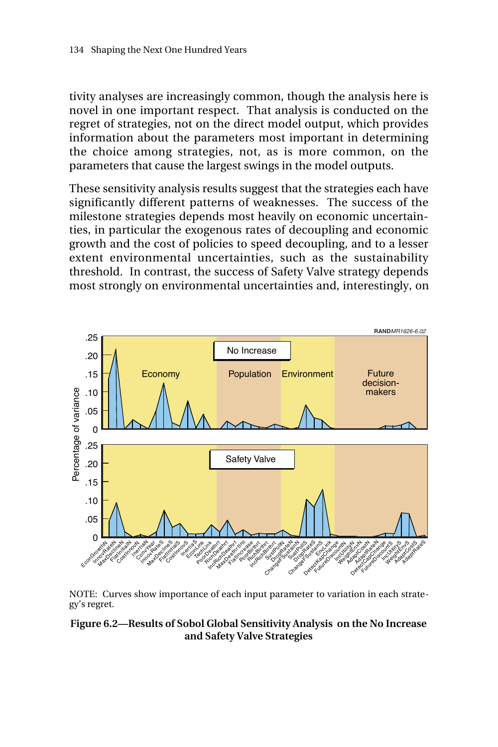tivity analyses are increasingly common, though the analysis here is novel in one important respect. That analysis is conducted on the regret of strategies, not on the direct model output, which provides information about the parameters most important in determining the choice among strategies, not, as is more common, on the parameters that cause the largest swings in the model outputs.

These sensitivity analysis results suggest that the strategies each have significantly different patterns of weaknesses. The success of the milestone strategies depends most heavily on economic uncertainties, in particular the exogenous rates of decoupling and economic growth and the cost of policies to speed decoupling, and to a lesser extent environmental uncertainties, such as the sustainability threshold. In contrast, the success of Safety Valve strategy depends most strongly on environmental uncertainties and, interestingly, on



NOTE: Curves show importance of each input parameter to variation in each strategy's regret.

**Figure 6.2—Results of Sobol Global Sensitivity Analysis on the No Increase and Safety Valve Strategies**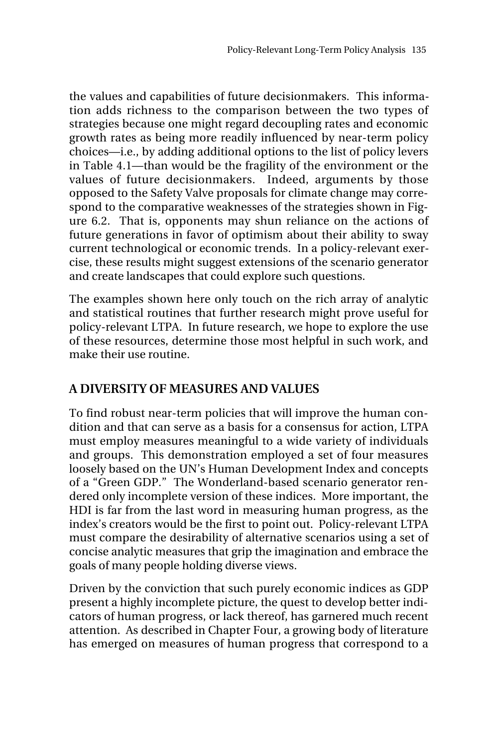the values and capabilities of future decisionmakers. This information adds richness to the comparison between the two types of strategies because one might regard decoupling rates and economic growth rates as being more readily influenced by near-term policy choices—i.e., by adding additional options to the list of policy levers in Table 4.1—than would be the fragility of the environment or the values of future decisionmakers. Indeed, arguments by those opposed to the Safety Valve proposals for climate change may correspond to the comparative weaknesses of the strategies shown in Figure 6.2. That is, opponents may shun reliance on the actions of future generations in favor of optimism about their ability to sway current technological or economic trends. In a policy-relevant exercise, these results might suggest extensions of the scenario generator and create landscapes that could explore such questions.

The examples shown here only touch on the rich array of analytic and statistical routines that further research might prove useful for policy-relevant LTPA. In future research, we hope to explore the use of these resources, determine those most helpful in such work, and make their use routine.

## **A DIVERSITY OF MEASURES AND VALUES**

To find robust near-term policies that will improve the human condition and that can serve as a basis for a consensus for action, LTPA must employ measures meaningful to a wide variety of individuals and groups. This demonstration employed a set of four measures loosely based on the UN's Human Development Index and concepts of a "Green GDP." The Wonderland-based scenario generator rendered only incomplete version of these indices. More important, the HDI is far from the last word in measuring human progress, as the index's creators would be the first to point out. Policy-relevant LTPA must compare the desirability of alternative scenarios using a set of concise analytic measures that grip the imagination and embrace the goals of many people holding diverse views.

Driven by the conviction that such purely economic indices as GDP present a highly incomplete picture, the quest to develop better indicators of human progress, or lack thereof, has garnered much recent attention. As described in Chapter Four, a growing body of literature has emerged on measures of human progress that correspond to a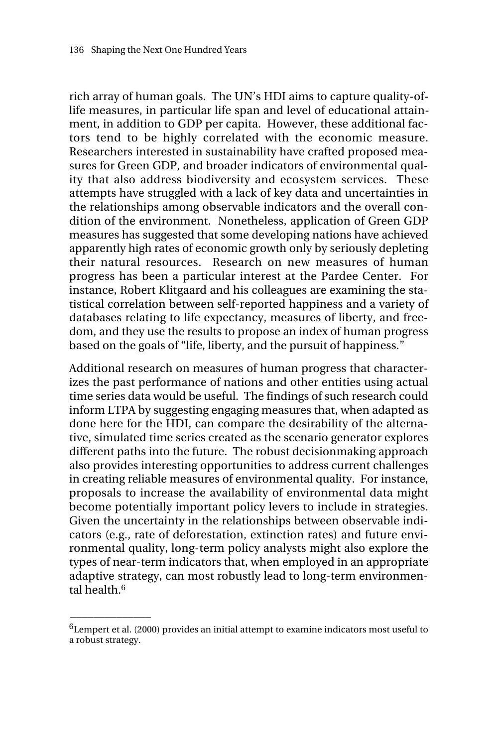rich array of human goals. The UN's HDI aims to capture quality-oflife measures, in particular life span and level of educational attainment, in addition to GDP per capita. However, these additional factors tend to be highly correlated with the economic measure. Researchers interested in sustainability have crafted proposed measures for Green GDP, and broader indicators of environmental quality that also address biodiversity and ecosystem services. These attempts have struggled with a lack of key data and uncertainties in the relationships among observable indicators and the overall condition of the environment. Nonetheless, application of Green GDP measures has suggested that some developing nations have achieved apparently high rates of economic growth only by seriously depleting their natural resources. Research on new measures of human progress has been a particular interest at the Pardee Center. For instance, Robert Klitgaard and his colleagues are examining the statistical correlation between self-reported happiness and a variety of databases relating to life expectancy, measures of liberty, and freedom, and they use the results to propose an index of human progress based on the goals of "life, liberty, and the pursuit of happiness."

Additional research on measures of human progress that characterizes the past performance of nations and other entities using actual time series data would be useful. The findings of such research could inform LTPA by suggesting engaging measures that, when adapted as done here for the HDI, can compare the desirability of the alternative, simulated time series created as the scenario generator explores different paths into the future. The robust decisionmaking approach also provides interesting opportunities to address current challenges in creating reliable measures of environmental quality. For instance, proposals to increase the availability of environmental data might become potentially important policy levers to include in strategies. Given the uncertainty in the relationships between observable indicators (e.g., rate of deforestation, extinction rates) and future environmental quality, long-term policy analysts might also explore the types of near-term indicators that, when employed in an appropriate adaptive strategy, can most robustly lead to long-term environmental health.6

 $\overline{\phantom{a}}$ 

 ${}^{6}$ Lempert et al. (2000) provides an initial attempt to examine indicators most useful to a robust strategy.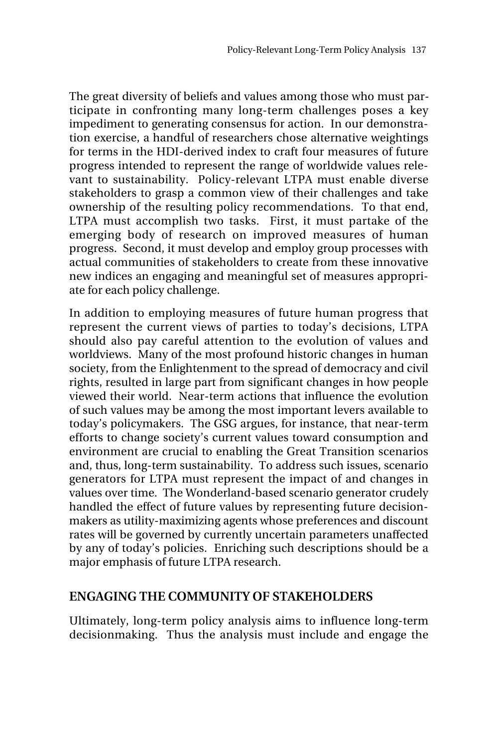The great diversity of beliefs and values among those who must participate in confronting many long-term challenges poses a key impediment to generating consensus for action. In our demonstration exercise, a handful of researchers chose alternative weightings for terms in the HDI-derived index to craft four measures of future progress intended to represent the range of worldwide values relevant to sustainability. Policy-relevant LTPA must enable diverse stakeholders to grasp a common view of their challenges and take ownership of the resulting policy recommendations. To that end, LTPA must accomplish two tasks. First, it must partake of the emerging body of research on improved measures of human progress. Second, it must develop and employ group processes with actual communities of stakeholders to create from these innovative new indices an engaging and meaningful set of measures appropriate for each policy challenge.

In addition to employing measures of future human progress that represent the current views of parties to today's decisions, LTPA should also pay careful attention to the evolution of values and worldviews. Many of the most profound historic changes in human society, from the Enlightenment to the spread of democracy and civil rights, resulted in large part from significant changes in how people viewed their world. Near-term actions that influence the evolution of such values may be among the most important levers available to today's policymakers. The GSG argues, for instance, that near-term efforts to change society's current values toward consumption and environment are crucial to enabling the Great Transition scenarios and, thus, long-term sustainability. To address such issues, scenario generators for LTPA must represent the impact of and changes in values over time. The Wonderland-based scenario generator crudely handled the effect of future values by representing future decisionmakers as utility-maximizing agents whose preferences and discount rates will be governed by currently uncertain parameters unaffected by any of today's policies. Enriching such descriptions should be a major emphasis of future LTPA research.

### **ENGAGING THE COMMUNITY OF STAKEHOLDERS**

Ultimately, long-term policy analysis aims to influence long-term decisionmaking. Thus the analysis must include and engage the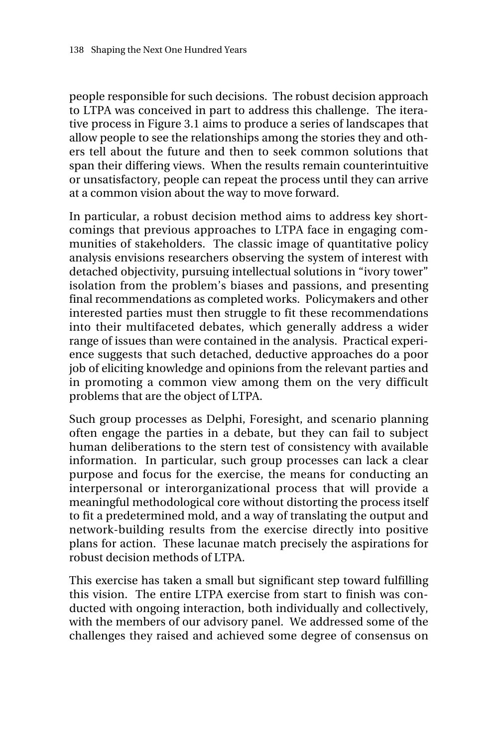people responsible for such decisions. The robust decision approach to LTPA was conceived in part to address this challenge. The iterative process in Figure 3.1 aims to produce a series of landscapes that allow people to see the relationships among the stories they and others tell about the future and then to seek common solutions that span their differing views. When the results remain counterintuitive or unsatisfactory, people can repeat the process until they can arrive at a common vision about the way to move forward.

In particular, a robust decision method aims to address key shortcomings that previous approaches to LTPA face in engaging communities of stakeholders. The classic image of quantitative policy analysis envisions researchers observing the system of interest with detached objectivity, pursuing intellectual solutions in "ivory tower" isolation from the problem's biases and passions, and presenting final recommendations as completed works. Policymakers and other interested parties must then struggle to fit these recommendations into their multifaceted debates, which generally address a wider range of issues than were contained in the analysis. Practical experience suggests that such detached, deductive approaches do a poor job of eliciting knowledge and opinions from the relevant parties and in promoting a common view among them on the very difficult problems that are the object of LTPA.

Such group processes as Delphi, Foresight, and scenario planning often engage the parties in a debate, but they can fail to subject human deliberations to the stern test of consistency with available information. In particular, such group processes can lack a clear purpose and focus for the exercise, the means for conducting an interpersonal or interorganizational process that will provide a meaningful methodological core without distorting the process itself to fit a predetermined mold, and a way of translating the output and network-building results from the exercise directly into positive plans for action. These lacunae match precisely the aspirations for robust decision methods of LTPA.

This exercise has taken a small but significant step toward fulfilling this vision. The entire LTPA exercise from start to finish was conducted with ongoing interaction, both individually and collectively, with the members of our advisory panel. We addressed some of the challenges they raised and achieved some degree of consensus on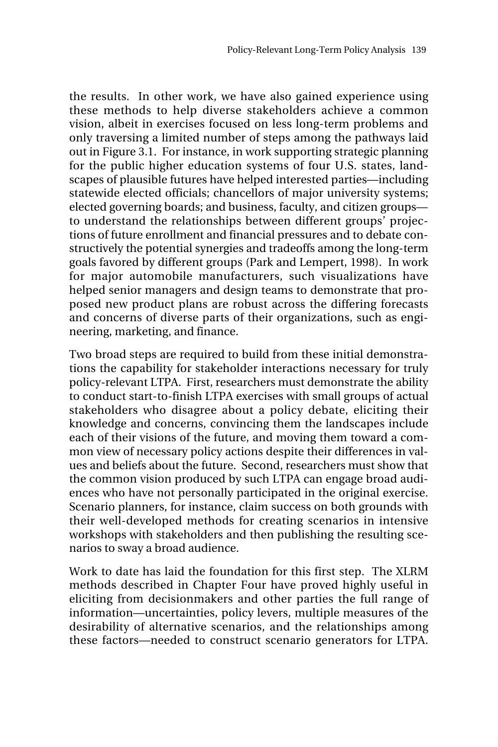the results. In other work, we have also gained experience using these methods to help diverse stakeholders achieve a common vision, albeit in exercises focused on less long-term problems and only traversing a limited number of steps among the pathways laid out in Figure 3.1. For instance, in work supporting strategic planning for the public higher education systems of four U.S. states, landscapes of plausible futures have helped interested parties—including statewide elected officials; chancellors of major university systems; elected governing boards; and business, faculty, and citizen groups to understand the relationships between different groups' projections of future enrollment and financial pressures and to debate constructively the potential synergies and tradeoffs among the long-term goals favored by different groups (Park and Lempert, 1998). In work for major automobile manufacturers, such visualizations have helped senior managers and design teams to demonstrate that proposed new product plans are robust across the differing forecasts and concerns of diverse parts of their organizations, such as engineering, marketing, and finance.

Two broad steps are required to build from these initial demonstrations the capability for stakeholder interactions necessary for truly policy-relevant LTPA. First, researchers must demonstrate the ability to conduct start-to-finish LTPA exercises with small groups of actual stakeholders who disagree about a policy debate, eliciting their knowledge and concerns, convincing them the landscapes include each of their visions of the future, and moving them toward a common view of necessary policy actions despite their differences in values and beliefs about the future. Second, researchers must show that the common vision produced by such LTPA can engage broad audiences who have not personally participated in the original exercise. Scenario planners, for instance, claim success on both grounds with their well-developed methods for creating scenarios in intensive workshops with stakeholders and then publishing the resulting scenarios to sway a broad audience.

Work to date has laid the foundation for this first step. The XLRM methods described in Chapter Four have proved highly useful in eliciting from decisionmakers and other parties the full range of information—uncertainties, policy levers, multiple measures of the desirability of alternative scenarios, and the relationships among these factors—needed to construct scenario generators for LTPA.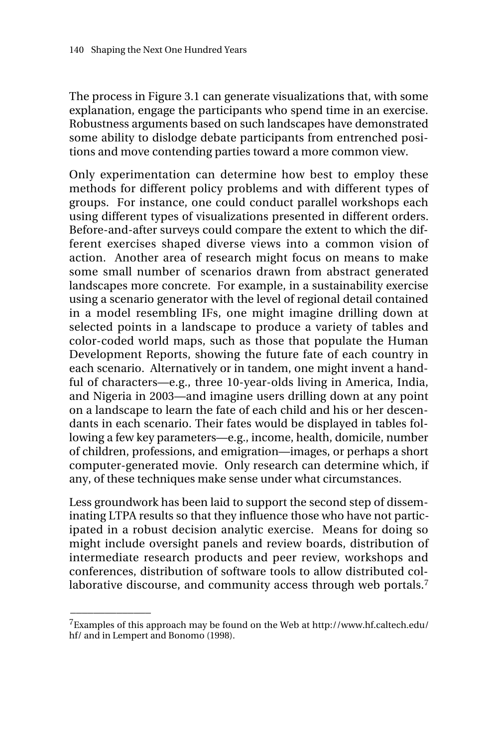The process in Figure 3.1 can generate visualizations that, with some explanation, engage the participants who spend time in an exercise. Robustness arguments based on such landscapes have demonstrated some ability to dislodge debate participants from entrenched positions and move contending parties toward a more common view.

Only experimentation can determine how best to employ these methods for different policy problems and with different types of groups. For instance, one could conduct parallel workshops each using different types of visualizations presented in different orders. Before-and-after surveys could compare the extent to which the different exercises shaped diverse views into a common vision of action. Another area of research might focus on means to make some small number of scenarios drawn from abstract generated landscapes more concrete. For example, in a sustainability exercise using a scenario generator with the level of regional detail contained in a model resembling IFs, one might imagine drilling down at selected points in a landscape to produce a variety of tables and color-coded world maps, such as those that populate the Human Development Reports, showing the future fate of each country in each scenario. Alternatively or in tandem, one might invent a handful of characters—e.g., three 10-year-olds living in America, India, and Nigeria in 2003—and imagine users drilling down at any point on a landscape to learn the fate of each child and his or her descendants in each scenario. Their fates would be displayed in tables following a few key parameters—e.g., income, health, domicile, number of children, professions, and emigration—images, or perhaps a short computer-generated movie. Only research can determine which, if any, of these techniques make sense under what circumstances.

Less groundwork has been laid to support the second step of disseminating LTPA results so that they influence those who have not participated in a robust decision analytic exercise. Means for doing so might include oversight panels and review boards, distribution of intermediate research products and peer review, workshops and conferences, distribution of software tools to allow distributed collaborative discourse, and community access through web portals.<sup>7</sup>

 $\overline{\phantom{a}}$ 

<sup>&</sup>lt;sup>7</sup>Examples of this approach may be found on the Web at http://www.hf.caltech.edu/ hf/ and in Lempert and Bonomo (1998).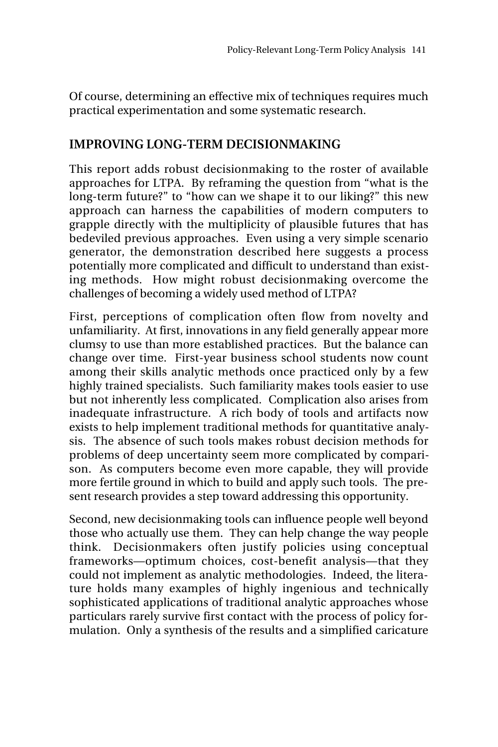Of course, determining an effective mix of techniques requires much practical experimentation and some systematic research.

## **IMPROVING LONG-TERM DECISIONMAKING**

This report adds robust decisionmaking to the roster of available approaches for LTPA. By reframing the question from "what is the long-term future?" to "how can we shape it to our liking?" this new approach can harness the capabilities of modern computers to grapple directly with the multiplicity of plausible futures that has bedeviled previous approaches. Even using a very simple scenario generator, the demonstration described here suggests a process potentially more complicated and difficult to understand than existing methods. How might robust decisionmaking overcome the challenges of becoming a widely used method of LTPA?

First, perceptions of complication often flow from novelty and unfamiliarity. At first, innovations in any field generally appear more clumsy to use than more established practices. But the balance can change over time. First-year business school students now count among their skills analytic methods once practiced only by a few highly trained specialists. Such familiarity makes tools easier to use but not inherently less complicated. Complication also arises from inadequate infrastructure. A rich body of tools and artifacts now exists to help implement traditional methods for quantitative analysis. The absence of such tools makes robust decision methods for problems of deep uncertainty seem more complicated by comparison. As computers become even more capable, they will provide more fertile ground in which to build and apply such tools. The present research provides a step toward addressing this opportunity.

Second, new decisionmaking tools can influence people well beyond those who actually use them. They can help change the way people think. Decisionmakers often justify policies using conceptual frameworks—optimum choices, cost-benefit analysis—that they could not implement as analytic methodologies. Indeed, the literature holds many examples of highly ingenious and technically sophisticated applications of traditional analytic approaches whose particulars rarely survive first contact with the process of policy formulation. Only a synthesis of the results and a simplified caricature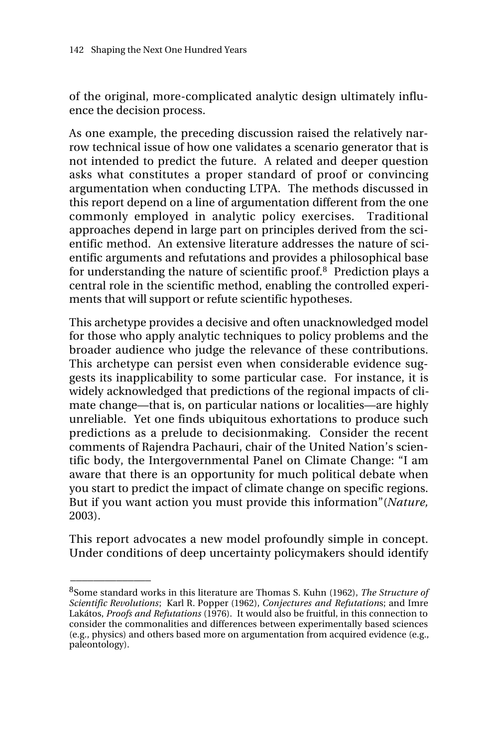of the original, more-complicated analytic design ultimately influence the decision process.

As one example, the preceding discussion raised the relatively narrow technical issue of how one validates a scenario generator that is not intended to predict the future. A related and deeper question asks what constitutes a proper standard of proof or convincing argumentation when conducting LTPA. The methods discussed in this report depend on a line of argumentation different from the one commonly employed in analytic policy exercises. Traditional approaches depend in large part on principles derived from the scientific method. An extensive literature addresses the nature of scientific arguments and refutations and provides a philosophical base for understanding the nature of scientific proof.<sup>8</sup> Prediction plays a central role in the scientific method, enabling the controlled experiments that will support or refute scientific hypotheses.

This archetype provides a decisive and often unacknowledged model for those who apply analytic techniques to policy problems and the broader audience who judge the relevance of these contributions. This archetype can persist even when considerable evidence suggests its inapplicability to some particular case. For instance, it is widely acknowledged that predictions of the regional impacts of climate change—that is, on particular nations or localities—are highly unreliable. Yet one finds ubiquitous exhortations to produce such predictions as a prelude to decisionmaking. Consider the recent comments of Rajendra Pachauri, chair of the United Nation's scientific body, the Intergovernmental Panel on Climate Change: "I am aware that there is an opportunity for much political debate when you start to predict the impact of climate change on specific regions. But if you want action you must provide this information"(*Nature,* 2003).

This report advocates a new model profoundly simple in concept. Under conditions of deep uncertainty policymakers should identify

\_\_\_\_\_\_\_\_\_\_\_\_\_\_

<sup>8</sup>Some standard works in this literature are Thomas S. Kuhn (1962), *The Structure of Scientific Revolutions*; Karl R. Popper (1962), *Conjectures and Refutation*s; and Imre Lakátos, *Proofs and Refutations* (1976). It would also be fruitful, in this connection to consider the commonalities and differences between experimentally based sciences (e.g., physics) and others based more on argumentation from acquired evidence (e.g., paleontology).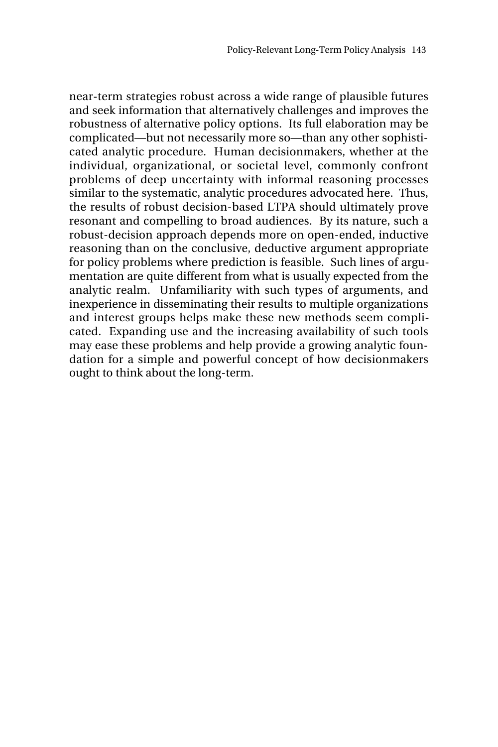near-term strategies robust across a wide range of plausible futures and seek information that alternatively challenges and improves the robustness of alternative policy options. Its full elaboration may be complicated—but not necessarily more so—than any other sophisticated analytic procedure. Human decisionmakers, whether at the individual, organizational, or societal level, commonly confront problems of deep uncertainty with informal reasoning processes similar to the systematic, analytic procedures advocated here. Thus, the results of robust decision-based LTPA should ultimately prove resonant and compelling to broad audiences. By its nature, such a robust-decision approach depends more on open-ended, inductive reasoning than on the conclusive, deductive argument appropriate for policy problems where prediction is feasible. Such lines of argumentation are quite different from what is usually expected from the analytic realm. Unfamiliarity with such types of arguments, and inexperience in disseminating their results to multiple organizations and interest groups helps make these new methods seem complicated. Expanding use and the increasing availability of such tools may ease these problems and help provide a growing analytic foundation for a simple and powerful concept of how decisionmakers ought to think about the long-term.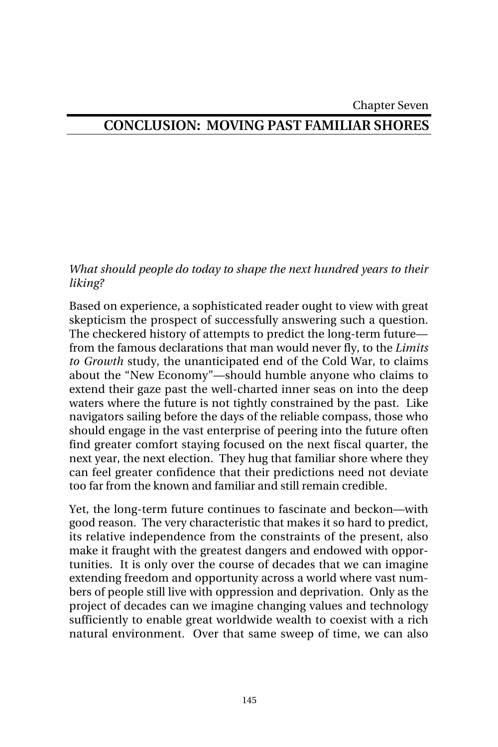## **CONCLUSION: MOVING PAST FAMILIAR SHORES**

### *What should people do today to shape the next hundred years to their liking?*

Based on experience, a sophisticated reader ought to view with great skepticism the prospect of successfully answering such a question. The checkered history of attempts to predict the long-term future from the famous declarations that man would never fly, to the *Limits to Growth* study, the unanticipated end of the Cold War, to claims about the "New Economy"—should humble anyone who claims to extend their gaze past the well-charted inner seas on into the deep waters where the future is not tightly constrained by the past. Like navigators sailing before the days of the reliable compass, those who should engage in the vast enterprise of peering into the future often find greater comfort staying focused on the next fiscal quarter, the next year, the next election. They hug that familiar shore where they can feel greater confidence that their predictions need not deviate too far from the known and familiar and still remain credible.

Yet, the long-term future continues to fascinate and beckon—with good reason. The very characteristic that makes it so hard to predict, its relative independence from the constraints of the present, also make it fraught with the greatest dangers and endowed with opportunities. It is only over the course of decades that we can imagine extending freedom and opportunity across a world where vast numbers of people still live with oppression and deprivation. Only as the project of decades can we imagine changing values and technology sufficiently to enable great worldwide wealth to coexist with a rich natural environment. Over that same sweep of time, we can also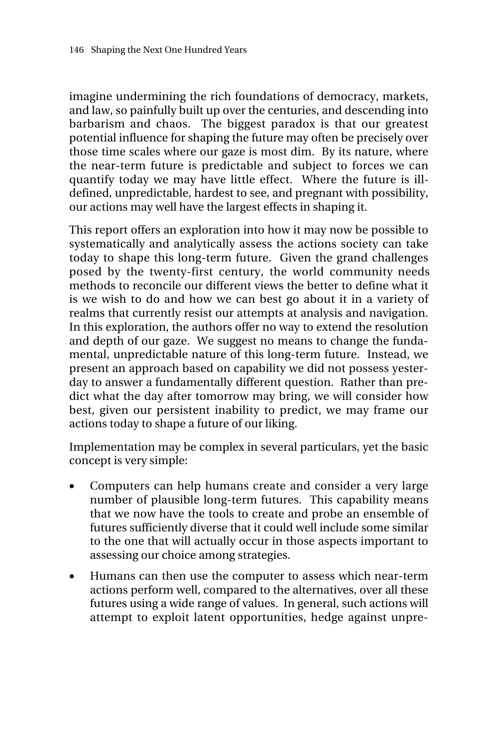imagine undermining the rich foundations of democracy, markets, and law, so painfully built up over the centuries, and descending into barbarism and chaos. The biggest paradox is that our greatest potential influence for shaping the future may often be precisely over those time scales where our gaze is most dim. By its nature, where the near-term future is predictable and subject to forces we can quantify today we may have little effect. Where the future is illdefined, unpredictable, hardest to see, and pregnant with possibility, our actions may well have the largest effects in shaping it.

This report offers an exploration into how it may now be possible to systematically and analytically assess the actions society can take today to shape this long-term future. Given the grand challenges posed by the twenty-first century, the world community needs methods to reconcile our different views the better to define what it is we wish to do and how we can best go about it in a variety of realms that currently resist our attempts at analysis and navigation. In this exploration, the authors offer no way to extend the resolution and depth of our gaze. We suggest no means to change the fundamental, unpredictable nature of this long-term future. Instead, we present an approach based on capability we did not possess yesterday to answer a fundamentally different question. Rather than predict what the day after tomorrow may bring, we will consider how best, given our persistent inability to predict, we may frame our actions today to shape a future of our liking.

Implementation may be complex in several particulars, yet the basic concept is very simple:

- Computers can help humans create and consider a very large number of plausible long-term futures. This capability means that we now have the tools to create and probe an ensemble of futures sufficiently diverse that it could well include some similar to the one that will actually occur in those aspects important to assessing our choice among strategies.
- Humans can then use the computer to assess which near-term actions perform well, compared to the alternatives, over all these futures using a wide range of values. In general, such actions will attempt to exploit latent opportunities, hedge against unpre-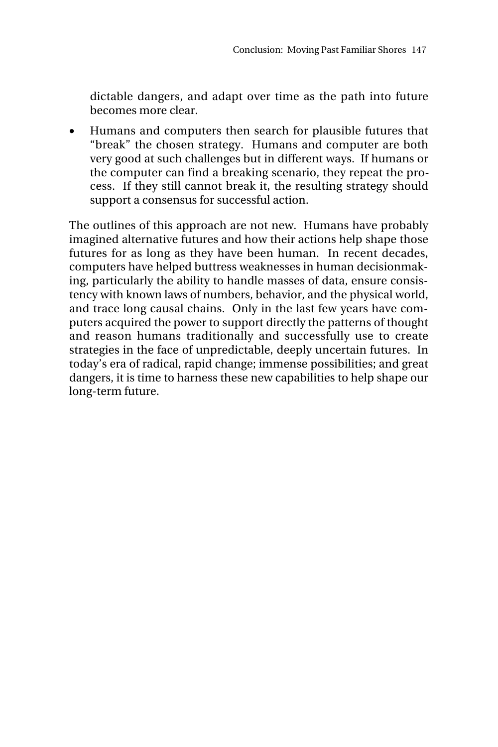dictable dangers, and adapt over time as the path into future becomes more clear.

• Humans and computers then search for plausible futures that "break" the chosen strategy. Humans and computer are both very good at such challenges but in different ways. If humans or the computer can find a breaking scenario, they repeat the process. If they still cannot break it, the resulting strategy should support a consensus for successful action.

The outlines of this approach are not new. Humans have probably imagined alternative futures and how their actions help shape those futures for as long as they have been human. In recent decades, computers have helped buttress weaknesses in human decisionmaking, particularly the ability to handle masses of data, ensure consistency with known laws of numbers, behavior, and the physical world, and trace long causal chains. Only in the last few years have computers acquired the power to support directly the patterns of thought and reason humans traditionally and successfully use to create strategies in the face of unpredictable, deeply uncertain futures. In today's era of radical, rapid change; immense possibilities; and great dangers, it is time to harness these new capabilities to help shape our long-term future.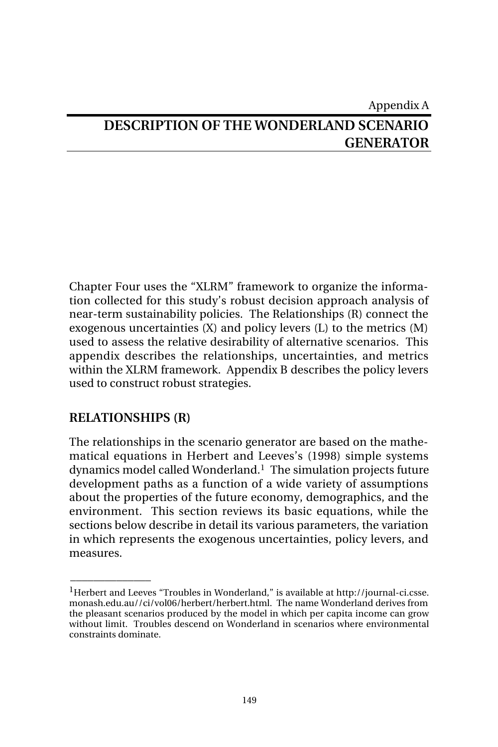# Appendix A **DESCRIPTION OF THE WONDERLAND SCENARIO GENERATOR**

Chapter Four uses the "XLRM" framework to organize the information collected for this study's robust decision approach analysis of near-term sustainability policies. The Relationships (R) connect the exogenous uncertainties (X) and policy levers (L) to the metrics (M) used to assess the relative desirability of alternative scenarios. This appendix describes the relationships, uncertainties, and metrics within the XLRM framework. Appendix B describes the policy levers used to construct robust strategies.

## **RELATIONSHIPS (R)**

\_\_\_\_\_\_\_\_\_\_\_\_\_\_

The relationships in the scenario generator are based on the mathematical equations in Herbert and Leeves's (1998) simple systems dynamics model called Wonderland.<sup>1</sup> The simulation projects future development paths as a function of a wide variety of assumptions about the properties of the future economy, demographics, and the environment. This section reviews its basic equations, while the sections below describe in detail its various parameters, the variation in which represents the exogenous uncertainties, policy levers, and measures.

 $<sup>1</sup>$ Herbert and Leeves "Troubles in Wonderland," is available at http://journal-ci.csse.</sup> monash.edu.au//ci/vol06/herbert/herbert.html. The name Wonderland derives from the pleasant scenarios produced by the model in which per capita income can grow without limit. Troubles descend on Wonderland in scenarios where environmental constraints dominate.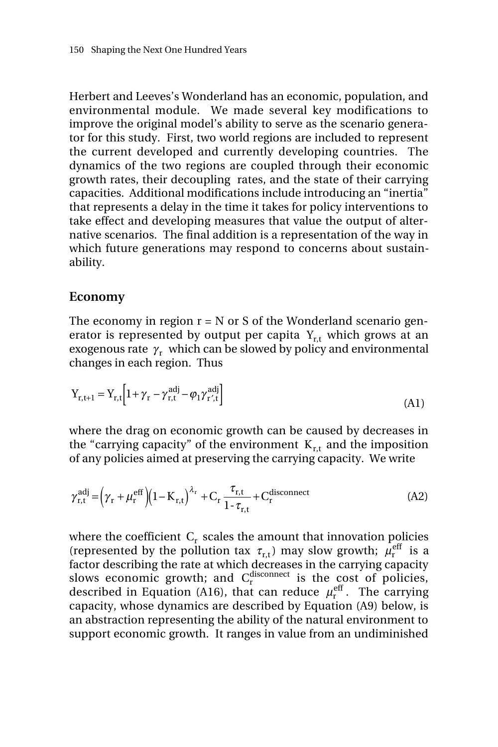Herbert and Leeves's Wonderland has an economic, population, and environmental module. We made several key modifications to improve the original model's ability to serve as the scenario generator for this study. First, two world regions are included to represent the current developed and currently developing countries. The dynamics of the two regions are coupled through their economic growth rates, their decoupling rates, and the state of their carrying capacities. Additional modifications include introducing an "inertia" that represents a delay in the time it takes for policy interventions to take effect and developing measures that value the output of alternative scenarios. The final addition is a representation of the way in which future generations may respond to concerns about sustainability.

### **Economy**

The economy in region  $r = N$  or S of the Wonderland scenario generator is represented by output per capita  $Y_{r,t}$  which grows at an exogenous rate  $\gamma_r$  which can be slowed by policy and environmental changes in each region. Thus

$$
Y_{r,t+1} = Y_{r,t} \left[ 1 + \gamma_r - \gamma_{r,t}^{adj} - \varphi_1 \gamma_{r',t}^{adj} \right]
$$
\n(A1)

where the drag on economic growth can be caused by decreases in the "carrying capacity" of the environment  $K_{r,t}$  and the imposition of any policies aimed at preserving the carrying capacity. We write

$$
\gamma_{r,t}^{adj} = \left(\gamma_r + \mu_r^{eff}\right)\left(1 - K_{r,t}\right)^{\lambda_r} + C_r \frac{\tau_{r,t}}{1 - \tau_{r,t}} + C_r^{disconnect}
$$
\n(A2)

where the coefficient  $C_r$  scales the amount that innovation policies (represented by the pollution tax  $\tau_{r,t}$ ) may slow growth;  $\mu_r^{\text{eff}}$  is a factor describing the rate at which decreases in the carrying capacity slows economic growth; and  $C_r^{disconnect}$  is the cost of policies, described in Equation (A16), that can reduce  $\mu_r^{\text{eff}}$ . The carrying capacity, whose dynamics are described by Equation (A9) below, is an abstraction representing the ability of the natural environment to support economic growth. It ranges in value from an undiminished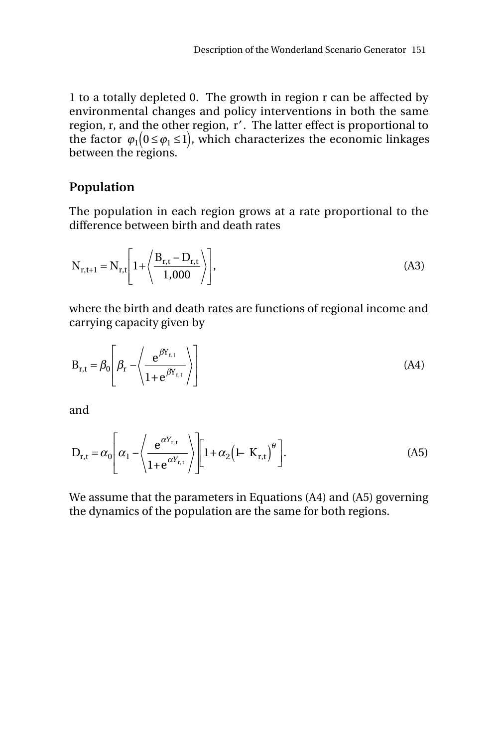1 to a totally depleted 0. The growth in region r can be affected by environmental changes and policy interventions in both the same region, r, and the other region,  $r'$ . The latter effect is proportional to the factor  $\varphi_1 ( 0 \le \varphi_1 \le 1 )$ , which characterizes the economic linkages between the regions.

## **Population**

The population in each region grows at a rate proportional to the difference between birth and death rates

$$
N_{r,t+1} = N_{r,t} \left[ 1 + \left\langle \frac{B_{r,t} - D_{r,t}}{1,000} \right\rangle \right],
$$
 (A3)

where the birth and death rates are functions of regional income and carrying capacity given by

$$
B_{r,t} = \beta_0 \left[ \beta_r - \left\langle \frac{e^{\beta Y_{r,t}}}{1 + e^{\beta Y_{r,t}}} \right\rangle \right]
$$
 (A4)

and

$$
D_{r,t} = \alpha_0 \left[ \alpha_1 - \left\langle \frac{e^{\alpha Y_{r,t}}}{1 + e^{\alpha Y_{r,t}}} \right\rangle \right] \left[ 1 + \alpha_2 \left( 1 - K_{r,t} \right)^{\theta} \right].
$$
 (A5)

We assume that the parameters in Equations (A4) and (A5) governing the dynamics of the population are the same for both regions.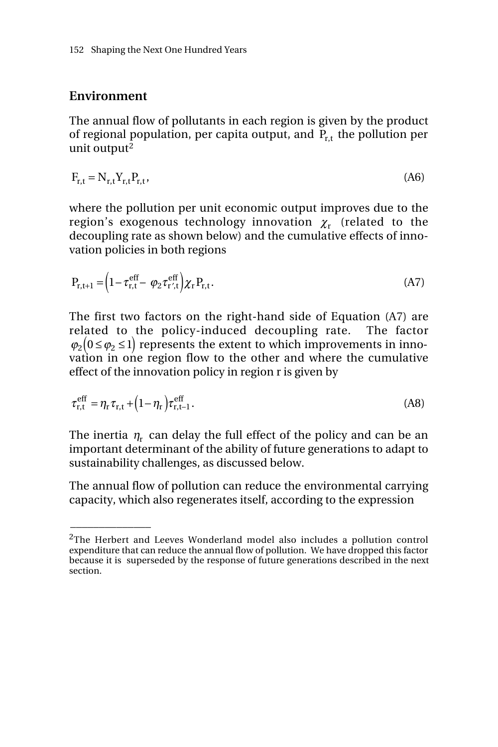### **Environment**

\_\_\_\_\_\_\_\_\_\_\_\_\_\_

The annual flow of pollutants in each region is given by the product of regional population, per capita output, and  $P_{rt}$  the pollution per unit output $2$ 

$$
F_{r,t} = N_{r,t} Y_{r,t} P_{r,t},\tag{A6}
$$

where the pollution per unit economic output improves due to the region's exogenous technology innovation  $\chi_{\rm r}$  (related to the decoupling rate as shown below) and the cumulative effects of innovation policies in both regions

$$
P_{r,t+1} = \left(1 - \tau_{r,t}^{eff} - \varphi_2 \tau_{r',t}^{eff}\right) \chi_r P_{r,t}.
$$
\n(A7)

The first two factors on the right-hand side of Equation (A7) are related to the policy-induced decoupling rate. The factor  $\varphi_2$  ( $0 \le \varphi_2 \le 1$ ) represents the extent to which improvements in innovation in one region flow to the other and where the cumulative effect of the innovation policy in region r is given by

$$
\tau_{\mathrm{r},\mathrm{t}}^{\mathrm{eff}} = \eta_{\mathrm{r}} \tau_{\mathrm{r},\mathrm{t}} + (1 - \eta_{\mathrm{r}}) \tau_{\mathrm{r},\mathrm{t}-1}^{\mathrm{eff}}.
$$
 (A8)

The inertia  $\eta_r$  can delay the full effect of the policy and can be an important determinant of the ability of future generations to adapt to sustainability challenges, as discussed below.

The annual flow of pollution can reduce the environmental carrying capacity, which also regenerates itself, according to the expression

<sup>2</sup>The Herbert and Leeves Wonderland model also includes a pollution control expenditure that can reduce the annual flow of pollution. We have dropped this factor because it is superseded by the response of future generations described in the next section.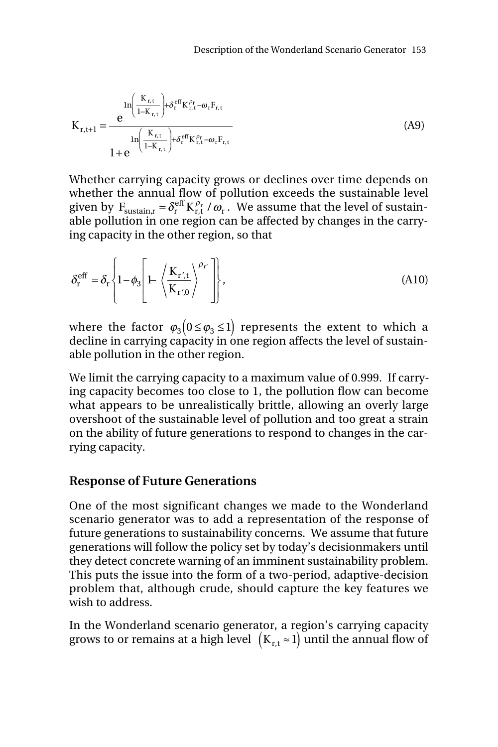$$
K_{r,t+1} = \frac{e^{ln\left(\frac{K_{r,t}}{1-K_{r,t}}\right) + \delta_r^{eff} K_{r,t}^{\rho_r} - \omega_r F_{r,t}}}{ln\left(\frac{K_{r,t}}{1-K_{r,t}}\right) + \delta_r^{eff} K_{r,t}^{\rho_r} - \omega_r F_{r,t}}
$$
(A9)

Whether carrying capacity grows or declines over time depends on whether the annual flow of pollution exceeds the sustainable level given by  $F_{\text{sustain,r}} = \delta_r^{\text{eff}} K_{r,t}^{\rho_r} / \omega_r$ . We assume that the level of sustainable pollution in one region can be affected by changes in the carrying capacity in the other region, so that

$$
\delta_{\rm r}^{\rm eff} = \delta_{\rm r} \left\{ 1 - \phi_3 \left[ 1 - \left( \frac{K_{\rm r',t}}{K_{\rm r',0}} \right)^{\rho_{\rm r'}} \right] \right\},\tag{A10}
$$

where the factor  $\varphi_3 ( 0 \le \varphi_3 \le 1 )$  represents the extent to which a decline in carrying capacity in one region affects the level of sustainable pollution in the other region.

We limit the carrying capacity to a maximum value of 0.999. If carrying capacity becomes too close to 1, the pollution flow can become what appears to be unrealistically brittle, allowing an overly large overshoot of the sustainable level of pollution and too great a strain on the ability of future generations to respond to changes in the carrying capacity.

#### **Response of Future Generations**

One of the most significant changes we made to the Wonderland scenario generator was to add a representation of the response of future generations to sustainability concerns. We assume that future generations will follow the policy set by today's decisionmakers until they detect concrete warning of an imminent sustainability problem. This puts the issue into the form of a two-period, adaptive-decision problem that, although crude, should capture the key features we wish to address.

In the Wonderland scenario generator, a region's carrying capacity grows to or remains at a high level  $(K_{r,t} \approx 1)$  until the annual flow of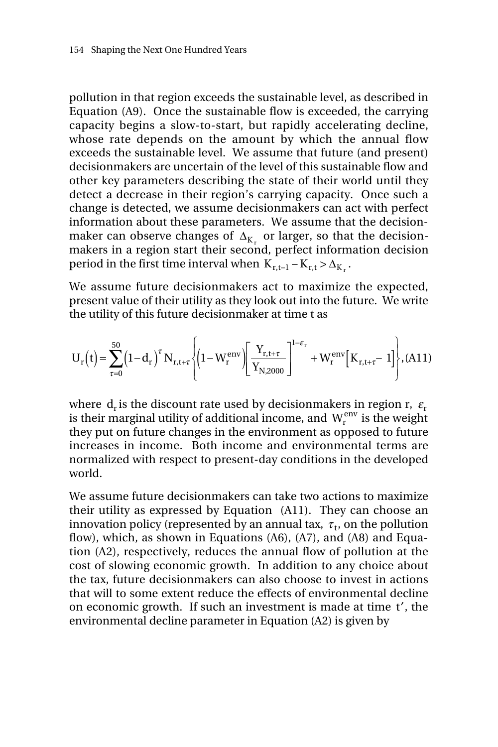pollution in that region exceeds the sustainable level, as described in Equation (A9). Once the sustainable flow is exceeded, the carrying capacity begins a slow-to-start, but rapidly accelerating decline, whose rate depends on the amount by which the annual flow exceeds the sustainable level. We assume that future (and present) decisionmakers are uncertain of the level of this sustainable flow and other key parameters describing the state of their world until they detect a decrease in their region's carrying capacity. Once such a change is detected, we assume decisionmakers can act with perfect information about these parameters. We assume that the decisionmaker can observe changes of  $\Delta_{K_r}$  or larger, so that the decisionmakers in a region start their second, perfect information decision period in the first time interval when  $K_{r,t-1} - K_{r,t} > \Delta_{K}$ .

We assume future decisionmakers act to maximize the expected, present value of their utility as they look out into the future. We write the utility of this future decisionmaker at time t as

$$
U_r(t) = \sum_{\tau=0}^{50} (1 - d_r)^{\tau} N_{r, t+\tau} \left\{ \left(1 - W_r^{\text{env}} \right) \left[ \frac{Y_{r, t+\tau}}{Y_{N,2000}} \right]^{1-\epsilon_r} + W_r^{\text{env}} \left[ K_{r, t+\tau} - 1 \right] \right\}, \text{(A11)}
$$

where d<sub>r</sub> is the discount rate used by decision makers in region r,  $\varepsilon_r$ is their marginal utility of additional income, and  $W_{r}^{\text{env}}$  is the weight they put on future changes in the environment as opposed to future increases in income. Both income and environmental terms are normalized with respect to present-day conditions in the developed world.

We assume future decisionmakers can take two actions to maximize their utility as expressed by Equation (A11). They can choose an innovation policy (represented by an annual tax,  $\tau_t$ , on the pollution flow), which, as shown in Equations (A6), (A7), and (A8) and Equation (A2), respectively, reduces the annual flow of pollution at the cost of slowing economic growth. In addition to any choice about the tax, future decisionmakers can also choose to invest in actions that will to some extent reduce the effects of environmental decline on economic growth. If such an investment is made at time  $t'$ , the environmental decline parameter in Equation (A2) is given by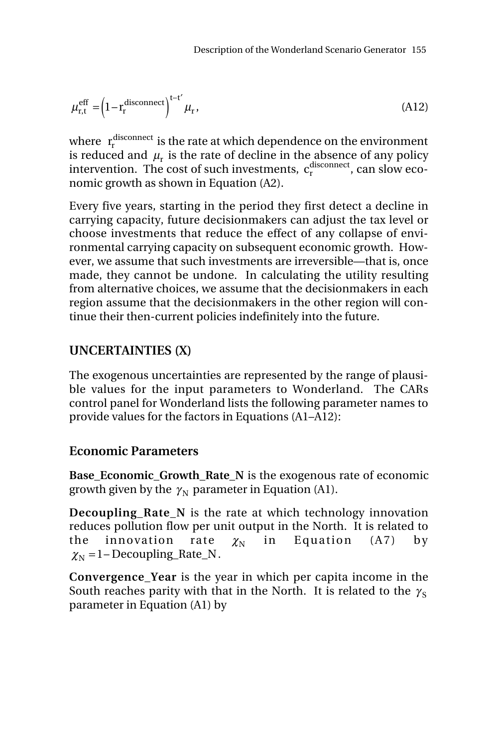$$
\mu_{\rm r,t}^{\rm eff} = \left(1 - r_{\rm r}^{\rm disconnect}\right)^{\rm t-t'} \mu_{\rm r},\tag{A12}
$$

where  $\rm\,r_{r}^{disconnect}$  is the rate at which dependence on the environment is reduced and  $\mu_r$  is the rate of decline in the absence of any policy intervention. The cost of such investments,  $c_r^{disconnect}$ , can slow economic growth as shown in Equation (A2).

Every five years, starting in the period they first detect a decline in carrying capacity, future decisionmakers can adjust the tax level or choose investments that reduce the effect of any collapse of environmental carrying capacity on subsequent economic growth. However, we assume that such investments are irreversible—that is, once made, they cannot be undone. In calculating the utility resulting from alternative choices, we assume that the decisionmakers in each region assume that the decisionmakers in the other region will continue their then-current policies indefinitely into the future.

## **UNCERTAINTIES (X)**

The exogenous uncertainties are represented by the range of plausible values for the input parameters to Wonderland. The CARs control panel for Wonderland lists the following parameter names to provide values for the factors in Equations (A1–A12):

## **Economic Parameters**

**Base\_Economic\_Growth\_Rate\_N** is the exogenous rate of economic growth given by the  $\gamma_N$  parameter in Equation (A1).

**Decoupling\_Rate\_N** is the rate at which technology innovation reduces pollution flow per unit output in the North. It is related to the innovation rate  $\chi_N$  in Equation (A7) by  $\chi_{\rm N}$  = 1– Decoupling\_Rate\_N.

**Convergence\_Year** is the year in which per capita income in the South reaches parity with that in the North. It is related to the  $\gamma_s$ parameter in Equation (A1) by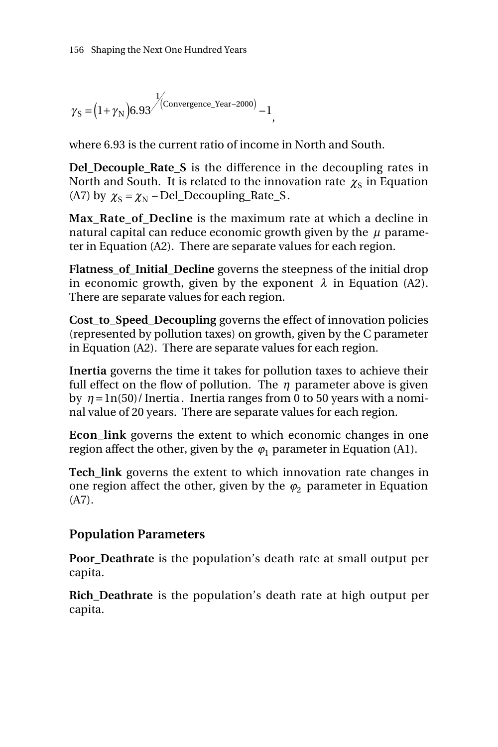$$
\gamma_{\rm S} = (1 + \gamma_{\rm N}) 6.93 \int_{\text{Convergence\_Year} - 2000}^{1} - 1,
$$

where 6.93 is the current ratio of income in North and South.

**Del\_Decouple\_Rate\_S** is the difference in the decoupling rates in North and South. It is related to the innovation rate  $\chi_{\rm s}$  in Equation (A7) by  $\chi_s = \chi_N - \text{Del\_Decoupling\_Rate\_S}.$ 

**Max\_Rate\_of\_Decline** is the maximum rate at which a decline in natural capital can reduce economic growth given by the  $\mu$  parameter in Equation (A2). There are separate values for each region.

Flatness of Initial Decline governs the steepness of the initial drop in economic growth, given by the exponent  $\lambda$  in Equation (A2). There are separate values for each region.

**Cost\_to\_Speed\_Decoupling** governs the effect of innovation policies (represented by pollution taxes) on growth, given by the C parameter in Equation (A2). There are separate values for each region.

**Inertia** governs the time it takes for pollution taxes to achieve their full effect on the flow of pollution. The  $\eta$  parameter above is given by  $\eta = \ln(50)$  Inertia. Inertia ranges from 0 to 50 years with a nominal value of 20 years. There are separate values for each region.

**Econ\_link** governs the extent to which economic changes in one region affect the other, given by the  $\varphi_1$  parameter in Equation (A1).

**Tech\_link** governs the extent to which innovation rate changes in one region affect the other, given by the  $\varphi_2$  parameter in Equation (A7).

## **Population Parameters**

**Poor\_Deathrate** is the population's death rate at small output per capita.

**Rich Deathrate** is the population's death rate at high output per capita.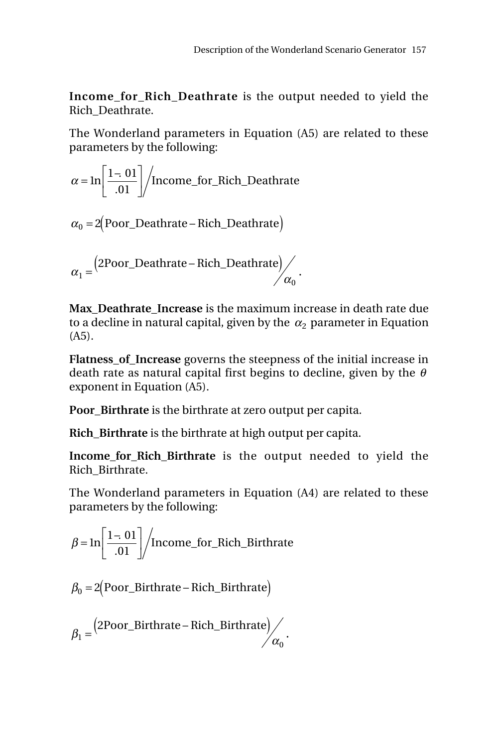**Income\_for\_Rich\_Deathrate** is the output needed to yield the Rich\_Deathrate.

The Wonderland parameters in Equation (A5) are related to these parameters by the following:

$$
\alpha = \ln \left[ \frac{1 - 01}{.01} \right] / \text{income\_for\_Rich\_Deathrate}
$$

 $\alpha_0 = 2($  Poor\_Deathrate – Rich\_Deathrate)

$$
\alpha_1 = \frac{2\text{Poor}\_\text{Deathrate} - \text{Rich}\_\text{Deathrate}}{\alpha_0}.
$$

**Max\_Deathrate\_Increase** is the maximum increase in death rate due to a decline in natural capital, given by the  $\alpha_2$  parameter in Equation  $(A5)$ .

**Flatness\_of\_Increase** governs the steepness of the initial increase in death rate as natural capital first begins to decline, given by the  $\theta$ exponent in Equation (A5).

**Poor\_Birthrate** is the birthrate at zero output per capita.

**Rich\_Birthrate** is the birthrate at high output per capita.

**Income\_for\_Rich\_Birthrate** is the output needed to yield the Rich\_Birthrate.

The Wonderland parameters in Equation (A4) are related to these parameters by the following:

$$
\beta = \ln \left[ \frac{1 - 01}{.01} \right] / \text{Income\_for\_Rich\_Birthrate}
$$

 $\beta_0 = 2($  Poor\_Birthrate – Rich\_Birthrate)

$$
\beta_1 = \frac{(2\text{Poor}\_Birthrate} - \text{Rich}\_Birthrate)}{\alpha_0}.
$$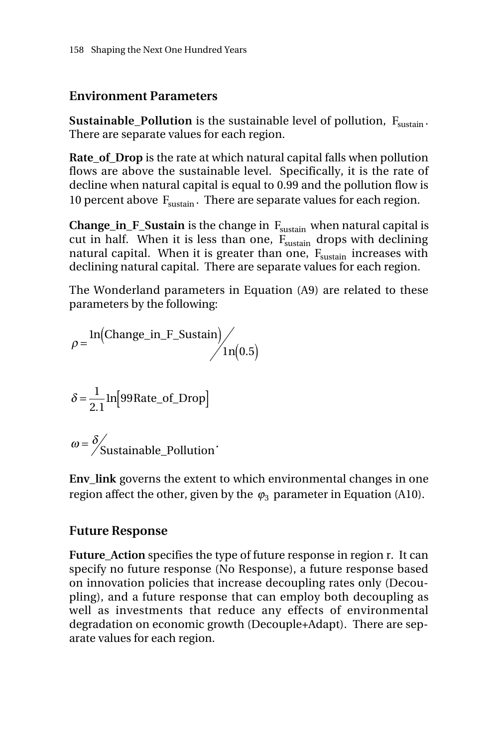## **Environment Parameters**

**Sustainable\_Pollution** is the sustainable level of pollution, F<sub>sustain</sub>. There are separate values for each region.

**Rate\_of\_Drop** is the rate at which natural capital falls when pollution flows are above the sustainable level. Specifically, it is the rate of decline when natural capital is equal to 0.99 and the pollution flow is 10 percent above  $F_{\text{sustain}}$ . There are separate values for each region.

**Change\_in\_F\_Sustain** is the change in  $F_{\text{sustain}}$  when natural capital is cut in half. When it is less than one,  $\rm F_{sustain}$  drops with declining natural capital. When it is greater than one,  $F_{\text{sustain}}$  increases with declining natural capital. There are separate values for each region.

The Wonderland parameters in Equation (A9) are related to these parameters by the following:

$$
\rho = \frac{\ln(\text{Change\_in\_F\_Sustain})}{\ln(0.5)}
$$

$$
\delta = \frac{1}{2.1} \ln[99 \text{Rate\_of\_Drop}]
$$

$$
\omega = \delta_{\text{Sustainable\_Pollution}}.
$$

**Env\_link** governs the extent to which environmental changes in one region affect the other, given by the  $\varphi_3$  parameter in Equation (A10).

## **Future Response**

**Future\_Action** specifies the type of future response in region r. It can specify no future response (No Response), a future response based on innovation policies that increase decoupling rates only (Decoupling), and a future response that can employ both decoupling as well as investments that reduce any effects of environmental degradation on economic growth (Decouple+Adapt). There are separate values for each region.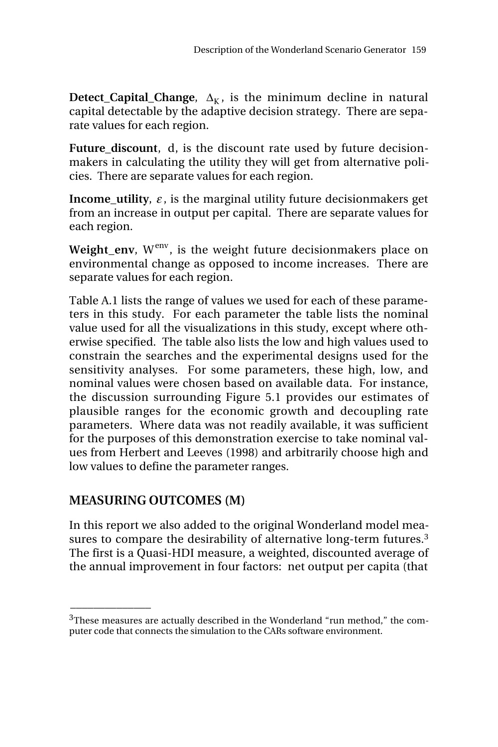**Detect\_Capital\_Change,**  $\Delta_K$ , is the minimum decline in natural capital detectable by the adaptive decision strategy. There are separate values for each region.

Future discount, d, is the discount rate used by future decisionmakers in calculating the utility they will get from alternative policies. There are separate values for each region.

**Income\_utility,**  $\varepsilon$ , is the marginal utility future decisionmakers get from an increase in output per capital. There are separate values for each region.

Weight\_env, W<sup>env</sup>, is the weight future decisionmakers place on environmental change as opposed to income increases. There are separate values for each region.

Table A.1 lists the range of values we used for each of these parameters in this study. For each parameter the table lists the nominal value used for all the visualizations in this study, except where otherwise specified. The table also lists the low and high values used to constrain the searches and the experimental designs used for the sensitivity analyses. For some parameters, these high, low, and nominal values were chosen based on available data. For instance, the discussion surrounding Figure 5.1 provides our estimates of plausible ranges for the economic growth and decoupling rate parameters. Where data was not readily available, it was sufficient for the purposes of this demonstration exercise to take nominal values from Herbert and Leeves (1998) and arbitrarily choose high and low values to define the parameter ranges.

## **MEASURING OUTCOMES (M)**

\_\_\_\_\_\_\_\_\_\_\_\_\_\_

In this report we also added to the original Wonderland model measures to compare the desirability of alternative long-term futures.3 The first is a Quasi-HDI measure, a weighted, discounted average of the annual improvement in four factors: net output per capita (that

 $3$ These measures are actually described in the Wonderland "run method," the computer code that connects the simulation to the CARs software environment.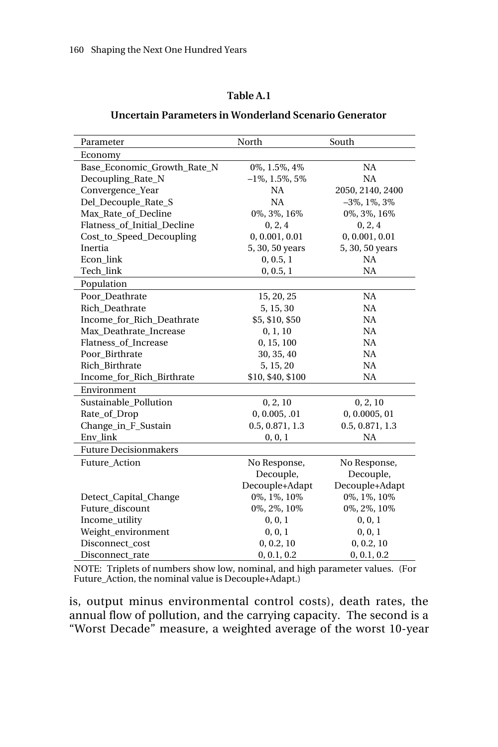### **Table A.1**

### **Uncertain Parameters in Wonderland Scenario Generator**

| Parameter                    | North              | South            |  |
|------------------------------|--------------------|------------------|--|
| Economy                      |                    |                  |  |
| Base_Economic_Growth_Rate_N  | 0%, 1.5%, 4%       | <b>NA</b>        |  |
| Decoupling_Rate_N            | $-1\%, 1.5\%, 5\%$ | <b>NA</b>        |  |
| Convergence_Year             | <b>NA</b>          | 2050, 2140, 2400 |  |
| Del_Decouple_Rate_S          | <b>NA</b>          | $-3\%$ , 1%, 3%  |  |
| Max_Rate_of_Decline          | 0%, 3%, 16%        | 0%, 3%, 16%      |  |
| Flatness_of_Initial_Decline  | 0, 2, 4            | 0, 2, 4          |  |
| Cost_to_Speed_Decoupling     | 0, 0.001, 0.01     | 0, 0.001, 0.01   |  |
| Inertia                      | 5, 30, 50 years    | 5, 30, 50 years  |  |
| Econ_link                    | 0, 0.5, 1          | <b>NA</b>        |  |
| Tech_link                    | 0, 0.5, 1          | <b>NA</b>        |  |
| Population                   |                    |                  |  |
| Poor Deathrate               | 15, 20, 25         | NA               |  |
| Rich Deathrate               | 5, 15, 30          | NA               |  |
| Income_for_Rich_Deathrate    | \$5, \$10, \$50    | NA               |  |
| Max_Deathrate_Increase       | 0, 1, 10           | NA               |  |
| Flatness_of_Increase         | 0, 15, 100         | <b>NA</b>        |  |
| Poor Birthrate               | 30, 35, 40         | NA               |  |
| Rich Birthrate               | 5, 15, 20          | <b>NA</b>        |  |
| Income_for_Rich_Birthrate    | \$10, \$40, \$100  | <b>NA</b>        |  |
| Environment                  |                    |                  |  |
| Sustainable Pollution        | 0, 2, 10           | 0, 2, 10         |  |
| Rate_of_Drop                 | 0, 0.005, .01      | 0, 0.0005, 01    |  |
| Change_in_F_Sustain          | 0.5, 0.871, 1.3    | 0.5, 0.871, 1.3  |  |
| Env_link                     | 0, 0, 1            | NA               |  |
| <b>Future Decisionmakers</b> |                    |                  |  |
| Future_Action                | No Response,       | No Response,     |  |
|                              | Decouple,          | Decouple,        |  |
|                              | Decouple+Adapt     | Decouple+Adapt   |  |
| Detect_Capital_Change        | 0%, 1%, 10%        | 0%, 1%, 10%      |  |
| Future discount              | 0%, 2%, 10%        | 0%, 2%, 10%      |  |
| Income_utility               | 0, 0, 1            | 0, 0, 1          |  |
| Weight_environment           | 0, 0, 1            | 0, 0, 1          |  |
| Disconnect cost              | 0, 0.2, 10         | 0, 0.2, 10       |  |
| Disconnect_rate              | 0, 0.1, 0.2        | 0, 0.1, 0.2      |  |

NOTE: Triplets of numbers show low, nominal, and high parameter values. (For Future\_Action, the nominal value is Decouple+Adapt.)

is, output minus environmental control costs), death rates, the annual flow of pollution, and the carrying capacity. The second is a "Worst Decade" measure, a weighted average of the worst 10-year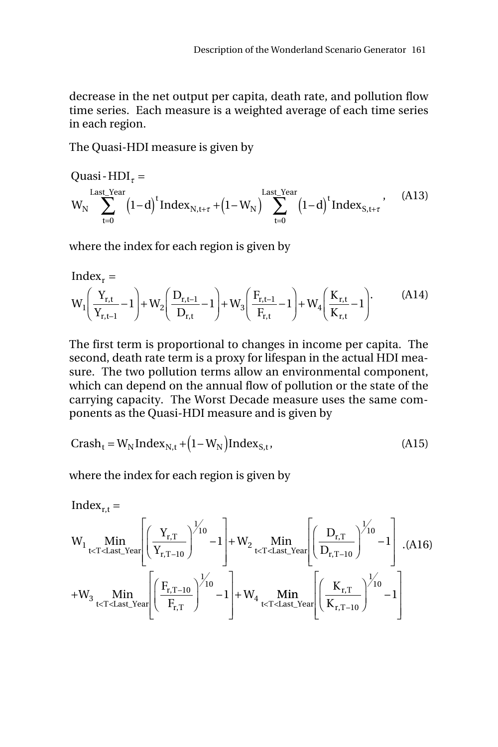decrease in the net output per capita, death rate, and pollution flow time series. Each measure is a weighted average of each time series in each region.

The Quasi-HDI measure is given by

Quasi-HDI<sub>τ</sub> =  
\n
$$
W_N \sum_{t=0}^{Last\_Year} (1-d)^t Index_{N,t+\tau} + (1-W_N) \sum_{t=0}^{Last\_Year} (1-d)^t Index_{S,t+\tau},
$$
\n(A13)

where the index for each region is given by

$$
Index_{r} = W_{1}\left(\frac{Y_{r,t}}{Y_{r,t-1}} - 1\right) + W_{2}\left(\frac{D_{r,t-1}}{D_{r,t}} - 1\right) + W_{3}\left(\frac{F_{r,t-1}}{F_{r,t}} - 1\right) + W_{4}\left(\frac{K_{r,t}}{K_{r,t}} - 1\right)
$$
 (A14)

The first term is proportional to changes in income per capita. The second, death rate term is a proxy for lifespan in the actual HDI measure. The two pollution terms allow an environmental component, which can depend on the annual flow of pollution or the state of the carrying capacity. The Worst Decade measure uses the same components as the Quasi-HDI measure and is given by

$$
Crash_t = W_N Index_{N,t} + (1 - W_N)Index_{S,t},
$$
\n(A15)

where the index for each region is given by

$$
Index_{r,t} = \nW_{1} \nMin_{t < T < Last\_Year} \left[ \left( \frac{Y_{r,T}}{Y_{r,T-10}} \right)^{1/10} - 1 \right] + W_{2} \nmin_{t < T < Last\_Year} \left[ \left( \frac{D_{r,T}}{D_{r,T-10}} \right)^{1/10} - 1 \right]. (A16)
$$
\n
$$
+ W_{3} \nMin_{t < T < Last\_Year} \left[ \left( \frac{F_{r,T-10}}{F_{r,T}} \right)^{1/10} - 1 \right] + W_{4} \nmin_{t < T < Last\_Year} \left[ \left( \frac{K_{r,T}}{K_{r,T-10}} \right)^{1/10} - 1 \right]
$$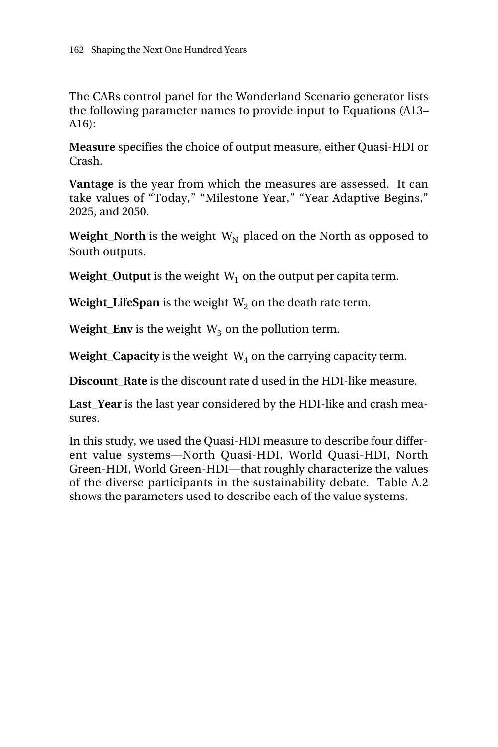The CARs control panel for the Wonderland Scenario generator lists the following parameter names to provide input to Equations (A13– A16):

**Measure** specifies the choice of output measure, either Quasi-HDI or Crash.

**Vantage** is the year from which the measures are assessed. It can take values of "Today," "Milestone Year," "Year Adaptive Begins," 2025, and 2050.

**Weight\_North** is the weight  $W_N$  placed on the North as opposed to South outputs.

**Weight\_Output** is the weight  $W_1$  on the output per capita term.

**Weight\_LifeSpan** is the weight  $W_2$  on the death rate term.

**Weight\_Env** is the weight  $W_3$  on the pollution term.

**Weight\_Capacity** is the weight  $W_4$  on the carrying capacity term.

**Discount Rate** is the discount rate d used in the HDI-like measure.

Last Year is the last year considered by the HDI-like and crash measures.

In this study, we used the Quasi-HDI measure to describe four different value systems—North Quasi-HDI, World Quasi-HDI, North Green-HDI, World Green-HDI—that roughly characterize the values of the diverse participants in the sustainability debate. Table A.2 shows the parameters used to describe each of the value systems.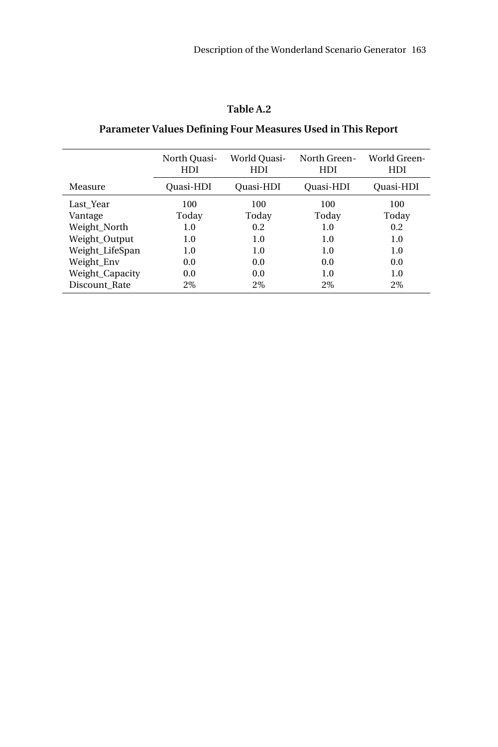## **Table A.2**

## **Parameter Values Defining Four Measures Used in This Report**

|                 | North Quasi-<br><b>HDI</b> | World Ouasi-<br><b>HDI</b> | North Green-<br>HDI | World Green-<br>HDI |
|-----------------|----------------------------|----------------------------|---------------------|---------------------|
| Measure         | Ouasi-HDI                  | Ouasi-HDI                  | Ouasi-HDI           | Ouasi-HDI           |
| Last Year       | 100                        | 100                        | 100                 | 100                 |
| Vantage         | Today                      | Today                      | Today               | Today               |
| Weight_North    | 1.0                        | 0.2                        | 1.0                 | 0.2                 |
| Weight_Output   | 1.0                        | 1.0                        | 1.0                 | 1.0                 |
| Weight_LifeSpan | 1.0                        | 1.0                        | 1.0                 | 1.0                 |
| Weight_Env      | 0.0                        | 0.0                        | 0.0                 | 0.0                 |
| Weight_Capacity | 0.0                        | 0.0                        | 1.0                 | 1.0                 |
| Discount Rate   | 2%                         | $2\%$                      | $2\%$               | $2\%$               |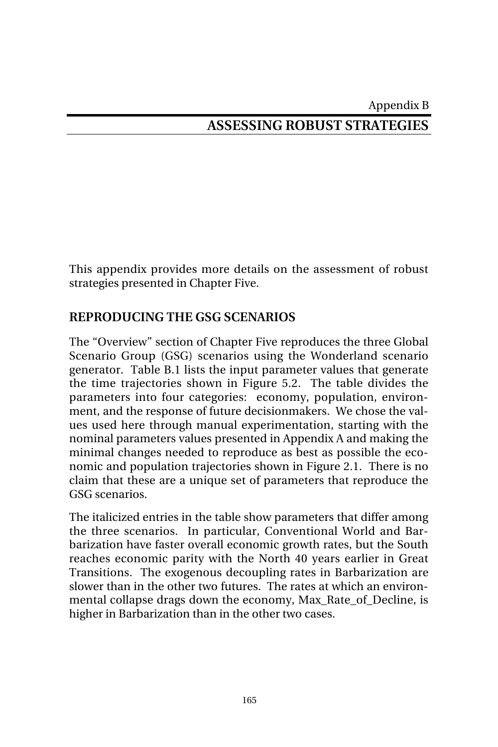This appendix provides more details on the assessment of robust strategies presented in Chapter Five.

# **REPRODUCING THE GSG SCENARIOS**

The "Overview" section of Chapter Five reproduces the three Global Scenario Group (GSG) scenarios using the Wonderland scenario generator. Table B.1 lists the input parameter values that generate the time trajectories shown in Figure 5.2. The table divides the parameters into four categories: economy, population, environment, and the response of future decisionmakers. We chose the values used here through manual experimentation, starting with the nominal parameters values presented in Appendix A and making the minimal changes needed to reproduce as best as possible the economic and population trajectories shown in Figure 2.1. There is no claim that these are a unique set of parameters that reproduce the GSG scenarios.

The italicized entries in the table show parameters that differ among the three scenarios. In particular, Conventional World and Barbarization have faster overall economic growth rates, but the South reaches economic parity with the North 40 years earlier in Great Transitions. The exogenous decoupling rates in Barbarization are slower than in the other two futures. The rates at which an environmental collapse drags down the economy, Max\_Rate\_of\_Decline, is higher in Barbarization than in the other two cases.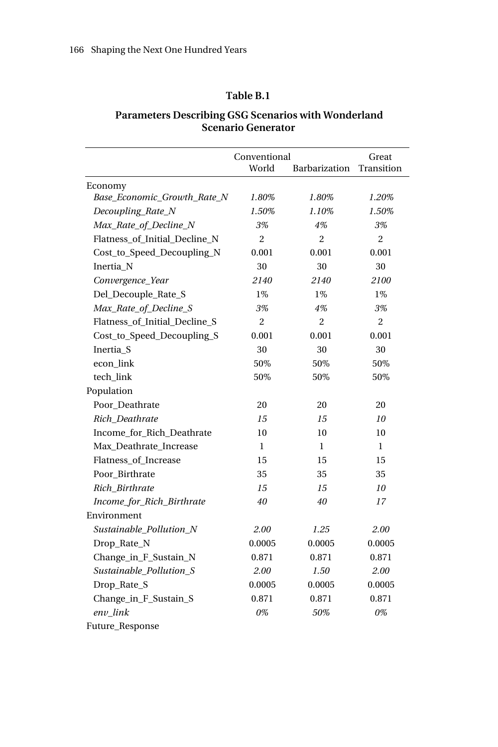### **Table B.1**

## **Parameters Describing GSG Scenarios with Wonderland Scenario Generator**

|                               | Conventional   |                | Great          |
|-------------------------------|----------------|----------------|----------------|
|                               | World          | Barbarization  | Transition     |
| Economy                       |                |                |                |
| Base_Economic_Growth_Rate_N   | 1.80%          | 1.80%          | 1.20%          |
| Decoupling_Rate_N             | 1.50%          | 1.10%          | 1.50%          |
| Max_Rate_of_Decline_N         | 3%             | 4%             | 3%             |
| Flatness_of_Initial_Decline_N | $\overline{c}$ | $\overline{c}$ | $\overline{c}$ |
| Cost_to_Speed_Decoupling_N    | 0.001          | 0.001          | 0.001          |
| Inertia_N                     | 30             | 30             | 30             |
| Convergence_Year              | 2140           | 2140           | 2100           |
| Del_Decouple_Rate_S           | 1%             | 1%             | 1%             |
| Max_Rate_of_Decline_S         | 3%             | 4%             | 3%             |
| Flatness_of_Initial_Decline_S | $\overline{2}$ | 2              | 2              |
| Cost_to_Speed_Decoupling_S    | 0.001          | 0.001          | 0.001          |
| Inertia_S                     | 30             | 30             | 30             |
| econ_link                     | 50%            | 50%            | 50%            |
| tech link                     | 50%            | 50%            | 50%            |
| Population                    |                |                |                |
| Poor_Deathrate                | 20             | 20             | 20             |
| Rich_Deathrate                | 15             | 15             | 10             |
| Income_for_Rich_Deathrate     | 10             | 10             | 10             |
| Max_Deathrate_Increase        | $\mathbf{1}$   | $\mathbf{1}$   | $\mathbf{1}$   |
| Flatness_of_Increase          | 15             | 15             | 15             |
| Poor Birthrate                | 35             | 35             | 35             |
| Rich Birthrate                | 15             | 15             | 10             |
| Income_for_Rich_Birthrate     | 40             | 40             | 17             |
| Environment                   |                |                |                |
| Sustainable_Pollution_N       | 2.00           | 1.25           | 2.00           |
| Drop_Rate_N                   | 0.0005         | 0.0005         | 0.0005         |
| Change_in_F_Sustain_N         | 0.871          | 0.871          | 0.871          |
| Sustainable_Pollution_S       | 2.00           | 1.50           | 2.00           |
| Drop_Rate_S                   | 0.0005         | 0.0005         | 0.0005         |
| Change in F Sustain S         | 0.871          | 0.871          | 0.871          |
| $env$ _link                   | 0%             | 50%            | 0%             |
| Future_Response               |                |                |                |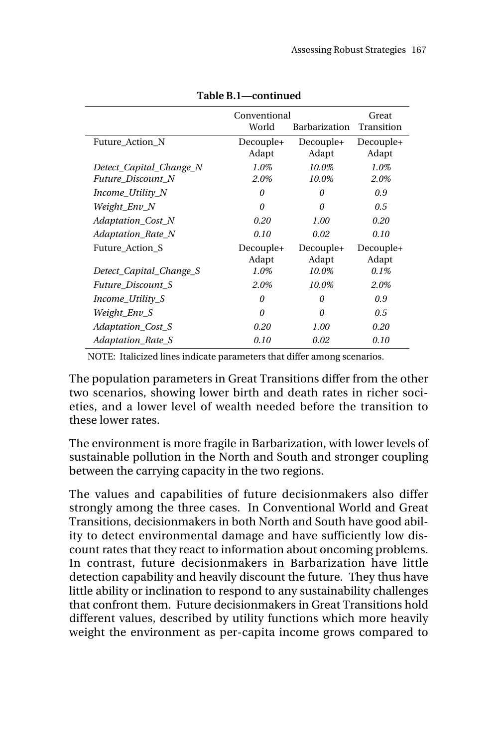|                                              | Conventional<br>World | <b>Barbarization</b> | Great<br>Transition |
|----------------------------------------------|-----------------------|----------------------|---------------------|
| Future Action N                              | Decouple+<br>Adapt    | Decouple+<br>Adapt   | Decouple+<br>Adapt  |
| Detect_Capital_Change_N<br>Future Discount N | $1.0\%$<br>$2.0\%$    | 10.0%<br>$10.0\%$    | $1.0\%$<br>2.0%     |
| Income_Utility_N                             | 0                     | 0                    | 0.9                 |
| Weight_Env_N                                 | 0                     | 0                    | 0.5                 |
| Adaptation_Cost_N                            | 0.20                  | 1.00                 | 0.20                |
| Adaptation_Rate_N                            | 0.10                  | 0.02                 | 0.10                |
| Future Action S                              | Decouple+<br>Adapt    | Decouple+<br>Adapt   | Decouple+<br>Adapt  |
| Detect_Capital_Change_S                      | $1.0\%$               | $10.0\%$             | $0.1\%$             |
| Future Discount S                            | $2.0\%$               | $10.0\%$             | 2.0%                |
| Income_Utility_S                             | 0                     | 0                    | 0.9                 |
| Weight_Env_S                                 | $\theta$              | 0                    | 0.5                 |
| Adaptation_Cost_S                            | 0.20                  | 1.00                 | 0.20                |
| Adaptation_Rate_S                            | 0.10                  | 0.02                 | 0.10                |

**Table B.1—continued**

NOTE: Italicized lines indicate parameters that differ among scenarios.

The population parameters in Great Transitions differ from the other two scenarios, showing lower birth and death rates in richer societies, and a lower level of wealth needed before the transition to these lower rates.

The environment is more fragile in Barbarization, with lower levels of sustainable pollution in the North and South and stronger coupling between the carrying capacity in the two regions.

The values and capabilities of future decisionmakers also differ strongly among the three cases. In Conventional World and Great Transitions, decisionmakers in both North and South have good ability to detect environmental damage and have sufficiently low discount rates that they react to information about oncoming problems. In contrast, future decisionmakers in Barbarization have little detection capability and heavily discount the future. They thus have little ability or inclination to respond to any sustainability challenges that confront them. Future decisionmakers in Great Transitions hold different values, described by utility functions which more heavily weight the environment as per-capita income grows compared to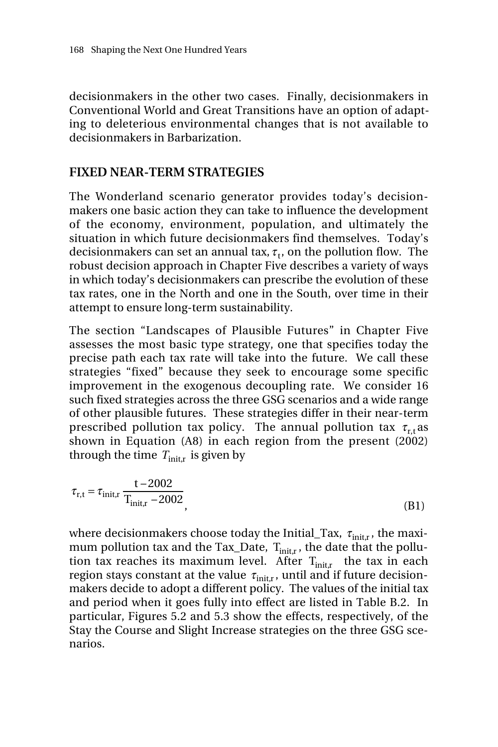decisionmakers in the other two cases. Finally, decisionmakers in Conventional World and Great Transitions have an option of adapting to deleterious environmental changes that is not available to decisionmakers in Barbarization.

## **FIXED NEAR-TERM STRATEGIES**

The Wonderland scenario generator provides today's decisionmakers one basic action they can take to influence the development of the economy, environment, population, and ultimately the situation in which future decisionmakers find themselves. Today's decisionmakers can set an annual tax,  $\tau_t$ , on the pollution flow. The robust decision approach in Chapter Five describes a variety of ways in which today's decisionmakers can prescribe the evolution of these tax rates, one in the North and one in the South, over time in their attempt to ensure long-term sustainability.

The section "Landscapes of Plausible Futures" in Chapter Five assesses the most basic type strategy, one that specifies today the precise path each tax rate will take into the future. We call these strategies "fixed" because they seek to encourage some specific improvement in the exogenous decoupling rate. We consider 16 such fixed strategies across the three GSG scenarios and a wide range of other plausible futures. These strategies differ in their near-term prescribed pollution tax policy. The annual pollution tax  $\tau_{r,t}$  as shown in Equation (A8) in each region from the present (2002) through the time  $T_{\text{init,r}}$  is given by

$$
\tau_{\rm r, t} = \tau_{\rm init, r} \frac{\rm t - 2002}{\rm T_{\rm init, r} - 2002},
$$
\n(B1)

where decision makers choose today the Initial\_Tax,  $\tau_{\text{init,r}}$ , the maximum pollution tax and the Tax\_Date,  $T_{init,r}$ , the date that the pollution tax reaches its maximum level. After  $T_{init,r}$  the tax in each region stays constant at the value  $\tau_{init,r}$ , until and if future decisionmakers decide to adopt a different policy. The values of the initial tax and period when it goes fully into effect are listed in Table B.2. In particular, Figures 5.2 and 5.3 show the effects, respectively, of the Stay the Course and Slight Increase strategies on the three GSG scenarios.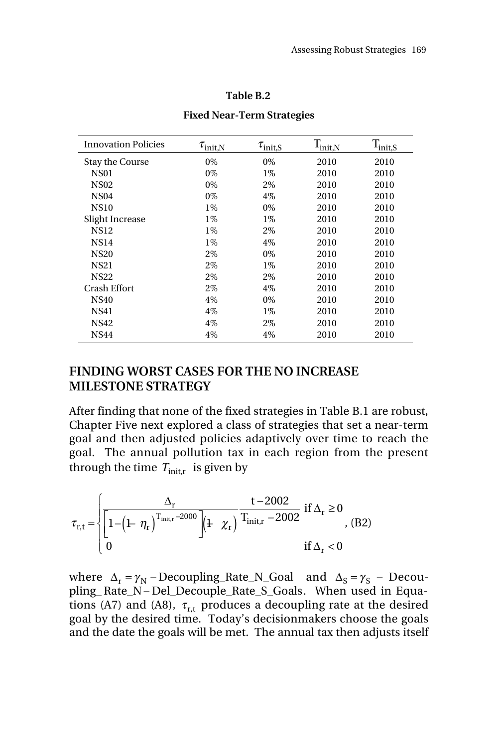#### **Table B.2**

| <b>Innovation Policies</b> | $\tau_{\rm init,N}$ | $\tau_{\rm init, S}$ | $T_{\hbox{\scriptsize init,N}}$ | $T_{init,S}$ |
|----------------------------|---------------------|----------------------|---------------------------------|--------------|
| Stay the Course            | $0\%$               | $0\%$                | 2010                            | 2010         |
| <b>NS01</b>                | $0\%$               | $1\%$                | 2010                            | 2010         |
| <b>NS02</b>                | $0\%$               | 2%                   | 2010                            | 2010         |
| <b>NS04</b>                | $0\%$               | 4%                   | 2010                            | 2010         |
| <b>NS10</b>                | $1\%$               | $0\%$                | 2010                            | 2010         |
| Slight Increase            | $1\%$               | $1\%$                | 2010                            | 2010         |
| <b>NS12</b>                | $1\%$               | 2%                   | 2010                            | 2010         |
| <b>NS14</b>                | $1\%$               | 4%                   | 2010                            | 2010         |
| <b>NS20</b>                | 2%                  | 0%                   | 2010                            | 2010         |
| <b>NS21</b>                | 2%                  | $1\%$                | 2010                            | 2010         |
| <b>NS22</b>                | 2%                  | 2%                   | 2010                            | 2010         |
| Crash Effort               | 2%                  | 4%                   | 2010                            | 2010         |
| <b>NS40</b>                | 4%                  | $0\%$                | 2010                            | 2010         |
| <b>NS41</b>                | 4%                  | $1\%$                | 2010                            | 2010         |
| <b>NS42</b>                | $4\%$               | $2\%$                | 2010                            | 2010         |
| NS44                       | 4%                  | 4%                   | 2010                            | 2010         |

### **Fixed Near-Term Strategies**

## **FINDING WORST CASES FOR THE NO INCREASE MILESTONE STRATEGY**

After finding that none of the fixed strategies in Table B.1 are robust, Chapter Five next explored a class of strategies that set a near-term goal and then adjusted policies adaptively over time to reach the goal. The annual pollution tax in each region from the present through the time  $T_{\text{init,r}}$  is given by

$$
\tau_{\rm r, t} = \sqrt{\frac{\Delta_{\rm r}}{1 - \left(1 - \eta_{\rm r}\right)^{\rm T_{init, r} - 2000}} \frac{\rm t - 2002}{\left(1 - \left(1 - \eta_{\rm r}\right)^{\rm T_{init, r} - 2002}\right)} \text{ if } \Delta_{\rm r} \ge 0},
$$
\n(B2)

where  $\Delta_r = \gamma_N$  – Decoupling Rate N Goal and  $\Delta_s = \gamma_s$  – Decoupling\_ Rate\_N – Del\_Decouple\_Rate\_S\_Goals. When used in Equations (A7) and (A8),  $\tau_{rt}$  produces a decoupling rate at the desired goal by the desired time. Today's decisionmakers choose the goals and the date the goals will be met. The annual tax then adjusts itself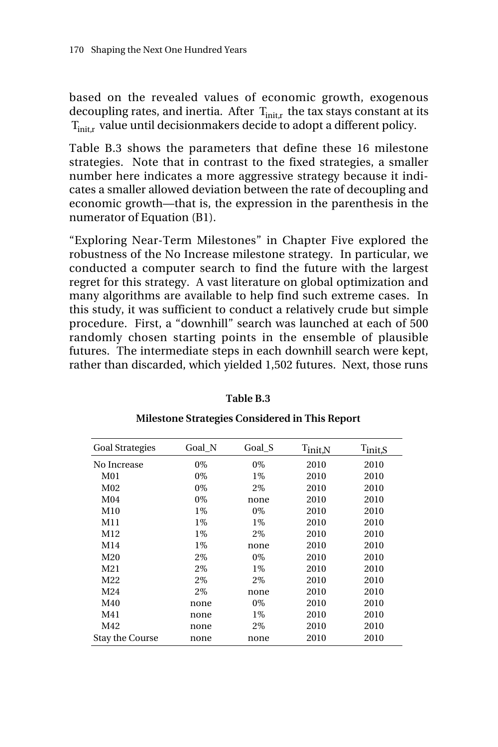based on the revealed values of economic growth, exogenous decoupling rates, and inertia. After  $T_{init,r}$  the tax stays constant at its  $T<sub>initr</sub>$  value until decisionmakers decide to adopt a different policy.

Table B.3 shows the parameters that define these 16 milestone strategies. Note that in contrast to the fixed strategies, a smaller number here indicates a more aggressive strategy because it indicates a smaller allowed deviation between the rate of decoupling and economic growth—that is, the expression in the parenthesis in the numerator of Equation (B1).

"Exploring Near-Term Milestones" in Chapter Five explored the robustness of the No Increase milestone strategy. In particular, we conducted a computer search to find the future with the largest regret for this strategy. A vast literature on global optimization and many algorithms are available to help find such extreme cases. In this study, it was sufficient to conduct a relatively crude but simple procedure. First, a "downhill" search was launched at each of 500 randomly chosen starting points in the ensemble of plausible futures. The intermediate steps in each downhill search were kept, rather than discarded, which yielded 1,502 futures. Next, those runs

| <b>Goal Strategies</b> | Goal N | Goal S | $T_{init,N}$ | $T_{init,S}$ |
|------------------------|--------|--------|--------------|--------------|
| No Increase            | 0%     | $0\%$  | 2010         | 2010         |
| M <sub>01</sub>        | 0%     | $1\%$  | 2010         | 2010         |
| M02                    | 0%     | 2%     | 2010         | 2010         |
| M04                    | 0%     | none   | 2010         | 2010         |
| M10                    | $1\%$  | $0\%$  | 2010         | 2010         |
| M11                    | $1\%$  | $1\%$  | 2010         | 2010         |
| M12                    | $1\%$  | 2%     | 2010         | 2010         |
| M14                    | $1\%$  | none   | 2010         | 2010         |
| M20                    | 2%     | $0\%$  | 2010         | 2010         |
| M21                    | 2%     | $1\%$  | 2010         | 2010         |
| M22                    | 2%     | 2%     | 2010         | 2010         |
| M24                    | 2%     | none   | 2010         | 2010         |
| M40                    | none   | $0\%$  | 2010         | 2010         |
| M41                    | none   | $1\%$  | 2010         | 2010         |
| M42                    | none   | 2%     | 2010         | 2010         |
| Stay the Course        | none   | none   | 2010         | 2010         |

**Table B.3**

### **Milestone Strategies Considered in This Report**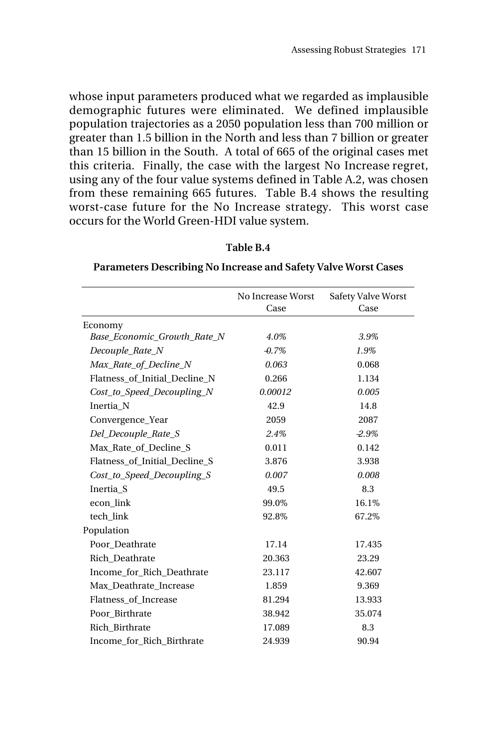whose input parameters produced what we regarded as implausible demographic futures were eliminated. We defined implausible population trajectories as a 2050 population less than 700 million or greater than 1.5 billion in the North and less than 7 billion or greater than 15 billion in the South. A total of 665 of the original cases met this criteria. Finally, the case with the largest No Increase regret, using any of the four value systems defined in Table A.2, was chosen from these remaining 665 futures. Table B.4 shows the resulting worst-case future for the No Increase strategy. This worst case occurs for the World Green-HDI value system.

|                                  | No Increase Worst<br>Case | Safety Valve Worst<br>Case |
|----------------------------------|---------------------------|----------------------------|
| Economy                          |                           |                            |
| Base_Economic_Growth_Rate_N      | 4.0%                      | 3.9%                       |
| Decouple_Rate_N                  | $-0.7%$                   | 1.9%                       |
| Max_Rate_of_Decline_N            | 0.063                     | 0.068                      |
| Flatness of Initial Decline N    | 0.266                     | 1.134                      |
| $Cost\_to\_Speed\_Decoupling\_N$ | 0.00012                   | 0.005                      |
| Inertia N                        | 42.9                      | 14.8                       |
| Convergence_Year                 | 2059                      | 2087                       |
| Del_Decouple_Rate_S              | 2.4%                      | $-2.9\%$                   |
| Max_Rate_of_Decline_S            | 0.011                     | 0.142                      |
| Flatness_of_Initial_Decline_S    | 3.876                     | 3.938                      |
| Cost_to_Speed_Decoupling_S       | 0.007                     | 0.008                      |
| Inertia S                        | 49.5                      | 8.3                        |
| econ_link                        | 99.0%                     | 16.1%                      |
| tech link                        | 92.8%                     | 67.2%                      |
| Population                       |                           |                            |
| Poor Deathrate                   | 17.14                     | 17.435                     |
| Rich_Deathrate                   | 20.363                    | 23.29                      |
| Income_for_Rich_Deathrate        | 23.117                    | 42.607                     |
| Max Deathrate Increase           | 1.859                     | 9.369                      |
| Flatness_of_Increase             | 81.294                    | 13.933                     |
| Poor_Birthrate                   | 38.942                    | 35.074                     |
| Rich Birthrate                   | 17.089                    | 8.3                        |
| Income for Rich Birthrate        | 24.939                    | 90.94                      |

### **Table B.4**

### **Parameters Describing No Increase and Safety Valve Worst Cases**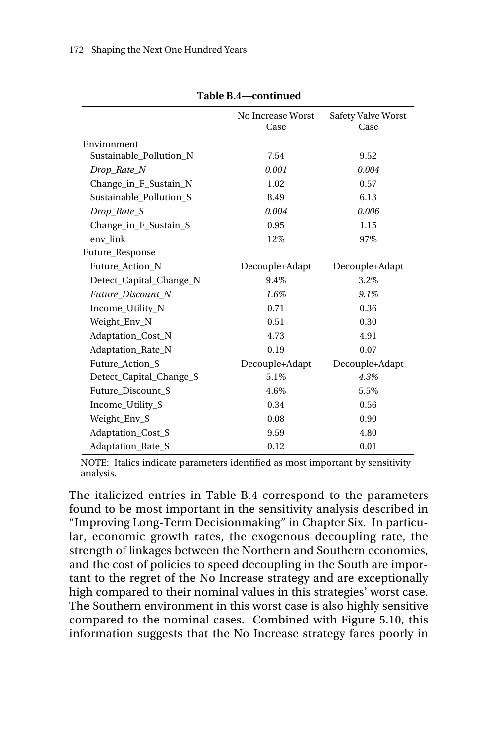|                         | No Increase Worst<br>Case | <b>Safety Valve Worst</b><br>Case |
|-------------------------|---------------------------|-----------------------------------|
| Environment             |                           |                                   |
| Sustainable_Pollution_N | 7.54                      | 9.52                              |
| Drop_Rate_N             | 0.001                     | 0.004                             |
| Change_in_F_Sustain_N   | 1.02                      | 0.57                              |
| Sustainable_Pollution_S | 8.49                      | 6.13                              |
| Drop Rate S             | 0.004                     | 0.006                             |
| Change_in_F_Sustain_S   | 0.95                      | 1.15                              |
| env link                | 12%                       | 97%                               |
| Future_Response         |                           |                                   |
| Future Action N         | Decouple+Adapt            | Decouple+Adapt                    |
| Detect_Capital_Change_N | 9.4%                      | 3.2%                              |
| Future Discount N       | 1.6%                      | 9.1%                              |
| Income_Utility_N        | 0.71                      | 0.36                              |
| Weight_Env_N            | 0.51                      | 0.30                              |
| Adaptation_Cost_N       | 4.73                      | 4.91                              |
| Adaptation_Rate_N       | 0.19                      | 0.07                              |
| Future_Action_S         | Decouple+Adapt            | Decouple+Adapt                    |
| Detect_Capital_Change_S | 5.1%                      | 4.3%                              |
| Future Discount S       | 4.6%                      | 5.5%                              |
| Income_Utility_S        | 0.34                      | 0.56                              |
| Weight_Env_S            | 0.08                      | 0.90                              |
| Adaptation_Cost_S       | 9.59                      | 4.80                              |
| Adaptation_Rate_S       | 0.12                      | 0.01                              |

**Table B.4—continued**

NOTE: Italics indicate parameters identified as most important by sensitivity analysis.

The italicized entries in Table B.4 correspond to the parameters found to be most important in the sensitivity analysis described in "Improving Long-Term Decisionmaking" in Chapter Six. In particular, economic growth rates, the exogenous decoupling rate, the strength of linkages between the Northern and Southern economies, and the cost of policies to speed decoupling in the South are important to the regret of the No Increase strategy and are exceptionally high compared to their nominal values in this strategies' worst case. The Southern environment in this worst case is also highly sensitive compared to the nominal cases. Combined with Figure 5.10, this information suggests that the No Increase strategy fares poorly in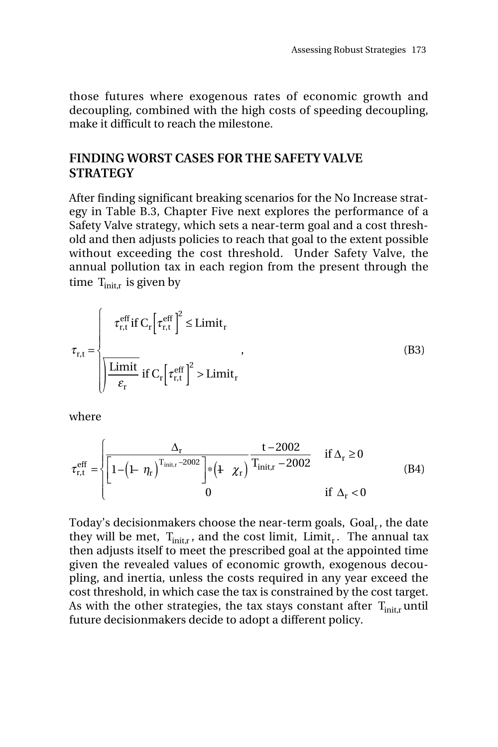those futures where exogenous rates of economic growth and decoupling, combined with the high costs of speeding decoupling, make it difficult to reach the milestone.

## **FINDING WORST CASES FOR THE SAFETY VALVE STRATEGY**

After finding significant breaking scenarios for the No Increase strategy in Table B.3, Chapter Five next explores the performance of a Safety Valve strategy, which sets a near-term goal and a cost threshold and then adjusts policies to reach that goal to the extent possible without exceeding the cost threshold. Under Safety Valve, the annual pollution tax in each region from the present through the time  $T_{\text{init,r}}$  is given by

$$
\tau_{\text{r,t}} = \begin{cases}\n\tau_{\text{r,t}}^{\text{eff}} \text{ if } C_{\text{r}} \left[ \tau_{\text{r,t}}^{\text{eff}} \right]^2 \le \text{Limit}_{\text{r}} \\
\frac{\text{Limit}}{\varepsilon_{\text{r}}} \text{ if } C_{\text{r}} \left[ \tau_{\text{r,t}}^{\text{eff}} \right]^2 > \text{Limit}_{\text{r}}\n\end{cases} \tag{B3}
$$

where

$$
\tau_{\rm r,t}^{\rm eff} = \begin{cases} \frac{\Delta_{\rm r}}{\left[1 - \left(1 - \eta_{\rm r}\right)^{\rm T_{\rm init, r} - 2002}\right] * \left(1 - \chi_{\rm r}\right)} \frac{t - 2002}{\rm T_{\rm init, r} - 2002} & \text{if } \Delta_{\rm r} \ge 0\\ 0 & \text{if } \Delta_{\rm r} < 0 \end{cases} \tag{B4}
$$

Today's decisionmakers choose the near-term goals, Goal, the date they will be met,  $T_{init,r}$ , and the cost limit, Limit<sub>r</sub>. The annual tax then adjusts itself to meet the prescribed goal at the appointed time given the revealed values of economic growth, exogenous decoupling, and inertia, unless the costs required in any year exceed the cost threshold, in which case the tax is constrained by the cost target. As with the other strategies, the tax stays constant after  $T_{\text{init}}$  until future decisionmakers decide to adopt a different policy.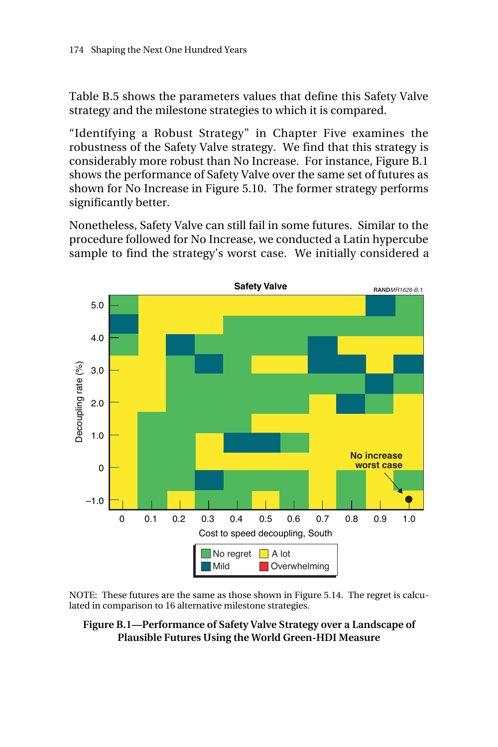Table B.5 shows the parameters values that define this Safety Valve strategy and the milestone strategies to which it is compared.

"Identifying a Robust Strategy" in Chapter Five examines the robustness of the Safety Valve strategy. We find that this strategy is considerably more robust than No Increase. For instance, Figure B.1 shows the performance of Safety Valve over the same set of futures as shown for No Increase in Figure 5.10. The former strategy performs significantly better.

Nonetheless, Safety Valve can still fail in some futures. Similar to the procedure followed for No Increase, we conducted a Latin hypercube sample to find the strategy's worst case. We initially considered a



NOTE: These futures are the same as those shown in Figure 5.14. The regret is calculated in comparison to 16 alternative milestone strategies.

**Figure B.1—Performance of Safety Valve Strategy over a Landscape of Plausible Futures Using the World Green-HDI Measure**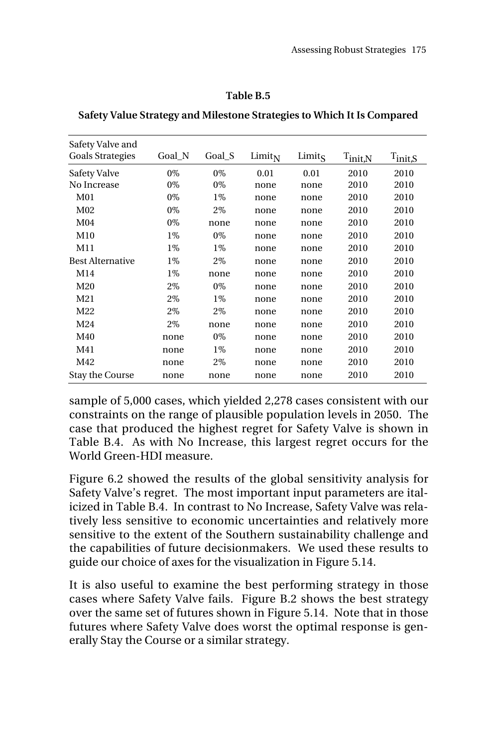### **Table B.5**

| Safety Valve and<br><b>Goals Strategies</b> | Goal_N | Goal_S | Limit <sub>N</sub> | $Limit_{S}$ | $T_{\text{inj},N}$ | T <sub>init,S</sub> |
|---------------------------------------------|--------|--------|--------------------|-------------|--------------------|---------------------|
| Safety Valve                                | 0%     | 0%     | 0.01               | 0.01        | 2010               | 2010                |
| No Increase                                 | $0\%$  | 0%     | none               | none        | 2010               | 2010                |
| M <sub>01</sub>                             | 0%     | $1\%$  | none               | none        | 2010               | 2010                |
| M02                                         | $0\%$  | 2%     | none               | none        | 2010               | 2010                |
| M <sub>04</sub>                             | 0%     | none   | none               | none        | 2010               | 2010                |
| M10                                         | $1\%$  | $0\%$  | none               | none        | 2010               | 2010                |
| M11                                         | $1\%$  | $1\%$  | none               | none        | 2010               | 2010                |
| <b>Best Alternative</b>                     | 1%     | 2%     | none               | none        | 2010               | 2010                |
| M14                                         | $1\%$  | none   | none               | none        | 2010               | 2010                |
| M20                                         | 2%     | 0%     | none               | none        | 2010               | 2010                |
| M21                                         | 2%     | $1\%$  | none               | none        | 2010               | 2010                |
| M22                                         | 2%     | 2%     | none               | none        | 2010               | 2010                |
| M24                                         | 2%     | none   | none               | none        | 2010               | 2010                |
| M40                                         | none   | 0%     | none               | none        | 2010               | 2010                |
| M41                                         | none   | $1\%$  | none               | none        | 2010               | 2010                |
| M42                                         | none   | 2%     | none               | none        | 2010               | 2010                |
| <b>Stay the Course</b>                      | none   | none   | none               | none        | 2010               | 2010                |

**Safety Value Strategy and Milestone Strategies to Which It Is Compared**

sample of 5,000 cases, which yielded 2,278 cases consistent with our constraints on the range of plausible population levels in 2050. The case that produced the highest regret for Safety Valve is shown in Table B.4. As with No Increase, this largest regret occurs for the World Green-HDI measure.

Figure 6.2 showed the results of the global sensitivity analysis for Safety Valve's regret. The most important input parameters are italicized in Table B.4. In contrast to No Increase, Safety Valve was relatively less sensitive to economic uncertainties and relatively more sensitive to the extent of the Southern sustainability challenge and the capabilities of future decisionmakers. We used these results to guide our choice of axes for the visualization in Figure 5.14.

It is also useful to examine the best performing strategy in those cases where Safety Valve fails. Figure B.2 shows the best strategy over the same set of futures shown in Figure 5.14. Note that in those futures where Safety Valve does worst the optimal response is generally Stay the Course or a similar strategy.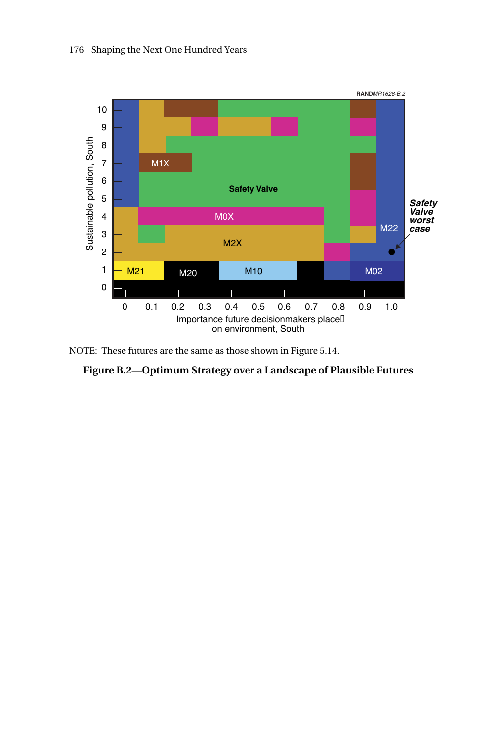

NOTE: These futures are the same as those shown in Figure 5.14.

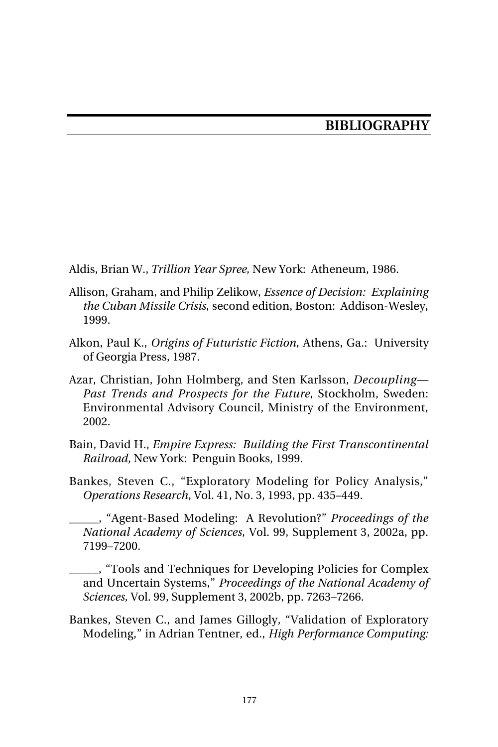Aldis, Brian W., *Trillion Year Spree,* New York: Atheneum, 1986.

- Allison, Graham, and Philip Zelikow, *Essence of Decision: Explaining the Cuban Missile Crisis,* second edition, Boston: Addison-Wesley, 1999.
- Alkon, Paul K., *Origins of Futuristic Fiction,* Athens, Ga.: University of Georgia Press, 1987.
- Azar, Christian, John Holmberg, and Sten Karlsson, *Decoupling— Past Trends and Prospects for the Future*, Stockholm, Sweden: Environmental Advisory Council, Ministry of the Environment, 2002.
- Bain, David H., *Empire Express: Building the First Transcontinental Railroad*, New York: Penguin Books, 1999.
- Bankes, Steven C., "Exploratory Modeling for Policy Analysis," *Operations Research*, Vol. 41, No. 3, 1993, pp. 435–449.
- \_\_\_\_\_, "Agent-Based Modeling: A Revolution?" *Proceedings of the National Academy of Sciences,* Vol. 99, Supplement 3, 2002a, pp. 7199–7200.

\_\_\_\_\_, "Tools and Techniques for Developing Policies for Complex and Uncertain Systems," *Proceedings of the National Academy of Sciences,* Vol. 99, Supplement 3, 2002b, pp. 7263–7266.

Bankes, Steven C., and James Gillogly, "Validation of Exploratory Modeling," in Adrian Tentner, ed., *High Performance Computing:*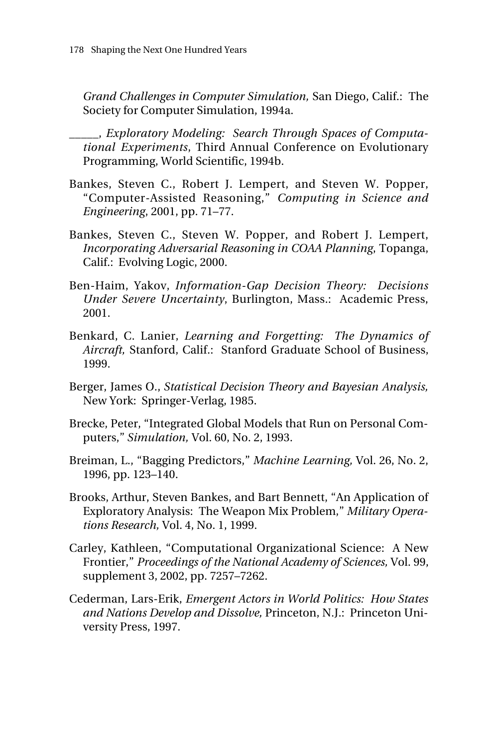*Grand Challenges in Computer Simulation,* San Diego, Calif.: The Society for Computer Simulation, 1994a.

\_\_\_\_\_, *Exploratory Modeling: Search Through Spaces of Computational Experiments*, Third Annual Conference on Evolutionary Programming, World Scientific, 1994b.

- Bankes, Steven C., Robert J. Lempert, and Steven W. Popper, "Computer-Assisted Reasoning," *Computing in Science and Engineering*, 2001, pp. 71–77.
- Bankes, Steven C., Steven W. Popper, and Robert J. Lempert, *Incorporating Adversarial Reasoning in COAA Planning*, Topanga, Calif.: Evolving Logic, 2000.
- Ben-Haim, Yakov, *Information-Gap Decision Theory: Decisions Under Severe Uncertainty*, Burlington, Mass.: Academic Press, 2001.
- Benkard, C. Lanier, *Learning and Forgetting: The Dynamics of Aircraft,* Stanford, Calif.: Stanford Graduate School of Business, 1999.
- Berger, James O., *Statistical Decision Theory and Bayesian Analysis,* New York: Springer-Verlag, 1985.
- Brecke, Peter, "Integrated Global Models that Run on Personal Computers," *Simulation,* Vol. 60, No. 2, 1993.
- Breiman, L., "Bagging Predictors," *Machine Learning,* Vol. 26, No. 2, 1996, pp. 123–140.
- Brooks, Arthur, Steven Bankes, and Bart Bennett, "An Application of Exploratory Analysis: The Weapon Mix Problem," *Military Operations Research,* Vol. 4, No. 1, 1999.
- Carley, Kathleen, "Computational Organizational Science: A New Frontier," *Proceedings of the National Academy of Sciences,* Vol. 99, supplement 3, 2002, pp. 7257–7262.
- Cederman, Lars-Erik, *Emergent Actors in World Politics: How States and Nations Develop and Dissolve,* Princeton, N.J.: Princeton University Press, 1997.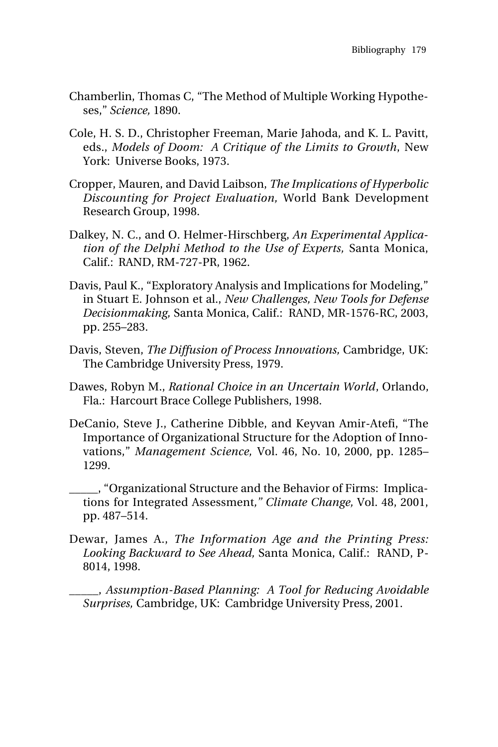- Chamberlin, Thomas C, "The Method of Multiple Working Hypotheses," *Science,* 1890.
- Cole, H. S. D., Christopher Freeman, Marie Jahoda, and K. L. Pavitt, eds., *Models of Doom: A Critique of the Limits to Growth*, New York: Universe Books, 1973.
- Cropper, Mauren, and David Laibson, *The Implications of Hyperbolic Discounting for Project Evaluation,* World Bank Development Research Group, 1998.
- Dalkey, N. C., and O. Helmer-Hirschberg, *An Experimental Application of the Delphi Method to the Use of Experts,* Santa Monica, Calif.: RAND, RM-727-PR, 1962.
- Davis, Paul K., "Exploratory Analysis and Implications for Modeling," in Stuart E. Johnson et al., *New Challenges, New Tools for Defense Decisionmaking,* Santa Monica, Calif.: RAND, MR-1576-RC, 2003, pp. 255–283.
- Davis, Steven, *The Diffusion of Process Innovations,* Cambridge, UK: The Cambridge University Press, 1979.
- Dawes, Robyn M., *Rational Choice in an Uncertain World*, Orlando, Fla.: Harcourt Brace College Publishers, 1998.
- DeCanio, Steve J., Catherine Dibble, and Keyvan Amir-Atefi, "The Importance of Organizational Structure for the Adoption of Innovations," *Management Science,* Vol. 46, No. 10, 2000, pp. 1285– 1299.
- \_\_\_\_\_, "Organizational Structure and the Behavior of Firms: Implications for Integrated Assessment*," Climate Change,* Vol. 48, 2001, pp. 487–514.
- Dewar, James A., *The Information Age and the Printing Press: Looking Backward to See Ahead,* Santa Monica, Calif.: RAND, P-8014, 1998.
	- \_\_\_\_\_, *Assumption-Based Planning: A Tool for Reducing Avoidable Surprises,* Cambridge, UK: Cambridge University Press, 2001.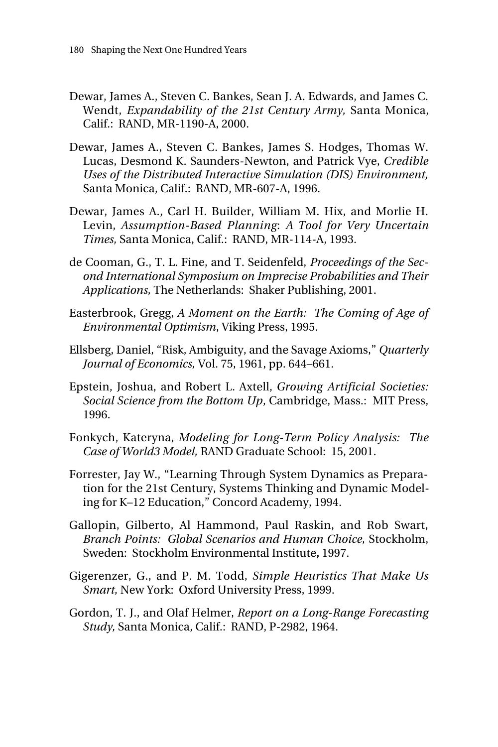- Dewar, James A., Steven C. Bankes, Sean J. A. Edwards, and James C. Wendt, *Expandability of the 21st Century Army,* Santa Monica, Calif.: RAND, MR-1190-A, 2000.
- Dewar, James A., Steven C. Bankes, James S. Hodges, Thomas W. Lucas, Desmond K. Saunders-Newton, and Patrick Vye, *Credible Uses of the Distributed Interactive Simulation (DIS) Environment,* Santa Monica, Calif.: RAND, MR-607-A, 1996.
- Dewar, James A., Carl H. Builder, William M. Hix, and Morlie H. Levin, *Assumption-Based Planning*: *A Tool for Very Uncertain Times,* Santa Monica, Calif.: RAND, MR-114-A, 1993*.*
- de Cooman, G., T. L. Fine, and T. Seidenfeld, *Proceedings of the Second International Symposium on Imprecise Probabilities and Their Applications,* The Netherlands: Shaker Publishing, 2001.
- Easterbrook, Gregg, *A Moment on the Earth: The Coming of Age of Environmental Optimism*, Viking Press, 1995.
- Ellsberg, Daniel, "Risk, Ambiguity, and the Savage Axioms," *Quarterly Journal of Economics,* Vol. 75, 1961, pp. 644–661.
- Epstein, Joshua, and Robert L. Axtell, *Growing Artificial Societies: Social Science from the Bottom Up*, Cambridge, Mass.: MIT Press, 1996.
- Fonkych, Kateryna, *Modeling for Long-Term Policy Analysis: The Case of World3 Model,* RAND Graduate School: 15, 2001.
- Forrester, Jay W., "Learning Through System Dynamics as Preparation for the 21st Century, Systems Thinking and Dynamic Modeling for K–12 Education," Concord Academy, 1994.
- Gallopin, Gilberto, Al Hammond, Paul Raskin, and Rob Swart, *Branch Points: Global Scenarios and Human Choice,* Stockholm, Sweden: Stockholm Environmental Institute**,** 1997.
- Gigerenzer, G., and P. M. Todd, *Simple Heuristics That Make Us Smart,* New York: Oxford University Press, 1999.
- Gordon, T. J., and Olaf Helmer, *Report on a Long-Range Forecasting Study,* Santa Monica, Calif.: RAND, P-2982, 1964.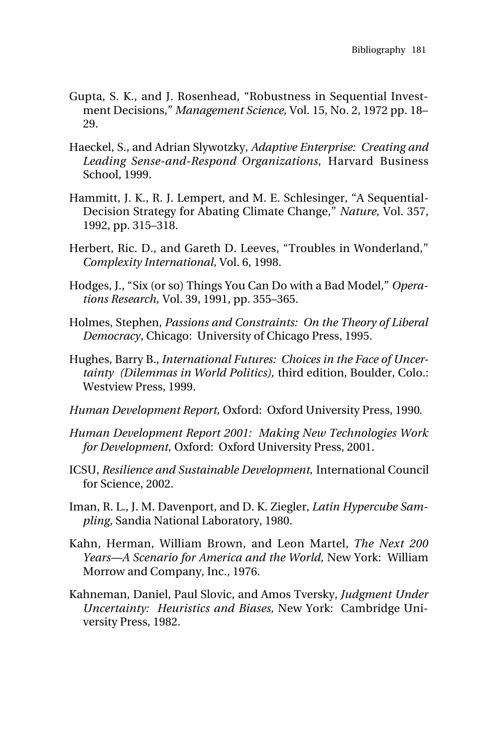- Gupta, S. K., and J. Rosenhead, "Robustness in Sequential Investment Decisions," *Management Science,* Vol. 15, No. 2, 1972 pp. 18– 29.
- Haeckel, S., and Adrian Slywotzky, *Adaptive Enterprise: Creating and Leading Sense-and-Respond Organizations*, Harvard Business School, 1999.
- Hammitt, J. K., R. J. Lempert, and M. E. Schlesinger, "A Sequential-Decision Strategy for Abating Climate Change," *Nature,* Vol. 357, 1992, pp. 315–318.
- Herbert, Ric. D., and Gareth D. Leeves, "Troubles in Wonderland," *Complexity International,* Vol. 6, 1998.
- Hodges, J., "Six (or so) Things You Can Do with a Bad Model," *Operations Research,* Vol. 39, 1991, pp. 355–365.
- Holmes, Stephen, *Passions and Constraints: On the Theory of Liberal Democracy*, Chicago: University of Chicago Press, 1995.
- Hughes, Barry B., *International Futures: Choices in the Face of Uncertainty (Dilemmas in World Politics),* third edition, Boulder, Colo.: Westview Press, 1999.
- *Human Development Report,* Oxford: Oxford University Press, 1990*.*
- *Human Development Report 2001: Making New Technologies Work for Development,* Oxford: Oxford University Press, 2001.
- ICSU, *Resilience and Sustainable Development,* International Council for Science, 2002.
- Iman, R. L., J. M. Davenport, and D. K. Ziegler, *Latin Hypercube Sampling*, Sandia National Laboratory, 1980.
- Kahn, Herman, William Brown, and Leon Martel, *The Next 200 Years—A Scenario for America and the World,* New York: William Morrow and Company, Inc., 1976.
- Kahneman, Daniel, Paul Slovic, and Amos Tversky, *Judgment Under Uncertainty: Heuristics and Biases,* New York: Cambridge University Press, 1982.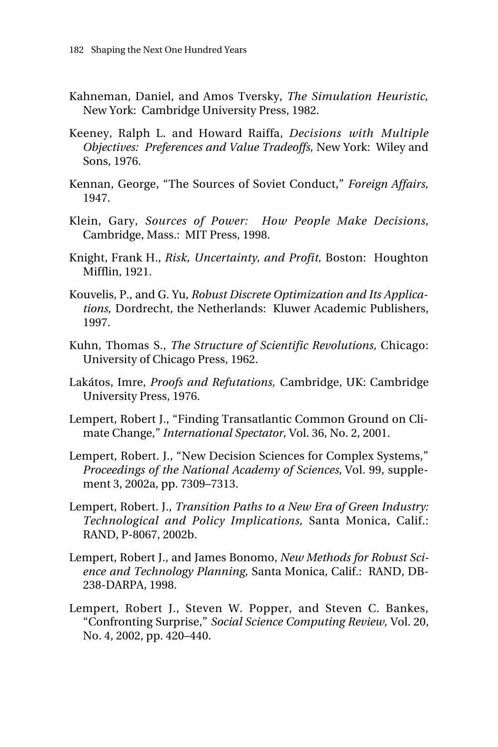- Kahneman, Daniel, and Amos Tversky, *The Simulation Heuristic,* New York: Cambridge University Press, 1982.
- Keeney, Ralph L. and Howard Raiffa, *Decisions with Multiple Objectives: Preferences and Value Tradeoffs,* New York: Wiley and Sons, 1976.
- Kennan, George, "The Sources of Soviet Conduct," *Foreign Affairs,* 1947.
- Klein, Gary, *Sources of Power: How People Make Decisions,* Cambridge, Mass.: MIT Press, 1998.
- Knight, Frank H., *Risk, Uncertainty, and Profit,* Boston: Houghton Mifflin, 1921.
- Kouvelis, P., and G. Yu, *Robust Discrete Optimization and Its Applications,* Dordrecht, the Netherlands: Kluwer Academic Publishers, 1997.
- Kuhn, Thomas S., *The Structure of Scientific Revolutions,* Chicago: University of Chicago Press, 1962.
- Lakátos, Imre, *Proofs and Refutations,* Cambridge, UK: Cambridge University Press, 1976.
- Lempert, Robert J., "Finding Transatlantic Common Ground on Climate Change," *International Spectator,* Vol. 36, No. 2, 2001.
- Lempert, Robert. J., "New Decision Sciences for Complex Systems," *Proceedings of the National Academy of Sciences,* Vol. 99, supplement 3, 2002a, pp. 7309–7313.
- Lempert, Robert. J., *Transition Paths to a New Era of Green Industry: Technological and Policy Implications,* Santa Monica, Calif.: RAND, P-8067, 2002b.
- Lempert, Robert J., and James Bonomo, *New Methods for Robust Science and Technology Planning,* Santa Monica, Calif.: RAND, DB-238-DARPA, 1998.
- Lempert, Robert J., Steven W. Popper, and Steven C. Bankes, "Confronting Surprise," *Social Science Computing Review,* Vol. 20, No. 4, 2002, pp. 420–440.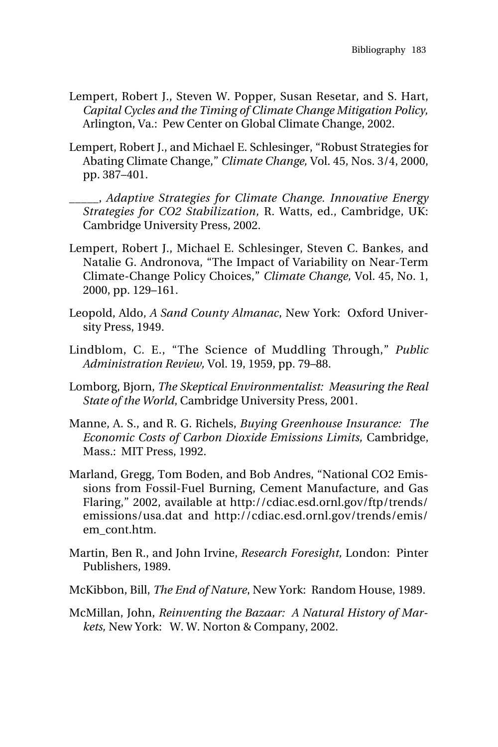- Lempert, Robert J., Steven W. Popper, Susan Resetar, and S. Hart, *Capital Cycles and the Timing of Climate Change Mitigation Policy,* Arlington, Va.: Pew Center on Global Climate Change, 2002.
- Lempert, Robert J., and Michael E. Schlesinger, "Robust Strategies for Abating Climate Change," *Climate Change,* Vol. 45, Nos. 3/4, 2000, pp. 387–401.
	- \_\_\_\_\_, *Adaptive Strategies for Climate Change. Innovative Energy Strategies for CO2 Stabilization,* R. Watts, ed., Cambridge, UK: Cambridge University Press, 2002.
- Lempert, Robert J., Michael E. Schlesinger, Steven C. Bankes, and Natalie G. Andronova, "The Impact of Variability on Near-Term Climate-Change Policy Choices," *Climate Change,* Vol. 45, No. 1, 2000, pp. 129–161.
- Leopold, Aldo, *A Sand County Almanac*, New York: Oxford University Press, 1949.
- Lindblom, C. E., "The Science of Muddling Through," *Public Administration Review,* Vol. 19, 1959, pp. 79–88.
- Lomborg, Bjorn, *The Skeptical Environmentalist: Measuring the Real State of the World*, Cambridge University Press, 2001.
- Manne, A. S., and R. G. Richels, *Buying Greenhouse Insurance: The Economic Costs of Carbon Dioxide Emissions Limits,* Cambridge, Mass.: MIT Press, 1992.
- Marland, Gregg, Tom Boden, and Bob Andres, "National CO2 Emissions from Fossil-Fuel Burning, Cement Manufacture, and Gas Flaring," 2002, available at http://cdiac.esd.ornl.gov/ftp/trends/ emissions/usa.dat and http://cdiac.esd.ornl.gov/trends/emis/ em\_cont.htm.
- Martin, Ben R., and John Irvine, *Research Foresight,* London: Pinter Publishers, 1989.
- McKibbon, Bill, *The End of Nature*, New York: Random House, 1989.
- McMillan, John, *Reinventing the Bazaar: A Natural History of Markets,* New York: W. W. Norton & Company, 2002.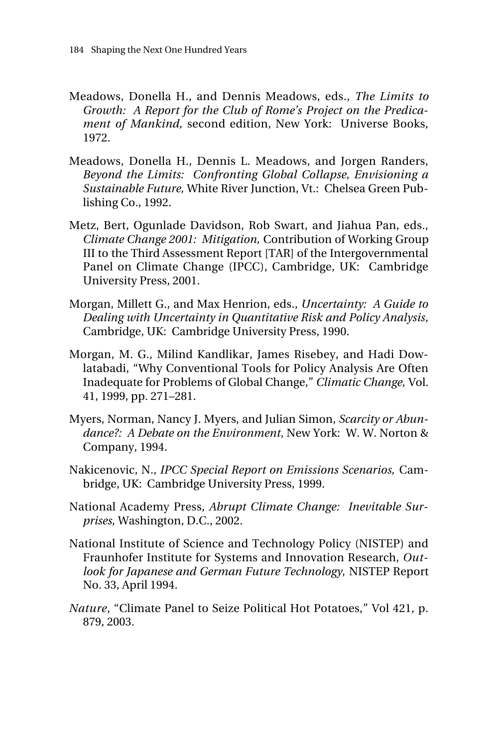- Meadows, Donella H., and Dennis Meadows, eds., *The Limits to Growth: A Report for the Club of Rome's Project on the Predicament of Mankind,* second edition, New York: Universe Books, 1972.
- Meadows, Donella H., Dennis L. Meadows, and Jorgen Randers, *Beyond the Limits: Confronting Global Collapse, Envisioning a Sustainable Future,* White River Junction, Vt.: Chelsea Green Publishing Co., 1992.
- Metz, Bert, Ogunlade Davidson, Rob Swart, and Jiahua Pan, eds., *Climate Change 2001: Mitigation,* Contribution of Working Group III to the Third Assessment Report [TAR] of the Intergovernmental Panel on Climate Change (IPCC), Cambridge, UK: Cambridge University Press, 2001.
- Morgan, Millett G., and Max Henrion, eds., *Uncertainty: A Guide to Dealing with Uncertainty in Quantitative Risk and Policy Analysis*, Cambridge, UK: Cambridge University Press, 1990.
- Morgan, M. G., Milind Kandlikar, James Risebey, and Hadi Dowlatabadi, "Why Conventional Tools for Policy Analysis Are Often Inadequate for Problems of Global Change," *Climatic Change,* Vol. 41, 1999, pp. 271–281.
- Myers, Norman, Nancy J. Myers, and Julian Simon, *Scarcity or Abundance?: A Debate on the Environment*, New York: W. W. Norton & Company, 1994.
- Nakicenovic, N., *IPCC Special Report on Emissions Scenarios,* Cambridge, UK: Cambridge University Press, 1999.
- National Academy Press, *Abrupt Climate Change: Inevitable Surprises,* Washington, D.C., 2002.
- National Institute of Science and Technology Policy (NISTEP) and Fraunhofer Institute for Systems and Innovation Research, *Outlook for Japanese and German Future Technology,* NISTEP Report No. 33, April 1994.
- *Nature*, "Climate Panel to Seize Political Hot Potatoes," Vol 421, p. 879, 2003.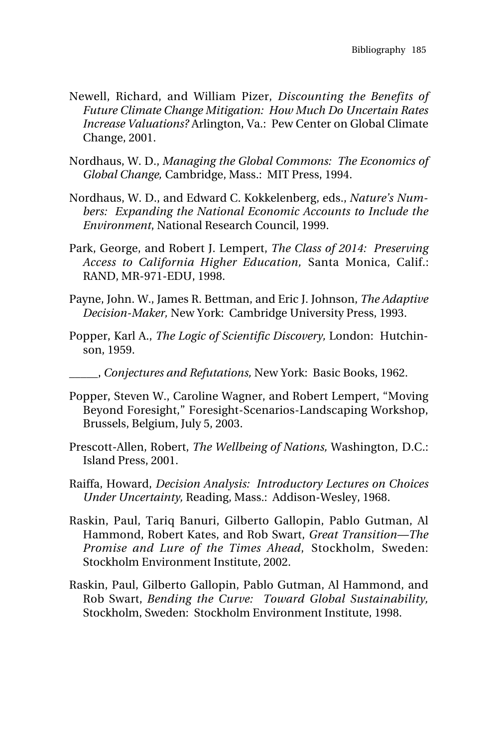- Newell, Richard, and William Pizer, *Discounting the Benefits of Future Climate Change Mitigation: How Much Do Uncertain Rates Increase Valuations?* Arlington, Va.: Pew Center on Global Climate Change, 2001.
- Nordhaus, W. D., *Managing the Global Commons: The Economics of Global Change,* Cambridge, Mass.: MIT Press, 1994.
- Nordhaus, W. D., and Edward C. Kokkelenberg, eds., *Nature's Numbers: Expanding the National Economic Accounts to Include the Environment*, National Research Council, 1999.
- Park, George, and Robert J. Lempert, *The Class of 2014: Preserving Access to California Higher Education,* Santa Monica, Calif.: RAND, MR-971-EDU, 1998.
- Payne, John. W., James R. Bettman, and Eric J. Johnson, *The Adaptive Decision-Maker,* New York: Cambridge University Press, 1993.
- Popper, Karl A., *The Logic of Scientific Discovery,* London: Hutchinson, 1959.
- \_\_\_\_\_, *Conjectures and Refutations,* New York: Basic Books, 1962.
- Popper, Steven W., Caroline Wagner, and Robert Lempert, "Moving Beyond Foresight," Foresight-Scenarios-Landscaping Workshop, Brussels, Belgium, July 5, 2003.
- Prescott-Allen, Robert, *The Wellbeing of Nations,* Washington, D.C.: Island Press, 2001.
- Raiffa, Howard, *Decision Analysis: Introductory Lectures on Choices Under Uncertainty,* Reading, Mass.: Addison-Wesley, 1968.
- Raskin, Paul, Tariq Banuri, Gilberto Gallopin, Pablo Gutman, Al Hammond, Robert Kates, and Rob Swart, *Great Transition—The Promise and Lure of the Times Ahead*, Stockholm, Sweden: Stockholm Environment Institute, 2002.
- Raskin, Paul, Gilberto Gallopin, Pablo Gutman, Al Hammond, and Rob Swart, *Bending the Curve: Toward Global Sustainability,* Stockholm, Sweden: Stockholm Environment Institute, 1998.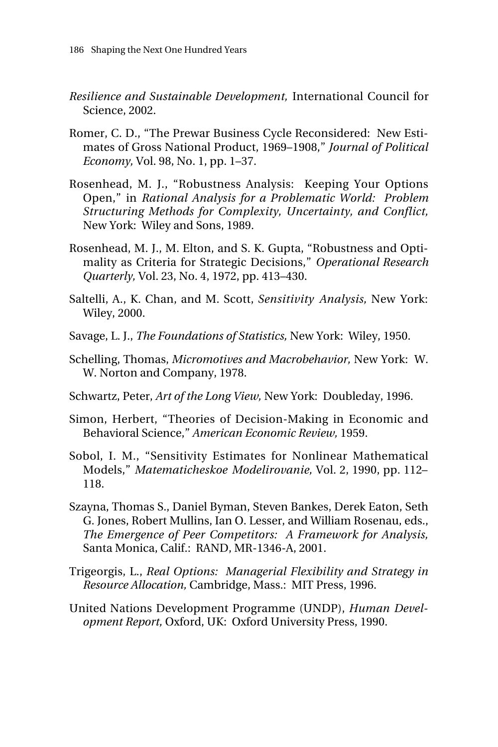- *Resilience and Sustainable Development,* International Council for Science, 2002.
- Romer, C. D., "The Prewar Business Cycle Reconsidered: New Estimates of Gross National Product, 1969–1908," *Journal of Political Economy,* Vol. 98, No. 1, pp. 1–37.
- Rosenhead, M. J., "Robustness Analysis: Keeping Your Options Open," in *Rational Analysis for a Problematic World: Problem Structuring Methods for Complexity, Uncertainty, and Conflict,* New York: Wiley and Sons, 1989.
- Rosenhead, M. J., M. Elton, and S. K. Gupta, "Robustness and Optimality as Criteria for Strategic Decisions," *Operational Research Quarterly,* Vol. 23, No. 4, 1972, pp. 413–430.
- Saltelli, A., K. Chan, and M. Scott, *Sensitivity Analysis,* New York: Wiley, 2000.
- Savage, L. J., *The Foundations of Statistics,* New York: Wiley, 1950.
- Schelling, Thomas, *Micromotives and Macrobehavior,* New York: W. W. Norton and Company, 1978.
- Schwartz, Peter, *Art of the Long View,* New York: Doubleday, 1996.
- Simon, Herbert, "Theories of Decision-Making in Economic and Behavioral Science," *American Economic Review,* 1959.
- Sobol, I. M., "Sensitivity Estimates for Nonlinear Mathematical Models," *Matematicheskoe Modelirovanie,* Vol. 2, 1990, pp. 112– 118.
- Szayna, Thomas S., Daniel Byman, Steven Bankes, Derek Eaton, Seth G. Jones, Robert Mullins, Ian O. Lesser, and William Rosenau, eds., *The Emergence of Peer Competitors: A Framework for Analysis,* Santa Monica, Calif.: RAND, MR-1346-A, 2001.
- Trigeorgis, L., *Real Options: Managerial Flexibility and Strategy in Resource Allocation,* Cambridge, Mass.: MIT Press, 1996.
- United Nations Development Programme (UNDP), *Human Development Report,* Oxford, UK: Oxford University Press, 1990.